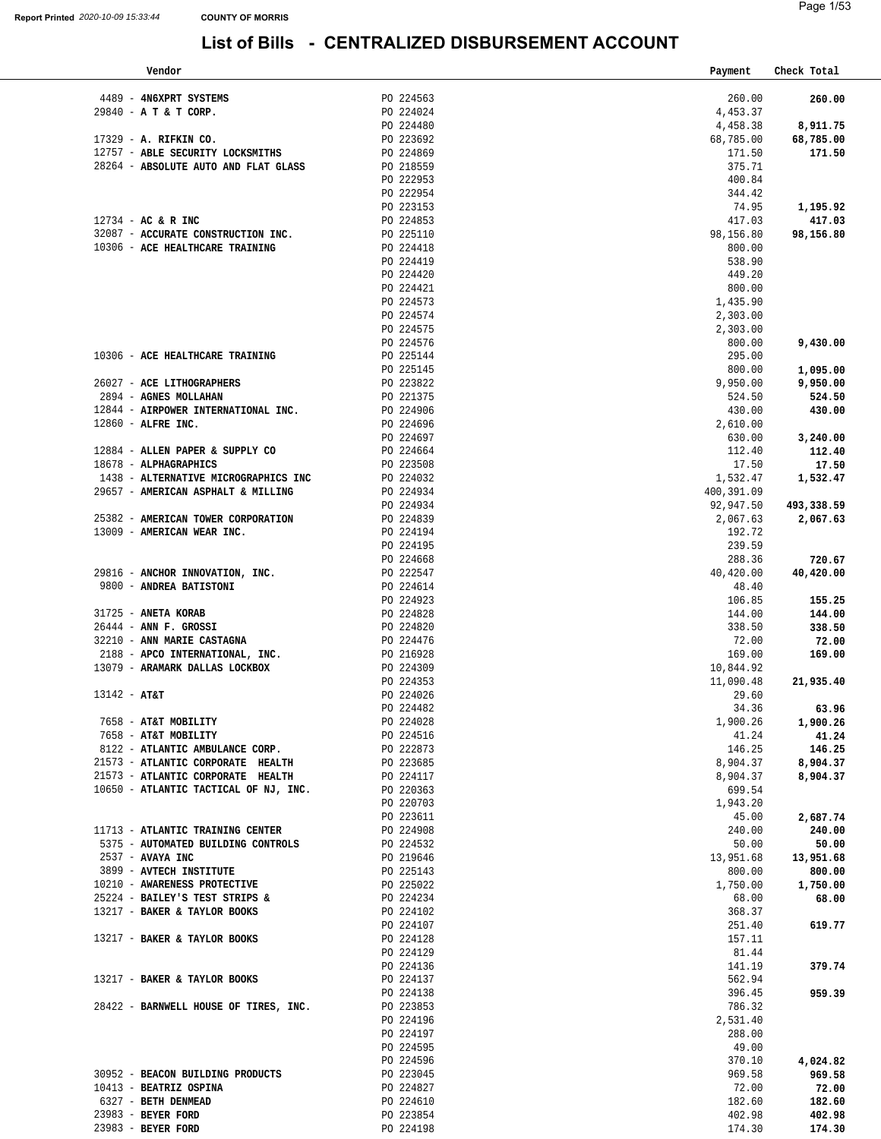| Vendor                                                                 |                        | Payment             | Check Total         |
|------------------------------------------------------------------------|------------------------|---------------------|---------------------|
|                                                                        |                        |                     |                     |
| 4489 - 4N6XPRT SYSTEMS<br>29840 - A T & T CORP.                        | PO 224563<br>PO 224024 | 260.00<br>4,453.37  | 260.00              |
|                                                                        | PO 224480              | 4,458.38            | 8,911.75            |
| 17329 - A. RIFKIN CO.                                                  | PO 223692              | 68,785.00           | 68,785.00           |
| 12757 - ABLE SECURITY LOCKSMITHS                                       | PO 224869              | 171.50              | 171.50              |
| 28264 - ABSOLUTE AUTO AND FLAT GLASS                                   | PO 218559              | 375.71              |                     |
|                                                                        | PO 222953              | 400.84              |                     |
|                                                                        | PO 222954              | 344.42              |                     |
|                                                                        | PO 223153              | 74.95               | 1,195.92            |
| $12734$ - AC & R INC                                                   | PO 224853              | 417.03              | 417.03              |
| 32087 - ACCURATE CONSTRUCTION INC.                                     | PO 225110              | 98,156.80           | 98,156.80           |
| 10306 - ACE HEALTHCARE TRAINING                                        | PO 224418<br>PO 224419 | 800.00<br>538.90    |                     |
|                                                                        | PO 224420              | 449.20              |                     |
|                                                                        | PO 224421              | 800.00              |                     |
|                                                                        | PO 224573              | 1,435.90            |                     |
|                                                                        | PO 224574              | 2,303.00            |                     |
|                                                                        | PO 224575              | 2,303.00            |                     |
|                                                                        | PO 224576              | 800.00              | 9,430.00            |
| 10306 - ACE HEALTHCARE TRAINING                                        | PO 225144              | 295.00              |                     |
|                                                                        | PO 225145              | 800.00              | 1,095.00            |
| 26027 - ACE LITHOGRAPHERS                                              | PO 223822              | 9,950.00            | 9,950.00            |
| 2894 - AGNES MOLLAHAN                                                  | PO 221375              | 524.50              | 524.50              |
| 12844 - AIRPOWER INTERNATIONAL INC.<br>$12860$ - ALFRE INC.            | PO 224906              | 430.00<br>2,610.00  | 430.00              |
|                                                                        | PO 224696<br>PO 224697 | 630.00              | 3,240.00            |
| 12884 - ALLEN PAPER & SUPPLY CO                                        | PO 224664              | 112.40              | 112.40              |
| 18678 - ALPHAGRAPHICS                                                  | PO 223508              | 17.50               | 17.50               |
| 1438 - ALTERNATIVE MICROGRAPHICS INC                                   | PO 224032              | 1,532.47            | 1,532.47            |
| 29657 - AMERICAN ASPHALT & MILLING                                     | PO 224934              | 400,391.09          |                     |
|                                                                        | PO 224934              | 92,947.50           | 493,338.59          |
| 25382 - AMERICAN TOWER CORPORATION                                     | PO 224839              | 2,067.63            | 2,067.63            |
| 13009 - AMERICAN WEAR INC.                                             | PO 224194              | 192.72              |                     |
|                                                                        | PO 224195              | 239.59              |                     |
| 29816 - ANCHOR INNOVATION, INC.                                        | PO 224668<br>PO 222547 | 288.36<br>40,420.00 | 720.67<br>40,420.00 |
| 9800 - ANDREA BATISTONI                                                | PO 224614              | 48.40               |                     |
|                                                                        | PO 224923              | 106.85              | 155.25              |
| 31725 - ANETA KORAB                                                    | PO 224828              | 144.00              | 144.00              |
| $26444$ - ANN F. GROSSI                                                | PO 224820              | 338.50              | 338.50              |
| 32210 - ANN MARIE CASTAGNA                                             | PO 224476              | 72.00               | 72.00               |
| 2188 - APCO INTERNATIONAL, INC.                                        | PO 216928              | 169.00              | 169.00              |
| 13079 - ARAMARK DALLAS LOCKBOX                                         | PO 224309              | 10,844.92           |                     |
|                                                                        | PO 224353              | 11,090.48           | 21,935.40           |
| $13142 - AT&T$                                                         | PO 224026<br>PO 224482 | 29.60<br>34.36      | 63.96               |
| 7658 - AT&T MOBILITY                                                   | PO 224028              | 1,900.26            | 1,900.26            |
| 7658 - AT&T MOBILITY                                                   | PO 224516              | 41.24               | 41.24               |
| 8122 - ATLANTIC AMBULANCE CORP.                                        | PO 222873              | 146.25              | 146.25              |
| 21573 - ATLANTIC CORPORATE HEALTH                                      | PO 223685              | 8,904.37            | 8,904.37            |
| 21573 - ATLANTIC CORPORATE HEALTH                                      | PO 224117              | 8,904.37            | 8,904.37            |
| 10650 - ATLANTIC TACTICAL OF NJ, INC.                                  | PO 220363              | 699.54              |                     |
|                                                                        | PO 220703              | 1,943.20            |                     |
|                                                                        | PO 223611              | 45.00               | 2,687.74            |
| 11713 - ATLANTIC TRAINING CENTER<br>5375 - AUTOMATED BUILDING CONTROLS | PO 224908<br>PO 224532 | 240.00<br>50.00     | 240.00<br>50.00     |
| 2537 - AVAYA INC                                                       | PO 219646              | 13,951.68           | 13,951.68           |
| 3899 - AVTECH INSTITUTE                                                | PO 225143              | 800.00              | 800.00              |
| 10210 - AWARENESS PROTECTIVE                                           | PO 225022              | 1,750.00            | 1,750.00            |
| 25224 - BAILEY'S TEST STRIPS &                                         | PO 224234              | 68.00               | 68.00               |
| 13217 - BAKER & TAYLOR BOOKS                                           | PO 224102              | 368.37              |                     |
|                                                                        | PO 224107              | 251.40              | 619.77              |
| 13217 - BAKER & TAYLOR BOOKS                                           | PO 224128              | 157.11              |                     |
|                                                                        | PO 224129              | 81.44               |                     |
| 13217 - BAKER & TAYLOR BOOKS                                           | PO 224136<br>PO 224137 | 141.19<br>562.94    | 379.74              |
|                                                                        | PO 224138              | 396.45              | 959.39              |
| 28422 - BARNWELL HOUSE OF TIRES, INC.                                  | PO 223853              | 786.32              |                     |
|                                                                        | PO 224196              | 2,531.40            |                     |
|                                                                        | PO 224197              | 288.00              |                     |
|                                                                        | PO 224595              | 49.00               |                     |
|                                                                        | PO 224596              | 370.10              | 4,024.82            |
| 30952 - BEACON BUILDING PRODUCTS                                       | PO 223045              | 969.58              | 969.58              |
| 10413 - BEATRIZ OSPINA                                                 | PO 224827              | 72.00               | 72.00               |
| 6327 - BETH DENMEAD                                                    | PO 224610              | 182.60              | 182.60              |
| 23983 - BEYER FORD<br>23983 - BEYER FORD                               | PO 223854<br>PO 224198 | 402.98<br>174.30    | 402.98<br>174.30    |
|                                                                        |                        |                     |                     |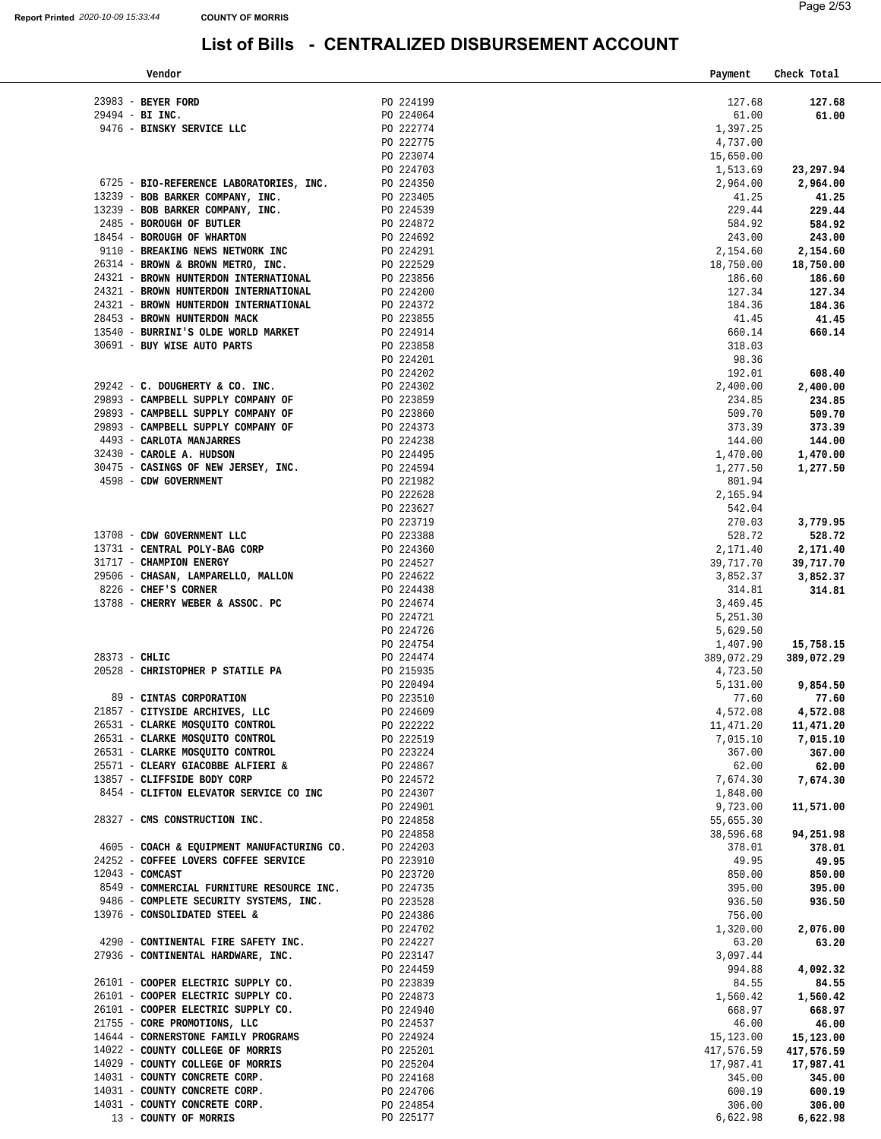| Vendor                                                                                                                                                                                                                                                                                                                                                                                                              |                                                                                   |                                                  |           | Payment                 | Check Total             |
|---------------------------------------------------------------------------------------------------------------------------------------------------------------------------------------------------------------------------------------------------------------------------------------------------------------------------------------------------------------------------------------------------------------------|-----------------------------------------------------------------------------------|--------------------------------------------------|-----------|-------------------------|-------------------------|
|                                                                                                                                                                                                                                                                                                                                                                                                                     |                                                                                   |                                                  |           |                         |                         |
| $23983$ - BEYER FORD<br>$29494 - BL$ INC.                                                                                                                                                                                                                                                                                                                                                                           |                                                                                   | PO 224199                                        | PO 224064 | 127.68<br>61.00         | 127.68<br>61.00         |
| 9476 - BINSKY SERVICE LLC                                                                                                                                                                                                                                                                                                                                                                                           |                                                                                   | PO 222774                                        |           | 1,397.25                |                         |
|                                                                                                                                                                                                                                                                                                                                                                                                                     |                                                                                   | PO 222775                                        |           | 4,737.00                |                         |
|                                                                                                                                                                                                                                                                                                                                                                                                                     |                                                                                   | PO 223074                                        |           | 15,650.00               |                         |
|                                                                                                                                                                                                                                                                                                                                                                                                                     |                                                                                   | PO 224703                                        |           | 1,513.69                | 23,297.94               |
| 6725 - BIO-REFERENCE LABORATORIES, INC.                                                                                                                                                                                                                                                                                                                                                                             |                                                                                   | PO 224350                                        |           | 2,964.00                | 2,964.00                |
| 13239 - BOB BARKER COMPANY, INC.                                                                                                                                                                                                                                                                                                                                                                                    |                                                                                   |                                                  |           | 41.25                   | 41.25                   |
| 13239 - BOB BARKER COMPANY, INC.                                                                                                                                                                                                                                                                                                                                                                                    |                                                                                   |                                                  |           | 229.44                  | 229.44                  |
| 2485 - BOROUGH OF BUTLER                                                                                                                                                                                                                                                                                                                                                                                            |                                                                                   |                                                  |           | 584.92                  | 584.92                  |
| 18454 - BOROUGH OF WHARTON                                                                                                                                                                                                                                                                                                                                                                                          |                                                                                   |                                                  |           | 243.00                  | 243.00                  |
| 9110 - BREAKING NEWS NETWORK INC                                                                                                                                                                                                                                                                                                                                                                                    | NC:<br>PO 223405<br>PO 224539<br>PO 224872<br>PO 224291<br>PO 224291<br>PO 224291 |                                                  |           | 2,154.60                | 2,154.60                |
| 26314 - BROWN & BROWN METRO, INC.                                                                                                                                                                                                                                                                                                                                                                                   |                                                                                   | PO 222529<br>PO 223856                           |           | 18,750.00               | 18,750.00               |
| 24321 - BROWN HUNTERDON INTERNATIONAL                                                                                                                                                                                                                                                                                                                                                                               |                                                                                   |                                                  |           | 186.60                  | 186.60                  |
| 24321 - BROWN HUNTERDON INTERNATIONAL                                                                                                                                                                                                                                                                                                                                                                               |                                                                                   | PO 224200                                        |           | 127.34                  | 127.34                  |
| 24321 - BROWN HUNTERDON INTERNATIONAL<br>28453 - BROWN HUNTERDON MACK                                                                                                                                                                                                                                                                                                                                               |                                                                                   |                                                  |           | 184.36<br>41.45         | 184.36<br>41.45         |
| 13540 - BURRINI'S OLDE WORLD MARKET                                                                                                                                                                                                                                                                                                                                                                                 |                                                                                   | PO 224372<br>PO 223855<br>PO 224914<br>PO 223858 |           | 660.14                  | 660.14                  |
| 30691 - BUY WISE AUTO PARTS                                                                                                                                                                                                                                                                                                                                                                                         |                                                                                   |                                                  |           | 318.03                  |                         |
|                                                                                                                                                                                                                                                                                                                                                                                                                     |                                                                                   |                                                  |           | 98.36                   |                         |
|                                                                                                                                                                                                                                                                                                                                                                                                                     |                                                                                   | PO 224201<br>PO 224202                           |           | 192.01                  | 608.40                  |
| 29242 - C. DOUGHERTY & CO. INC.                                                                                                                                                                                                                                                                                                                                                                                     |                                                                                   | PO 224302<br>PO 223859                           |           | 2,400.00                | 2,400.00                |
| 29893 - CAMPBELL SUPPLY COMPANY OF                                                                                                                                                                                                                                                                                                                                                                                  |                                                                                   |                                                  |           | 234.85                  | 234.85                  |
| 29893 - CAMPBELL SUPPLY COMPANY OF                                                                                                                                                                                                                                                                                                                                                                                  |                                                                                   | PO 223860                                        |           | 509.70                  | 509.70                  |
| 29893 - CAMPBELL SUPPLY COMPANY OF                                                                                                                                                                                                                                                                                                                                                                                  |                                                                                   |                                                  |           | 373.39                  | 373.39                  |
| 4493 - CARLOTA MANJARRES                                                                                                                                                                                                                                                                                                                                                                                            |                                                                                   | PO 224373<br>PO 224238<br>PO 224495<br>PO 224594 |           | 144.00                  | 144.00                  |
| 32430 - CAROLE A. HUDSON<br>30475 - CASINGS OF NEW JERSEY, INC.                                                                                                                                                                                                                                                                                                                                                     |                                                                                   |                                                  |           | 1,470.00<br>1,277.50    | 1,470.00                |
| 4598 - CDW GOVERNMENT                                                                                                                                                                                                                                                                                                                                                                                               |                                                                                   | PO 221982                                        |           | 801.94                  | 1,277.50                |
|                                                                                                                                                                                                                                                                                                                                                                                                                     |                                                                                   | PO 222628                                        |           | 2,165.94                |                         |
|                                                                                                                                                                                                                                                                                                                                                                                                                     |                                                                                   | PO 223627                                        |           | 542.04                  |                         |
|                                                                                                                                                                                                                                                                                                                                                                                                                     |                                                                                   | PO 223719                                        |           | 270.03                  | 3,779.95                |
| 13708 - CDW GOVERNMENT LLC                                                                                                                                                                                                                                                                                                                                                                                          |                                                                                   | PO 223388                                        |           | 528.72                  | 528.72                  |
| 13731 - CENTRAL POLY-BAG CORP                                                                                                                                                                                                                                                                                                                                                                                       |                                                                                   | PO 224360<br>PO 224527                           |           | 2,171.40                | 2,171.40                |
| 31717 - CHAMPION ENERGY                                                                                                                                                                                                                                                                                                                                                                                             |                                                                                   |                                                  |           | 39,717.70               | 39,717.70               |
| 29506 - CHASAN, LAMPARELLO, MALLON $PQ$ 224622<br>8226 - CHEF'S CORNER $PQ$ 224438                                                                                                                                                                                                                                                                                                                                  |                                                                                   |                                                  |           | 3,852.37                | 3,852.37                |
|                                                                                                                                                                                                                                                                                                                                                                                                                     |                                                                                   |                                                  |           | 314.81                  | 314.81                  |
| 13788 - CHERRY WEBER & ASSOC. PC                                                                                                                                                                                                                                                                                                                                                                                    |                                                                                   | PO 224674                                        |           | 3,469.45                |                         |
|                                                                                                                                                                                                                                                                                                                                                                                                                     |                                                                                   | PO 224726                                        | PO 224721 | 5,251.30<br>5,629.50    |                         |
|                                                                                                                                                                                                                                                                                                                                                                                                                     |                                                                                   | PO 224754                                        |           | 1,407.90                | 15,758.15               |
| $28373 - CHLIC$                                                                                                                                                                                                                                                                                                                                                                                                     |                                                                                   | PO 224474                                        |           | 389,072.29              | 389,072.29              |
| 20528 - CHRISTOPHER P STATILE PA                                                                                                                                                                                                                                                                                                                                                                                    |                                                                                   | PO 215935                                        |           | 4,723.50                |                         |
|                                                                                                                                                                                                                                                                                                                                                                                                                     |                                                                                   | PO 220494                                        |           | 5,131.00                | 9,854.50                |
| 89 - CINTAS CORPORATION                                                                                                                                                                                                                                                                                                                                                                                             |                                                                                   |                                                  | PO 223510 | 77.60                   | 77.60                   |
| 21857 - CITYSIDE ARCHIVES, LLC                                                                                                                                                                                                                                                                                                                                                                                      |                                                                                   |                                                  | PO 224609 | 4,572.08                | 4,572.08                |
| 26531 - CLARKE MOSQUITO CONTROL                                                                                                                                                                                                                                                                                                                                                                                     |                                                                                   |                                                  | PO 222222 | 11,471.20               | 11,471.20               |
| 26331 - CLARKE MOSQUITO CONTROL<br>26531 - CLARKE MOSQUITO CONTROL<br>26531 - CLARKE MOSQUITO CONTROL<br>25571 - CLEARY GIACOBBE ALFIERI & PO 224867<br>13857 - CLIFFSIDE BODY CORP PO 224572                                                                                                                                                                                                                       |                                                                                   |                                                  |           | 7,015.10                | 7,015.10                |
|                                                                                                                                                                                                                                                                                                                                                                                                                     |                                                                                   |                                                  |           | 367.00<br>62.00         | 367.00                  |
|                                                                                                                                                                                                                                                                                                                                                                                                                     |                                                                                   |                                                  |           | 7,674.30                | 62.00<br>7,674.30       |
| 8454 - CLIFTON ELEVATOR SERVICE CO INC PO 224307                                                                                                                                                                                                                                                                                                                                                                    |                                                                                   |                                                  |           | 1,848.00                |                         |
|                                                                                                                                                                                                                                                                                                                                                                                                                     |                                                                                   |                                                  | PO 224901 | 9,723.00                | 11,571.00               |
| 28327 - CMS CONSTRUCTION INC.                                                                                                                                                                                                                                                                                                                                                                                       |                                                                                   | PO 224858                                        |           | 55,655.30               |                         |
|                                                                                                                                                                                                                                                                                                                                                                                                                     |                                                                                   |                                                  | PO 224858 | 38,596.68               | 94,251.98               |
| 4605 - COACH & EQUIPMENT MANUFACTURING CO. PO 224203                                                                                                                                                                                                                                                                                                                                                                |                                                                                   |                                                  |           | 378.01                  | 378.01                  |
| 24252 - COFFEE LOVERS COFFEE SERVICE                                                                                                                                                                                                                                                                                                                                                                                |                                                                                   | PO 223910                                        |           | 49.95                   | 49.95                   |
| $12043$ - COMCAST                                                                                                                                                                                                                                                                                                                                                                                                   |                                                                                   | PO 223720                                        |           | 850.00                  | 850.00                  |
| 8549 - COMMERCIAL FURNITURE RESOURCE INC. PO 224735                                                                                                                                                                                                                                                                                                                                                                 |                                                                                   |                                                  |           | 395.00                  | 395.00                  |
| 9486 - COMPLETE SECURITY SYSTEMS, INC.<br>13976 - CONSOLIDATED STEEL &                                                                                                                                                                                                                                                                                                                                              |                                                                                   | PO 223528<br>PO 224386                           |           | 936.50<br>756.00        | 936.50                  |
|                                                                                                                                                                                                                                                                                                                                                                                                                     |                                                                                   | PO 224702                                        |           | 1,320.00                | 2,076.00                |
| 4290 - CONTINENTAL FIRE SAFETY INC.                                                                                                                                                                                                                                                                                                                                                                                 |                                                                                   | PO 224227                                        |           | 63.20                   | 63.20                   |
| 27936 - CONTINENTAL HARDWARE, INC.                                                                                                                                                                                                                                                                                                                                                                                  |                                                                                   | $PO$ 223147                                      |           | 3,097.44                |                         |
|                                                                                                                                                                                                                                                                                                                                                                                                                     |                                                                                   | PO 224459                                        |           | 994.88                  | 4,092.32                |
| 26101 - COOPER ELECTRIC SUPPLY CO.                                                                                                                                                                                                                                                                                                                                                                                  |                                                                                   |                                                  |           | 84.55                   | 84.55                   |
| $\begin{tabular}{lllllllllllllllllll} \multicolumn{4}{c}{26101}-\textbf{COOPER} \textbf{ELECTRIC} \textbf{SUPPLY} & \textbf{CO.} & \textbf{PO} & 223839 \\ \multicolumn{4}{c}{26101}-\textbf{COOPER} \textbf{ELECTRIC} \textbf{SUPPLY} & \textbf{CO.} & \textbf{PO} & 224873 \\ \multicolumn{4}{c}{26101}-\textbf{COOPER} \textbf{ELECTRIC} \textbf{SUPPLY} & \textbf{CO.} & \textbf{PO} & 224940 \\ \end{tabular}$ |                                                                                   |                                                  |           | 1,560.42                | 1,560.42                |
|                                                                                                                                                                                                                                                                                                                                                                                                                     |                                                                                   |                                                  |           | 668.97                  | 668.97                  |
| $21755$ – $\tt{CORE}$ PROMOTIONS, LLC $$\tt P0 224537$$ $14644$ – $\tt{CORNERSTONE}$ FAMILY PROGRAMS $$\tt P0 224924$$                                                                                                                                                                                                                                                                                              |                                                                                   |                                                  |           | 46.00                   | 46.00                   |
| 14022 - COUNTY COLLEGE OF MORRIS                                                                                                                                                                                                                                                                                                                                                                                    |                                                                                   |                                                  |           | 15,123.00<br>417,576.59 | 15,123.00               |
| 14029 - COUNTY COLLEGE OF MORRIS                                                                                                                                                                                                                                                                                                                                                                                    |                                                                                   | PO 225201<br>PO 225204                           |           | 17,987.41               | 417,576.59<br>17,987.41 |
| 14031 - COUNTY CONCRETE CORP.                                                                                                                                                                                                                                                                                                                                                                                       |                                                                                   | PO 224168                                        |           | 345.00                  | 345.00                  |
| 14031 - COUNTY CONCRETE CORP.                                                                                                                                                                                                                                                                                                                                                                                       |                                                                                   | PO 224706                                        |           | 600.19                  | 600.19                  |
| 14031 - COUNTY CONCRETE CORP.                                                                                                                                                                                                                                                                                                                                                                                       |                                                                                   | PO 224854                                        |           | 306.00                  | 306.00                  |
| 13 - COUNTY OF MORRIS                                                                                                                                                                                                                                                                                                                                                                                               |                                                                                   |                                                  | PO 225177 | 6,622.98                | 6,622.98                |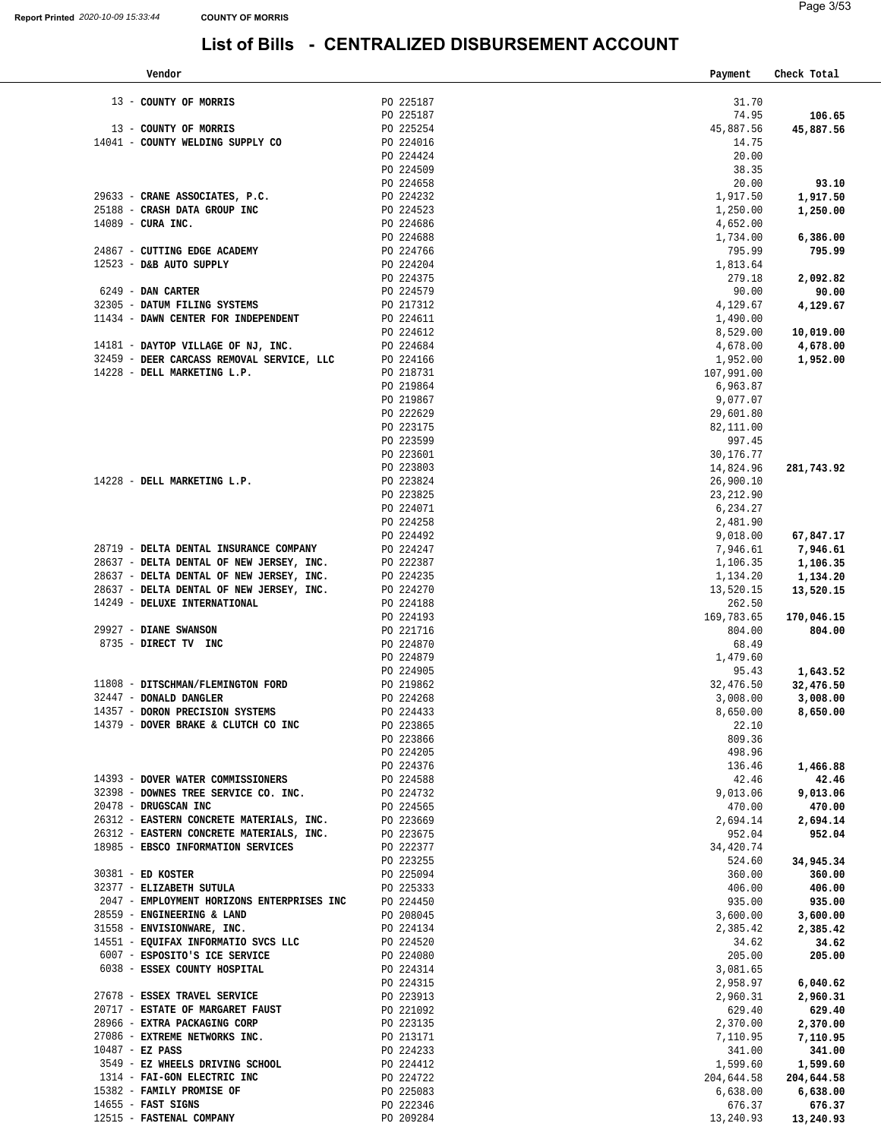| Vendor                                                            |                        | Payment                | Check Total            |
|-------------------------------------------------------------------|------------------------|------------------------|------------------------|
|                                                                   |                        |                        |                        |
| 13 - COUNTY OF MORRIS                                             | PO 225187<br>PO 225187 | 31.70<br>74.95         | 106.65                 |
| 13 - COUNTY OF MORRIS                                             | PO 225254              | 45,887.56              | 45,887.56              |
| 14041 - COUNTY WELDING SUPPLY CO                                  | PO 224016              | 14.75                  |                        |
|                                                                   | PO 224424              | 20.00                  |                        |
|                                                                   | PO 224509              | 38.35                  |                        |
|                                                                   | PO 224658              | 20.00                  | 93.10                  |
| 29633 - CRANE ASSOCIATES, P.C.                                    | PO 224232              | 1,917.50               | 1,917.50               |
| 25188 - CRASH DATA GROUP INC                                      | PO 224523              | 1,250.00               | 1,250.00               |
| 14089 - CURA INC.                                                 | PO 224686              | 4,652.00               |                        |
|                                                                   | PO 224688              | 1,734.00               | 6,386.00               |
| 24867 - CUTTING EDGE ACADEMY<br>12523 - D&B AUTO SUPPLY           | PO 224766<br>PO 224204 | 795.99<br>1,813.64     | 795.99                 |
|                                                                   | PO 224375              | 279.18                 | 2,092.82               |
| 6249 - DAN CARTER                                                 | PO 224579              | 90.00                  | 90.00                  |
| 32305 - DATUM FILING SYSTEMS                                      | PO 217312              | 4,129.67               | 4,129.67               |
| 11434 - DAWN CENTER FOR INDEPENDENT                               | PO 224611              | 1,490.00               |                        |
|                                                                   | PO 224612              | 8,529.00               | 10,019.00              |
| 14181 - DAYTOP VILLAGE OF NJ, INC.                                | PO 224684              | 4,678.00               | 4,678.00               |
| 32459 - DEER CARCASS REMOVAL SERVICE, LLC                         | PO 224166              | 1,952.00               | 1,952.00               |
| 14228 - DELL MARKETING L.P.                                       | PO 218731              | 107,991.00             |                        |
|                                                                   | PO 219864              | 6,963.87               |                        |
|                                                                   | PO 219867<br>PO 222629 | 9,077.07<br>29,601.80  |                        |
|                                                                   | PO 223175              | 82,111.00              |                        |
|                                                                   | PO 223599              | 997.45                 |                        |
|                                                                   | PO 223601              | 30,176.77              |                        |
|                                                                   | PO 223803              | 14,824.96              | 281,743.92             |
| 14228 - DELL MARKETING L.P.                                       | PO 223824              | 26,900.10              |                        |
|                                                                   | PO 223825              | 23, 212.90             |                        |
|                                                                   | PO 224071              | 6,234.27               |                        |
|                                                                   | PO 224258              | 2,481.90               |                        |
| 28719 - DELTA DENTAL INSURANCE COMPANY                            | PO 224492<br>PO 224247 | 9,018.00<br>7,946.61   | 67,847.17              |
| 28637 - DELTA DENTAL OF NEW JERSEY, INC.                          |                        | 1,106.35               | 7,946.61<br>1,106.35   |
| 28637 - DELTA DENTAL OF NEW JERSEY, INC.                          | PO 222387<br>PO 224235 | 1,134.20               | 1,134.20               |
| 28637 - DELTA DENTAL OF NEW JERSEY, INC.                          | PO 224270              | 13,520.15              | 13,520.15              |
| 14249 - DELUXE INTERNATIONAL                                      | PO 224188              | 262.50                 |                        |
|                                                                   | PO 224193              | 169,783.65             | 170,046.15             |
| 29927 - DIANE SWANSON                                             | PO 221716              | 804.00                 | 804.00                 |
| 8735 - DIRECT TV INC                                              | PO 224870              | 68.49                  |                        |
|                                                                   | PO 224879              | 1,479.60               |                        |
| 11808 - DITSCHMAN/FLEMINGTON FORD                                 | PO 224905<br>PO 219862 | 95.43<br>32,476.50     | 1,643.52<br>32,476.50  |
| 32447 - DONALD DANGLER                                            | PO 224268              | 3,008.00               | 3,008.00               |
| 14357 - DORON PRECISION SYSTEMS                                   | PO 224433              | 8,650.00               | 8,650.00               |
| 14379 - DOVER BRAKE & CLUTCH CO INC                               | PO 223865              | 22.10                  |                        |
|                                                                   | PO 223866              | 809.36                 |                        |
|                                                                   | PO 224205              | 498.96                 |                        |
|                                                                   | PO 224376              | 136.46                 | 1,466.88               |
| 14393 - DOVER WATER COMMISSIONERS                                 | PO 224588              | 42.46                  | 42.46                  |
| 32398 - DOWNES TREE SERVICE CO. INC.<br>20478 - DRUGSCAN INC      | PO 224732              | 9,013.06               | 9,013.06               |
| 26312 - EASTERN CONCRETE MATERIALS, INC.                          | PO 224565              | 470.00<br>2,694.14     | 470.00<br>2,694.14     |
| 26312 - EASTERN CONCRETE MATERIALS, INC.                          | PO 223669<br>PO 223675 | 952.04                 | 952.04                 |
| 18985 - EBSCO INFORMATION SERVICES                                | PO 222377              | 34,420.74              |                        |
|                                                                   | PO 223255              | 524.60                 | 34,945.34              |
| 30381 - ED KOSTER                                                 | PO 225094              | 360.00                 | 360.00                 |
| 32377 - ELIZABETH SUTULA                                          | PO 225333              | 406.00                 | 406.00                 |
| 2047 - EMPLOYMENT HORIZONS ENTERPRISES INC PO 224450              |                        | 935.00                 | 935.00                 |
| 28559 - ENGINEERING & LAND                                        | PO 208045              | 3,600.00               | 3,600.00               |
| 31558 - ENVISIONWARE, INC.<br>14551 - EQUIFAX INFORMATIO SVCS LLC | PO 224134<br>PO 224520 | 2,385.42               | 2,385.42               |
| 6007 - ESPOSITO'S ICE SERVICE                                     | PO 224080              | 34.62<br>205.00        | 34.62<br>205.00        |
| 6038 - ESSEX COUNTY HOSPITAL                                      | PO 224314              | 3,081.65               |                        |
|                                                                   | PO 224315              | 2,958.97               | 6,040.62               |
| 27678 - ESSEX TRAVEL SERVICE                                      | PO 223913              | 2,960.31               | 2,960.31               |
| 20717 - ESTATE OF MARGARET FAUST                                  | PO 221092              | 629.40                 | 629.40                 |
| 28966 - EXTRA PACKAGING CORP                                      | PO 223135              | 2,370.00               | 2,370.00               |
| 27086 - EXTREME NETWORKS INC.                                     | PO 213171              | 7,110.95               | 7,110.95               |
| $10487 - EZ$ PASS                                                 | PO 224233              | 341.00                 | 341.00                 |
| 3549 - EZ WHEELS DRIVING SCHOOL                                   | PO 224412              | 1,599.60               | 1,599.60               |
| 1314 - FAI-GON ELECTRIC INC<br>15382 - FAMILY PROMISE OF          | PO 224722<br>PO 225083 | 204,644.58<br>6,638.00 | 204,644.58<br>6,638.00 |
| $14655$ - FAST SIGNS                                              | PO 222346              | 676.37                 | 676.37                 |
| 12515 - FASTENAL COMPANY                                          | PO 209284              | 13,240.93              | 13,240.93              |
|                                                                   |                        |                        |                        |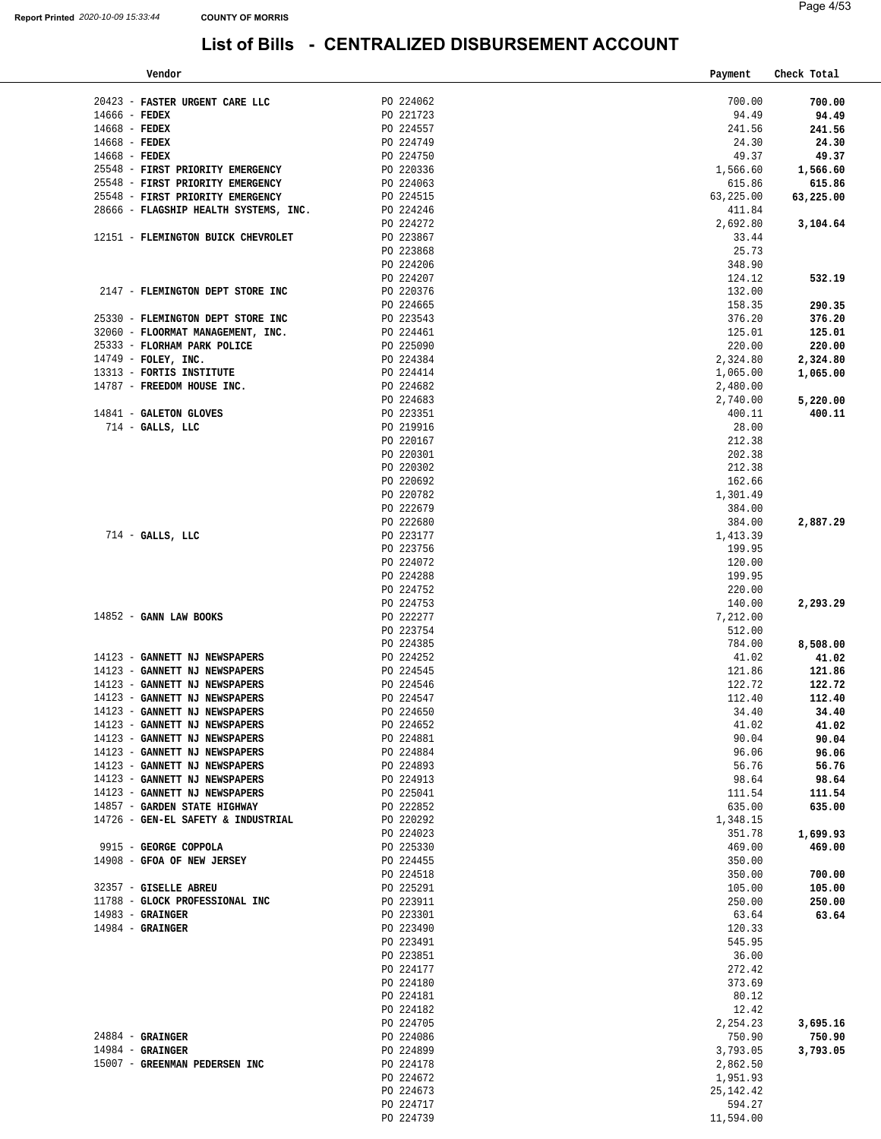| Vendor |                                                  | Payment | Check Total |  |
|--------|--------------------------------------------------|---------|-------------|--|
|        | List of Bills - CENTRALIZED DISBURSEMENT ACCOUNT |         |             |  |
| 33:44  | <b>COUNTY OF MORRIS</b>                          |         | Page 4/53   |  |
|        |                                                  |         |             |  |

| 20423 - FASTER URGENT CARE LLC<br>$14666$ - FEDEX | PO 224062<br>PO 221723 | 700.00<br>94.49     | 700.00<br>94.49    |
|---------------------------------------------------|------------------------|---------------------|--------------------|
| $14668$ - FEDEX                                   | PO 224557              | 241.56              | 241.56             |
| $14668$ - FEDEX                                   | PO 224749              | 24.30               | 24.30              |
| $14668$ - FEDEX                                   | PO 224750              | 49.37               | 49.37              |
| 25548 - FIRST PRIORITY EMERGENCY                  | PO 220336              | 1,566.60            | 1,566.60           |
| 25548 - FIRST PRIORITY EMERGENCY                  | PO 224063              | 615.86              | 615.86             |
| 25548 - FIRST PRIORITY EMERGENCY                  | PO 224515              | 63,225.00           | 63,225.00          |
| 28666 - FLAGSHIP HEALTH SYSTEMS, INC.             | PO 224246              | 411.84              |                    |
|                                                   | PO 224272              | 2,692.80            | 3,104.64           |
| 12151 - FLEMINGTON BUICK CHEVROLET                | PO 223867              | 33.44               |                    |
|                                                   | PO 223868              | 25.73               |                    |
|                                                   | PO 224206              | 348.90              |                    |
|                                                   | PO 224207              | 124.12              | 532.19             |
| 2147 - FLEMINGTON DEPT STORE INC                  | PO 220376              | 132.00              |                    |
| 25330 - FLEMINGTON DEPT STORE INC                 | PO 224665<br>PO 223543 | 158.35              | 290.35<br>376.20   |
| 32060 - FLOORMAT MANAGEMENT, INC.                 |                        | 376.20<br>125.01    | 125.01             |
| 25333 - FLORHAM PARK POLICE                       | PO 224461<br>PO 225090 | 220.00              | 220.00             |
| 14749 - FOLEY, INC.                               | PO 224384              | 2,324.80            | 2,324.80           |
| 13313 - FORTIS INSTITUTE                          | PO 224414              | 1,065.00            | 1,065.00           |
| 14787 - FREEDOM HOUSE INC.                        | PO 224682              | 2,480.00            |                    |
|                                                   |                        | 2,740.00            | 5,220.00           |
| 14841 - GALETON GLOVES                            | PO 224683<br>PO 223351 | 400.11              | 400.11             |
| $714$ - GALLS, LLC                                | PO 219916              | 28.00               |                    |
|                                                   | PO 220167              | 212.38              |                    |
|                                                   | PO 220301              | 202.38              |                    |
|                                                   | PO 220302              | 212.38              |                    |
|                                                   | PO 220692              | 162.66              |                    |
|                                                   | PO 220782              | 1,301.49            |                    |
|                                                   | PO 222679              | 384.00              |                    |
|                                                   | PO 222680              | 384.00              | 2,887.29           |
| $714$ - GALLS, LLC                                | PO 223177              | 1,413.39            |                    |
|                                                   | PO 223756              | 199.95              |                    |
|                                                   | PO 224072<br>PO 224288 | 120.00              |                    |
|                                                   | PO 224752              | 199.95<br>220.00    |                    |
|                                                   | PO 224753              | 140.00              | 2,293.29           |
| 14852 - GANN LAW BOOKS                            | PO 222277              | 7,212.00            |                    |
|                                                   | PO 223754              | 512.00              |                    |
|                                                   | PO 224385              | 784.00              | 8,508.00           |
| 14123 - GANNETT NJ NEWSPAPERS                     | PO 224252              | 41.02               | 41.02              |
| 14123 - GANNETT NJ NEWSPAPERS                     | PO 224545              | 121.86              | 121.86             |
| 14123 - GANNETT NJ NEWSPAPERS                     | PO 224546              | 122.72              | 122.72             |
| 14123 - GANNETT NJ NEWSPAPERS                     | PO 224547              | 112.40              | 112.40             |
| 14123 - GANNETT NJ NEWSPAPERS                     | PO 224650              | 34.40               | 34.40              |
| 14123 - GANNETT NJ NEWSPAPERS                     | PO 224652              | 41.02               | 41.02              |
| 14123 - GANNETT NJ NEWSPAPERS                     | PO 224881              | 90.04               | 90.04              |
| 14123 - GANNETT NJ NEWSPAPERS                     | PO 224884              | 96.06               | 96.06              |
| 14123 - GANNETT NJ NEWSPAPERS                     | PO 224893              | 56.76               | 56.76              |
| 14123 - GANNETT NJ NEWSPAPERS                     | PO 224913              | 98.64               | 98.64              |
| 14123 - GANNETT NJ NEWSPAPERS                     | PO 225041              | 111.54              | 111.54             |
| 14857 - GARDEN STATE HIGHWAY                      | PO 222852              | 635.00              | 635.00             |
| 14726 - GEN-EL SAFETY & INDUSTRIAL                | PO 220292              | 1,348.15            |                    |
| 9915 - GEORGE COPPOLA                             | PO 224023<br>PO 225330 | 351.78<br>469.00    | 1,699.93<br>469.00 |
| 14908 - GFOA OF NEW JERSEY                        | PO 224455              | 350.00              |                    |
|                                                   | PO 224518              | 350.00              | 700.00             |
| 32357 - GISELLE ABREU                             | PO 225291              | 105.00              | 105.00             |
| 11788 - GLOCK PROFESSIONAL INC                    | PO 223911              | 250.00              | 250.00             |
| 14983 - GRAINGER                                  | PO 223301              | 63.64               | 63.64              |
| $14984$ - GRAINGER                                | PO 223490              | 120.33              |                    |
|                                                   | PO 223491              | 545.95              |                    |
|                                                   | PO 223851              | 36.00               |                    |
|                                                   | PO 224177              | 272.42              |                    |
|                                                   | PO 224180              | 373.69              |                    |
|                                                   | PO 224181              | 80.12               |                    |
|                                                   | PO 224182              | 12.42               |                    |
|                                                   | PO 224705              | 2, 254.23           | 3,695.16           |
| $24884$ - GRAINGER                                | PO 224086              | 750.90              | 750.90             |
| $14984 -$ GRAINGER                                | PO 224899              | 3,793.05            | 3,793.05           |
| 15007 - GREENMAN PEDERSEN INC                     | PO 224178              | 2,862.50            |                    |
|                                                   | PO 224672              | 1,951.93            |                    |
|                                                   | PO 224673              | 25, 142. 42         |                    |
|                                                   | PO 224717<br>PO 224739 | 594.27<br>11,594.00 |                    |
|                                                   |                        |                     |                    |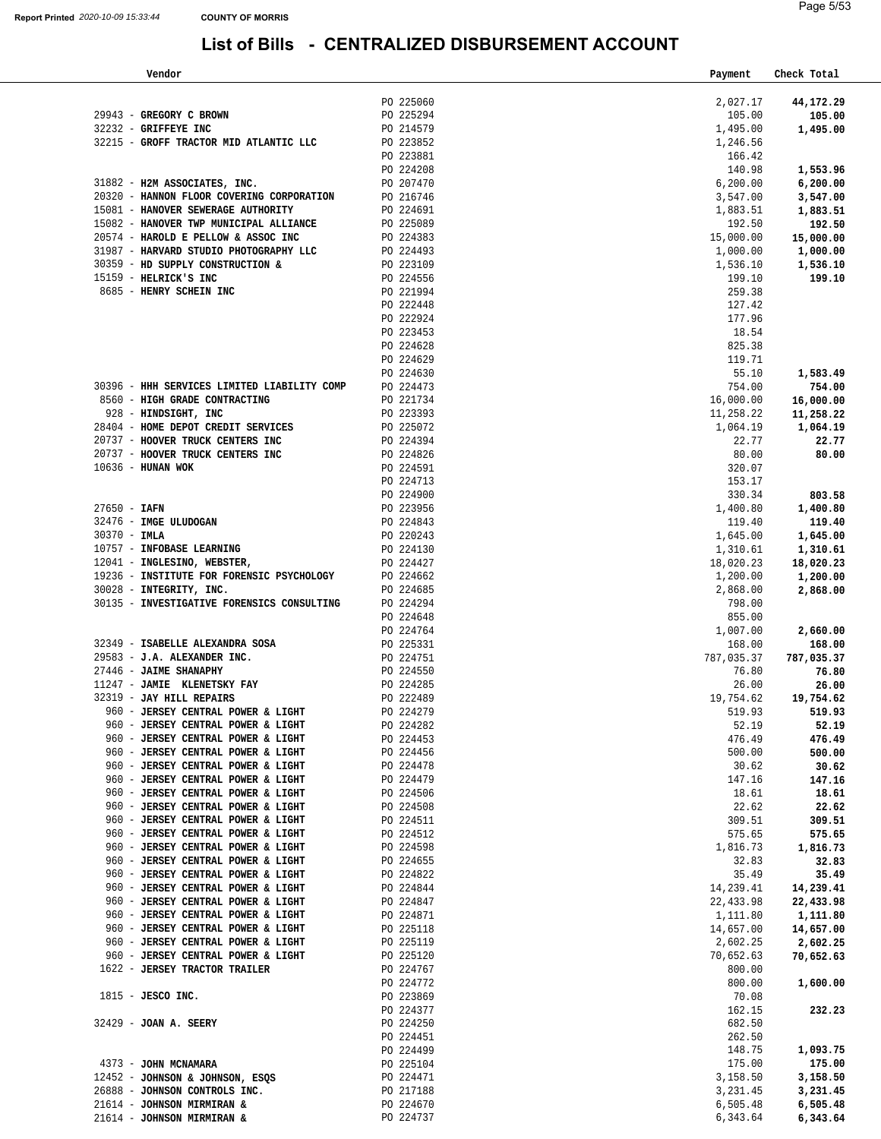21614 - **JOHNSON MIRMIRAN &** 

#### **List of Bills - CENTRALIZED DISBURSEMENT ACCOUNT**

| Vendor                                                                                                                                                                                                                                    |                                     | Payment            | Check Total         |
|-------------------------------------------------------------------------------------------------------------------------------------------------------------------------------------------------------------------------------------------|-------------------------------------|--------------------|---------------------|
|                                                                                                                                                                                                                                           | PO 225060                           |                    |                     |
| 29943 - GREGORY C BROWN                                                                                                                                                                                                                   | PO 225294                           | 2,027.17<br>105.00 | 44,172.29<br>105.00 |
| 32232 - GRIFFEYE INC                                                                                                                                                                                                                      | PO 214579                           | 1,495.00           | 1,495.00            |
| 32215 - GROFF TRACTOR MID ATLANTIC LLC PO 223852                                                                                                                                                                                          |                                     | 1,246.56           |                     |
|                                                                                                                                                                                                                                           | PO 223881                           | 166.42             |                     |
|                                                                                                                                                                                                                                           |                                     | 140.98             | 1,553.96            |
| PO 224208<br>31882 - <b>H2M ASSOCIATES, INC.</b><br>20320 - <b>HANNON FLOOR COVERING CORPORATION</b><br>20216746<br>20216746                                                                                                              |                                     | 6, 200.00          | 6,200.00            |
|                                                                                                                                                                                                                                           |                                     | 3,547.00           | 3,547.00            |
| 15081 - HANOVER SEWERAGE AUTHORITY<br>15082 - HANOVER TWP MUNICIPAL ALLIANCE<br>20574 - HAROLD E PELLOW & ASSOC INC<br>31987 - HARVARD STUDIO PHOTOGRAPHY LLC<br>20224493<br>30359 - HD SUPPLY CONSTRUCTION & PO 224493<br>15159 - HELEJC |                                     | 1,883.51           | 1,883.51            |
|                                                                                                                                                                                                                                           |                                     | 192.50             | 192.50              |
|                                                                                                                                                                                                                                           |                                     | 15,000.00          | 15,000.00           |
|                                                                                                                                                                                                                                           |                                     | 1,000.00           | 1,000.00            |
|                                                                                                                                                                                                                                           |                                     | 1,536.10           | 1,536.10            |
| 15159 - HELRICK'S INC                                                                                                                                                                                                                     | PO 224556<br>PO 221994<br>PO 222448 | 199.10             | 199.10              |
| 8685 - HENRY SCHEIN INC                                                                                                                                                                                                                   |                                     | 259.38             |                     |
|                                                                                                                                                                                                                                           |                                     | 127.42             |                     |
|                                                                                                                                                                                                                                           | PO 222924                           | 177.96             |                     |
|                                                                                                                                                                                                                                           | PO 223453<br>PO 224628              | 18.54<br>825.38    |                     |
|                                                                                                                                                                                                                                           | PO 224629                           | 119.71             |                     |
|                                                                                                                                                                                                                                           | PO 224630                           | 55.10              | 1,583.49            |
| 30396 - HHH SERVICES LIMITED LIABILITY COMP PO 224473                                                                                                                                                                                     |                                     | 754.00             | 754.00              |
| 8560 - HIGH GRADE CONTRACTING                                                                                                                                                                                                             |                                     | 16,000.00          | 16,000.00           |
| 928 - HINDSIGHT, INC                                                                                                                                                                                                                      | PO 221734<br>PO 223393              | 11,258.22          | 11,258.22           |
|                                                                                                                                                                                                                                           |                                     | 1,064.19           | 1,064.19            |
|                                                                                                                                                                                                                                           |                                     | 22.77              | 22.77               |
| 28404 - HOME DEPOT CREDIT SERVICES<br>20737 - HOOVER TRUCK CENTERS INC<br>20737 - HOOVER TRUCK CENTERS INC<br>20737 - HOOVER TRUCK CENTERS INC<br>PO 224826                                                                               |                                     | 80.00              | 80.00               |
| $10636$ - HUNAN WOK                                                                                                                                                                                                                       | PO 224591<br>PO 224713              | 320.07             |                     |
|                                                                                                                                                                                                                                           |                                     | 153.17             |                     |
|                                                                                                                                                                                                                                           |                                     | 330.34             | 803.58              |
|                                                                                                                                                                                                                                           |                                     | 1,400.80           | 1,400.80            |
| PO 224900<br>PO 224900<br>PO 224900<br>PO 224843<br>PO 224843<br>PO 224843<br>PO 220243<br>PO 224427<br>PO 224427<br>PO 224427<br>PO 224427                                                                                               |                                     | 119.40             | 119.40              |
|                                                                                                                                                                                                                                           |                                     | 1,645.00           | 1,645.00            |
|                                                                                                                                                                                                                                           |                                     | 1,310.61           | 1,310.61            |
|                                                                                                                                                                                                                                           |                                     | 18,020.23          | 18,020.23           |
| 19236 - INSTITUTE FOR FORENSIC PSYCHOLOGY                                                                                                                                                                                                 | PO 224662                           | 1,200.00           | 1,200.00            |
| 30028 - INTEGRITY, INC.<br>30135 - INVESTIGATIVE FORENSICS CONSULTING                                                                                                                                                                     | PO 224685<br>PO 224294              | 2,868.00<br>798.00 | 2,868.00            |
|                                                                                                                                                                                                                                           | PO 224648                           | 855.00             |                     |
|                                                                                                                                                                                                                                           | PO 224764                           | 1,007.00           | 2,660.00            |
| 32349 - ISABELLE ALEXANDRA SOSA                                                                                                                                                                                                           | PO 225331                           | 168.00             | 168.00              |
| 29583 - J.A. ALEXANDER INC.                                                                                                                                                                                                               |                                     | 787,035.37         | 787,035.37          |
| 27446 - JAIME SHANAPHY                                                                                                                                                                                                                    | PO 224751<br>PO 224550              | 76.80              | 76.80               |
|                                                                                                                                                                                                                                           |                                     | 26.00              | 26.00               |
|                                                                                                                                                                                                                                           |                                     | 19,754.62          | 19,754.62           |
| 960 - JERSEY CENTRAL POWER & LIGHT                                                                                                                                                                                                        | PO 224279                           | 519.93             | 519.93              |
| 960 - JERSEY CENTRAL POWER & LIGHT                                                                                                                                                                                                        | PO 224282                           | 52.19              | 52.19               |
| 960 - JERSEY CENTRAL POWER & LIGHT                                                                                                                                                                                                        | PO 224453                           | 476.49             | 476.49              |
| 960 - JERSEY CENTRAL POWER & LIGHT                                                                                                                                                                                                        | PO 224456                           | 500.00             | 500.00              |
| 960 - JERSEY CENTRAL POWER & LIGHT                                                                                                                                                                                                        | PO 224478                           | 30.62              | 30.62               |
| 960 - JERSEY CENTRAL POWER & LIGHT                                                                                                                                                                                                        | PO 224479                           | 147.16             | 147.16              |
| 960 - JERSEY CENTRAL POWER & LIGHT<br>960 - JERSEY CENTRAL POWER & LIGHT                                                                                                                                                                  | PO 224506<br>PO 224508              | 18.61              | 18.61<br>22.62      |
| 960 - JERSEY CENTRAL POWER & LIGHT                                                                                                                                                                                                        | PO 224511                           | 22.62<br>309.51    | 309.51              |
| 960 - JERSEY CENTRAL POWER & LIGHT                                                                                                                                                                                                        | PO 224512                           | 575.65             | 575.65              |
| 960 - JERSEY CENTRAL POWER & LIGHT                                                                                                                                                                                                        | PO 224598                           | 1,816.73           | 1,816.73            |
| 960 - JERSEY CENTRAL POWER & LIGHT                                                                                                                                                                                                        | PO 224655                           | 32.83              | 32.83               |
| 960 - JERSEY CENTRAL POWER & LIGHT                                                                                                                                                                                                        | PO 224822                           | 35.49              | 35.49               |
| 960 - JERSEY CENTRAL POWER & LIGHT                                                                                                                                                                                                        | PO 224844                           | 14,239.41          | 14,239.41           |
| 960 - JERSEY CENTRAL POWER & LIGHT                                                                                                                                                                                                        | PO 224847                           | 22,433.98          | 22,433.98           |
| 960 - JERSEY CENTRAL POWER & LIGHT                                                                                                                                                                                                        | PO 224871                           | 1,111.80           | 1,111.80            |
| 960 - JERSEY CENTRAL POWER & LIGHT                                                                                                                                                                                                        | PO 225118                           | 14,657.00          | 14,657.00           |
| 960 - JERSEY CENTRAL POWER & LIGHT                                                                                                                                                                                                        | PO 225119                           | 2,602.25           | 2,602.25            |
| 960 - JERSEY CENTRAL POWER & LIGHT                                                                                                                                                                                                        | PO 225120                           | 70,652.63          | 70,652.63           |
| 1622 - JERSEY TRACTOR TRAILER                                                                                                                                                                                                             | PO 224767                           | 800.00             |                     |
|                                                                                                                                                                                                                                           | PO 224772                           | 800.00             | 1,600.00            |
| 1815 - JESCO INC.                                                                                                                                                                                                                         | PO 223869                           | 70.08              |                     |
|                                                                                                                                                                                                                                           | PO 224377                           | 162.15             | 232.23              |
| 32429 - JOAN A. SEERY                                                                                                                                                                                                                     | PO 224250                           | 682.50             |                     |
|                                                                                                                                                                                                                                           | PO 224451                           | 262.50             |                     |
|                                                                                                                                                                                                                                           | PO 224499                           | 148.75             | 1,093.75            |
| 4373 - JOHN MCNAMARA<br>12452 - JOHNSON & JOHNSON, ESQS                                                                                                                                                                                   | PO 225104<br>PO 224471              | 175.00<br>3,158.50 | 175.00<br>3,158.50  |
| 26888 - JOHNSON CONTROLS INC.                                                                                                                                                                                                             | PO 217188                           | 3,231.45           | 3,231.45            |
| 21614 - JOHNSON MIRMIRAN &                                                                                                                                                                                                                | PO 224670                           | 6,505.48           | 6,505.48            |
|                                                                                                                                                                                                                                           |                                     |                    |                     |

PO 224737

6,343.64

**6,343.64**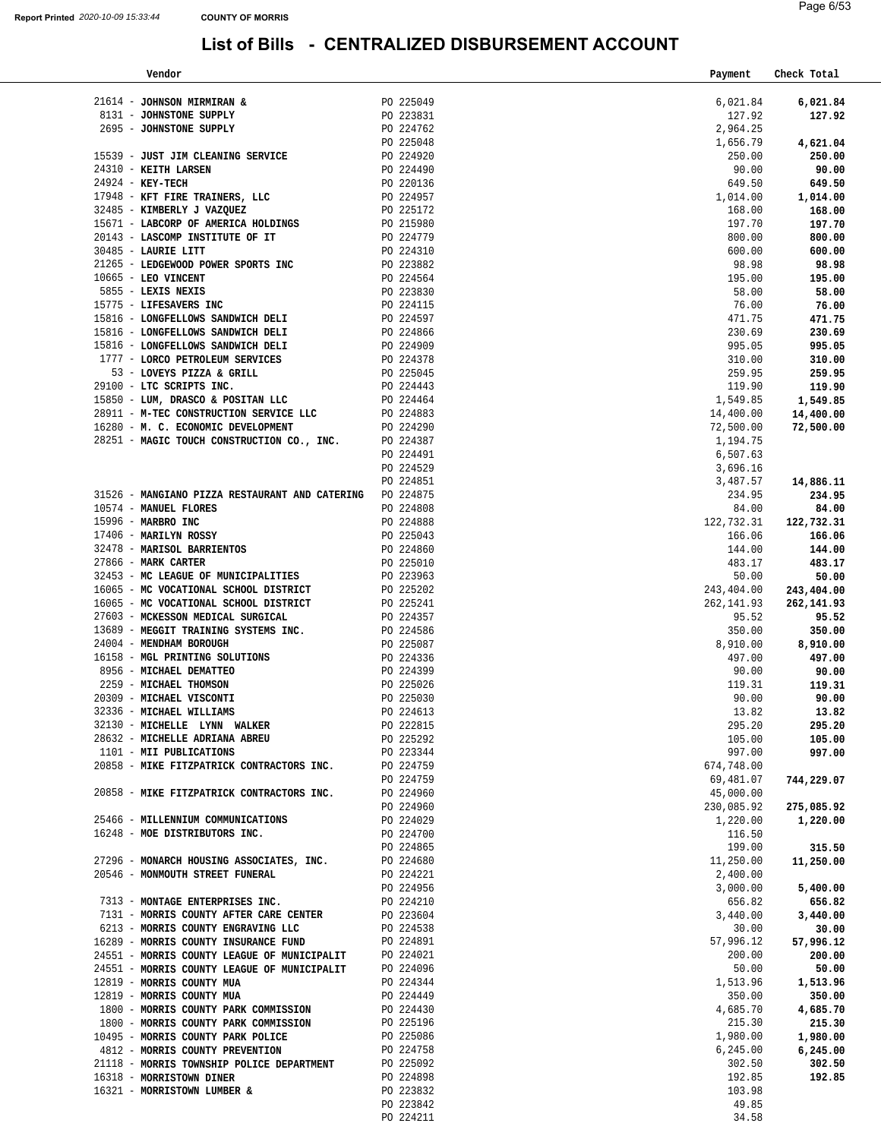| Vendor                                                                                                         |                        | Payment            | Check Total        |
|----------------------------------------------------------------------------------------------------------------|------------------------|--------------------|--------------------|
| 21614 - JOHNSON MIRMIRAN &                                                                                     | PO 225049              | 6,021.84           | 6,021.84           |
| 8131 - JOHNSTONE SUPPLY                                                                                        | PO 223831              | 127.92             | 127.92             |
| 2695 - JOHNSTONE SUPPLY                                                                                        | PO 224762              | 2,964.25           |                    |
|                                                                                                                | PO 225048              | 1,656.79           | 4,621.04           |
| 15539 - JUST JIM CLEANING SERVICE PO 224920                                                                    |                        | 250.00             | 250.00             |
| 24310 - KEITH LARSEN                                                                                           | PO 224490              | 90.00              | 90.00              |
| $24924$ - KEY-TECH                                                                                             | PO 220136              | 649.50             | 649.50             |
| 17948 - KFT FIRE TRAINERS, LLC<br>32485 - KIMBERLY J VAZQUEZ<br>2018 - Primerelly J VAZQUEZ                    |                        | 1,014.00           | 1,014.00           |
|                                                                                                                |                        | 168.00             | 168.00             |
| 15671 - LABCORP OF AMERICA HOLDINGS PO 215980                                                                  |                        | 197.70             | 197.70             |
| 20143 - LASCOMP INSTITUTE OF IT<br>$PQ = 224310$                                                               |                        | 800.00             | 800.00             |
| 30485 - LAURIE LITT                                                                                            |                        | 600.00             | 600.00             |
| 21265 - LEDGEWOOD POWER SPORTS INC                                                                             | PO 223882              | 98.98              | 98.98              |
| 10665 - LEO VINCENT                                                                                            | PO 224564              | 195.00             | 195.00             |
| 5855 - LEXIS NEXIS                                                                                             | PO 223830              | 58.00              | 58.00              |
| 15775 - LIFESAVERS INC                                                                                         | PO 224115              | 76.00              | 76.00              |
| 15816 - LONGFELLOWS SANDWICH DELI<br>PO 224597                                                                 |                        | 471.75             | 471.75             |
| 15816 - LONGFELLOWS SANDWICH DELI<br>PO 224909<br>15816 - LONGFELLOWS SANDWICH DELI                            | PO 224866              | 230.69<br>995.05   | 230.69<br>995.05   |
| 1777 - LORCO PETROLEUM SERVICES                                                                                | PO 224378              | 310.00             | 310.00             |
| 53 - LOVEYS PIZZA & GRILL                                                                                      | PO 225045              | 259.95             | 259.95             |
| 29100 - LTC SCRIPTS INC.                                                                                       | PO 224443              | 119.90             | 119.90             |
| 15850 - LUM, DRASCO & POSITAN LLC                                                                              | PO 224464              | 1,549.85           | 1,549.85           |
| 28911 - M-TEC CONSTRUCTION SERVICE LLC                                                                         | PO 224883              | 14,400.00          | 14,400.00          |
| 16280 - M. C. ECONOMIC DEVELOPMENT                                                                             | PO 224290              | 72,500.00          | 72,500.00          |
| 28251 - MAGIC TOUCH CONSTRUCTION CO., INC.                                                                     | PO 224387              | 1,194.75           |                    |
|                                                                                                                | PO 224491              | 6,507.63           |                    |
|                                                                                                                | PO 224529              | 3,696.16           |                    |
|                                                                                                                | PO 224851              | 3,487.57           | 14,886.11          |
| 31526 - MANGIANO PIZZA RESTAURANT AND CATERING PO 224875                                                       |                        | 234.95             | 234.95             |
| 10574 - MANUEL FLORES                                                                                          | PO 224808              | 84.00              | 84.00              |
| 15996 - MARBRO INC                                                                                             | PO 224888              | 122,732.31         | 122,732.31         |
| 17406 - MARILYN ROSSY                                                                                          | PO 225043<br>PO 224860 | 166.06<br>144.00   | 166.06<br>144.00   |
| 32478 - MARISOL BARRIENTOS<br>27866 - MARK CARTER                                                              | PO 225010              | 483.17             | 483.17             |
| 32453 - MC LEAGUE OF MUNICIPALITIES                                                                            | PO 223963              | 50.00              | 50.00              |
| 16065 - MC VOCATIONAL SCHOOL DISTRICT                                                                          | PO 225202              | 243,404.00         | 243,404.00         |
| 16065 - MC VOCATIONAL SCHOOL DISTRICT                                                                          | PO 225241              | 262, 141.93        | 262,141.93         |
| 27603 - MCKESSON MEDICAL SURGICAL                                                                              | PO 224357              | 95.52              | 95.52              |
| 13689 - MEGGIT TRAINING SYSTEMS INC. PO 224586                                                                 |                        | 350.00             | 350.00             |
| 24004 - MENDHAM BOROUGH                                                                                        | PO 225087<br>PO 224336 | 8,910.00           | 8,910.00           |
| 16158 - MGL PRINTING SOLUTIONS                                                                                 |                        | 497.00             | 497.00             |
| 8956 - MICHAEL DEMATTEO                                                                                        | PO 224399              | 90.00              | 90.00              |
| 2259 - MICHAEL THOMSON                                                                                         | PO 225026              | 119.31             | 119.31             |
| 20309 - MICHAEL VISCONTI<br>32336 - MICHAEL WILLIAMS                                                           | PO 225030              | 90.00              | 90.00              |
| 32130 - MICHELLE LYNN WALKER                                                                                   | PO 224613<br>PO 222815 | 13.82<br>295.20    | 13.82<br>295.20    |
|                                                                                                                | PO 225292              | 105.00             | 105.00             |
| 28632 - MICHELLE ADRIANA ABREU<br>1101 - MII PUBLICATIONS                                                      | PO 223344              | 997.00             | 997.00             |
| 20858 - MIKE FITZPATRICK CONTRACTORS INC. PO 224759                                                            |                        | 674,748.00         |                    |
|                                                                                                                | PO 224759              | 69,481.07          | 744,229.07         |
| 20858 - MIKE FITZPATRICK CONTRACTORS INC. PO 224960                                                            |                        | 45,000.00          |                    |
|                                                                                                                | PO 224960              | 230,085.92         | 275,085.92         |
| 25466 - MILLENNIUM COMMUNICATIONS                                                                              | PO 224029              | 1,220.00           | 1,220.00           |
| 16248 - MOE DISTRIBUTORS INC.                                                                                  | PO 224700              | 116.50             |                    |
|                                                                                                                | PO 224865              | 199.00             | 315.50             |
| 27296 - MONARCH HOUSING ASSOCIATES, INC. PO 224680                                                             |                        | 11,250.00          | 11,250.00          |
| 20546 - MONMOUTH STREET FUNERAL                                                                                | PO 224221              | 2,400.00           |                    |
| 7313 - MONTAGE ENTERPRISES INC.                                                                                | PO 224956              | 3,000.00           | 5,400.00           |
| 7131 - MORRIS COUNTY AFTER CARE CENTER PO 223604                                                               | PO 224210              | 656.82<br>3,440.00 | 656.82<br>3,440.00 |
| 6213 - MORRIS COUNTY ENGRAVING LLC                                                                             | PO 224538              | 30.00              | 30.00              |
| 16289 - MORRIS COUNTY INSURANCE FUND PO 224891                                                                 |                        | 57,996.12          | 57,996.12          |
|                                                                                                                |                        | 200.00             | 200.00             |
| 24551 - MORRIS COUNTY LEAGUE OF MUNICIPALIT PO 224021<br>24551 - MORRIS COUNTY LEAGUE OF MUNICIPALIT PO 224096 |                        | 50.00              | 50.00              |
| 12819 - MORRIS COUNTY MUA                                                                                      | PO 224344              | 1,513.96           | 1,513.96           |
| 12819 - MORRIS COUNTY MUA                                                                                      | PO 224449              | 350.00             | 350.00             |
| 1800 - MORRIS COUNTY PARK COMMISSION PO 224430                                                                 |                        | 4,685.70           | 4,685.70           |
| 1800 - MORRIS COUNTY PARK COMMISSION<br>10495 - MORRIS COUNTY PARK POLICE                                      | PO 225196              | 215.30             | 215.30             |
| 10495 - MORRIS COUNTY PARK POLICE                                                                              | PO 225086              | 1,980.00           | 1,980.00           |
| 4812 - MORRIS COUNTY PREVENTION                                                                                | PO 224758              | 6,245.00           | 6,245.00           |
| 21118 - MORRIS TOWNSHIP POLICE DEPARTMENT                                                                      | PO 225092              | 302.50             | 302.50             |
| 16318 - MORRISTOWN DINER<br>16321 - MORRISTOWN LUMBER &                                                        | PO 224898<br>PO 223832 | 192.85<br>103.98   | 192.85             |
|                                                                                                                | PO 223842              | 49.85              |                    |
|                                                                                                                | PO 224211              | 34.58              |                    |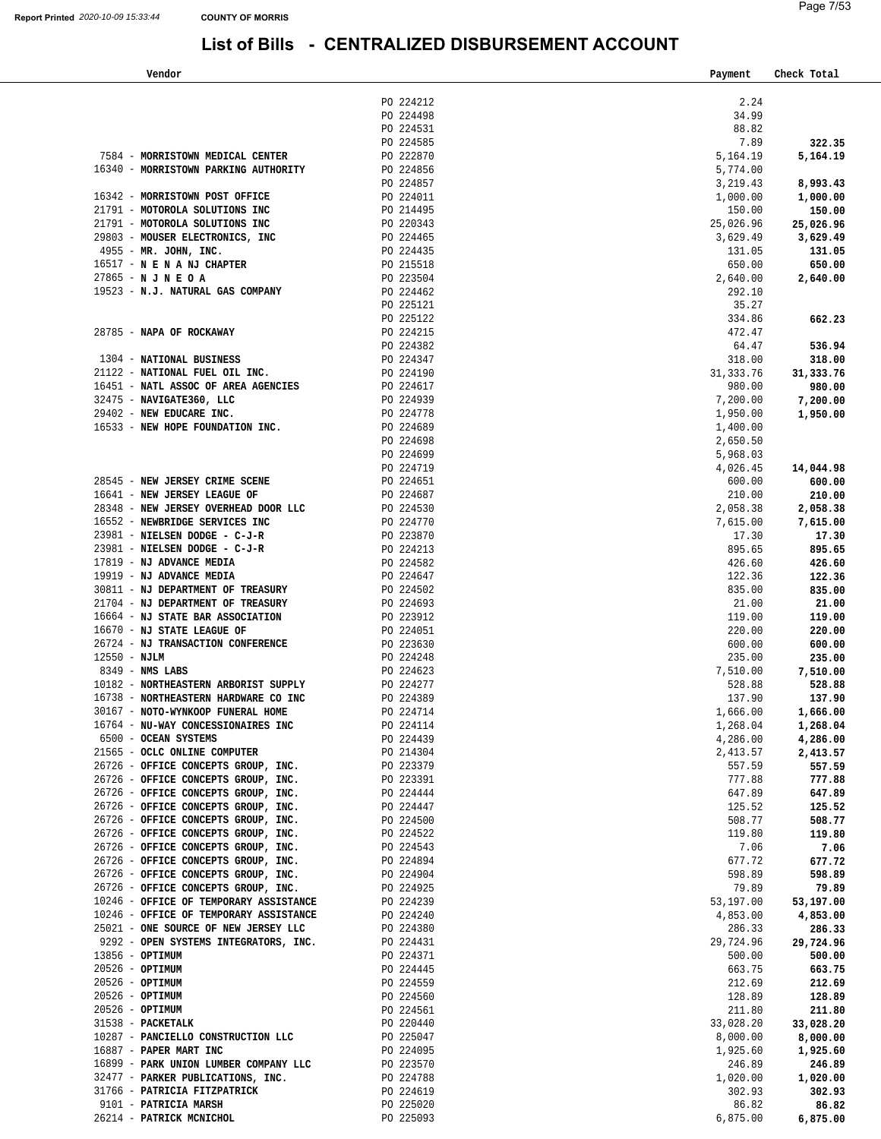| Check Total                                                                                                                                                                                                                                                                                                                                                                                                                                                                                                                                  |
|----------------------------------------------------------------------------------------------------------------------------------------------------------------------------------------------------------------------------------------------------------------------------------------------------------------------------------------------------------------------------------------------------------------------------------------------------------------------------------------------------------------------------------------------|
|                                                                                                                                                                                                                                                                                                                                                                                                                                                                                                                                              |
|                                                                                                                                                                                                                                                                                                                                                                                                                                                                                                                                              |
|                                                                                                                                                                                                                                                                                                                                                                                                                                                                                                                                              |
|                                                                                                                                                                                                                                                                                                                                                                                                                                                                                                                                              |
| 322.35                                                                                                                                                                                                                                                                                                                                                                                                                                                                                                                                       |
| 5,164.19                                                                                                                                                                                                                                                                                                                                                                                                                                                                                                                                     |
|                                                                                                                                                                                                                                                                                                                                                                                                                                                                                                                                              |
| 8,993.43                                                                                                                                                                                                                                                                                                                                                                                                                                                                                                                                     |
| 1,000.00                                                                                                                                                                                                                                                                                                                                                                                                                                                                                                                                     |
| 150.00                                                                                                                                                                                                                                                                                                                                                                                                                                                                                                                                       |
| 25,026.96                                                                                                                                                                                                                                                                                                                                                                                                                                                                                                                                    |
| 3,629.49                                                                                                                                                                                                                                                                                                                                                                                                                                                                                                                                     |
| 131.05                                                                                                                                                                                                                                                                                                                                                                                                                                                                                                                                       |
| 650.00                                                                                                                                                                                                                                                                                                                                                                                                                                                                                                                                       |
| 2,640.00                                                                                                                                                                                                                                                                                                                                                                                                                                                                                                                                     |
|                                                                                                                                                                                                                                                                                                                                                                                                                                                                                                                                              |
|                                                                                                                                                                                                                                                                                                                                                                                                                                                                                                                                              |
| 662.23                                                                                                                                                                                                                                                                                                                                                                                                                                                                                                                                       |
|                                                                                                                                                                                                                                                                                                                                                                                                                                                                                                                                              |
| 536.94                                                                                                                                                                                                                                                                                                                                                                                                                                                                                                                                       |
| 318.00                                                                                                                                                                                                                                                                                                                                                                                                                                                                                                                                       |
| 31, 333.76                                                                                                                                                                                                                                                                                                                                                                                                                                                                                                                                   |
| 980.00                                                                                                                                                                                                                                                                                                                                                                                                                                                                                                                                       |
| 7,200.00                                                                                                                                                                                                                                                                                                                                                                                                                                                                                                                                     |
| 1,950.00                                                                                                                                                                                                                                                                                                                                                                                                                                                                                                                                     |
|                                                                                                                                                                                                                                                                                                                                                                                                                                                                                                                                              |
|                                                                                                                                                                                                                                                                                                                                                                                                                                                                                                                                              |
|                                                                                                                                                                                                                                                                                                                                                                                                                                                                                                                                              |
| 14,044.98                                                                                                                                                                                                                                                                                                                                                                                                                                                                                                                                    |
| 600.00                                                                                                                                                                                                                                                                                                                                                                                                                                                                                                                                       |
| 210.00                                                                                                                                                                                                                                                                                                                                                                                                                                                                                                                                       |
| 2,058.38                                                                                                                                                                                                                                                                                                                                                                                                                                                                                                                                     |
| 7,615.00                                                                                                                                                                                                                                                                                                                                                                                                                                                                                                                                     |
| 17.30                                                                                                                                                                                                                                                                                                                                                                                                                                                                                                                                        |
| 895.65                                                                                                                                                                                                                                                                                                                                                                                                                                                                                                                                       |
| 426.60                                                                                                                                                                                                                                                                                                                                                                                                                                                                                                                                       |
| 122.36                                                                                                                                                                                                                                                                                                                                                                                                                                                                                                                                       |
| 835.00                                                                                                                                                                                                                                                                                                                                                                                                                                                                                                                                       |
|                                                                                                                                                                                                                                                                                                                                                                                                                                                                                                                                              |
| 21.00                                                                                                                                                                                                                                                                                                                                                                                                                                                                                                                                        |
| 119.00                                                                                                                                                                                                                                                                                                                                                                                                                                                                                                                                       |
| 220.00                                                                                                                                                                                                                                                                                                                                                                                                                                                                                                                                       |
| 600.00                                                                                                                                                                                                                                                                                                                                                                                                                                                                                                                                       |
| 235.00                                                                                                                                                                                                                                                                                                                                                                                                                                                                                                                                       |
| 7,510.00                                                                                                                                                                                                                                                                                                                                                                                                                                                                                                                                     |
| 528.88                                                                                                                                                                                                                                                                                                                                                                                                                                                                                                                                       |
| 137.90                                                                                                                                                                                                                                                                                                                                                                                                                                                                                                                                       |
| 1,666.00                                                                                                                                                                                                                                                                                                                                                                                                                                                                                                                                     |
| 1,268.04                                                                                                                                                                                                                                                                                                                                                                                                                                                                                                                                     |
| 4,286.00                                                                                                                                                                                                                                                                                                                                                                                                                                                                                                                                     |
| 2,413.57                                                                                                                                                                                                                                                                                                                                                                                                                                                                                                                                     |
| 557.59                                                                                                                                                                                                                                                                                                                                                                                                                                                                                                                                       |
| 777.88                                                                                                                                                                                                                                                                                                                                                                                                                                                                                                                                       |
| 647.89                                                                                                                                                                                                                                                                                                                                                                                                                                                                                                                                       |
| 125.52                                                                                                                                                                                                                                                                                                                                                                                                                                                                                                                                       |
| 508.77                                                                                                                                                                                                                                                                                                                                                                                                                                                                                                                                       |
| 119.80                                                                                                                                                                                                                                                                                                                                                                                                                                                                                                                                       |
| 7.06                                                                                                                                                                                                                                                                                                                                                                                                                                                                                                                                         |
| 677.72                                                                                                                                                                                                                                                                                                                                                                                                                                                                                                                                       |
| 598.89                                                                                                                                                                                                                                                                                                                                                                                                                                                                                                                                       |
| 79.89                                                                                                                                                                                                                                                                                                                                                                                                                                                                                                                                        |
| 53,197.00                                                                                                                                                                                                                                                                                                                                                                                                                                                                                                                                    |
| 4,853.00                                                                                                                                                                                                                                                                                                                                                                                                                                                                                                                                     |
| 286.33<br>286.33                                                                                                                                                                                                                                                                                                                                                                                                                                                                                                                             |
|                                                                                                                                                                                                                                                                                                                                                                                                                                                                                                                                              |
| 29,724.96<br>29,724.96                                                                                                                                                                                                                                                                                                                                                                                                                                                                                                                       |
| 500.00<br>500.00                                                                                                                                                                                                                                                                                                                                                                                                                                                                                                                             |
| 663.75<br>663.75                                                                                                                                                                                                                                                                                                                                                                                                                                                                                                                             |
| 212.69                                                                                                                                                                                                                                                                                                                                                                                                                                                                                                                                       |
| 128.89                                                                                                                                                                                                                                                                                                                                                                                                                                                                                                                                       |
| 211.80<br>211.80                                                                                                                                                                                                                                                                                                                                                                                                                                                                                                                             |
| 33,028.20<br>33,028.20                                                                                                                                                                                                                                                                                                                                                                                                                                                                                                                       |
| 8,000.00<br>8,000.00                                                                                                                                                                                                                                                                                                                                                                                                                                                                                                                         |
| 1,925.60<br>1,925.60                                                                                                                                                                                                                                                                                                                                                                                                                                                                                                                         |
| 246.89<br>246.89                                                                                                                                                                                                                                                                                                                                                                                                                                                                                                                             |
| 1,020.00<br>1,020.00                                                                                                                                                                                                                                                                                                                                                                                                                                                                                                                         |
| 302.93<br>302.93                                                                                                                                                                                                                                                                                                                                                                                                                                                                                                                             |
| 86.82<br>86.82                                                                                                                                                                                                                                                                                                                                                                                                                                                                                                                               |
| 2.24<br>88.82<br>3,219.43<br>1,000.00<br>150.00<br>25,026.96<br>3,629.49<br>131.05<br>650.00<br>2,640.00<br>292.10<br>35.27<br>334.86<br>64.47<br>318.00<br>31, 333.76<br>980.00<br>7,200.00<br>1,950.00<br>1,400.00<br>2,650.50<br>5,968.03<br>4,026.45<br>600.00<br>210.00<br>2,058.38<br>7,615.00<br>17.30<br>895.65<br>426.60<br>122.36<br>835.00<br>119.00<br>7,510.00<br>528.88<br>137.90<br>1,666.00<br>1,268.04<br>4,286.00<br>2,413.57<br>557.59<br>777.88<br>125.52<br>508.77<br>119.80<br>7.06<br>677.72<br>53,197.00<br>4,853.00 |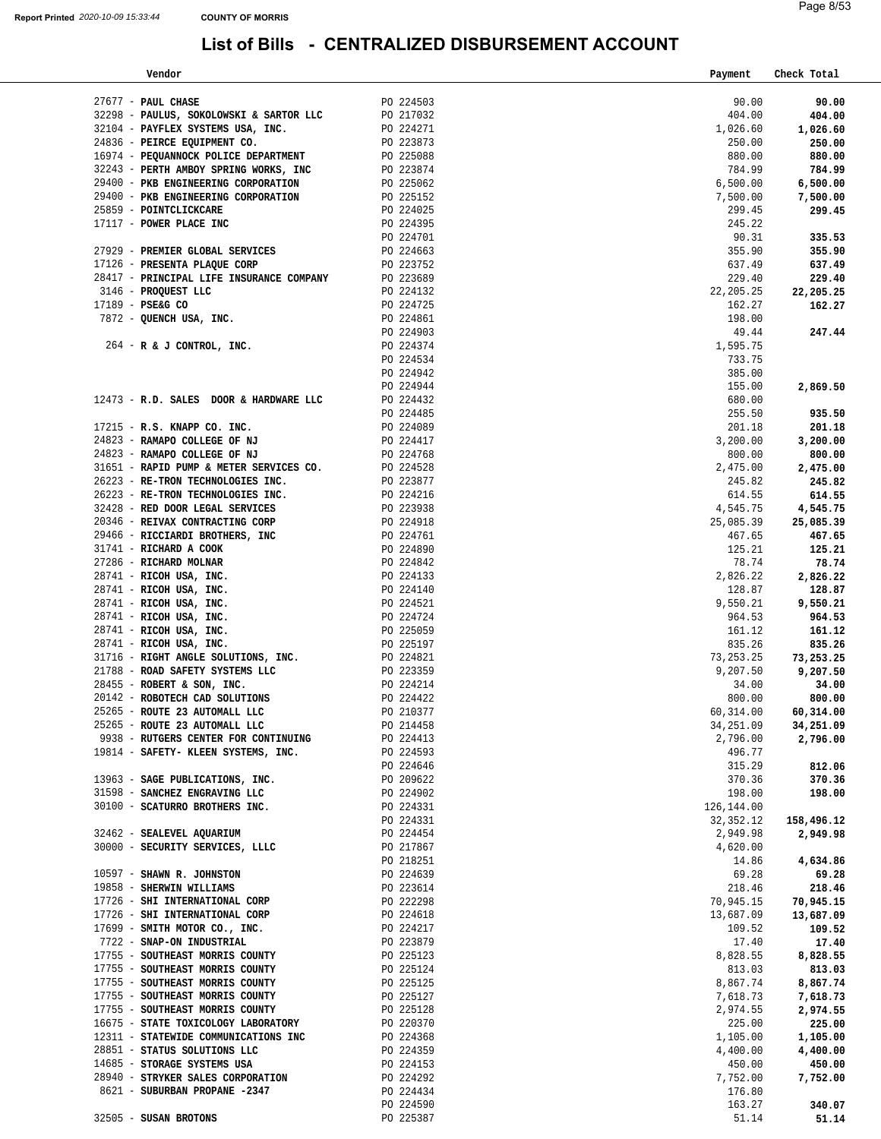| Vendor                                                                                                                                                                                                                                          |                        | Payment     | Check Total |
|-------------------------------------------------------------------------------------------------------------------------------------------------------------------------------------------------------------------------------------------------|------------------------|-------------|-------------|
|                                                                                                                                                                                                                                                 |                        |             |             |
| $27677$ - PAUL CHASE                                                                                                                                                                                                                            | PO 224503              | 90.00       | 90.00       |
| 32298 - PAULUS, SOKOLOWSKI & SARTOR LLC                                                                                                                                                                                                         | PO 217032              | 404.00      | 404.00      |
| 32104 - PAYFLEX SYSTEMS USA, INC.                                                                                                                                                                                                               | PO 224271              | 1,026.60    | 1,026.60    |
| 24836 - PEIRCE EQUIPMENT CO.                                                                                                                                                                                                                    | PO 223873              | 250.00      | 250.00      |
| 16974 - PEQUANNOCK POLICE DEPARTMENT                                                                                                                                                                                                            | PO 225088              | 880.00      | 880.00      |
| 32243 - PERTH AMBOY SPRING WORKS, INC                                                                                                                                                                                                           | PO 223874              | 784.99      | 784.99      |
| 29400 - PKB ENGINEERING CORPORATION                                                                                                                                                                                                             | PO 225062<br>PO 225152 | 6,500.00    | 6,500.00    |
| 29400 - PKB ENGINEERING CORPORATION                                                                                                                                                                                                             |                        | 7,500.00    | 7,500.00    |
| 25859 - POINTCLICKCARE                                                                                                                                                                                                                          | PO 224025              | 299.45      | 299.45      |
| 17117 - POWER PLACE INC                                                                                                                                                                                                                         | PO 224395              | 245.22      |             |
|                                                                                                                                                                                                                                                 | PO 224701              | 90.31       | 335.53      |
| 27929 - PREMIER GLOBAL SERVICES                                                                                                                                                                                                                 | PO 224663              | 355.90      | 355.90      |
| 17126 - PRESENTA PLAQUE CORP                                                                                                                                                                                                                    | PO 223752              | 637.49      | 637.49      |
| 28417 - PRINCIPAL LIFE INSURANCE COMPANY PO 223689                                                                                                                                                                                              |                        | 229.40      | 229.40      |
|                                                                                                                                                                                                                                                 | PO 224132              | 22, 205.25  | 22,205.25   |
| 3146 - PROQUEST LLC<br>17189 - PSE&G CO<br>7872 - QUENCH USA, INC.<br>$17189$ - PSE&G CO                                                                                                                                                        | PO 224725              | 162.27      | 162.27      |
|                                                                                                                                                                                                                                                 | PO 224861              | 198.00      |             |
|                                                                                                                                                                                                                                                 | PO 224903              | 49.44       | 247.44      |
| $264$ - R & J CONTROL, INC.                                                                                                                                                                                                                     | PO 224374              | 1,595.75    |             |
|                                                                                                                                                                                                                                                 | PO 224534              | 733.75      |             |
|                                                                                                                                                                                                                                                 | PO 224942              | 385.00      |             |
|                                                                                                                                                                                                                                                 | PO 224944              | 155.00      | 2,869.50    |
| 12473 - R.D. SALES DOOR & HARDWARE LLC                                                                                                                                                                                                          | PO 224432              | 680.00      |             |
|                                                                                                                                                                                                                                                 | PO 224485              | 255.50      | 935.50      |
| $17215$ - R.S. KNAPP CO. INC.                                                                                                                                                                                                                   | PO 224089              | 201.18      | 201.18      |
| 24823 - RAMAPO COLLEGE OF NJ                                                                                                                                                                                                                    | PO 224417              | 3,200.00    | 3,200.00    |
| 24823 - RAMAPO COLLEGE OF NJ                                                                                                                                                                                                                    | PO 224768              | 800.00      | 800.00      |
|                                                                                                                                                                                                                                                 | PO 224528              | 2,475.00    | 2,475.00    |
| 31651 - RAPID PUMP & METER SERVICES CO.<br>26223 - RE-TRON TECHNOLOGIES INC.                                                                                                                                                                    | PO 223877              | 245.82      | 245.82      |
| 26223 - RE-TRON TECHNOLOGIES INC. PO 224216                                                                                                                                                                                                     |                        | 614.55      | 614.55      |
| 32428 - RED DOOR LEGAL SERVICES                                                                                                                                                                                                                 | PO 223938              | 4,545.75    | 4,545.75    |
| 20346 - REIVAX CONTRACTING CORP                                                                                                                                                                                                                 | PO 224918              | 25,085.39   | 25,085.39   |
|                                                                                                                                                                                                                                                 |                        | 467.65      | 467.65      |
|                                                                                                                                                                                                                                                 |                        | 125.21      | 125.21      |
|                                                                                                                                                                                                                                                 |                        | 78.74       | 78.74       |
|                                                                                                                                                                                                                                                 |                        | 2,826.22    | 2,826.22    |
|                                                                                                                                                                                                                                                 |                        | 128.87      | 128.87      |
| 20340 - REIVAX CONTRACTING CORP<br>29466 - RICCIARDI BROTHERS, INC<br>29466 - RICCIARDI BROTHERS, INC<br>27286 - RICHARD MOLNAR<br>28741 - RICOH USA, INC.<br>28741 - RICOH USA, INC.<br>28741 - RICOH USA, INC.<br>28741 - RICOH USA, INC.<br> |                        | 9,550.21    | 9,550.21    |
|                                                                                                                                                                                                                                                 |                        | 964.53      | 964.53      |
|                                                                                                                                                                                                                                                 |                        | 161.12      | 161.12      |
|                                                                                                                                                                                                                                                 |                        | 835.26      | 835.26      |
|                                                                                                                                                                                                                                                 |                        | 73, 253. 25 | 73,253.25   |
| 31716 - RIGHT ANGLE SOLUTIONS, INC. $PQ$ 224821<br>21788 - ROAD SAFETY SYSTEMS LLC $PQ$ 223359                                                                                                                                                  |                        | 9,207.50    | 9,207.50    |
| 28455 - ROBERT & SON, INC.                                                                                                                                                                                                                      | PO 224214              | 34.00       | 34.00       |
| 20142 - ROBOTECH CAD SOLUTIONS                                                                                                                                                                                                                  | PO 224422              | 800.00      | 800.00      |
| 25265 - ROUTE 23 AUTOMALL LLC                                                                                                                                                                                                                   | PO 210377              | 60,314.00   | 60,314.00   |
| 25265 - ROUTE 23 AUTOMALL LLC                                                                                                                                                                                                                   | PO 214458              | 34,251.09   | 34,251.09   |
| 9938 - RUTGERS CENTER FOR CONTINUING                                                                                                                                                                                                            | PO 224413              | 2,796.00    | 2,796.00    |
| 19814 - SAFETY- KLEEN SYSTEMS, INC.                                                                                                                                                                                                             | PO 224593              | 496.77      |             |
|                                                                                                                                                                                                                                                 | PO 224646              | 315.29      | 812.06      |
| 13963 - SAGE PUBLICATIONS, INC.                                                                                                                                                                                                                 | PO 209622              | 370.36      | 370.36      |
| 31598 - SANCHEZ ENGRAVING LLC                                                                                                                                                                                                                   | PO 224902              | 198.00      | 198.00      |
| 30100 - SCATURRO BROTHERS INC.                                                                                                                                                                                                                  | PO 224331              | 126, 144.00 |             |
|                                                                                                                                                                                                                                                 | PO 224331              | 32, 352. 12 | 158,496.12  |
| 32462 - SEALEVEL AQUARIUM                                                                                                                                                                                                                       | PO 224454              | 2,949.98    | 2,949.98    |
| 30000 - SECURITY SERVICES, LLLC                                                                                                                                                                                                                 | PO 217867              | 4,620.00    |             |
|                                                                                                                                                                                                                                                 | PO 218251              | 14.86       | 4,634.86    |
| 10597 - SHAWN R. JOHNSTON                                                                                                                                                                                                                       | PO 224639              | 69.28       | 69.28       |
| 19858 - SHERWIN WILLIAMS                                                                                                                                                                                                                        | PO 223614              | 218.46      | 218.46      |
| 17726 - SHI INTERNATIONAL CORP                                                                                                                                                                                                                  | PO 222298              | 70,945.15   | 70,945.15   |
| 17726 - SHI INTERNATIONAL CORP                                                                                                                                                                                                                  | PO 224618              | 13,687.09   | 13,687.09   |
| 17699 - SMITH MOTOR CO., INC.                                                                                                                                                                                                                   | PO 224217              | 109.52      | 109.52      |
| 7722 - SNAP-ON INDUSTRIAL                                                                                                                                                                                                                       | PO 223879              | 17.40       | 17.40       |
| 17755 - SOUTHEAST MORRIS COUNTY                                                                                                                                                                                                                 | PO 225123              | 8,828.55    | 8,828.55    |
| 17755 - SOUTHEAST MORRIS COUNTY                                                                                                                                                                                                                 | PO 225124              | 813.03      | 813.03      |
| 17755 - SOUTHEAST MORRIS COUNTY                                                                                                                                                                                                                 | PO 225125              | 8,867.74    | 8,867.74    |
| 17755 - SOUTHEAST MORRIS COUNTY                                                                                                                                                                                                                 | PO 225127              | 7,618.73    | 7,618.73    |
| 17755 - SOUTHEAST MORRIS COUNTY                                                                                                                                                                                                                 | PO 225128              | 2,974.55    | 2,974.55    |
| 16675 - STATE TOXICOLOGY LABORATORY                                                                                                                                                                                                             | PO 220370              | 225.00      | 225.00      |
| 12311 - STATEWIDE COMMUNICATIONS INC                                                                                                                                                                                                            | PO 224368              | 1,105.00    |             |
| 28851 - STATUS SOLUTIONS LLC                                                                                                                                                                                                                    | PO 224359              |             | 1,105.00    |
|                                                                                                                                                                                                                                                 |                        | 4,400.00    | 4,400.00    |
| 14685 - STORAGE SYSTEMS USA<br>28940 - STRYKER SALES CORPORATION                                                                                                                                                                                | PO 224153              | 450.00      | 450.00      |
|                                                                                                                                                                                                                                                 | PO 224292              | 7,752.00    | 7,752.00    |
| 8621 - SUBURBAN PROPANE -2347                                                                                                                                                                                                                   | PO 224434              | 176.80      |             |
|                                                                                                                                                                                                                                                 | PO 224590              | 163.27      | 340.07      |
| 32505 - SUSAN BROTONS                                                                                                                                                                                                                           | PO 225387              | 51.14       | 51.14       |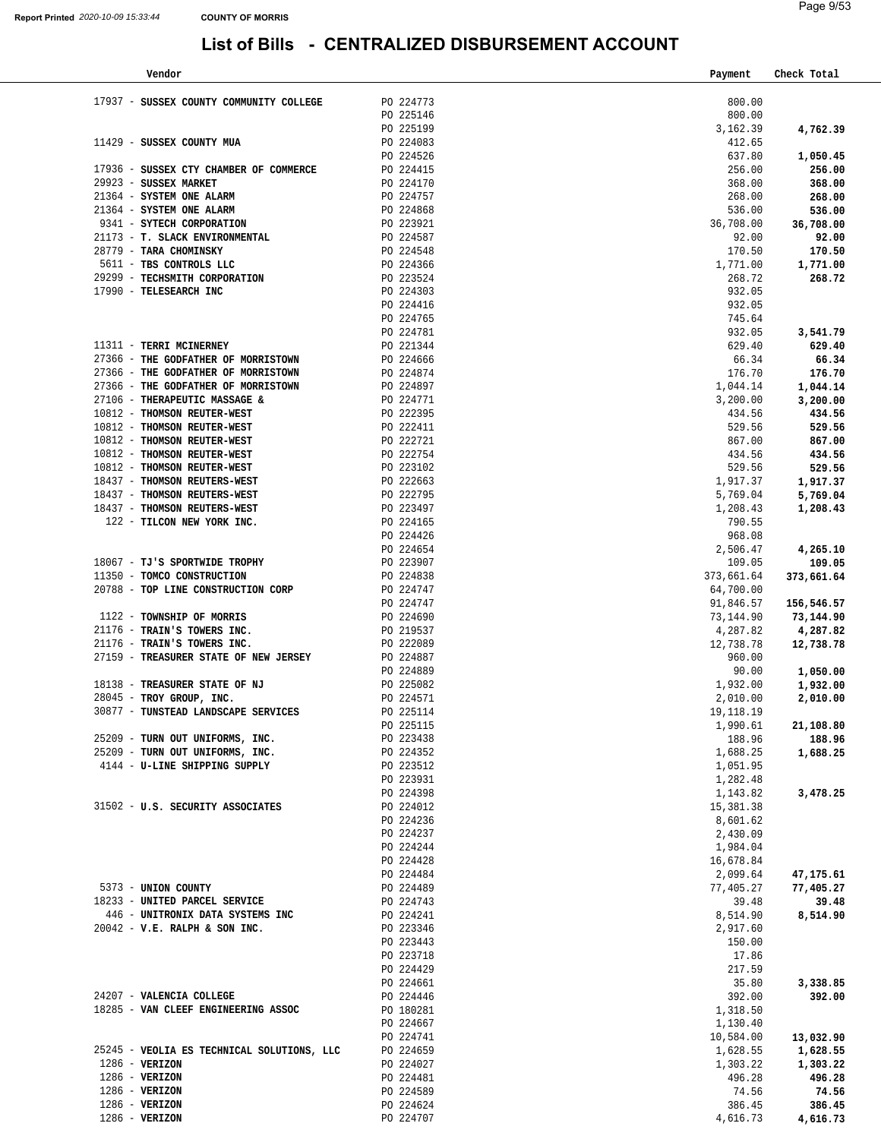| Vendor                                     |           | Payment    | Check Total |
|--------------------------------------------|-----------|------------|-------------|
|                                            |           |            |             |
| 17937 - SUSSEX COUNTY COMMUNITY COLLEGE    | PO 224773 | 800.00     |             |
|                                            | PO 225146 | 800.00     |             |
|                                            | PO 225199 | 3,162.39   | 4,762.39    |
| 11429 - SUSSEX COUNTY MUA                  | PO 224083 | 412.65     |             |
|                                            | PO 224526 | 637.80     | 1,050.45    |
| 17936 - SUSSEX CTY CHAMBER OF COMMERCE     | PO 224415 | 256.00     | 256.00      |
| 29923 - SUSSEX MARKET                      | PO 224170 | 368.00     | 368.00      |
| 21364 - SYSTEM ONE ALARM                   | PO 224757 | 268.00     | 268.00      |
| 21364 - SYSTEM ONE ALARM                   | PO 224868 | 536.00     | 536.00      |
| 9341 - SYTECH CORPORATION                  | PO 223921 | 36,708.00  | 36,708.00   |
| 21173 - T. SLACK ENVIRONMENTAL             | PO 224587 | 92.00      | 92.00       |
| 28779 - TARA CHOMINSKY                     | PO 224548 | 170.50     | 170.50      |
| 5611 - TBS CONTROLS LLC                    | PO 224366 | 1,771.00   | 1,771.00    |
| 29299 - TECHSMITH CORPORATION              | PO 223524 | 268.72     | 268.72      |
| 17990 - TELESEARCH INC                     | PO 224303 | 932.05     |             |
|                                            | PO 224416 | 932.05     |             |
|                                            | PO 224765 | 745.64     |             |
|                                            | PO 224781 | 932.05     | 3,541.79    |
| 11311 - TERRI MCINERNEY                    | PO 221344 | 629.40     | 629.40      |
| 27366 - THE GODFATHER OF MORRISTOWN        | PO 224666 | 66.34      |             |
|                                            | PO 224874 |            | 66.34       |
| 27366 - THE GODFATHER OF MORRISTOWN        |           | 176.70     | 176.70      |
| 27366 - THE GODFATHER OF MORRISTOWN        | PO 224897 | 1,044.14   | 1,044.14    |
| 27106 - THERAPEUTIC MASSAGE &              | PO 224771 | 3,200.00   | 3,200.00    |
| 10812 - THOMSON REUTER-WEST                | PO 222395 | 434.56     | 434.56      |
| 10812 - THOMSON REUTER-WEST                | PO 222411 | 529.56     | 529.56      |
| 10812 - THOMSON REUTER-WEST                | PO 222721 | 867.00     | 867.00      |
| 10812 - THOMSON REUTER-WEST                | PO 222754 | 434.56     | 434.56      |
| 10812 - THOMSON REUTER-WEST                | PO 223102 | 529.56     | 529.56      |
| 18437 - THOMSON REUTERS-WEST               | PO 222663 | 1,917.37   | 1,917.37    |
| 18437 - THOMSON REUTERS-WEST               | PO 222795 | 5,769.04   | 5,769.04    |
| 18437 - THOMSON REUTERS-WEST               | PO 223497 | 1,208.43   | 1,208.43    |
| 122 - TILCON NEW YORK INC.                 | PO 224165 | 790.55     |             |
|                                            | PO 224426 | 968.08     |             |
|                                            | PO 224654 | 2,506.47   | 4,265.10    |
| 18067 - TJ'S SPORTWIDE TROPHY              | PO 223907 | 109.05     | 109.05      |
| 11350 - TOMCO CONSTRUCTION                 | PO 224838 | 373,661.64 | 373,661.64  |
| 20788 - TOP LINE CONSTRUCTION CORP         | PO 224747 | 64,700.00  |             |
|                                            | PO 224747 | 91,846.57  | 156,546.57  |
| 1122 - TOWNSHIP OF MORRIS                  | PO 224690 | 73,144.90  | 73,144.90   |
| 21176 - TRAIN'S TOWERS INC.                | PO 219537 | 4,287.82   | 4,287.82    |
| 21176 - TRAIN'S TOWERS INC.                | PO 222089 | 12,738.78  | 12,738.78   |
| 27159 - TREASURER STATE OF NEW JERSEY      | PO 224887 | 960.00     |             |
|                                            | PO 224889 | 90.00      | 1,050.00    |
| 18138 - TREASURER STATE OF NJ              | PO 225082 | 1,932.00   | 1,932.00    |
| 28045 - TROY GROUP, INC.                   | PO 224571 | 2,010.00   | 2,010.00    |
| 30877 - TUNSTEAD LANDSCAPE SERVICES        | PO 225114 | 19,118.19  |             |
|                                            | PO 225115 | 1,990.61   | 21,108.80   |
| 25209 - TURN OUT UNIFORMS, INC.            | PO 223438 | 188.96     | 188.96      |
| 25209 - TURN OUT UNIFORMS, INC.            | PO 224352 | 1,688.25   | 1,688.25    |
| 4144 - U-LINE SHIPPING SUPPLY              | PO 223512 | 1,051.95   |             |
|                                            | PO 223931 | 1,282.48   |             |
|                                            | PO 224398 | 1,143.82   | 3,478.25    |
| 31502 - U.S. SECURITY ASSOCIATES           | PO 224012 | 15,381.38  |             |
|                                            | PO 224236 | 8,601.62   |             |
|                                            | PO 224237 | 2,430.09   |             |
|                                            | PO 224244 | 1,984.04   |             |
|                                            | PO 224428 | 16,678.84  |             |
|                                            | PO 224484 | 2,099.64   | 47,175.61   |
| 5373 - UNION COUNTY                        | PO 224489 | 77,405.27  | 77,405.27   |
| 18233 - UNITED PARCEL SERVICE              | PO 224743 | 39.48      | 39.48       |
| 446 - UNITRONIX DATA SYSTEMS INC           | PO 224241 | 8,514.90   | 8,514.90    |
| 20042 - V.E. RALPH & SON INC.              | PO 223346 | 2,917.60   |             |
|                                            | PO 223443 | 150.00     |             |
|                                            | PO 223718 | 17.86      |             |
|                                            | PO 224429 | 217.59     |             |
|                                            | PO 224661 | 35.80      | 3,338.85    |
| 24207 - VALENCIA COLLEGE                   | PO 224446 | 392.00     | 392.00      |
| 18285 - VAN CLEEF ENGINEERING ASSOC        | PO 180281 | 1,318.50   |             |
|                                            | PO 224667 | 1,130.40   |             |
|                                            | PO 224741 | 10,584.00  | 13,032.90   |
| 25245 - VEOLIA ES TECHNICAL SOLUTIONS, LLC | PO 224659 | 1,628.55   | 1,628.55    |
| 1286 - VERIZON                             | PO 224027 | 1,303.22   | 1,303.22    |
| $1286$ - VERIZON                           | PO 224481 | 496.28     | 496.28      |
| $1286$ - VERIZON                           | PO 224589 | 74.56      | 74.56       |
| $1286$ - VERIZON                           | PO 224624 | 386.45     | 386.45      |
| 1286 - VERIZON                             | PO 224707 | 4,616.73   | 4,616.73    |
|                                            |           |            |             |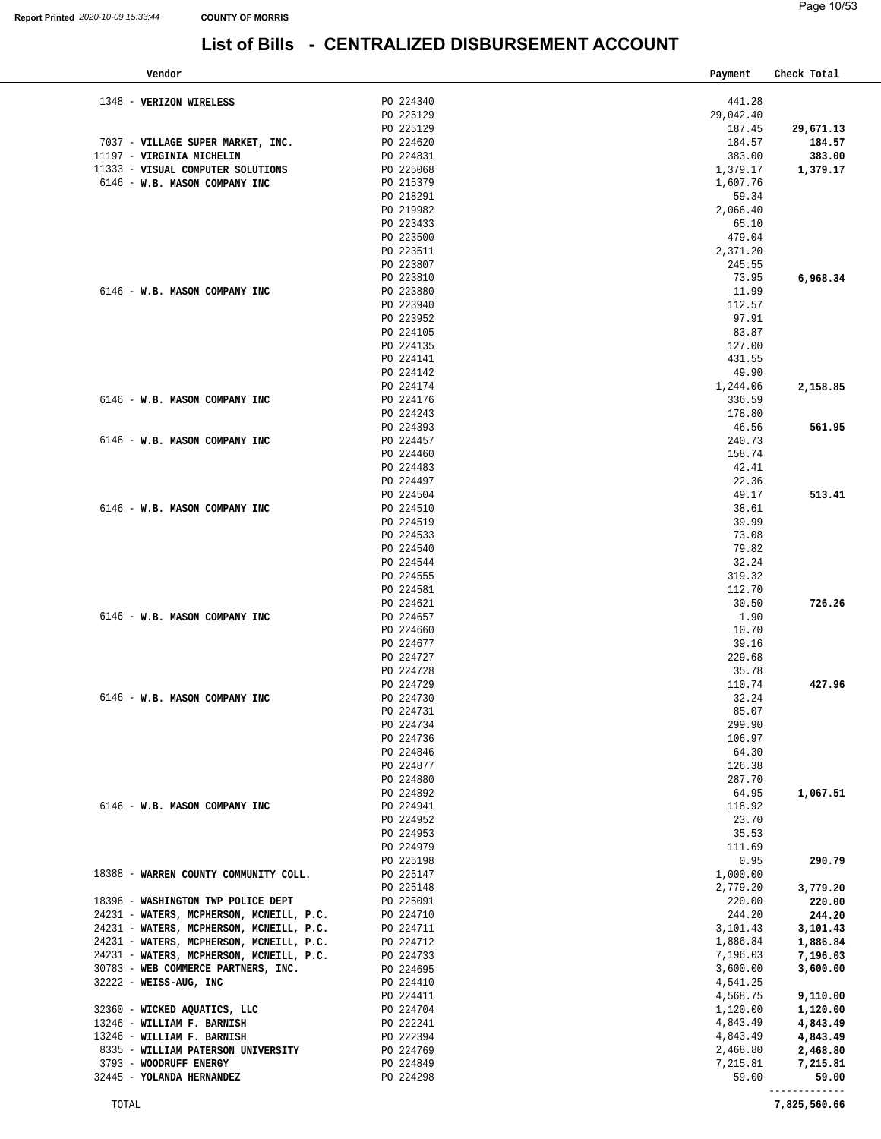| Vendor                                                         |                        | Payment           | Check Total         |
|----------------------------------------------------------------|------------------------|-------------------|---------------------|
|                                                                |                        |                   |                     |
| 1348 - VERIZON WIRELESS                                        | PO 224340              | 441.28            |                     |
|                                                                | PO 225129              | 29,042.40         |                     |
|                                                                | PO 225129<br>PO 224620 | 187.45<br>184.57  | 29,671.13<br>184.57 |
| 7037 - VILLAGE SUPER MARKET, INC.<br>11197 - VIRGINIA MICHELIN | PO 224831              | 383.00            | 383.00              |
| 11333 - VISUAL COMPUTER SOLUTIONS                              | PO 225068              | 1,379.17          |                     |
| 6146 - W.B. MASON COMPANY INC                                  | PO 215379              | 1,607.76          | 1,379.17            |
|                                                                | PO 218291              | 59.34             |                     |
|                                                                | PO 219982              | 2,066.40          |                     |
|                                                                | PO 223433              | 65.10             |                     |
|                                                                | PO 223500              | 479.04            |                     |
|                                                                | PO 223511              | 2,371.20          |                     |
|                                                                | PO 223807              | 245.55            |                     |
|                                                                | PO 223810              | 73.95             | 6,968.34            |
| 6146 - W.B. MASON COMPANY INC                                  | PO 223880              | 11.99             |                     |
|                                                                | PO 223940              | 112.57            |                     |
|                                                                | PO 223952              | 97.91             |                     |
|                                                                | PO 224105              | 83.87             |                     |
|                                                                | PO 224135              | 127.00            |                     |
|                                                                | PO 224141              | 431.55            |                     |
|                                                                | PO 224142              | 49.90             |                     |
|                                                                | PO 224174              | 1,244.06          | 2,158.85            |
| 6146 - W.B. MASON COMPANY INC                                  | PO 224176              | 336.59            |                     |
|                                                                | PO 224243              | 178.80            |                     |
|                                                                | PO 224393              | 46.56             | 561.95              |
| 6146 - W.B. MASON COMPANY INC                                  | PO 224457              | 240.73            |                     |
|                                                                | PO 224460              | 158.74            |                     |
|                                                                | PO 224483              | 42.41             |                     |
|                                                                | PO 224497              | 22.36             |                     |
|                                                                | PO 224504              | 49.17             | 513.41              |
| 6146 - W.B. MASON COMPANY INC                                  | PO 224510              | 38.61             |                     |
|                                                                | PO 224519              | 39.99             |                     |
|                                                                | PO 224533              | 73.08             |                     |
|                                                                | PO 224540              | 79.82             |                     |
|                                                                | PO 224544              | 32.24             |                     |
|                                                                | PO 224555              | 319.32            |                     |
|                                                                | PO 224581              | 112.70            |                     |
|                                                                | PO 224621              | 30.50             | 726.26              |
| 6146 - W.B. MASON COMPANY INC                                  | PO 224657              | 1.90              |                     |
|                                                                | PO 224660              | 10.70             |                     |
|                                                                | PO 224677              | 39.16             |                     |
|                                                                | PO 224727              | 229.68            |                     |
|                                                                | PO 224728              | 35.78             |                     |
|                                                                | PO 224729              | 110.74            | 427.96              |
| 6146 - W.B. MASON COMPANY INC                                  | PO 224730              | 32.24<br>85.07    |                     |
|                                                                | PO 224731              |                   |                     |
|                                                                | PO 224734<br>PO 224736 | 299.90<br>106.97  |                     |
|                                                                | PO 224846              | 64.30             |                     |
|                                                                | PO 224877              | 126.38            |                     |
|                                                                | PO 224880              | 287.70            |                     |
|                                                                | PO 224892              | 64.95             | 1,067.51            |
| 6146 - W.B. MASON COMPANY INC                                  | PO 224941              | 118.92            |                     |
|                                                                | PO 224952              | 23.70             |                     |
|                                                                | PO 224953              | 35.53             |                     |
|                                                                | PO 224979              | 111.69            |                     |
|                                                                | PO 225198              | 0.95              | 290.79              |
| 18388 - WARREN COUNTY COMMUNITY COLL.                          | PO 225147              | 1,000.00          |                     |
|                                                                | PO 225148              | 2,779.20          | 3,779.20            |
| 18396 - WASHINGTON TWP POLICE DEPT                             | PO 225091              | 220.00            | 220.00              |
| 24231 - WATERS, MCPHERSON, MCNEILL, P.C.                       | PO 224710              | 244.20            | 244.20              |
| 24231 - WATERS, MCPHERSON, MCNEILL, P.C.                       | PO 224711              | 3,101.43          | 3,101.43            |
| 24231 - WATERS, MCPHERSON, MCNEILL, P.C.                       | PO 224712              | 1,886.84          | 1,886.84            |
| 24231 - WATERS, MCPHERSON, MCNEILL, P.C.                       | PO 224733              | 7,196.03          | 7,196.03            |
| 30783 - WEB COMMERCE PARTNERS, INC.                            | PO 224695              | 3,600.00          | 3,600.00            |
| 32222 - WEISS-AUG, INC                                         | PO 224410              | 4,541.25          |                     |
|                                                                | PO 224411              | 4,568.75          | 9,110.00            |
| 32360 - WICKED AQUATICS, LLC                                   | PO 224704              | 1,120.00          | 1,120.00            |
| 13246 - WILLIAM F. BARNISH                                     | PO 222241              | 4,843.49          | 4,843.49            |
|                                                                |                        |                   |                     |
| 13246 - WILLIAM F. BARNISH                                     | PO 222394              | 4,843.49          | 4,843.49            |
| 8335 - WILLIAM PATERSON UNIVERSITY                             | PO 224769              | 2,468.80          | 2,468.80            |
| 3793 - WOODRUFF ENERGY<br>32445 - YOLANDA HERNANDEZ            | PO 224849<br>PO 224298 | 7,215.81<br>59.00 | 7,215.81<br>59.00   |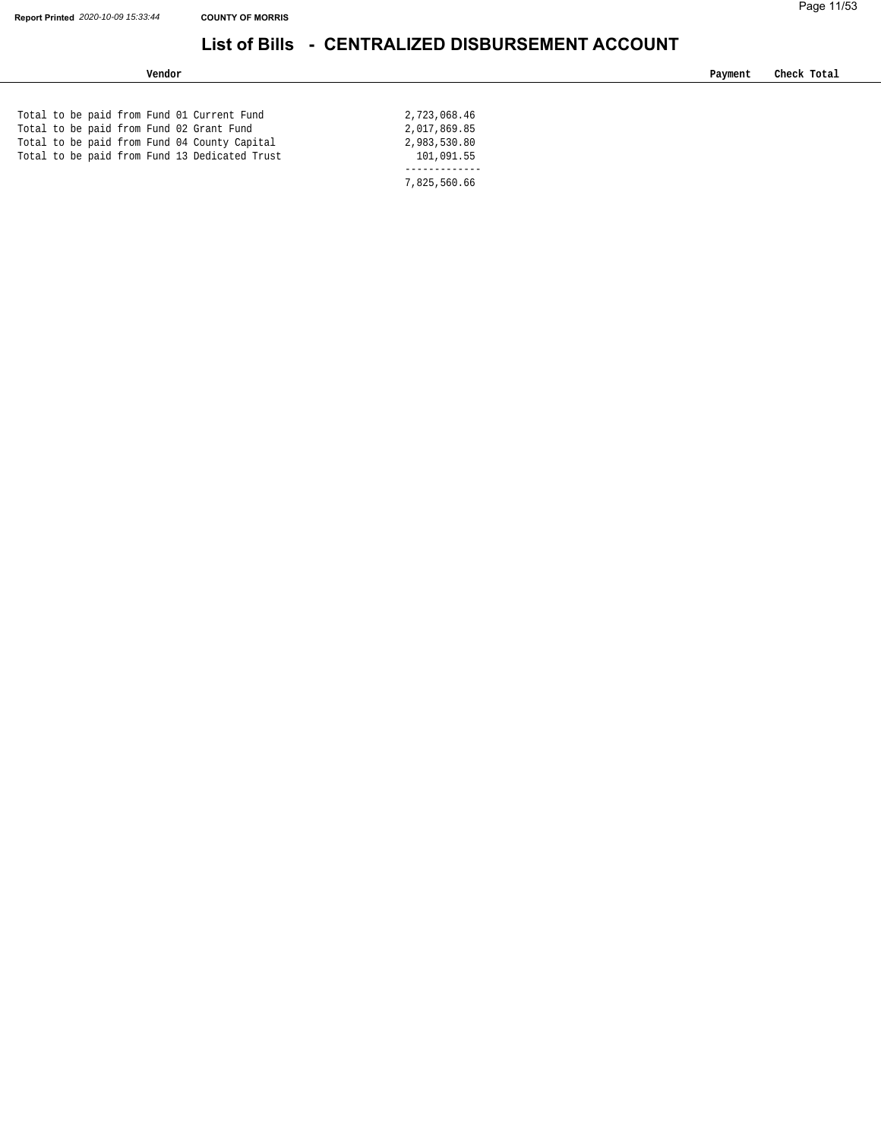| Vendor                                        |              | Payment | Check Total |
|-----------------------------------------------|--------------|---------|-------------|
|                                               |              |         |             |
| Total to be paid from Fund 01 Current Fund    | 2,723,068.46 |         |             |
| Total to be paid from Fund 02 Grant Fund      | 2,017,869.85 |         |             |
| Total to be paid from Fund 04 County Capital  | 2,983,530.80 |         |             |
| Total to be paid from Fund 13 Dedicated Trust | 101,091.55   |         |             |
|                                               |              |         |             |
|                                               | 7,825,560.66 |         |             |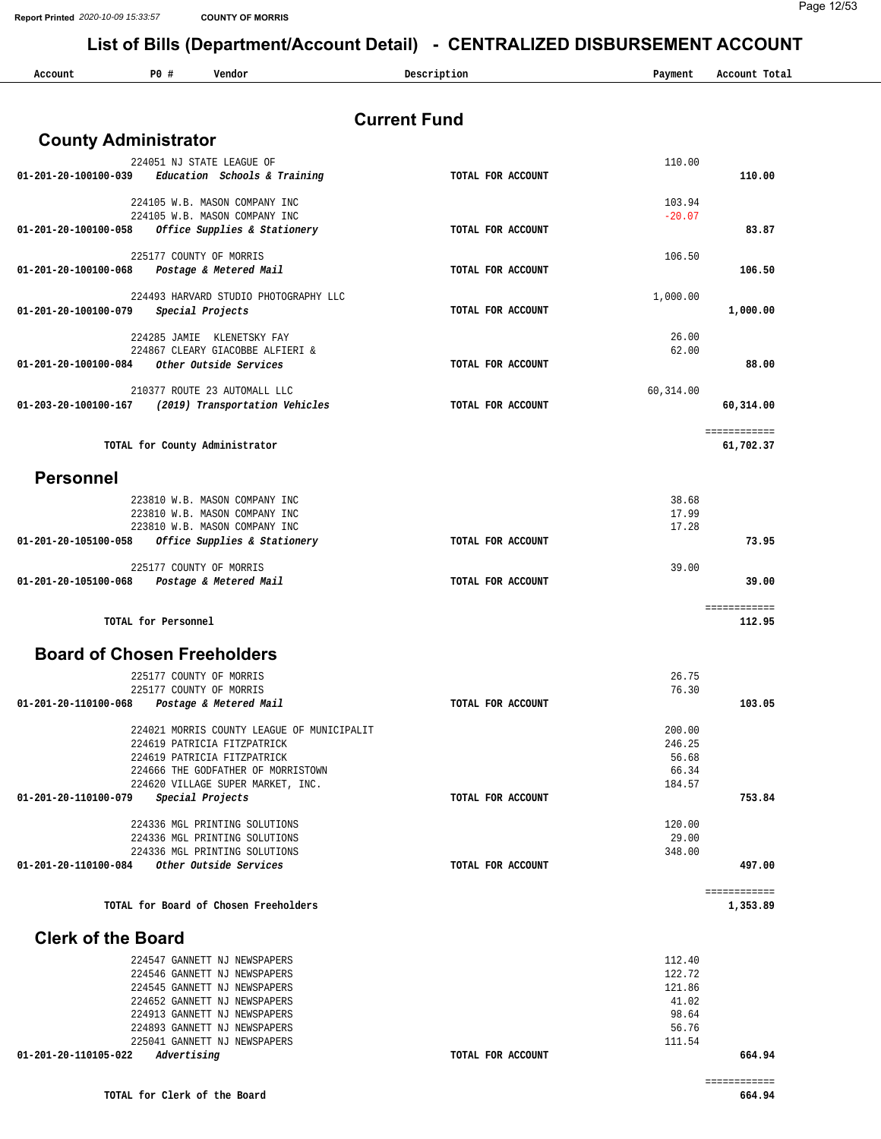| Account                            | P0#                 | Vendor                                                            | Description         | Payment         | Account Total             |
|------------------------------------|---------------------|-------------------------------------------------------------------|---------------------|-----------------|---------------------------|
|                                    |                     |                                                                   |                     |                 |                           |
|                                    |                     |                                                                   | <b>Current Fund</b> |                 |                           |
| <b>County Administrator</b>        |                     |                                                                   |                     |                 |                           |
|                                    |                     | 224051 NJ STATE LEAGUE OF                                         |                     | 110.00          |                           |
| 01-201-20-100100-039               |                     | Education Schools & Training                                      | TOTAL FOR ACCOUNT   |                 | 110.00                    |
|                                    |                     | 224105 W.B. MASON COMPANY INC                                     |                     | 103.94          |                           |
|                                    |                     | 224105 W.B. MASON COMPANY INC                                     |                     | $-20.07$        |                           |
| 01-201-20-100100-058               |                     | Office Supplies & Stationery                                      | TOTAL FOR ACCOUNT   |                 | 83.87                     |
|                                    |                     | 225177 COUNTY OF MORRIS                                           |                     | 106.50          |                           |
| 01-201-20-100100-068               |                     | Postage & Metered Mail                                            | TOTAL FOR ACCOUNT   |                 | 106.50                    |
|                                    |                     |                                                                   |                     |                 |                           |
|                                    |                     | 224493 HARVARD STUDIO PHOTOGRAPHY LLC                             |                     | 1,000.00        |                           |
| 01-201-20-100100-079               |                     | Special Projects                                                  | TOTAL FOR ACCOUNT   |                 | 1,000.00                  |
|                                    |                     | 224285 JAMIE KLENETSKY FAY                                        |                     | 26.00           |                           |
|                                    |                     | 224867 CLEARY GIACOBBE ALFIERI &                                  |                     | 62.00           |                           |
| 01-201-20-100100-084               |                     | Other Outside Services                                            | TOTAL FOR ACCOUNT   |                 | 88.00                     |
|                                    |                     | 210377 ROUTE 23 AUTOMALL LLC                                      |                     | 60, 314.00      |                           |
| 01-203-20-100100-167               |                     | (2019) Transportation Vehicles                                    | TOTAL FOR ACCOUNT   |                 | 60,314.00                 |
|                                    |                     |                                                                   |                     |                 |                           |
|                                    |                     | TOTAL for County Administrator                                    |                     |                 | ============<br>61,702.37 |
|                                    |                     |                                                                   |                     |                 |                           |
| <b>Personnel</b>                   |                     |                                                                   |                     |                 |                           |
|                                    |                     | 223810 W.B. MASON COMPANY INC                                     |                     | 38.68           |                           |
|                                    |                     | 223810 W.B. MASON COMPANY INC                                     |                     | 17.99           |                           |
|                                    |                     | 223810 W.B. MASON COMPANY INC                                     |                     | 17.28           |                           |
| 01-201-20-105100-058               |                     | Office Supplies & Stationery                                      | TOTAL FOR ACCOUNT   |                 | 73.95                     |
|                                    |                     | 225177 COUNTY OF MORRIS                                           |                     | 39.00           |                           |
| 01-201-20-105100-068               |                     | Postage & Metered Mail                                            | TOTAL FOR ACCOUNT   |                 | 39.00                     |
|                                    |                     |                                                                   |                     |                 |                           |
|                                    | TOTAL for Personnel |                                                                   |                     |                 | ============<br>112.95    |
| <b>Board of Chosen Freeholders</b> |                     |                                                                   |                     |                 |                           |
|                                    |                     |                                                                   |                     |                 |                           |
|                                    |                     | 225177 COUNTY OF MORRIS                                           |                     | 26.75           |                           |
| 01-201-20-110100-068               |                     | 225177 COUNTY OF MORRIS<br>Postage & Metered Mail                 | TOTAL FOR ACCOUNT   | 76.30           | 103.05                    |
|                                    |                     |                                                                   |                     |                 |                           |
|                                    |                     | 224021 MORRIS COUNTY LEAGUE OF MUNICIPALIT                        |                     | 200.00          |                           |
|                                    |                     | 224619 PATRICIA FITZPATRICK                                       |                     | 246.25<br>56.68 |                           |
|                                    |                     | 224619 PATRICIA FITZPATRICK<br>224666 THE GODFATHER OF MORRISTOWN |                     | 66.34           |                           |
|                                    |                     | 224620 VILLAGE SUPER MARKET, INC.                                 |                     | 184.57          |                           |
| 01-201-20-110100-079               |                     | Special Projects                                                  | TOTAL FOR ACCOUNT   |                 | 753.84                    |
|                                    |                     | 224336 MGL PRINTING SOLUTIONS                                     |                     | 120.00          |                           |
|                                    |                     | 224336 MGL PRINTING SOLUTIONS                                     |                     | 29.00           |                           |
|                                    |                     | 224336 MGL PRINTING SOLUTIONS                                     |                     | 348.00          |                           |
|                                    |                     | Other Outside Services                                            | TOTAL FOR ACCOUNT   |                 | 497.00                    |
|                                    |                     |                                                                   |                     |                 | ============<br>1,353.89  |
|                                    |                     |                                                                   |                     |                 |                           |
| 01-201-20-110100-084               |                     | TOTAL for Board of Chosen Freeholders                             |                     |                 |                           |
| <b>Clerk of the Board</b>          |                     |                                                                   |                     |                 |                           |
|                                    |                     | 224547 GANNETT NJ NEWSPAPERS                                      |                     | 112.40          |                           |
|                                    |                     | 224546 GANNETT NJ NEWSPAPERS                                      |                     | 122.72          |                           |
|                                    |                     | 224545 GANNETT NJ NEWSPAPERS                                      |                     | 121.86          |                           |
|                                    |                     | 224652 GANNETT NJ NEWSPAPERS<br>224913 GANNETT NJ NEWSPAPERS      |                     | 41.02<br>98.64  |                           |
|                                    |                     | 224893 GANNETT NJ NEWSPAPERS                                      |                     | 56.76           |                           |
| 01-201-20-110105-022               | Advertising         | 225041 GANNETT NJ NEWSPAPERS                                      | TOTAL FOR ACCOUNT   | 111.54          | 664.94                    |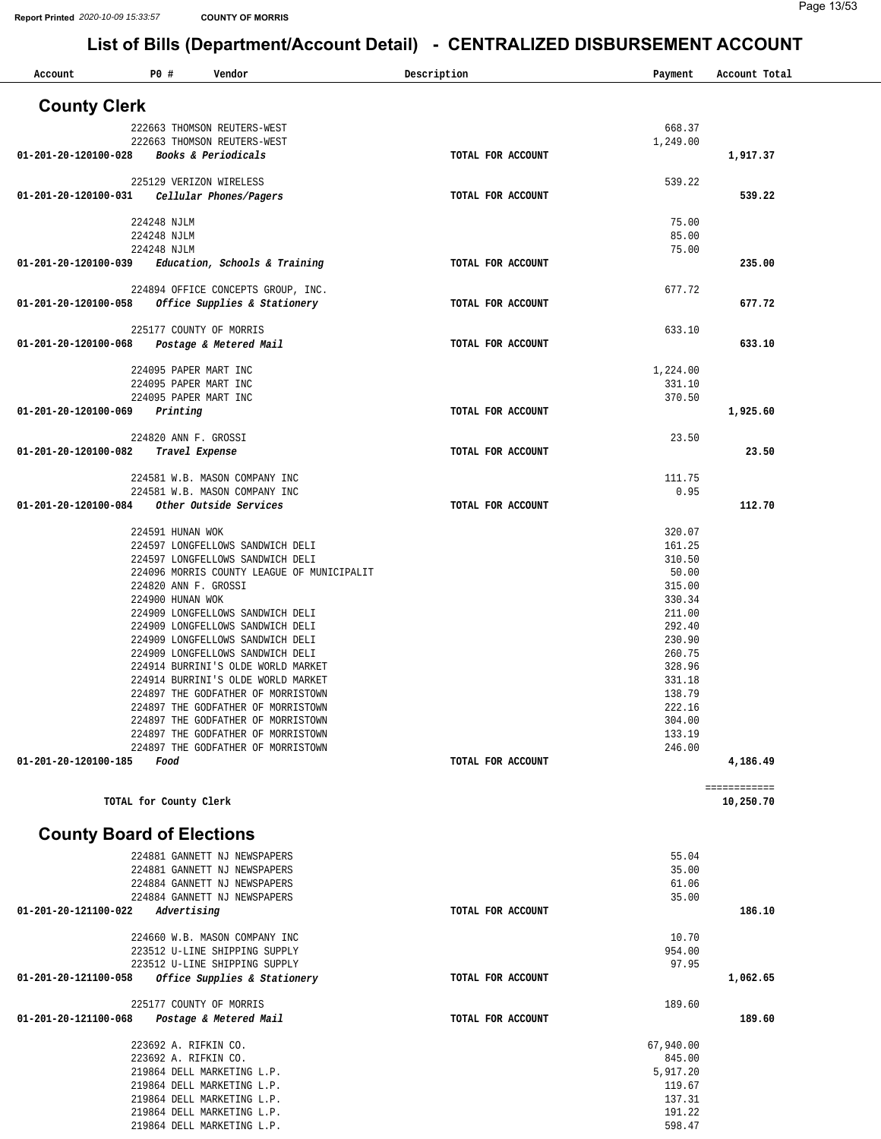| Account                          | P0 #                       | Vendor                                                                   | Description       | Payment          | Account Total |
|----------------------------------|----------------------------|--------------------------------------------------------------------------|-------------------|------------------|---------------|
| <b>County Clerk</b>              |                            |                                                                          |                   |                  |               |
|                                  |                            | 222663 THOMSON REUTERS-WEST                                              |                   | 668.37           |               |
|                                  |                            | 222663 THOMSON REUTERS-WEST                                              |                   | 1,249.00         |               |
| 01-201-20-120100-028             |                            | Books & Periodicals                                                      | TOTAL FOR ACCOUNT |                  | 1,917.37      |
|                                  | 225129 VERIZON WIRELESS    |                                                                          |                   | 539.22           |               |
| 01-201-20-120100-031             |                            | Cellular Phones/Pagers                                                   | TOTAL FOR ACCOUNT |                  | 539.22        |
|                                  |                            |                                                                          |                   |                  |               |
|                                  | 224248 NJLM<br>224248 NJLM |                                                                          |                   | 75.00<br>85.00   |               |
|                                  | 224248 NJLM                |                                                                          |                   | 75.00            |               |
| 01-201-20-120100-039             |                            | Education, Schools & Training                                            | TOTAL FOR ACCOUNT |                  | 235.00        |
|                                  |                            |                                                                          |                   |                  |               |
| 01-201-20-120100-058             |                            | 224894 OFFICE CONCEPTS GROUP, INC.<br>Office Supplies & Stationery       | TOTAL FOR ACCOUNT | 677.72           | 677.72        |
|                                  |                            |                                                                          |                   |                  |               |
|                                  | 225177 COUNTY OF MORRIS    |                                                                          |                   | 633.10           |               |
| 01-201-20-120100-068             |                            | Postage & Metered Mail                                                   | TOTAL FOR ACCOUNT |                  | 633.10        |
|                                  | 224095 PAPER MART INC      |                                                                          |                   | 1,224.00         |               |
|                                  | 224095 PAPER MART INC      |                                                                          |                   | 331.10           |               |
|                                  | 224095 PAPER MART INC      |                                                                          |                   | 370.50           |               |
| 01-201-20-120100-069             | Printing                   |                                                                          | TOTAL FOR ACCOUNT |                  | 1,925.60      |
|                                  | 224820 ANN F. GROSSI       |                                                                          |                   | 23.50            |               |
| 01-201-20-120100-082             | Travel Expense             |                                                                          | TOTAL FOR ACCOUNT |                  | 23.50         |
|                                  |                            |                                                                          |                   |                  |               |
|                                  |                            | 224581 W.B. MASON COMPANY INC                                            |                   | 111.75           |               |
| 01-201-20-120100-084             |                            | 224581 W.B. MASON COMPANY INC<br>Other Outside Services                  | TOTAL FOR ACCOUNT | 0.95             | 112.70        |
|                                  |                            |                                                                          |                   |                  |               |
|                                  | 224591 HUNAN WOK           |                                                                          |                   | 320.07           |               |
|                                  |                            | 224597 LONGFELLOWS SANDWICH DELI<br>224597 LONGFELLOWS SANDWICH DELI     |                   | 161.25<br>310.50 |               |
|                                  |                            | 224096 MORRIS COUNTY LEAGUE OF MUNICIPALIT                               |                   | 50.00            |               |
|                                  | 224820 ANN F. GROSSI       |                                                                          |                   | 315.00           |               |
|                                  | 224900 HUNAN WOK           |                                                                          |                   | 330.34           |               |
|                                  |                            | 224909 LONGFELLOWS SANDWICH DELI                                         |                   | 211.00           |               |
|                                  |                            | 224909 LONGFELLOWS SANDWICH DELI<br>224909 LONGFELLOWS SANDWICH DELI     |                   | 292.40<br>230.90 |               |
|                                  |                            | 224909 LONGFELLOWS SANDWICH DELI                                         |                   | 260.75           |               |
|                                  |                            | 224914 BURRINI'S OLDE WORLD MARKET                                       |                   | 328.96           |               |
|                                  |                            | 224914 BURRINI'S OLDE WORLD MARKET                                       |                   | 331.18           |               |
|                                  |                            | 224897 THE GODFATHER OF MORRISTOWN                                       |                   | 138.79           |               |
|                                  |                            | 224897 THE GODFATHER OF MORRISTOWN<br>224897 THE GODFATHER OF MORRISTOWN |                   | 222.16<br>304.00 |               |
|                                  |                            | 224897 THE GODFATHER OF MORRISTOWN                                       |                   | 133.19           |               |
|                                  |                            | 224897 THE GODFATHER OF MORRISTOWN                                       |                   | 246.00           |               |
| 01-201-20-120100-185             | Food                       |                                                                          | TOTAL FOR ACCOUNT |                  | 4,186.49      |
|                                  |                            |                                                                          |                   |                  | ============  |
|                                  | TOTAL for County Clerk     |                                                                          |                   |                  | 10,250.70     |
|                                  |                            |                                                                          |                   |                  |               |
| <b>County Board of Elections</b> |                            |                                                                          |                   |                  |               |
|                                  |                            | 224881 GANNETT NJ NEWSPAPERS                                             |                   | 55.04            |               |
|                                  |                            | 224881 GANNETT NJ NEWSPAPERS                                             |                   | 35.00            |               |
|                                  |                            | 224884 GANNETT NJ NEWSPAPERS                                             |                   | 61.06            |               |
|                                  |                            | 224884 GANNETT NJ NEWSPAPERS                                             |                   | 35.00            |               |
| 01-201-20-121100-022             | Advertising                |                                                                          | TOTAL FOR ACCOUNT |                  | 186.10        |
|                                  |                            | 224660 W.B. MASON COMPANY INC                                            |                   | 10.70            |               |
|                                  |                            | 223512 U-LINE SHIPPING SUPPLY                                            |                   | 954.00           |               |
|                                  |                            | 223512 U-LINE SHIPPING SUPPLY                                            |                   | 97.95            |               |
| 01-201-20-121100-058             |                            | Office Supplies & Stationery                                             | TOTAL FOR ACCOUNT |                  | 1,062.65      |
|                                  | 225177 COUNTY OF MORRIS    |                                                                          |                   | 189.60           |               |
| 01-201-20-121100-068             |                            | Postage & Metered Mail                                                   | TOTAL FOR ACCOUNT |                  | 189.60        |
|                                  | 223692 A. RIFKIN CO.       |                                                                          |                   | 67,940.00        |               |
|                                  | 223692 A. RIFKIN CO.       |                                                                          |                   | 845.00           |               |
|                                  |                            | 219864 DELL MARKETING L.P.                                               |                   | 5,917.20         |               |
|                                  |                            | 219864 DELL MARKETING L.P.                                               |                   | 119.67           |               |
|                                  |                            | 219864 DELL MARKETING L.P.                                               |                   | 137.31           |               |
|                                  |                            | 219864 DELL MARKETING L.P.<br>219864 DELL MARKETING L.P.                 |                   | 191.22<br>598.47 |               |
|                                  |                            |                                                                          |                   |                  |               |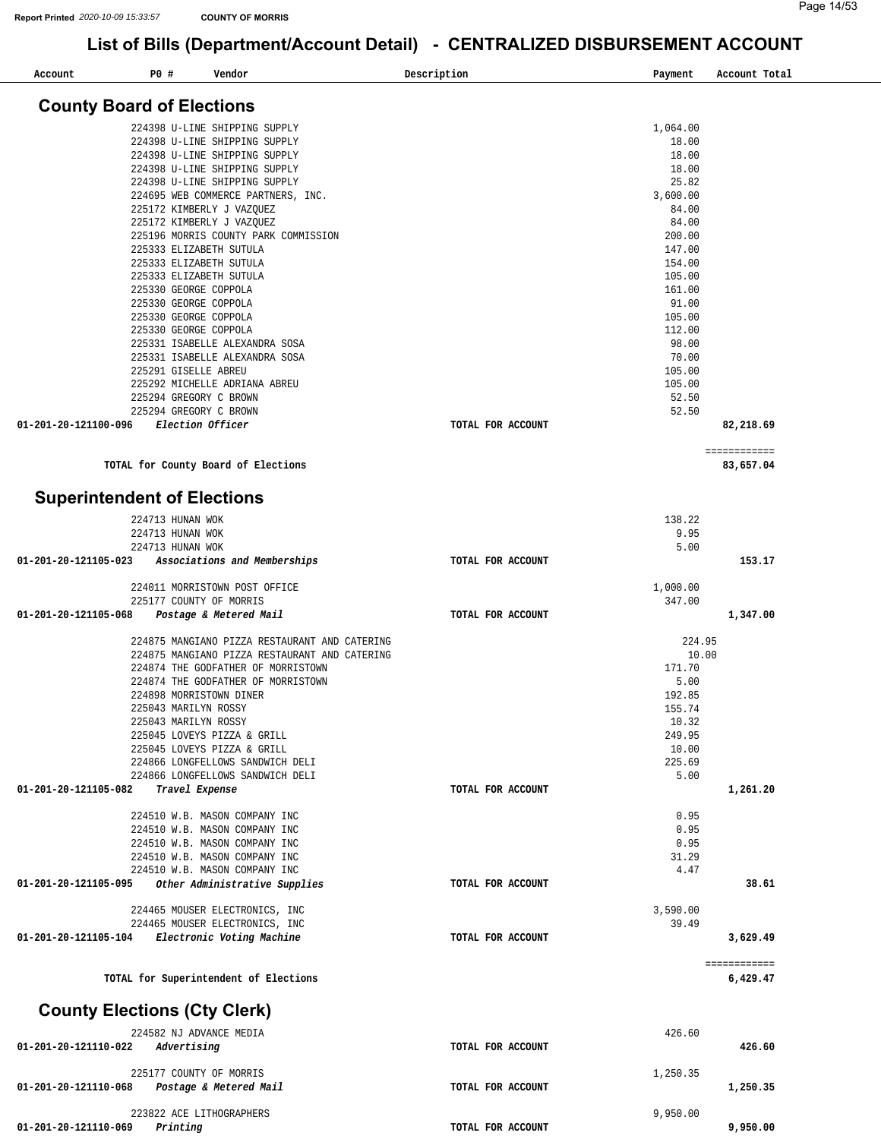| Account              | P0 #<br>Vendor                                                 |                                               | Description       | Payment         | Account Total             |
|----------------------|----------------------------------------------------------------|-----------------------------------------------|-------------------|-----------------|---------------------------|
|                      | <b>County Board of Elections</b>                               |                                               |                   |                 |                           |
|                      |                                                                |                                               |                   |                 |                           |
|                      | 224398 U-LINE SHIPPING SUPPLY                                  |                                               |                   | 1,064.00        |                           |
|                      | 224398 U-LINE SHIPPING SUPPLY<br>224398 U-LINE SHIPPING SUPPLY |                                               |                   | 18.00<br>18.00  |                           |
|                      | 224398 U-LINE SHIPPING SUPPLY                                  |                                               |                   | 18.00           |                           |
|                      | 224398 U-LINE SHIPPING SUPPLY                                  |                                               |                   | 25.82           |                           |
|                      | 224695 WEB COMMERCE PARTNERS, INC.                             |                                               |                   | 3,600.00        |                           |
|                      | 225172 KIMBERLY J VAZQUEZ                                      |                                               |                   | 84.00           |                           |
|                      | 225172 KIMBERLY J VAZQUEZ                                      |                                               |                   | 84.00           |                           |
|                      |                                                                | 225196 MORRIS COUNTY PARK COMMISSION          |                   | 200.00          |                           |
|                      | 225333 ELIZABETH SUTULA                                        |                                               |                   | 147.00          |                           |
|                      | 225333 ELIZABETH SUTULA                                        |                                               |                   | 154.00          |                           |
|                      | 225333 ELIZABETH SUTULA                                        |                                               |                   | 105.00          |                           |
|                      | 225330 GEORGE COPPOLA<br>225330 GEORGE COPPOLA                 |                                               |                   | 161.00<br>91.00 |                           |
|                      | 225330 GEORGE COPPOLA                                          |                                               |                   | 105.00          |                           |
|                      | 225330 GEORGE COPPOLA                                          |                                               |                   | 112.00          |                           |
|                      | 225331 ISABELLE ALEXANDRA SOSA                                 |                                               |                   | 98.00           |                           |
|                      | 225331 ISABELLE ALEXANDRA SOSA                                 |                                               |                   | 70.00           |                           |
|                      | 225291 GISELLE ABREU                                           |                                               |                   | 105.00          |                           |
|                      | 225292 MICHELLE ADRIANA ABREU                                  |                                               |                   | 105.00          |                           |
|                      | 225294 GREGORY C BROWN                                         |                                               |                   | 52.50           |                           |
|                      | 225294 GREGORY C BROWN                                         |                                               |                   | 52.50           |                           |
| 01-201-20-121100-096 | Election Officer                                               |                                               | TOTAL FOR ACCOUNT |                 | 82,218.69                 |
|                      | TOTAL for County Board of Elections                            |                                               |                   |                 | ============<br>83,657.04 |
|                      |                                                                |                                               |                   |                 |                           |
|                      | <b>Superintendent of Elections</b>                             |                                               |                   |                 |                           |
|                      | 224713 HUNAN WOK                                               |                                               |                   | 138.22          |                           |
|                      | 224713 HUNAN WOK                                               |                                               |                   | 9.95            |                           |
|                      | 224713 HUNAN WOK                                               |                                               |                   | 5.00            |                           |
| 01-201-20-121105-023 |                                                                | Associations and Memberships                  | TOTAL FOR ACCOUNT |                 | 153.17                    |
|                      | 224011 MORRISTOWN POST OFFICE                                  |                                               |                   | 1,000.00        |                           |
| 01-201-20-121105-068 | 225177 COUNTY OF MORRIS                                        |                                               | TOTAL FOR ACCOUNT | 347.00          |                           |
|                      | Postage & Metered Mail                                         |                                               |                   |                 | 1,347.00                  |
|                      |                                                                | 224875 MANGIANO PIZZA RESTAURANT AND CATERING |                   | 224.95          |                           |
|                      |                                                                | 224875 MANGIANO PIZZA RESTAURANT AND CATERING |                   | 10.00           |                           |
|                      | 224874 THE GODFATHER OF MORRISTOWN                             |                                               |                   | 171.70          |                           |
|                      | 224874 THE GODFATHER OF MORRISTOWN                             |                                               |                   | 5.00            |                           |
|                      | 224898 MORRISTOWN DINER                                        |                                               |                   | 192.85          |                           |
|                      | 225043 MARILYN ROSSY                                           |                                               |                   | 155.74          |                           |
|                      | 225043 MARILYN ROSSY                                           |                                               |                   | 10.32           |                           |
|                      | 225045 LOVEYS PIZZA & GRILL                                    |                                               |                   | 249.95          |                           |
|                      | 225045 LOVEYS PIZZA & GRILL                                    |                                               |                   | 10.00           |                           |
|                      | 224866 LONGFELLOWS SANDWICH DELI                               |                                               |                   | 225.69          |                           |
| 01-201-20-121105-082 | 224866 LONGFELLOWS SANDWICH DELI<br>Travel Expense             |                                               | TOTAL FOR ACCOUNT | 5.00            | 1,261.20                  |
|                      |                                                                |                                               |                   |                 |                           |
|                      | 224510 W.B. MASON COMPANY INC                                  |                                               |                   | 0.95            |                           |
|                      | 224510 W.B. MASON COMPANY INC                                  |                                               |                   | 0.95            |                           |
|                      | 224510 W.B. MASON COMPANY INC                                  |                                               |                   | 0.95            |                           |
|                      | 224510 W.B. MASON COMPANY INC                                  |                                               |                   | 31.29           |                           |
|                      | 224510 W.B. MASON COMPANY INC                                  |                                               |                   | 4.47            |                           |
| 01-201-20-121105-095 |                                                                | Other Administrative Supplies                 | TOTAL FOR ACCOUNT |                 | 38.61                     |
|                      | 224465 MOUSER ELECTRONICS, INC                                 |                                               |                   | 3,590.00        |                           |
|                      | 224465 MOUSER ELECTRONICS, INC                                 |                                               |                   | 39.49           |                           |
| 01-201-20-121105-104 | Electronic Voting Machine                                      |                                               | TOTAL FOR ACCOUNT |                 | 3,629.49                  |
|                      | TOTAL for Superintendent of Elections                          |                                               |                   |                 | ============<br>6,429.47  |
|                      | <b>County Elections (Cty Clerk)</b>                            |                                               |                   |                 |                           |
|                      | 224582 NJ ADVANCE MEDIA                                        |                                               |                   | 426.60          |                           |
| 01-201-20-121110-022 | Advertising                                                    |                                               | TOTAL FOR ACCOUNT |                 | 426.60                    |
|                      |                                                                |                                               |                   |                 |                           |
|                      | 225177 COUNTY OF MORRIS                                        |                                               |                   | 1,250.35        |                           |
| 01-201-20-121110-068 | Postage & Metered Mail                                         |                                               | TOTAL FOR ACCOUNT |                 | 1,250.35                  |
|                      | 223822 ACE LITHOGRAPHERS                                       |                                               |                   | 9,950.00        |                           |
| 01-201-20-121110-069 | Printing                                                       |                                               | TOTAL FOR ACCOUNT |                 | 9,950.00                  |
|                      |                                                                |                                               |                   |                 |                           |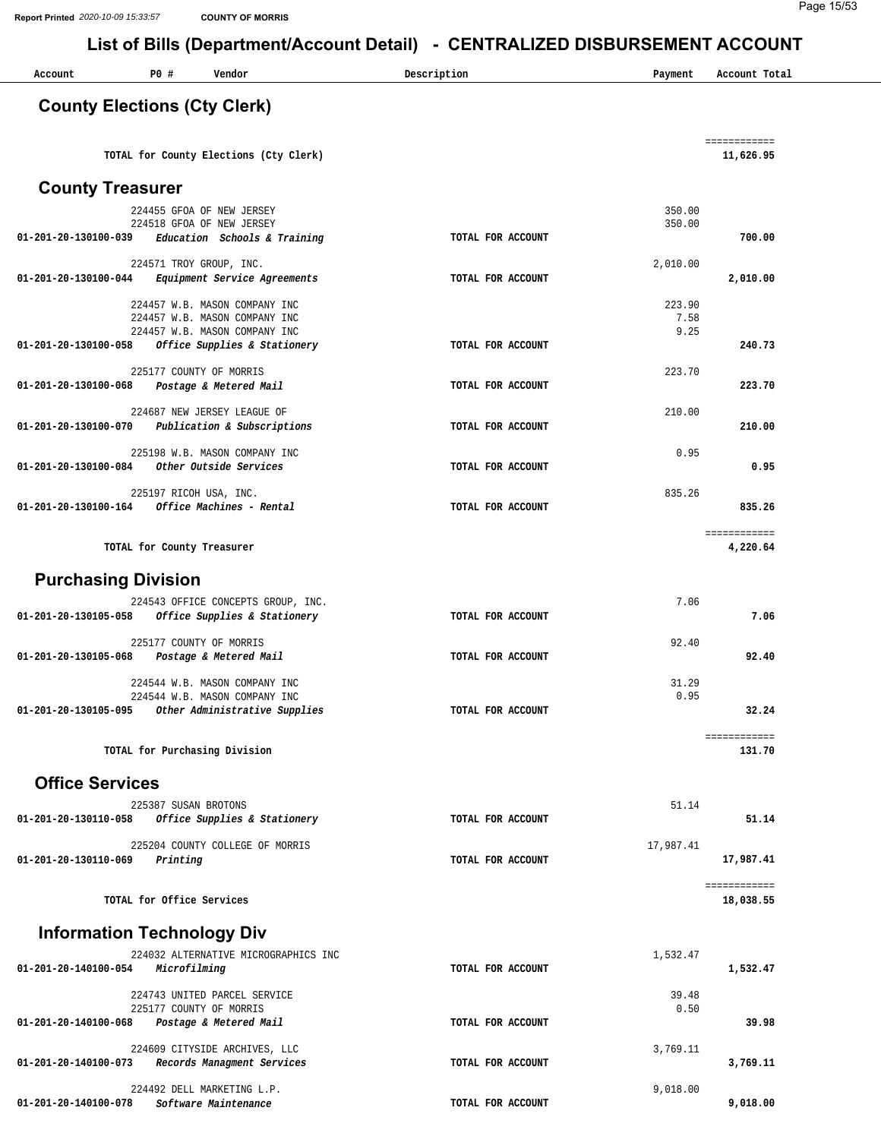Page 15/53

| Account                             | P0#                        | Vendor                                                                                          | Description       | Payment                | Account Total             |
|-------------------------------------|----------------------------|-------------------------------------------------------------------------------------------------|-------------------|------------------------|---------------------------|
| <b>County Elections (Cty Clerk)</b> |                            |                                                                                                 |                   |                        |                           |
|                                     |                            | TOTAL for County Elections (Cty Clerk)                                                          |                   |                        | ============<br>11,626.95 |
| <b>County Treasurer</b>             |                            |                                                                                                 |                   |                        |                           |
| 01-201-20-130100-039                |                            | 224455 GFOA OF NEW JERSEY<br>224518 GFOA OF NEW JERSEY<br>Education Schools & Training          | TOTAL FOR ACCOUNT | 350.00<br>350.00       | 700.00                    |
|                                     |                            | 224571 TROY GROUP, INC.                                                                         |                   | 2,010.00               |                           |
| 01-201-20-130100-044                |                            | Equipment Service Agreements                                                                    | TOTAL FOR ACCOUNT |                        | 2,010.00                  |
|                                     |                            | 224457 W.B. MASON COMPANY INC<br>224457 W.B. MASON COMPANY INC<br>224457 W.B. MASON COMPANY INC |                   | 223.90<br>7.58<br>9.25 |                           |
| 01-201-20-130100-058                |                            | Office Supplies & Stationery                                                                    | TOTAL FOR ACCOUNT |                        | 240.73                    |
| 01-201-20-130100-068                |                            | 225177 COUNTY OF MORRIS<br>Postage & Metered Mail                                               | TOTAL FOR ACCOUNT | 223.70                 | 223.70                    |
| 01-201-20-130100-070                |                            | 224687 NEW JERSEY LEAGUE OF<br>Publication & Subscriptions                                      | TOTAL FOR ACCOUNT | 210.00                 | 210.00                    |
| 01-201-20-130100-084                |                            | 225198 W.B. MASON COMPANY INC<br>Other Outside Services                                         | TOTAL FOR ACCOUNT | 0.95                   | 0.95                      |
| 01-201-20-130100-164                | 225197 RICOH USA, INC.     | Office Machines - Rental                                                                        | TOTAL FOR ACCOUNT | 835.26                 | 835.26                    |
|                                     | TOTAL for County Treasurer |                                                                                                 |                   |                        | ============<br>4,220.64  |
| <b>Purchasing Division</b>          |                            |                                                                                                 |                   |                        |                           |
| 01-201-20-130105-058                |                            | 224543 OFFICE CONCEPTS GROUP, INC.<br>Office Supplies & Stationery                              | TOTAL FOR ACCOUNT | 7.06                   | 7.06                      |
| 01-201-20-130105-068                |                            | 225177 COUNTY OF MORRIS<br>Postage & Metered Mail                                               | TOTAL FOR ACCOUNT | 92.40                  | 92.40                     |
| 01-201-20-130105-095                |                            | 224544 W.B. MASON COMPANY INC<br>224544 W.B. MASON COMPANY INC<br>Other Administrative Supplies | TOTAL FOR ACCOUNT | 31.29<br>0.95          | 32.24                     |
|                                     |                            | TOTAL for Purchasing Division                                                                   |                   |                        | ============<br>131.70    |
| <b>Office Services</b>              |                            |                                                                                                 |                   |                        |                           |
|                                     | 225387 SUSAN BROTONS       |                                                                                                 |                   | 51.14                  |                           |
| 01-201-20-130110-058                |                            | Office Supplies & Stationery                                                                    | TOTAL FOR ACCOUNT |                        | 51.14                     |
| 01-201-20-130110-069                | Printing                   | 225204 COUNTY COLLEGE OF MORRIS                                                                 | TOTAL FOR ACCOUNT | 17,987.41              | 17,987.41                 |
|                                     | TOTAL for Office Services  |                                                                                                 |                   |                        | ============<br>18,038.55 |
| <b>Information Technology Div</b>   |                            |                                                                                                 |                   |                        |                           |
| 01-201-20-140100-054                | Microfilming               | 224032 ALTERNATIVE MICROGRAPHICS INC                                                            | TOTAL FOR ACCOUNT | 1,532.47               | 1,532.47                  |
| 01-201-20-140100-068                |                            | 224743 UNITED PARCEL SERVICE<br>225177 COUNTY OF MORRIS<br>Postage & Metered Mail               | TOTAL FOR ACCOUNT | 39.48<br>0.50          | 39.98                     |
| 01-201-20-140100-073                |                            | 224609 CITYSIDE ARCHIVES, LLC<br>Records Managment Services                                     | TOTAL FOR ACCOUNT | 3,769.11               | 3,769.11                  |
| 01-201-20-140100-078                |                            | 224492 DELL MARKETING L.P.<br>Software Maintenance                                              | TOTAL FOR ACCOUNT | 9,018.00               | 9,018.00                  |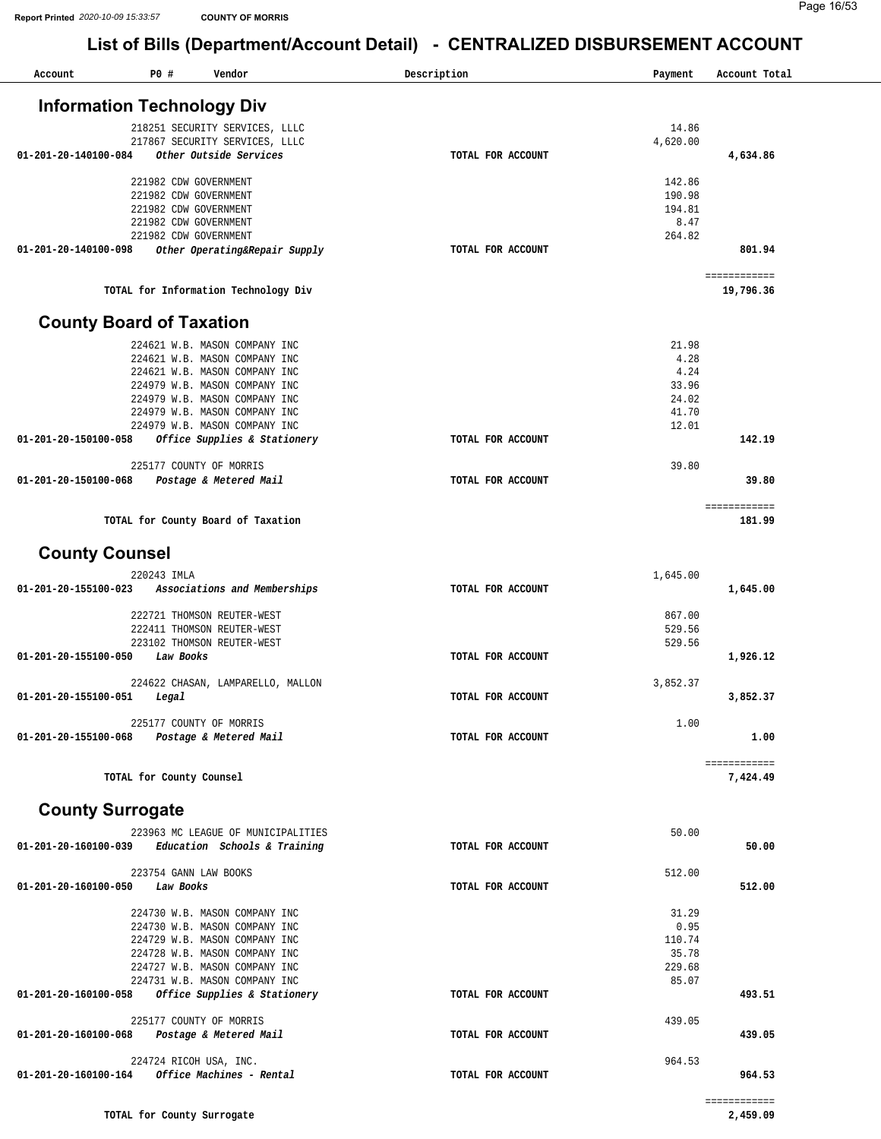| Account                                     | P0 #                     | Vendor                                                         | Description       | Payment          | Account Total             |
|---------------------------------------------|--------------------------|----------------------------------------------------------------|-------------------|------------------|---------------------------|
|                                             |                          | <b>Information Technology Div</b>                              |                   |                  |                           |
|                                             |                          | 218251 SECURITY SERVICES, LLLC                                 |                   | 14.86            |                           |
|                                             |                          | 217867 SECURITY SERVICES, LLLC                                 |                   | 4,620.00         |                           |
| 01-201-20-140100-084                        |                          | Other Outside Services                                         | TOTAL FOR ACCOUNT |                  | 4,634.86                  |
|                                             |                          | 221982 CDW GOVERNMENT                                          |                   | 142.86           |                           |
|                                             |                          | 221982 CDW GOVERNMENT                                          |                   | 190.98           |                           |
|                                             |                          | 221982 CDW GOVERNMENT                                          |                   | 194.81           |                           |
|                                             |                          | 221982 CDW GOVERNMENT                                          |                   | 8.47             |                           |
|                                             |                          | 221982 CDW GOVERNMENT                                          |                   | 264.82           |                           |
| 01-201-20-140100-098                        |                          | Other Operating&Repair Supply                                  | TOTAL FOR ACCOUNT |                  | 801.94                    |
|                                             |                          | TOTAL for Information Technology Div                           |                   |                  | ============<br>19,796.36 |
| <b>County Board of Taxation</b>             |                          |                                                                |                   |                  |                           |
|                                             |                          | 224621 W.B. MASON COMPANY INC                                  |                   | 21.98            |                           |
|                                             |                          | 224621 W.B. MASON COMPANY INC                                  |                   | 4.28             |                           |
|                                             |                          | 224621 W.B. MASON COMPANY INC                                  |                   | 4.24             |                           |
|                                             |                          | 224979 W.B. MASON COMPANY INC                                  |                   | 33.96            |                           |
|                                             |                          | 224979 W.B. MASON COMPANY INC                                  |                   | 24.02            |                           |
|                                             |                          | 224979 W.B. MASON COMPANY INC                                  |                   | 41.70            |                           |
| 01-201-20-150100-058                        |                          | 224979 W.B. MASON COMPANY INC<br>Office Supplies & Stationery  | TOTAL FOR ACCOUNT | 12.01            | 142.19                    |
|                                             |                          |                                                                |                   |                  |                           |
|                                             |                          | 225177 COUNTY OF MORRIS                                        |                   | 39.80            |                           |
| 01-201-20-150100-068                        |                          | Postage & Metered Mail                                         | TOTAL FOR ACCOUNT |                  | 39.80                     |
|                                             |                          |                                                                |                   |                  | ============              |
|                                             |                          | TOTAL for County Board of Taxation                             |                   |                  | 181.99                    |
| <b>County Counsel</b>                       |                          |                                                                |                   |                  |                           |
|                                             | 220243 IMLA              |                                                                |                   | 1,645.00         |                           |
| 01-201-20-155100-023                        |                          | Associations and Memberships                                   | TOTAL FOR ACCOUNT |                  | 1,645.00                  |
|                                             |                          |                                                                |                   |                  |                           |
|                                             |                          | 222721 THOMSON REUTER-WEST                                     |                   | 867.00           |                           |
|                                             |                          | 222411 THOMSON REUTER-WEST<br>223102 THOMSON REUTER-WEST       |                   | 529.56<br>529.56 |                           |
| 01-201-20-155100-050                        | Law Books                |                                                                | TOTAL FOR ACCOUNT |                  | 1,926.12                  |
|                                             |                          |                                                                |                   |                  |                           |
|                                             |                          | 224622 CHASAN, LAMPARELLO, MALLON                              |                   | 3,852.37         |                           |
| 01-201-20-155100-051                        | Legal                    |                                                                | TOTAL FOR ACCOUNT |                  | 3,852.37                  |
|                                             |                          | 225177 COUNTY OF MORRIS                                        |                   | 1.00             |                           |
| 01-201-20-155100-068 Postage & Metered Mail |                          |                                                                | TOTAL FOR ACCOUNT |                  | 1.00                      |
|                                             |                          |                                                                |                   |                  |                           |
|                                             | TOTAL for County Counsel |                                                                |                   |                  | ============<br>7,424.49  |
| <b>County Surrogate</b>                     |                          |                                                                |                   |                  |                           |
|                                             |                          |                                                                |                   |                  |                           |
|                                             |                          | 223963 MC LEAGUE OF MUNICIPALITIES                             |                   | 50.00            |                           |
| 01-201-20-160100-039                        |                          | Education Schools & Training                                   | TOTAL FOR ACCOUNT |                  | 50.00                     |
|                                             |                          | 223754 GANN LAW BOOKS                                          |                   | 512.00           |                           |
| 01-201-20-160100-050                        | Law Books                |                                                                | TOTAL FOR ACCOUNT |                  | 512.00                    |
|                                             |                          |                                                                |                   |                  |                           |
|                                             |                          | 224730 W.B. MASON COMPANY INC<br>224730 W.B. MASON COMPANY INC |                   | 31.29<br>0.95    |                           |
|                                             |                          | 224729 W.B. MASON COMPANY INC                                  |                   | 110.74           |                           |
|                                             |                          | 224728 W.B. MASON COMPANY INC                                  |                   | 35.78            |                           |
|                                             |                          | 224727 W.B. MASON COMPANY INC                                  |                   | 229.68           |                           |
|                                             |                          | 224731 W.B. MASON COMPANY INC                                  |                   | 85.07            |                           |
| 01-201-20-160100-058                        |                          | Office Supplies & Stationery                                   | TOTAL FOR ACCOUNT |                  | 493.51                    |
|                                             |                          | 225177 COUNTY OF MORRIS                                        |                   | 439.05           |                           |
| 01-201-20-160100-068                        |                          | Postage & Metered Mail                                         | TOTAL FOR ACCOUNT |                  | 439.05                    |
|                                             |                          | 224724 RICOH USA, INC.                                         |                   | 964.53           |                           |
| 01-201-20-160100-164                        |                          | Office Machines - Rental                                       | TOTAL FOR ACCOUNT |                  | 964.53                    |
|                                             |                          |                                                                |                   |                  |                           |
|                                             |                          |                                                                |                   |                  | ============              |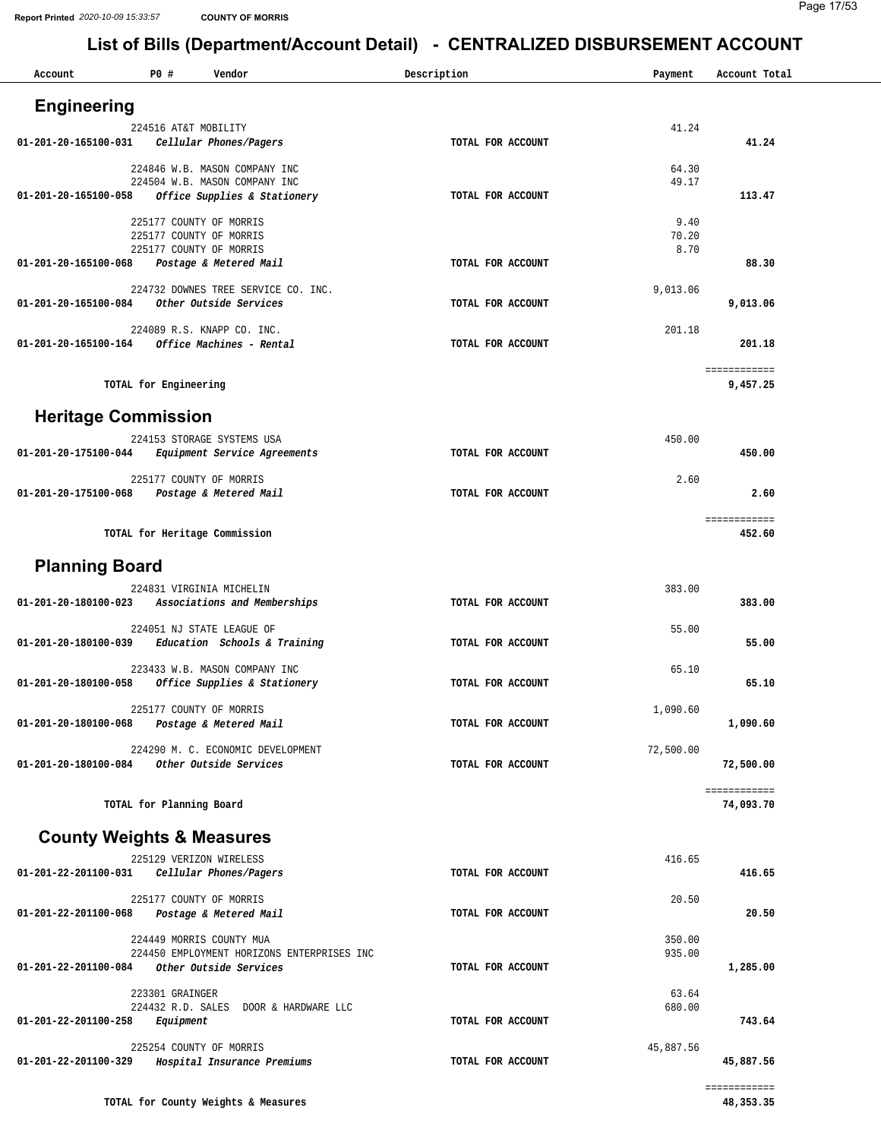| Account                    | P0# | Vendor                                                        | Description       | Payment       | Account Total |
|----------------------------|-----|---------------------------------------------------------------|-------------------|---------------|---------------|
| <b>Engineering</b>         |     |                                                               |                   |               |               |
|                            |     | 224516 AT&T MOBILITY                                          |                   | 41.24         |               |
| 01-201-20-165100-031       |     | Cellular Phones/Pagers                                        | TOTAL FOR ACCOUNT |               | 41.24         |
|                            |     | 224846 W.B. MASON COMPANY INC                                 |                   | 64.30         |               |
|                            |     | 224504 W.B. MASON COMPANY INC                                 |                   | 49.17         |               |
| 01-201-20-165100-058       |     | Office Supplies & Stationery                                  | TOTAL FOR ACCOUNT |               | 113.47        |
|                            |     | 225177 COUNTY OF MORRIS                                       |                   | 9.40          |               |
|                            |     | 225177 COUNTY OF MORRIS<br>225177 COUNTY OF MORRIS            |                   | 70.20<br>8.70 |               |
| 01-201-20-165100-068       |     | Postage & Metered Mail                                        | TOTAL FOR ACCOUNT |               | 88.30         |
|                            |     |                                                               |                   |               |               |
| 01-201-20-165100-084       |     | 224732 DOWNES TREE SERVICE CO. INC.<br>Other Outside Services | TOTAL FOR ACCOUNT | 9,013.06      | 9,013.06      |
|                            |     |                                                               |                   |               |               |
|                            |     | 224089 R.S. KNAPP CO. INC.                                    |                   | 201.18        |               |
| 01-201-20-165100-164       |     | Office Machines - Rental                                      | TOTAL FOR ACCOUNT |               | 201.18        |
|                            |     |                                                               |                   |               | ============  |
|                            |     | TOTAL for Engineering                                         |                   |               | 9,457.25      |
| <b>Heritage Commission</b> |     |                                                               |                   |               |               |
|                            |     |                                                               |                   |               |               |
| 01-201-20-175100-044       |     | 224153 STORAGE SYSTEMS USA<br>Equipment Service Agreements    | TOTAL FOR ACCOUNT | 450.00        | 450.00        |
|                            |     |                                                               |                   |               |               |
|                            |     | 225177 COUNTY OF MORRIS                                       |                   | 2.60          | 2.60          |
| 01-201-20-175100-068       |     | Postage & Metered Mail                                        | TOTAL FOR ACCOUNT |               |               |
|                            |     |                                                               |                   |               | ============  |
|                            |     | TOTAL for Heritage Commission                                 |                   |               | 452.60        |
| <b>Planning Board</b>      |     |                                                               |                   |               |               |
|                            |     |                                                               |                   |               |               |
| 01-201-20-180100-023       |     | 224831 VIRGINIA MICHELIN<br>Associations and Memberships      | TOTAL FOR ACCOUNT | 383.00        | 383.00        |
|                            |     |                                                               |                   |               |               |
| 01-201-20-180100-039       |     | 224051 NJ STATE LEAGUE OF<br>Education Schools & Training     | TOTAL FOR ACCOUNT | 55.00         | 55.00         |
|                            |     |                                                               |                   |               |               |
|                            |     | 223433 W.B. MASON COMPANY INC                                 |                   | 65.10         |               |
| 01-201-20-180100-058       |     | Office Supplies & Stationery                                  | TOTAL FOR ACCOUNT |               | 65.10         |
|                            |     | 225177 COUNTY OF MORRIS                                       |                   | 1,090.60      |               |
| 01-201-20-180100-068       |     | Postage & Metered Mail                                        | TOTAL FOR ACCOUNT |               | 1,090.60      |
|                            |     | 224290 M. C. ECONOMIC DEVELOPMENT                             |                   | 72,500.00     |               |
| 01-201-20-180100-084       |     | Other Outside Services                                        | TOTAL FOR ACCOUNT |               | 72,500.00     |
|                            |     |                                                               |                   |               | ============  |
|                            |     | TOTAL for Planning Board                                      |                   |               | 74,093.70     |
|                            |     |                                                               |                   |               |               |
|                            |     | <b>County Weights &amp; Measures</b>                          |                   |               |               |
|                            |     | 225129 VERIZON WIRELESS                                       |                   | 416.65        |               |
| 01-201-22-201100-031       |     | Cellular Phones/Pagers                                        | TOTAL FOR ACCOUNT |               | 416.65        |
|                            |     | 225177 COUNTY OF MORRIS                                       |                   | 20.50         |               |
| 01-201-22-201100-068       |     | Postage & Metered Mail                                        | TOTAL FOR ACCOUNT |               | 20.50         |
|                            |     | 224449 MORRIS COUNTY MUA                                      |                   | 350.00        |               |
|                            |     | 224450 EMPLOYMENT HORIZONS ENTERPRISES INC                    |                   | 935.00        |               |
| 01-201-22-201100-084       |     | Other Outside Services                                        | TOTAL FOR ACCOUNT |               | 1,285.00      |
|                            |     | 223301 GRAINGER                                               |                   | 63.64         |               |
|                            |     | 224432 R.D. SALES DOOR & HARDWARE LLC                         |                   | 680.00        |               |
| 01-201-22-201100-258       |     | Equipment                                                     | TOTAL FOR ACCOUNT |               | 743.64        |
|                            |     | 225254 COUNTY OF MORRIS                                       |                   | 45,887.56     |               |
| 01-201-22-201100-329       |     | Hospital Insurance Premiums                                   | TOTAL FOR ACCOUNT |               | 45,887.56     |
|                            |     |                                                               |                   |               | ============  |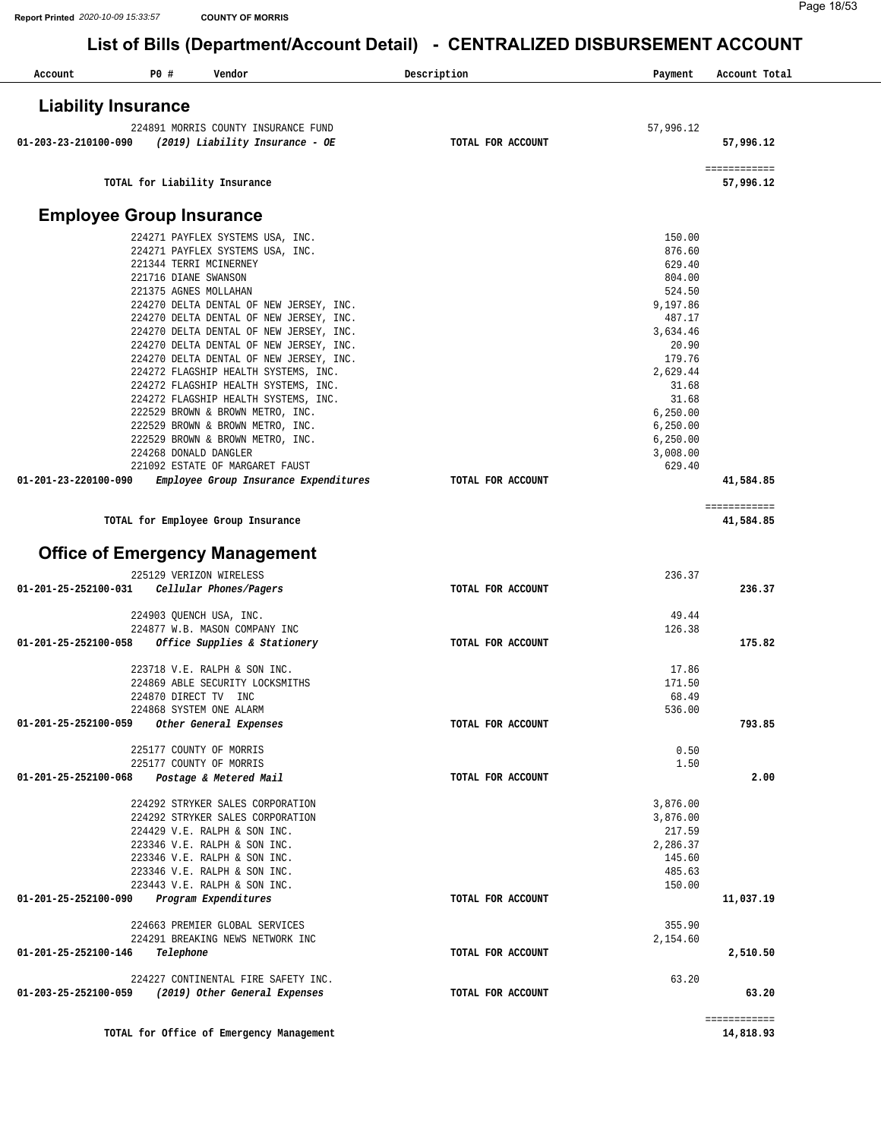| Account              | P0 #                            | Vendor                                                                                                                                                                                                                                                                                                                                  | Description       | Payment                                                                                          | Account Total             |
|----------------------|---------------------------------|-----------------------------------------------------------------------------------------------------------------------------------------------------------------------------------------------------------------------------------------------------------------------------------------------------------------------------------------|-------------------|--------------------------------------------------------------------------------------------------|---------------------------|
|                      | <b>Liability Insurance</b>      |                                                                                                                                                                                                                                                                                                                                         |                   |                                                                                                  |                           |
| 01-203-23-210100-090 |                                 | 224891 MORRIS COUNTY INSURANCE FUND<br>(2019) Liability Insurance - OE                                                                                                                                                                                                                                                                  | TOTAL FOR ACCOUNT | 57,996.12                                                                                        | 57,996.12                 |
|                      |                                 | TOTAL for Liability Insurance                                                                                                                                                                                                                                                                                                           |                   |                                                                                                  | ============<br>57,996.12 |
|                      | <b>Employee Group Insurance</b> |                                                                                                                                                                                                                                                                                                                                         |                   |                                                                                                  |                           |
|                      | 221716 DIANE SWANSON            | 224271 PAYFLEX SYSTEMS USA, INC.<br>224271 PAYFLEX SYSTEMS USA, INC.<br>221344 TERRI MCINERNEY<br>221375 AGNES MOLLAHAN<br>224270 DELTA DENTAL OF NEW JERSEY, INC.<br>224270 DELTA DENTAL OF NEW JERSEY, INC.<br>224270 DELTA DENTAL OF NEW JERSEY, INC.<br>224270 DELTA DENTAL OF NEW JERSEY, INC.                                     |                   | 150.00<br>876.60<br>629.40<br>804.00<br>524.50<br>9,197.86<br>487.17<br>3,634.46<br>20.90        |                           |
|                      |                                 | 224270 DELTA DENTAL OF NEW JERSEY, INC.<br>224272 FLAGSHIP HEALTH SYSTEMS, INC.<br>224272 FLAGSHIP HEALTH SYSTEMS, INC.<br>224272 FLAGSHIP HEALTH SYSTEMS, INC.<br>222529 BROWN & BROWN METRO, INC.<br>222529 BROWN & BROWN METRO, INC.<br>222529 BROWN & BROWN METRO, INC.<br>224268 DONALD DANGLER<br>221092 ESTATE OF MARGARET FAUST |                   | 179.76<br>2,629.44<br>31.68<br>31.68<br>6, 250.00<br>6, 250.00<br>6,250.00<br>3,008.00<br>629.40 |                           |
| 01-201-23-220100-090 |                                 | Employee Group Insurance Expenditures                                                                                                                                                                                                                                                                                                   | TOTAL FOR ACCOUNT |                                                                                                  | 41,584.85                 |
|                      |                                 | TOTAL for Employee Group Insurance<br><b>Office of Emergency Management</b>                                                                                                                                                                                                                                                             |                   |                                                                                                  | ============<br>41,584.85 |
| 01-201-25-252100-031 |                                 | 225129 VERIZON WIRELESS<br>Cellular Phones/Pagers                                                                                                                                                                                                                                                                                       | TOTAL FOR ACCOUNT | 236.37                                                                                           | 236.37                    |
|                      |                                 | 224903 QUENCH USA, INC.<br>224877 W.B. MASON COMPANY INC                                                                                                                                                                                                                                                                                |                   | 49.44<br>126.38                                                                                  |                           |
| 01-201-25-252100-058 |                                 | Office Supplies & Stationery                                                                                                                                                                                                                                                                                                            | TOTAL FOR ACCOUNT |                                                                                                  | 175.82                    |
| 01-201-25-252100-059 |                                 | 223718 V.E. RALPH & SON INC.<br>224869 ABLE SECURITY LOCKSMITHS<br>224870 DIRECT TV INC<br>224868 SYSTEM ONE ALARM<br>Other General Expenses                                                                                                                                                                                            | TOTAL FOR ACCOUNT | 17.86<br>171.50<br>68.49<br>536.00                                                               | 793.85                    |
|                      |                                 | 225177 COUNTY OF MORRIS<br>225177 COUNTY OF MORRIS                                                                                                                                                                                                                                                                                      |                   | 0.50<br>1.50                                                                                     |                           |
| 01-201-25-252100-068 |                                 | Postage & Metered Mail                                                                                                                                                                                                                                                                                                                  | TOTAL FOR ACCOUNT |                                                                                                  | 2.00                      |
|                      |                                 | 224292 STRYKER SALES CORPORATION<br>224292 STRYKER SALES CORPORATION<br>224429 V.E. RALPH & SON INC.<br>223346 V.E. RALPH & SON INC.<br>223346 V.E. RALPH & SON INC.<br>223346 V.E. RALPH & SON INC.<br>223443 V.E. RALPH & SON INC.                                                                                                    |                   | 3,876.00<br>3,876.00<br>217.59<br>2,286.37<br>145.60<br>485.63<br>150.00                         |                           |
| 01-201-25-252100-090 |                                 | Program Expenditures<br>224663 PREMIER GLOBAL SERVICES                                                                                                                                                                                                                                                                                  | TOTAL FOR ACCOUNT | 355.90                                                                                           | 11,037.19                 |
| 01-201-25-252100-146 | Telephone                       | 224291 BREAKING NEWS NETWORK INC                                                                                                                                                                                                                                                                                                        | TOTAL FOR ACCOUNT | 2,154.60                                                                                         | 2,510.50                  |
| 01-203-25-252100-059 |                                 | 224227 CONTINENTAL FIRE SAFETY INC.<br>(2019) Other General Expenses                                                                                                                                                                                                                                                                    | TOTAL FOR ACCOUNT | 63.20                                                                                            | 63.20                     |
|                      |                                 | TOTAL for Office of Emergency Management                                                                                                                                                                                                                                                                                                |                   |                                                                                                  | ============<br>14,818.93 |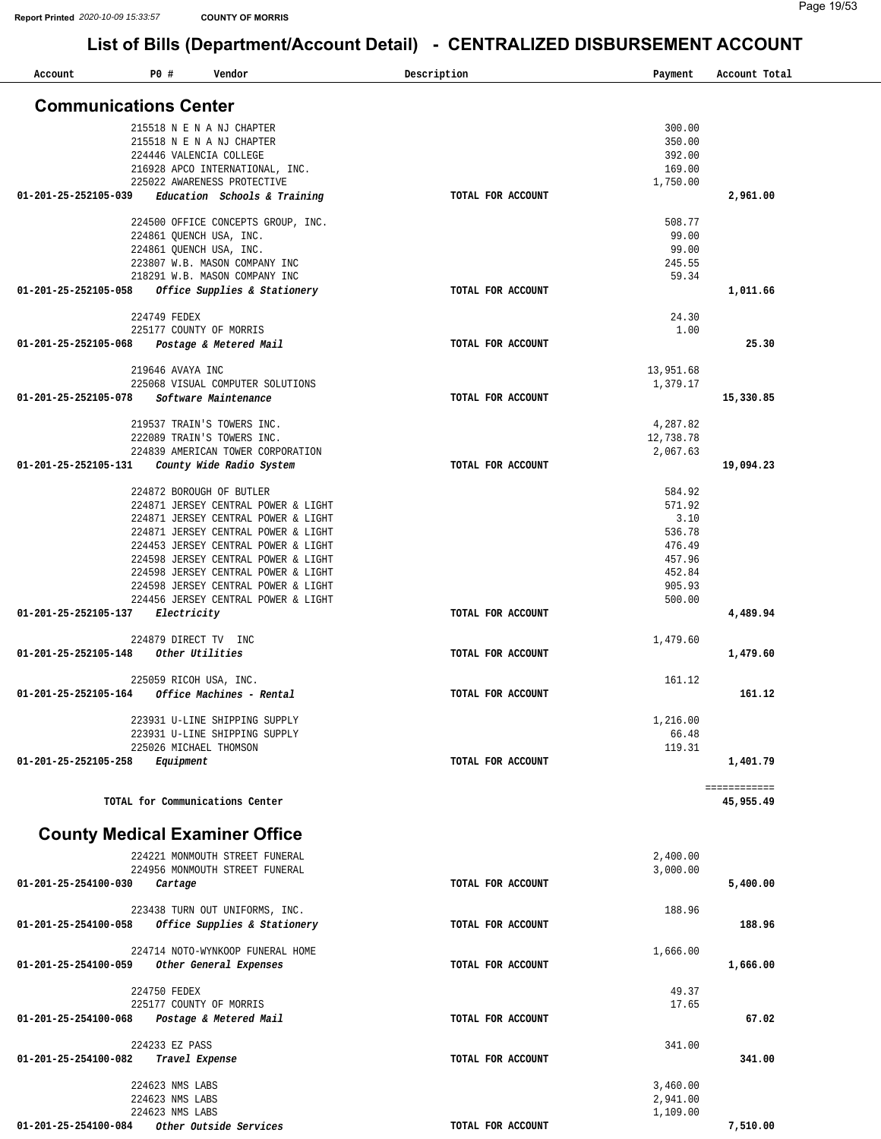| Account              | P0#<br>Vendor                         | Description       | Payment   | Account Total |
|----------------------|---------------------------------------|-------------------|-----------|---------------|
|                      | <b>Communications Center</b>          |                   |           |               |
|                      |                                       |                   |           |               |
|                      | 215518 N E N A NJ CHAPTER             |                   | 300.00    |               |
|                      | 215518 N E N A NJ CHAPTER             |                   | 350.00    |               |
|                      | 224446 VALENCIA COLLEGE               |                   | 392.00    |               |
|                      | 216928 APCO INTERNATIONAL, INC.       |                   | 169.00    |               |
|                      | 225022 AWARENESS PROTECTIVE           |                   | 1,750.00  |               |
| 01-201-25-252105-039 | Education Schools & Training          | TOTAL FOR ACCOUNT |           | 2,961.00      |
|                      |                                       |                   |           |               |
|                      | 224500 OFFICE CONCEPTS GROUP, INC.    |                   | 508.77    |               |
|                      | 224861 QUENCH USA, INC.               |                   | 99.00     |               |
|                      | 224861 QUENCH USA, INC.               |                   | 99.00     |               |
|                      | 223807 W.B. MASON COMPANY INC         |                   | 245.55    |               |
|                      | 218291 W.B. MASON COMPANY INC         |                   | 59.34     |               |
| 01-201-25-252105-058 | Office Supplies & Stationery          | TOTAL FOR ACCOUNT |           | 1,011.66      |
|                      | 224749 FEDEX                          |                   | 24.30     |               |
|                      | 225177 COUNTY OF MORRIS               |                   | 1.00      |               |
| 01-201-25-252105-068 | Postage & Metered Mail                | TOTAL FOR ACCOUNT |           | 25.30         |
|                      |                                       |                   |           |               |
|                      | 219646 AVAYA INC                      |                   | 13,951.68 |               |
|                      | 225068 VISUAL COMPUTER SOLUTIONS      |                   | 1,379.17  |               |
| 01-201-25-252105-078 | Software Maintenance                  | TOTAL FOR ACCOUNT |           | 15,330.85     |
|                      |                                       |                   |           |               |
|                      | 219537 TRAIN'S TOWERS INC.            |                   | 4,287.82  |               |
|                      | 222089 TRAIN'S TOWERS INC.            |                   | 12,738.78 |               |
|                      | 224839 AMERICAN TOWER CORPORATION     |                   | 2,067.63  |               |
| 01-201-25-252105-131 | County Wide Radio System              | TOTAL FOR ACCOUNT |           | 19,094.23     |
|                      |                                       |                   |           |               |
|                      | 224872 BOROUGH OF BUTLER              |                   | 584.92    |               |
|                      | 224871 JERSEY CENTRAL POWER & LIGHT   |                   | 571.92    |               |
|                      | 224871 JERSEY CENTRAL POWER & LIGHT   |                   | 3.10      |               |
|                      | 224871 JERSEY CENTRAL POWER & LIGHT   |                   | 536.78    |               |
|                      | 224453 JERSEY CENTRAL POWER & LIGHT   |                   | 476.49    |               |
|                      | 224598 JERSEY CENTRAL POWER & LIGHT   |                   | 457.96    |               |
|                      | 224598 JERSEY CENTRAL POWER & LIGHT   |                   | 452.84    |               |
|                      | 224598 JERSEY CENTRAL POWER & LIGHT   |                   | 905.93    |               |
|                      | 224456 JERSEY CENTRAL POWER & LIGHT   |                   | 500.00    |               |
| 01-201-25-252105-137 | Electricity                           | TOTAL FOR ACCOUNT |           | 4,489.94      |
|                      |                                       |                   |           |               |
|                      | 224879 DIRECT TV INC                  |                   | 1,479.60  |               |
| 01-201-25-252105-148 | Other Utilities                       | TOTAL FOR ACCOUNT |           | 1,479.60      |
|                      |                                       |                   |           |               |
|                      | 225059 RICOH USA, INC.                |                   | 161.12    |               |
| 01-201-25-252105-164 | Office Machines - Rental              | TOTAL FOR ACCOUNT |           | 161.12        |
|                      |                                       |                   |           |               |
|                      | 223931 U-LINE SHIPPING SUPPLY         |                   | 1,216.00  |               |
|                      | 223931 U-LINE SHIPPING SUPPLY         |                   | 66.48     |               |
|                      | 225026 MICHAEL THOMSON                |                   | 119.31    |               |
| 01-201-25-252105-258 | Equipment                             | TOTAL FOR ACCOUNT |           | 1,401.79      |
|                      |                                       |                   |           |               |
|                      |                                       |                   |           | ============  |
|                      | TOTAL for Communications Center       |                   |           | 45,955.49     |
|                      |                                       |                   |           |               |
|                      | <b>County Medical Examiner Office</b> |                   |           |               |
|                      |                                       |                   |           |               |
|                      | 224221 MONMOUTH STREET FUNERAL        |                   | 2,400.00  |               |
|                      | 224956 MONMOUTH STREET FUNERAL        |                   | 3,000.00  |               |
| 01-201-25-254100-030 | Cartage                               | TOTAL FOR ACCOUNT |           | 5,400.00      |
|                      |                                       |                   |           |               |
|                      | 223438 TURN OUT UNIFORMS, INC.        |                   | 188.96    |               |
| 01-201-25-254100-058 | Office Supplies & Stationery          | TOTAL FOR ACCOUNT |           | 188.96        |
|                      |                                       |                   |           |               |
|                      | 224714 NOTO-WYNKOOP FUNERAL HOME      |                   | 1,666.00  |               |
| 01-201-25-254100-059 | Other General Expenses                | TOTAL FOR ACCOUNT |           | 1,666.00      |
|                      | 224750 FEDEX                          |                   | 49.37     |               |
|                      | 225177 COUNTY OF MORRIS               |                   | 17.65     |               |
| 01-201-25-254100-068 | Postage & Metered Mail                | TOTAL FOR ACCOUNT |           | 67.02         |
|                      |                                       |                   |           |               |
|                      | 224233 EZ PASS                        |                   | 341.00    |               |
| 01-201-25-254100-082 | Travel Expense                        | TOTAL FOR ACCOUNT |           | 341.00        |
|                      |                                       |                   |           |               |
|                      | 224623 NMS LABS                       |                   | 3,460.00  |               |
|                      | 224623 NMS LABS                       |                   | 2,941.00  |               |
|                      | 224623 NMS LABS                       |                   | 1,109.00  |               |
| 01-201-25-254100-084 | Other Outside Services                | TOTAL FOR ACCOUNT |           | 7,510.00      |
|                      |                                       |                   |           |               |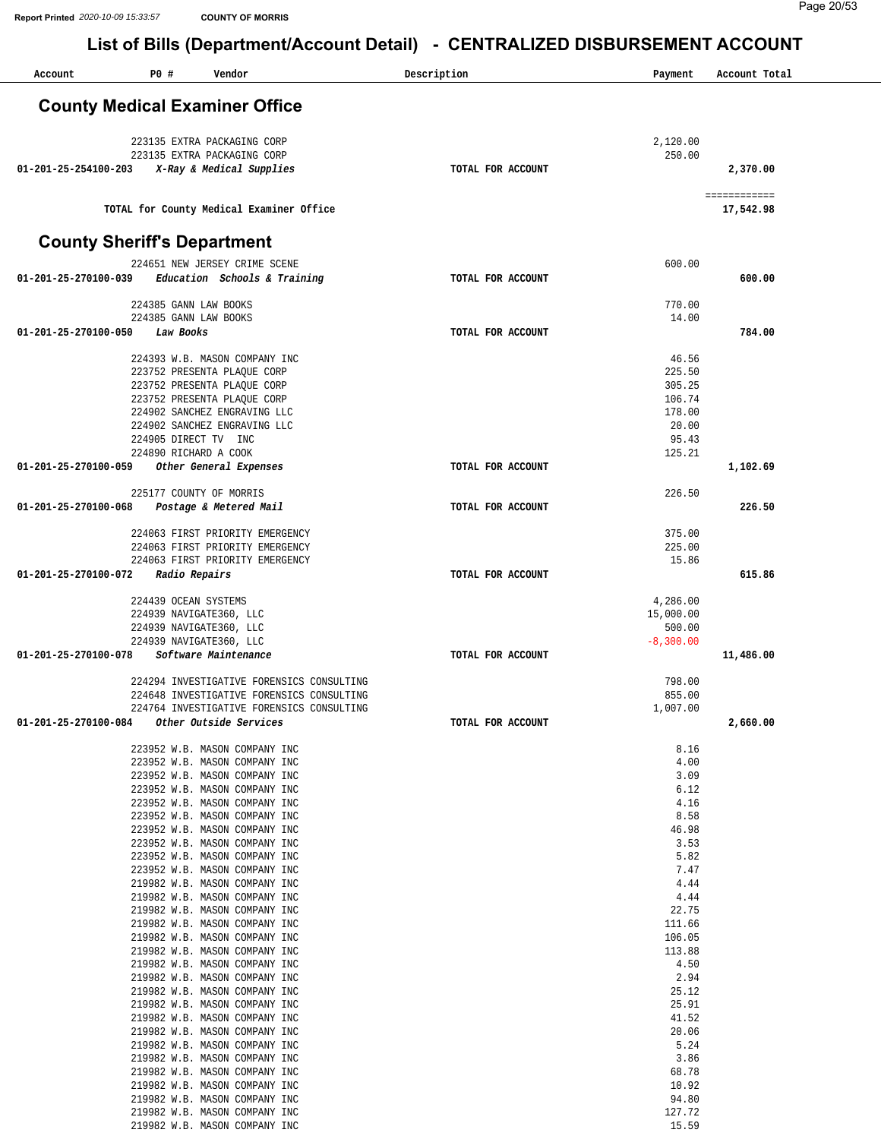| P0 #<br>Account                       | Vendor                                                                                 | Description       | Payment            | Account Total             |
|---------------------------------------|----------------------------------------------------------------------------------------|-------------------|--------------------|---------------------------|
| <b>County Medical Examiner Office</b> |                                                                                        |                   |                    |                           |
|                                       |                                                                                        |                   |                    |                           |
|                                       | 223135 EXTRA PACKAGING CORP                                                            |                   | 2,120.00           |                           |
| 01-201-25-254100-203                  | 223135 EXTRA PACKAGING CORP<br>X-Ray & Medical Supplies                                | TOTAL FOR ACCOUNT | 250.00             | 2,370.00                  |
|                                       |                                                                                        |                   |                    |                           |
|                                       | TOTAL for County Medical Examiner Office                                               |                   |                    | ============<br>17,542.98 |
|                                       |                                                                                        |                   |                    |                           |
| <b>County Sheriff's Department</b>    |                                                                                        |                   |                    |                           |
| 01-201-25-270100-039                  | 224651 NEW JERSEY CRIME SCENE<br>Education Schools & Training                          | TOTAL FOR ACCOUNT | 600.00             | 600.00                    |
|                                       |                                                                                        |                   |                    |                           |
|                                       | 224385 GANN LAW BOOKS<br>224385 GANN LAW BOOKS                                         |                   | 770.00<br>14.00    |                           |
| 01-201-25-270100-050<br>Law Books     |                                                                                        | TOTAL FOR ACCOUNT |                    | 784.00                    |
|                                       |                                                                                        |                   |                    |                           |
|                                       | 224393 W.B. MASON COMPANY INC<br>223752 PRESENTA PLAQUE CORP                           |                   | 46.56<br>225.50    |                           |
|                                       | 223752 PRESENTA PLAQUE CORP                                                            |                   | 305.25             |                           |
|                                       | 223752 PRESENTA PLAQUE CORP                                                            |                   | 106.74             |                           |
|                                       | 224902 SANCHEZ ENGRAVING LLC<br>224902 SANCHEZ ENGRAVING LLC                           |                   | 178.00<br>20.00    |                           |
|                                       | 224905 DIRECT TV INC                                                                   |                   | 95.43              |                           |
|                                       | 224890 RICHARD A COOK                                                                  |                   | 125.21             |                           |
| 01-201-25-270100-059                  | Other General Expenses                                                                 | TOTAL FOR ACCOUNT |                    | 1,102.69                  |
|                                       | 225177 COUNTY OF MORRIS                                                                |                   | 226.50             |                           |
| 01-201-25-270100-068                  | Postage & Metered Mail                                                                 | TOTAL FOR ACCOUNT |                    | 226.50                    |
|                                       | 224063 FIRST PRIORITY EMERGENCY                                                        |                   | 375.00             |                           |
|                                       | 224063 FIRST PRIORITY EMERGENCY                                                        |                   | 225.00             |                           |
|                                       | 224063 FIRST PRIORITY EMERGENCY                                                        |                   | 15.86              |                           |
| 01-201-25-270100-072                  | Radio Repairs                                                                          | TOTAL FOR ACCOUNT |                    | 615.86                    |
| 224439 OCEAN SYSTEMS                  |                                                                                        |                   | 4,286.00           |                           |
|                                       | 224939 NAVIGATE360, LLC                                                                |                   | 15,000.00          |                           |
|                                       | 224939 NAVIGATE360, LLC                                                                |                   | 500.00             |                           |
| 01-201-25-270100-078                  | 224939 NAVIGATE360, LLC<br>Software Maintenance                                        | TOTAL FOR ACCOUNT | $-8,300.00$        | 11,486.00                 |
|                                       |                                                                                        |                   |                    |                           |
|                                       | 224294 INVESTIGATIVE FORENSICS CONSULTING                                              |                   | 798.00             |                           |
|                                       | 224648 INVESTIGATIVE FORENSICS CONSULTING<br>224764 INVESTIGATIVE FORENSICS CONSULTING |                   | 855.00<br>1,007.00 |                           |
| 01-201-25-270100-084                  | Other Outside Services                                                                 | TOTAL FOR ACCOUNT |                    | 2,660.00                  |
|                                       |                                                                                        |                   |                    |                           |
|                                       | 223952 W.B. MASON COMPANY INC<br>223952 W.B. MASON COMPANY INC                         |                   | 8.16<br>4.00       |                           |
|                                       | 223952 W.B. MASON COMPANY INC                                                          |                   | 3.09               |                           |
|                                       | 223952 W.B. MASON COMPANY INC                                                          |                   | 6.12               |                           |
|                                       | 223952 W.B. MASON COMPANY INC<br>223952 W.B. MASON COMPANY INC                         |                   | 4.16<br>8.58       |                           |
|                                       | 223952 W.B. MASON COMPANY INC                                                          |                   | 46.98              |                           |
|                                       | 223952 W.B. MASON COMPANY INC                                                          |                   | 3.53               |                           |
|                                       | 223952 W.B. MASON COMPANY INC<br>223952 W.B. MASON COMPANY INC                         |                   | 5.82<br>7.47       |                           |
|                                       | 219982 W.B. MASON COMPANY INC                                                          |                   | 4.44               |                           |
|                                       | 219982 W.B. MASON COMPANY INC                                                          |                   | 4.44               |                           |
|                                       | 219982 W.B. MASON COMPANY INC                                                          |                   | 22.75              |                           |
|                                       | 219982 W.B. MASON COMPANY INC<br>219982 W.B. MASON COMPANY INC                         |                   | 111.66<br>106.05   |                           |
|                                       | 219982 W.B. MASON COMPANY INC                                                          |                   | 113.88             |                           |
|                                       | 219982 W.B. MASON COMPANY INC                                                          |                   | 4.50               |                           |
|                                       | 219982 W.B. MASON COMPANY INC<br>219982 W.B. MASON COMPANY INC                         |                   | 2.94<br>25.12      |                           |
|                                       | 219982 W.B. MASON COMPANY INC                                                          |                   | 25.91              |                           |
|                                       | 219982 W.B. MASON COMPANY INC                                                          |                   | 41.52              |                           |
|                                       | 219982 W.B. MASON COMPANY INC                                                          |                   | 20.06              |                           |
|                                       | 219982 W.B. MASON COMPANY INC<br>219982 W.B. MASON COMPANY INC                         |                   | 5.24<br>3.86       |                           |
|                                       | 219982 W.B. MASON COMPANY INC                                                          |                   | 68.78              |                           |
|                                       | 219982 W.B. MASON COMPANY INC                                                          |                   | 10.92              |                           |
|                                       | 219982 W.B. MASON COMPANY INC                                                          |                   | 94.80              |                           |
|                                       | 219982 W.B. MASON COMPANY INC<br>219982 W.B. MASON COMPANY INC                         |                   | 127.72<br>15.59    |                           |
|                                       |                                                                                        |                   |                    |                           |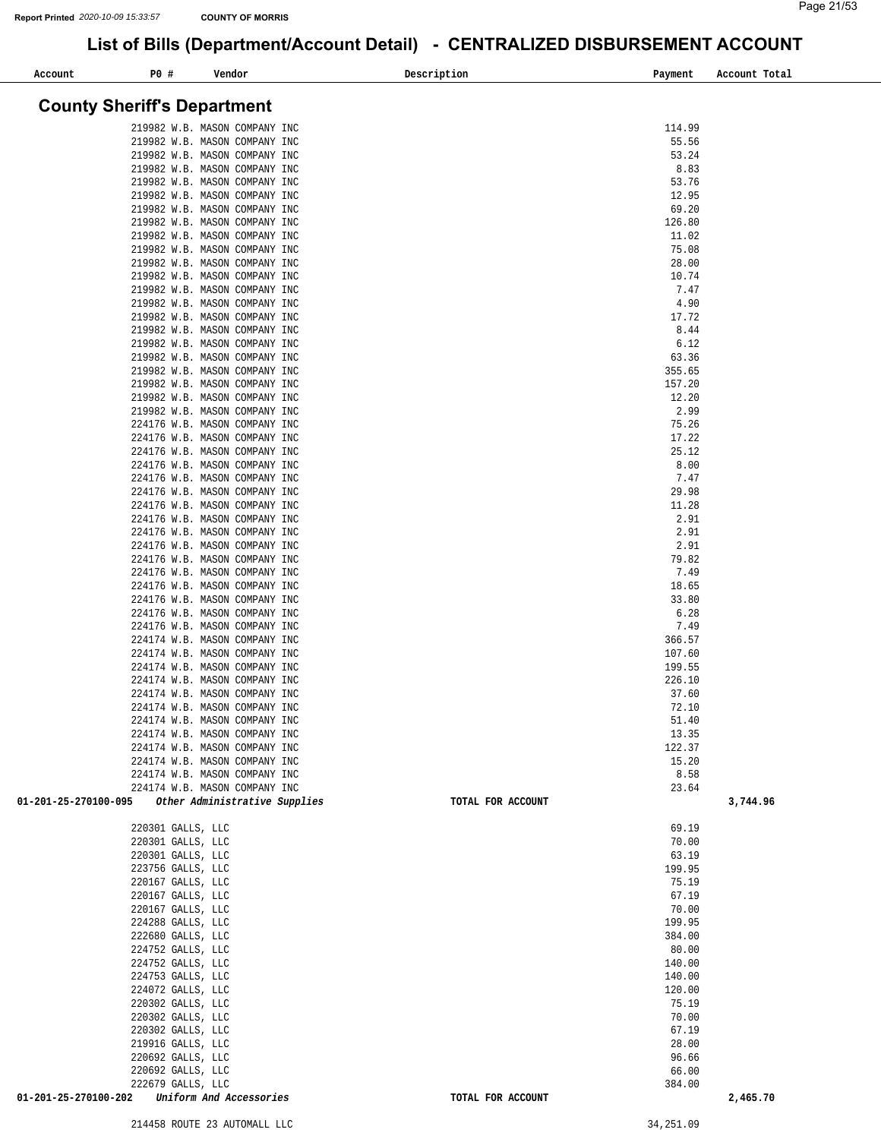| Account                            | P0 #                                   | Vendor                                                         | Description       | Payment          | Account Total |
|------------------------------------|----------------------------------------|----------------------------------------------------------------|-------------------|------------------|---------------|
| <b>County Sheriff's Department</b> |                                        |                                                                |                   |                  |               |
|                                    |                                        |                                                                |                   |                  |               |
|                                    |                                        | 219982 W.B. MASON COMPANY INC<br>219982 W.B. MASON COMPANY INC |                   | 114.99<br>55.56  |               |
|                                    |                                        | 219982 W.B. MASON COMPANY INC                                  |                   | 53.24            |               |
|                                    |                                        | 219982 W.B. MASON COMPANY INC                                  |                   | 8.83             |               |
|                                    |                                        | 219982 W.B. MASON COMPANY INC                                  |                   | 53.76            |               |
|                                    |                                        | 219982 W.B. MASON COMPANY INC                                  |                   | 12.95            |               |
|                                    |                                        | 219982 W.B. MASON COMPANY INC<br>219982 W.B. MASON COMPANY INC |                   | 69.20<br>126.80  |               |
|                                    |                                        | 219982 W.B. MASON COMPANY INC                                  |                   | 11.02            |               |
|                                    |                                        | 219982 W.B. MASON COMPANY INC                                  |                   | 75.08            |               |
|                                    |                                        | 219982 W.B. MASON COMPANY INC                                  |                   | 28.00            |               |
|                                    |                                        | 219982 W.B. MASON COMPANY INC                                  |                   | 10.74            |               |
|                                    |                                        | 219982 W.B. MASON COMPANY INC                                  |                   | 7.47             |               |
|                                    |                                        | 219982 W.B. MASON COMPANY INC<br>219982 W.B. MASON COMPANY INC |                   | 4.90<br>17.72    |               |
|                                    |                                        | 219982 W.B. MASON COMPANY INC                                  |                   | 8.44             |               |
|                                    |                                        | 219982 W.B. MASON COMPANY INC                                  |                   | 6.12             |               |
|                                    |                                        | 219982 W.B. MASON COMPANY INC                                  |                   | 63.36            |               |
|                                    |                                        | 219982 W.B. MASON COMPANY INC                                  |                   | 355.65           |               |
|                                    |                                        | 219982 W.B. MASON COMPANY INC                                  |                   | 157.20           |               |
|                                    |                                        | 219982 W.B. MASON COMPANY INC<br>219982 W.B. MASON COMPANY INC |                   | 12.20<br>2.99    |               |
|                                    |                                        | 224176 W.B. MASON COMPANY INC                                  |                   | 75.26            |               |
|                                    |                                        | 224176 W.B. MASON COMPANY INC                                  |                   | 17.22            |               |
|                                    |                                        | 224176 W.B. MASON COMPANY INC                                  |                   | 25.12            |               |
|                                    |                                        | 224176 W.B. MASON COMPANY INC                                  |                   | 8.00             |               |
|                                    |                                        | 224176 W.B. MASON COMPANY INC                                  |                   | 7.47             |               |
|                                    |                                        | 224176 W.B. MASON COMPANY INC<br>224176 W.B. MASON COMPANY INC |                   | 29.98<br>11.28   |               |
|                                    |                                        | 224176 W.B. MASON COMPANY INC                                  |                   | 2.91             |               |
|                                    |                                        | 224176 W.B. MASON COMPANY INC                                  |                   | 2.91             |               |
|                                    |                                        | 224176 W.B. MASON COMPANY INC                                  |                   | 2.91             |               |
|                                    |                                        | 224176 W.B. MASON COMPANY INC                                  |                   | 79.82            |               |
|                                    |                                        | 224176 W.B. MASON COMPANY INC                                  |                   | 7.49             |               |
|                                    |                                        | 224176 W.B. MASON COMPANY INC<br>224176 W.B. MASON COMPANY INC |                   | 18.65<br>33.80   |               |
|                                    |                                        | 224176 W.B. MASON COMPANY INC                                  |                   | 6.28             |               |
|                                    |                                        | 224176 W.B. MASON COMPANY INC                                  |                   | 7.49             |               |
|                                    |                                        | 224174 W.B. MASON COMPANY INC                                  |                   | 366.57           |               |
|                                    |                                        | 224174 W.B. MASON COMPANY INC                                  |                   | 107.60           |               |
|                                    |                                        | 224174 W.B. MASON COMPANY INC<br>224174 W.B. MASON COMPANY INC |                   | 199.55<br>226.10 |               |
|                                    |                                        | 224174 W.B. MASON COMPANY INC                                  |                   | 37.60            |               |
|                                    |                                        | 224174 W.B. MASON COMPANY INC                                  |                   | 72.10            |               |
|                                    |                                        | 224174 W.B. MASON COMPANY INC                                  |                   | 51.40            |               |
|                                    |                                        | 224174 W.B. MASON COMPANY INC                                  |                   | 13.35            |               |
|                                    |                                        | 224174 W.B. MASON COMPANY INC                                  |                   | 122.37           |               |
|                                    |                                        | 224174 W.B. MASON COMPANY INC<br>224174 W.B. MASON COMPANY INC |                   | 15.20<br>8.58    |               |
|                                    |                                        | 224174 W.B. MASON COMPANY INC                                  |                   | 23.64            |               |
| 01-201-25-270100-095               |                                        | Other Administrative Supplies                                  | TOTAL FOR ACCOUNT |                  | 3,744.96      |
|                                    | 220301 GALLS, LLC                      |                                                                |                   | 69.19            |               |
|                                    | 220301 GALLS, LLC                      |                                                                |                   | 70.00            |               |
|                                    | 220301 GALLS, LLC                      |                                                                |                   | 63.19            |               |
|                                    | 223756 GALLS, LLC<br>220167 GALLS, LLC |                                                                |                   | 199.95<br>75.19  |               |
|                                    | 220167 GALLS, LLC                      |                                                                |                   | 67.19            |               |
|                                    | 220167 GALLS, LLC                      |                                                                |                   | 70.00            |               |
|                                    | 224288 GALLS, LLC                      |                                                                |                   | 199.95           |               |
|                                    | 222680 GALLS, LLC                      |                                                                |                   | 384.00           |               |
|                                    | 224752 GALLS, LLC                      |                                                                |                   | 80.00            |               |
|                                    | 224752 GALLS, LLC<br>224753 GALLS, LLC |                                                                |                   | 140.00<br>140.00 |               |
|                                    | 224072 GALLS, LLC                      |                                                                |                   | 120.00           |               |
|                                    | 220302 GALLS, LLC                      |                                                                |                   | 75.19            |               |
|                                    | 220302 GALLS, LLC                      |                                                                |                   | 70.00            |               |
|                                    | 220302 GALLS, LLC                      |                                                                |                   | 67.19            |               |
|                                    | 219916 GALLS, LLC<br>220692 GALLS, LLC |                                                                |                   | 28.00<br>96.66   |               |
|                                    | 220692 GALLS, LLC                      |                                                                |                   | 66.00            |               |
|                                    | 222679 GALLS, LLC                      |                                                                |                   | 384.00           |               |
| 01-201-25-270100-202               |                                        | Uniform And Accessories                                        | TOTAL FOR ACCOUNT |                  | 2,465.70      |
|                                    |                                        |                                                                |                   |                  |               |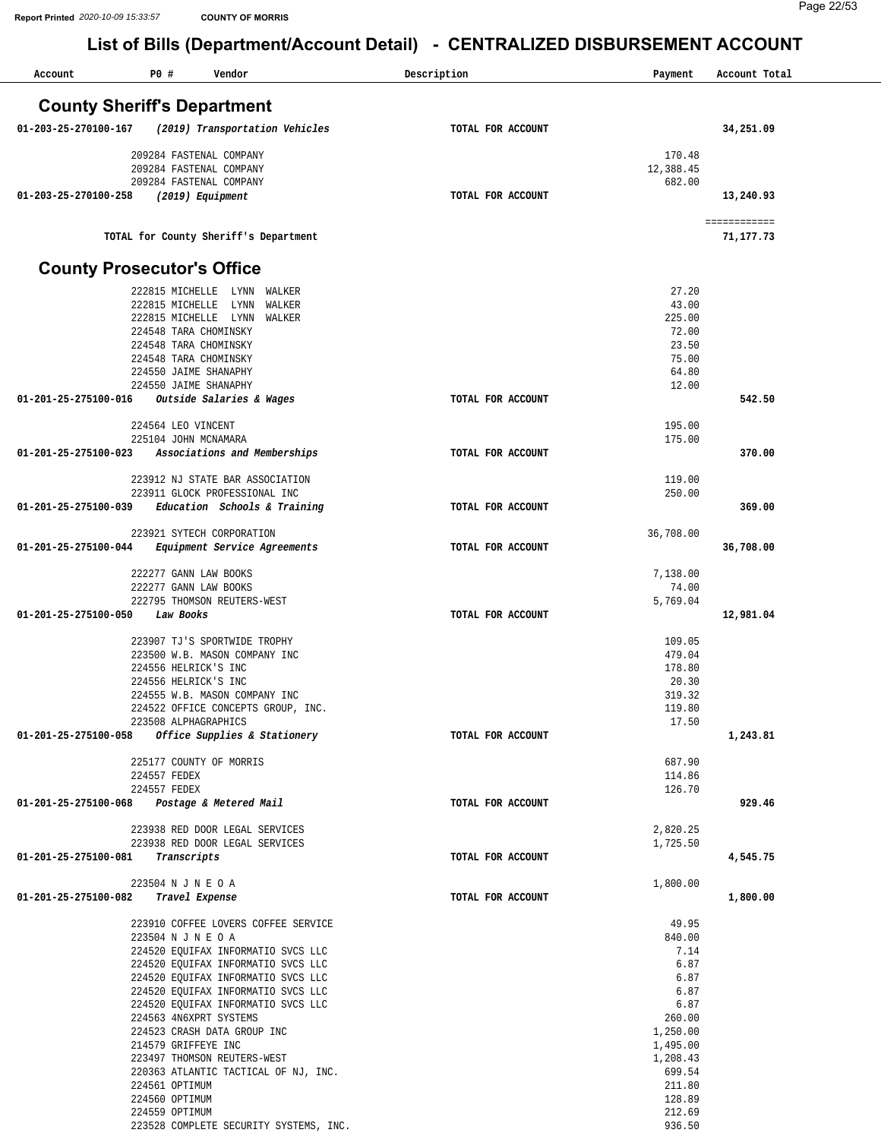| Account              | P0 #<br>Vendor                                                           | Description       | Payment             | Account Total |
|----------------------|--------------------------------------------------------------------------|-------------------|---------------------|---------------|
|                      | <b>County Sheriff's Department</b>                                       |                   |                     |               |
| 01-203-25-270100-167 | (2019) Transportation Vehicles                                           | TOTAL FOR ACCOUNT |                     | 34,251.09     |
|                      |                                                                          |                   |                     |               |
|                      | 209284 FASTENAL COMPANY<br>209284 FASTENAL COMPANY                       |                   | 170.48<br>12,388.45 |               |
|                      | 209284 FASTENAL COMPANY                                                  |                   | 682.00              |               |
| 01-203-25-270100-258 | (2019) Equipment                                                         | TOTAL FOR ACCOUNT |                     | 13,240.93     |
|                      |                                                                          |                   |                     | ============  |
|                      | TOTAL for County Sheriff's Department                                    |                   |                     | 71,177.73     |
|                      | <b>County Prosecutor's Office</b>                                        |                   |                     |               |
|                      | 222815 MICHELLE<br>LYNN WALKER<br>LYNN                                   |                   | 27.20<br>43.00      |               |
|                      | 222815 MICHELLE<br>WALKER<br>222815 MICHELLE LYNN<br>WALKER              |                   | 225.00              |               |
|                      | 224548 TARA CHOMINSKY                                                    |                   | 72.00               |               |
|                      | 224548 TARA CHOMINSKY                                                    |                   | 23.50               |               |
|                      | 224548 TARA CHOMINSKY                                                    |                   | 75.00               |               |
|                      | 224550 JAIME SHANAPHY<br>224550 JAIME SHANAPHY                           |                   | 64.80<br>12.00      |               |
| 01-201-25-275100-016 | Outside Salaries & Wages                                                 | TOTAL FOR ACCOUNT |                     | 542.50        |
|                      |                                                                          |                   |                     |               |
|                      | 224564 LEO VINCENT                                                       |                   | 195.00              |               |
| 01-201-25-275100-023 | 225104 JOHN MCNAMARA<br>Associations and Memberships                     | TOTAL FOR ACCOUNT | 175.00              | 370.00        |
|                      |                                                                          |                   |                     |               |
|                      | 223912 NJ STATE BAR ASSOCIATION                                          |                   | 119.00              |               |
|                      | 223911 GLOCK PROFESSIONAL INC                                            |                   | 250.00              |               |
| 01-201-25-275100-039 | Education Schools & Training                                             | TOTAL FOR ACCOUNT |                     | 369.00        |
|                      | 223921 SYTECH CORPORATION                                                |                   | 36,708.00           |               |
| 01-201-25-275100-044 | Equipment Service Agreements                                             | TOTAL FOR ACCOUNT |                     | 36,708.00     |
|                      | 222277 GANN LAW BOOKS                                                    |                   | 7,138.00            |               |
|                      | 222277 GANN LAW BOOKS                                                    |                   | 74.00               |               |
|                      | 222795 THOMSON REUTERS-WEST                                              |                   | 5,769.04            |               |
| 01-201-25-275100-050 | Law Books                                                                | TOTAL FOR ACCOUNT |                     | 12,981.04     |
|                      | 223907 TJ'S SPORTWIDE TROPHY                                             |                   | 109.05              |               |
|                      | 223500 W.B. MASON COMPANY INC                                            |                   | 479.04              |               |
|                      | 224556 HELRICK'S INC                                                     |                   | 178.80              |               |
|                      | 224556 HELRICK'S INC<br>224555 W.B. MASON COMPANY INC                    |                   | 20.30<br>319.32     |               |
|                      | 224522 OFFICE CONCEPTS GROUP, INC.                                       |                   | 119.80              |               |
|                      | 223508 ALPHAGRAPHICS                                                     |                   | 17.50               |               |
|                      | 01-201-25-275100-058 Office Supplies & Stationery                        | TOTAL FOR ACCOUNT |                     | 1,243.81      |
|                      | 225177 COUNTY OF MORRIS                                                  |                   | 687.90              |               |
|                      | 224557 FEDEX                                                             |                   | 114.86              |               |
|                      | 224557 FEDEX                                                             |                   | 126.70              |               |
|                      | 01-201-25-275100-068 Postage & Metered Mail                              | TOTAL FOR ACCOUNT |                     | 929.46        |
|                      | 223938 RED DOOR LEGAL SERVICES                                           |                   | 2,820.25            |               |
|                      | 223938 RED DOOR LEGAL SERVICES                                           |                   | 1,725.50            |               |
| 01-201-25-275100-081 | Transcripts                                                              | TOTAL FOR ACCOUNT |                     | 4,545.75      |
|                      | 223504 N J N E O A                                                       |                   | 1,800.00            |               |
|                      | 01-201-25-275100-082 Travel Expense                                      | TOTAL FOR ACCOUNT |                     | 1,800.00      |
|                      | 223910 COFFEE LOVERS COFFEE SERVICE                                      |                   | 49.95               |               |
|                      | 223504 N J N E O A                                                       |                   | 840.00              |               |
|                      | 224520 EQUIFAX INFORMATIO SVCS LLC                                       |                   | 7.14                |               |
|                      | 224520 EQUIFAX INFORMATIO SVCS LLC                                       |                   | 6.87                |               |
|                      | 224520 EQUIFAX INFORMATIO SVCS LLC<br>224520 EQUIFAX INFORMATIO SVCS LLC |                   | 6.87<br>6.87        |               |
|                      | 224520 EQUIFAX INFORMATIO SVCS LLC                                       |                   | 6.87                |               |
|                      | 224563 4N6XPRT SYSTEMS                                                   |                   | 260.00              |               |
|                      | 224523 CRASH DATA GROUP INC                                              |                   | 1,250.00            |               |
|                      | 214579 GRIFFEYE INC                                                      |                   | 1,495.00            |               |
|                      | 223497 THOMSON REUTERS-WEST<br>220363 ATLANTIC TACTICAL OF NJ, INC.      |                   | 1,208.43<br>699.54  |               |
|                      | 224561 OPTIMUM                                                           |                   | 211.80              |               |
|                      | 224560 OPTIMUM                                                           |                   | 128.89              |               |
|                      | 224559 OPTIMUM                                                           |                   | 212.69              |               |
|                      | 223528 COMPLETE SECURITY SYSTEMS, INC.                                   |                   | 936.50              |               |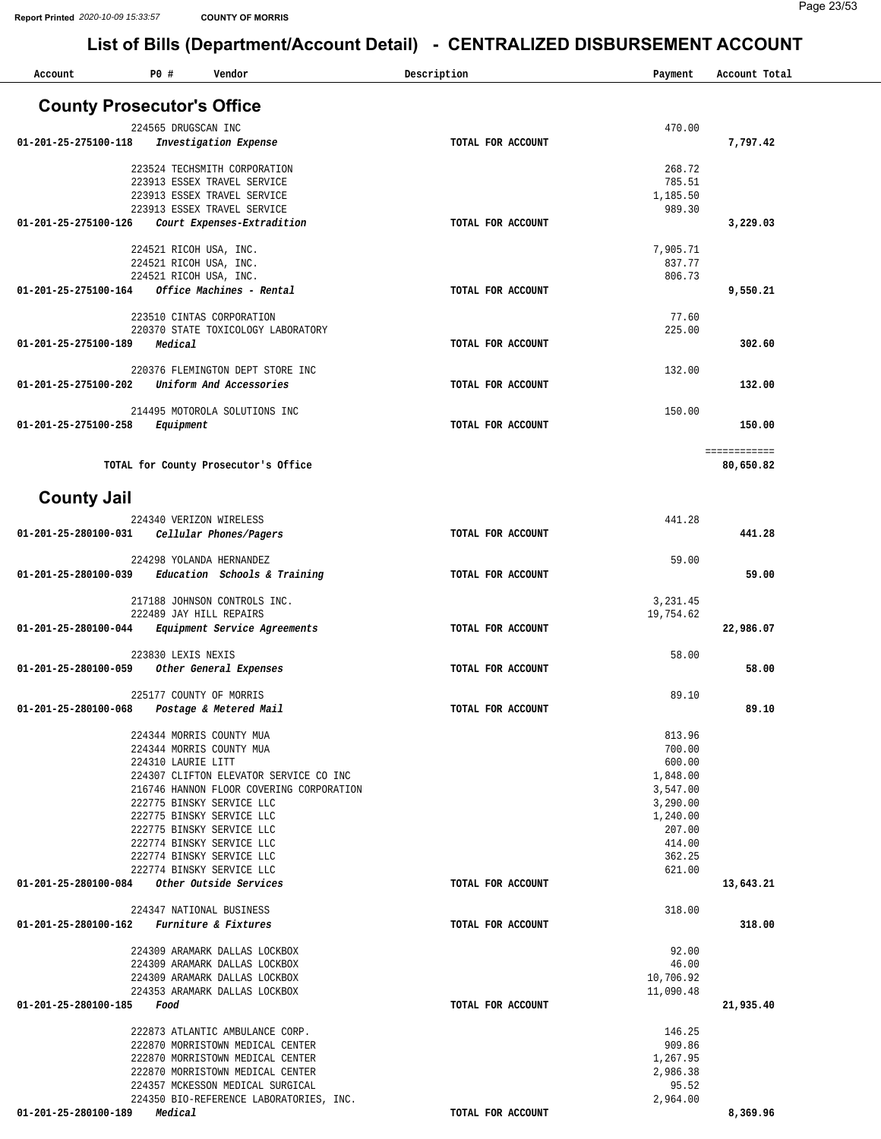| Account                                     | P0#                 | Vendor                                                               | Description       | Payment               | Account Total             |
|---------------------------------------------|---------------------|----------------------------------------------------------------------|-------------------|-----------------------|---------------------------|
| <b>County Prosecutor's Office</b>           |                     |                                                                      |                   |                       |                           |
|                                             | 224565 DRUGSCAN INC |                                                                      |                   | 470.00                |                           |
| 01-201-25-275100-118                        |                     | Investigation Expense                                                | TOTAL FOR ACCOUNT |                       | 7,797.42                  |
|                                             |                     | 223524 TECHSMITH CORPORATION                                         |                   | 268.72                |                           |
|                                             |                     | 223913 ESSEX TRAVEL SERVICE                                          |                   | 785.51                |                           |
|                                             |                     | 223913 ESSEX TRAVEL SERVICE                                          |                   | 1,185.50              |                           |
| 01-201-25-275100-126                        |                     | 223913 ESSEX TRAVEL SERVICE<br>Court Expenses-Extradition            | TOTAL FOR ACCOUNT | 989.30                | 3,229.03                  |
|                                             |                     |                                                                      |                   |                       |                           |
|                                             |                     | 224521 RICOH USA, INC.<br>224521 RICOH USA, INC.                     |                   | 7,905.71<br>837.77    |                           |
|                                             |                     | 224521 RICOH USA, INC.                                               |                   | 806.73                |                           |
| 01-201-25-275100-164                        |                     | Office Machines - Rental                                             | TOTAL FOR ACCOUNT |                       | 9,550.21                  |
|                                             |                     | 223510 CINTAS CORPORATION                                            |                   | 77.60                 |                           |
|                                             |                     | 220370 STATE TOXICOLOGY LABORATORY                                   |                   | 225.00                |                           |
| 01-201-25-275100-189                        | Medical             |                                                                      | TOTAL FOR ACCOUNT |                       | 302.60                    |
|                                             |                     | 220376 FLEMINGTON DEPT STORE INC                                     |                   | 132.00                |                           |
| $01 - 201 - 25 - 275100 - 202$              |                     | Uniform And Accessories                                              | TOTAL FOR ACCOUNT |                       | 132.00                    |
|                                             |                     |                                                                      |                   |                       |                           |
| 01-201-25-275100-258                        | Equipment           | 214495 MOTOROLA SOLUTIONS INC                                        | TOTAL FOR ACCOUNT | 150.00                | 150.00                    |
|                                             |                     |                                                                      |                   |                       |                           |
|                                             |                     | TOTAL for County Prosecutor's Office                                 |                   |                       | ============<br>80,650.82 |
|                                             |                     |                                                                      |                   |                       |                           |
| <b>County Jail</b>                          |                     |                                                                      |                   |                       |                           |
|                                             |                     | 224340 VERIZON WIRELESS                                              |                   | 441.28                |                           |
| 01-201-25-280100-031                        |                     | Cellular Phones/Pagers                                               | TOTAL FOR ACCOUNT |                       | 441.28                    |
|                                             |                     | 224298 YOLANDA HERNANDEZ                                             |                   | 59.00                 |                           |
| 01-201-25-280100-039                        |                     | Education Schools & Training                                         | TOTAL FOR ACCOUNT |                       | 59.00                     |
|                                             |                     |                                                                      |                   |                       |                           |
|                                             |                     | 217188 JOHNSON CONTROLS INC.<br>222489 JAY HILL REPAIRS              |                   | 3,231.45<br>19,754.62 |                           |
| 01-201-25-280100-044                        |                     | Equipment Service Agreements                                         | TOTAL FOR ACCOUNT |                       | 22,986.07                 |
|                                             |                     |                                                                      |                   |                       |                           |
| 01-201-25-280100-059                        | 223830 LEXIS NEXIS  | Other General Expenses                                               | TOTAL FOR ACCOUNT | 58.00                 | 58.00                     |
|                                             |                     |                                                                      |                   |                       |                           |
|                                             |                     | 225177 COUNTY OF MORRIS                                              |                   | 89.10                 |                           |
| 01-201-25-280100-068                        |                     | Postage & Metered Mail                                               | TOTAL FOR ACCOUNT |                       | 89.10                     |
|                                             |                     | 224344 MORRIS COUNTY MUA                                             |                   | 813.96                |                           |
|                                             | 224310 LAURIE LITT  | 224344 MORRIS COUNTY MUA                                             |                   | 700.00<br>600.00      |                           |
|                                             |                     | 224307 CLIFTON ELEVATOR SERVICE CO INC                               |                   | 1,848.00              |                           |
|                                             |                     | 216746 HANNON FLOOR COVERING CORPORATION                             |                   | 3,547.00              |                           |
|                                             |                     | 222775 BINSKY SERVICE LLC                                            |                   | 3,290.00              |                           |
|                                             |                     | 222775 BINSKY SERVICE LLC                                            |                   | 1,240.00              |                           |
|                                             |                     | 222775 BINSKY SERVICE LLC<br>222774 BINSKY SERVICE LLC               |                   | 207.00<br>414.00      |                           |
|                                             |                     | 222774 BINSKY SERVICE LLC                                            |                   | 362.25                |                           |
|                                             |                     | 222774 BINSKY SERVICE LLC                                            |                   | 621.00                |                           |
| 01-201-25-280100-084 Other Outside Services |                     |                                                                      | TOTAL FOR ACCOUNT |                       | 13,643.21                 |
|                                             |                     | 224347 NATIONAL BUSINESS                                             |                   | 318.00                |                           |
| 01-201-25-280100-162 Furniture & Fixtures   |                     |                                                                      | TOTAL FOR ACCOUNT |                       | 318.00                    |
|                                             |                     | 224309 ARAMARK DALLAS LOCKBOX                                        |                   | 92.00                 |                           |
|                                             |                     | 224309 ARAMARK DALLAS LOCKBOX                                        |                   | 46.00                 |                           |
|                                             |                     | 224309 ARAMARK DALLAS LOCKBOX                                        |                   | 10,706.92             |                           |
|                                             |                     | 224353 ARAMARK DALLAS LOCKBOX                                        |                   | 11,090.48             |                           |
| 01-201-25-280100-185 Food                   |                     |                                                                      | TOTAL FOR ACCOUNT |                       | 21,935.40                 |
|                                             |                     | 222873 ATLANTIC AMBULANCE CORP.                                      |                   | 146.25                |                           |
|                                             |                     | 222870 MORRISTOWN MEDICAL CENTER                                     |                   | 909.86                |                           |
|                                             |                     | 222870 MORRISTOWN MEDICAL CENTER<br>222870 MORRISTOWN MEDICAL CENTER |                   | 1,267.95<br>2,986.38  |                           |
|                                             |                     | 224357 MCKESSON MEDICAL SURGICAL                                     |                   | 95.52                 |                           |
|                                             |                     | 224350 BIO-REFERENCE LABORATORIES, INC.                              |                   | 2,964.00              |                           |
| 01-201-25-280100-189                        | Medical             |                                                                      | TOTAL FOR ACCOUNT |                       | 8,369.96                  |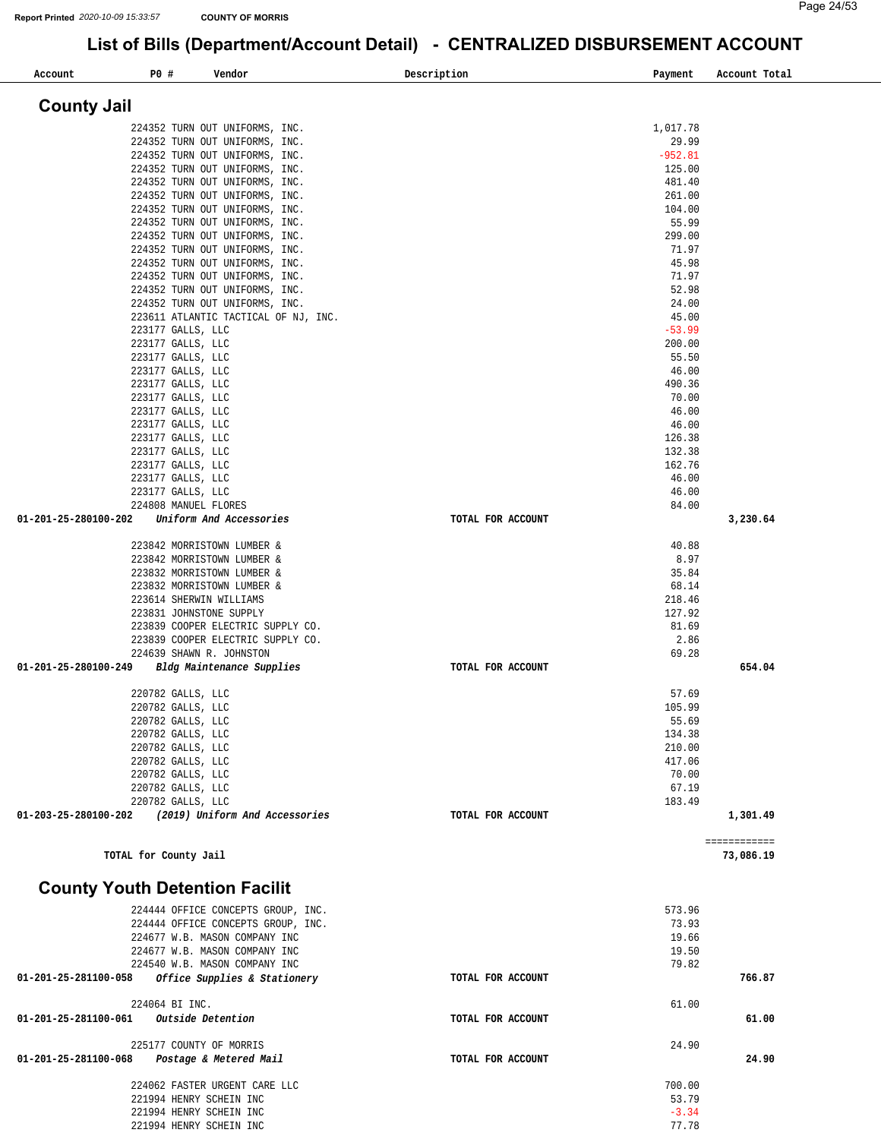| P0 #<br>Account<br>Vendor                                               |                                | Description       | Payment             | Account Total |
|-------------------------------------------------------------------------|--------------------------------|-------------------|---------------------|---------------|
|                                                                         |                                |                   |                     |               |
| <b>County Jail</b>                                                      |                                |                   |                     |               |
| 224352 TURN OUT UNIFORMS, INC.                                          |                                |                   | 1,017.78            |               |
| 224352 TURN OUT UNIFORMS, INC.                                          |                                |                   | 29.99               |               |
| 224352 TURN OUT UNIFORMS, INC.<br>224352 TURN OUT UNIFORMS, INC.        |                                |                   | $-952.81$<br>125.00 |               |
| 224352 TURN OUT UNIFORMS, INC.                                          |                                |                   | 481.40              |               |
| 224352 TURN OUT UNIFORMS, INC.                                          |                                |                   | 261.00              |               |
| 224352 TURN OUT UNIFORMS, INC.                                          |                                |                   | 104.00              |               |
| 224352 TURN OUT UNIFORMS, INC.                                          |                                |                   | 55.99<br>299.00     |               |
| 224352 TURN OUT UNIFORMS, INC.<br>224352 TURN OUT UNIFORMS, INC.        |                                |                   | 71.97               |               |
| 224352 TURN OUT UNIFORMS, INC.                                          |                                |                   | 45.98               |               |
| 224352 TURN OUT UNIFORMS, INC.                                          |                                |                   | 71.97               |               |
| 224352 TURN OUT UNIFORMS, INC.                                          |                                |                   | 52.98               |               |
| 224352 TURN OUT UNIFORMS, INC.<br>223611 ATLANTIC TACTICAL OF NJ, INC.  |                                |                   | 24.00<br>45.00      |               |
| 223177 GALLS, LLC                                                       |                                |                   | $-53.99$            |               |
| 223177 GALLS, LLC                                                       |                                |                   | 200.00              |               |
| 223177 GALLS, LLC                                                       |                                |                   | 55.50               |               |
| 223177 GALLS, LLC<br>223177 GALLS, LLC                                  |                                |                   | 46.00<br>490.36     |               |
| 223177 GALLS, LLC                                                       |                                |                   | 70.00               |               |
| 223177 GALLS, LLC                                                       |                                |                   | 46.00               |               |
| 223177 GALLS, LLC                                                       |                                |                   | 46.00               |               |
| 223177 GALLS, LLC<br>223177 GALLS, LLC                                  |                                |                   | 126.38<br>132.38    |               |
| 223177 GALLS, LLC                                                       |                                |                   | 162.76              |               |
| 223177 GALLS, LLC                                                       |                                |                   | 46.00               |               |
| 223177 GALLS, LLC                                                       |                                |                   | 46.00               |               |
| 224808 MANUEL FLORES<br>01-201-25-280100-202<br>Uniform And Accessories |                                | TOTAL FOR ACCOUNT | 84.00               | 3,230.64      |
|                                                                         |                                |                   |                     |               |
| 223842 MORRISTOWN LUMBER &                                              |                                |                   | 40.88               |               |
| 223842 MORRISTOWN LUMBER &                                              |                                |                   | 8.97                |               |
| 223832 MORRISTOWN LUMBER &<br>223832 MORRISTOWN LUMBER &                |                                |                   | 35.84<br>68.14      |               |
| 223614 SHERWIN WILLIAMS                                                 |                                |                   | 218.46              |               |
| 223831 JOHNSTONE SUPPLY                                                 |                                |                   | 127.92              |               |
| 223839 COOPER ELECTRIC SUPPLY CO.                                       |                                |                   | 81.69               |               |
| 223839 COOPER ELECTRIC SUPPLY CO.<br>224639 SHAWN R. JOHNSTON           |                                |                   | 2.86<br>69.28       |               |
| Bldg Maintenance Supplies<br>01-201-25-280100-249                       |                                | TOTAL FOR ACCOUNT |                     | 654.04        |
|                                                                         |                                |                   |                     |               |
| 220782 GALLS, LLC<br>220782 GALLS, LLC                                  |                                |                   | 57.69<br>105.99     |               |
| 220782 GALLS, LLC                                                       |                                |                   | 55.69               |               |
| 220782 GALLS, LLC                                                       |                                |                   | 134.38              |               |
| 220782 GALLS, LLC                                                       |                                |                   | 210.00              |               |
| 220782 GALLS, LLC<br>220782 GALLS, LLC                                  |                                |                   | 417.06<br>70.00     |               |
| 220782 GALLS, LLC                                                       |                                |                   | 67.19               |               |
| 220782 GALLS, LLC                                                       |                                |                   | 183.49              |               |
| 01-203-25-280100-202                                                    | (2019) Uniform And Accessories | TOTAL FOR ACCOUNT |                     | 1,301.49      |
|                                                                         |                                |                   |                     | ============  |
| TOTAL for County Jail                                                   |                                |                   |                     | 73,086.19     |
|                                                                         |                                |                   |                     |               |
| <b>County Youth Detention Facilit</b>                                   |                                |                   |                     |               |
| 224444 OFFICE CONCEPTS GROUP, INC.                                      |                                |                   | 573.96              |               |
| 224444 OFFICE CONCEPTS GROUP, INC.                                      |                                |                   | 73.93               |               |
| 224677 W.B. MASON COMPANY INC<br>224677 W.B. MASON COMPANY INC          |                                |                   | 19.66<br>19.50      |               |
| 224540 W.B. MASON COMPANY INC                                           |                                |                   | 79.82               |               |
| 01-201-25-281100-058<br>Office Supplies & Stationery                    |                                | TOTAL FOR ACCOUNT |                     | 766.87        |
|                                                                         |                                |                   |                     |               |
| 224064 BI INC.<br>01-201-25-281100-061<br>Outside Detention             |                                | TOTAL FOR ACCOUNT | 61.00               | 61.00         |
|                                                                         |                                |                   |                     |               |
| 225177 COUNTY OF MORRIS                                                 |                                |                   | 24.90               |               |
| Postage & Metered Mail<br>01-201-25-281100-068                          |                                | TOTAL FOR ACCOUNT |                     | 24.90         |
| 224062 FASTER URGENT CARE LLC                                           |                                |                   | 700.00              |               |
| 221994 HENRY SCHEIN INC                                                 |                                |                   | 53.79               |               |
| 221994 HENRY SCHEIN INC                                                 |                                |                   | $-3.34$             |               |
| 221994 HENRY SCHEIN INC                                                 |                                |                   | 77.78               |               |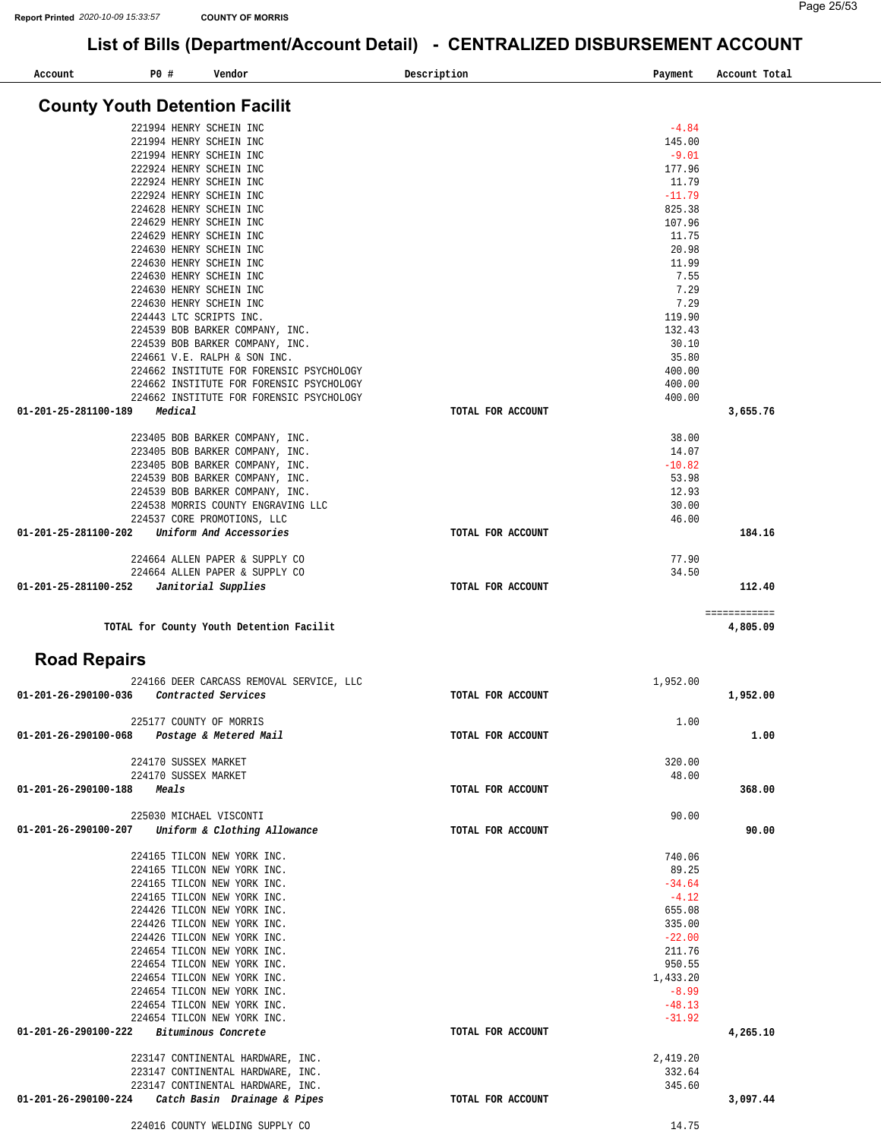| Account                        | P0 # | Vendor                                                                               | Description       | Payment             | Account Total |
|--------------------------------|------|--------------------------------------------------------------------------------------|-------------------|---------------------|---------------|
|                                |      | <b>County Youth Detention Facilit</b>                                                |                   |                     |               |
|                                |      |                                                                                      |                   |                     |               |
|                                |      | 221994 HENRY SCHEIN INC<br>221994 HENRY SCHEIN INC                                   |                   | $-4.84$<br>145.00   |               |
|                                |      | 221994 HENRY SCHEIN INC                                                              |                   | $-9.01$             |               |
|                                |      | 222924 HENRY SCHEIN INC                                                              |                   | 177.96              |               |
|                                |      | 222924 HENRY SCHEIN INC                                                              |                   | 11.79               |               |
|                                |      | 222924 HENRY SCHEIN INC                                                              |                   | $-11.79$            |               |
|                                |      | 224628 HENRY SCHEIN INC                                                              |                   | 825.38              |               |
|                                |      | 224629 HENRY SCHEIN INC                                                              |                   | 107.96              |               |
|                                |      | 224629 HENRY SCHEIN INC                                                              |                   | 11.75               |               |
|                                |      | 224630 HENRY SCHEIN INC<br>224630 HENRY SCHEIN INC                                   |                   | 20.98<br>11.99      |               |
|                                |      | 224630 HENRY SCHEIN INC                                                              |                   | 7.55                |               |
|                                |      | 224630 HENRY SCHEIN INC                                                              |                   | 7.29                |               |
|                                |      | 224630 HENRY SCHEIN INC                                                              |                   | 7.29                |               |
|                                |      | 224443 LTC SCRIPTS INC.                                                              |                   | 119.90              |               |
|                                |      | 224539 BOB BARKER COMPANY, INC.                                                      |                   | 132.43              |               |
|                                |      | 224539 BOB BARKER COMPANY, INC.                                                      |                   | 30.10               |               |
|                                |      | 224661 V.E. RALPH & SON INC.                                                         |                   | 35.80               |               |
|                                |      | 224662 INSTITUTE FOR FORENSIC PSYCHOLOGY<br>224662 INSTITUTE FOR FORENSIC PSYCHOLOGY |                   | 400.00<br>400.00    |               |
|                                |      | 224662 INSTITUTE FOR FORENSIC PSYCHOLOGY                                             |                   | 400.00              |               |
| 01-201-25-281100-189           |      | Medical                                                                              | TOTAL FOR ACCOUNT |                     | 3,655.76      |
|                                |      |                                                                                      |                   |                     |               |
|                                |      | 223405 BOB BARKER COMPANY, INC.                                                      |                   | 38.00               |               |
|                                |      | 223405 BOB BARKER COMPANY, INC.                                                      |                   | 14.07               |               |
|                                |      | 223405 BOB BARKER COMPANY, INC.                                                      |                   | $-10.82$            |               |
|                                |      | 224539 BOB BARKER COMPANY, INC.                                                      |                   | 53.98               |               |
|                                |      | 224539 BOB BARKER COMPANY, INC.<br>224538 MORRIS COUNTY ENGRAVING LLC                |                   | 12.93<br>30.00      |               |
|                                |      | 224537 CORE PROMOTIONS, LLC                                                          |                   | 46.00               |               |
| 01-201-25-281100-202           |      | Uniform And Accessories                                                              | TOTAL FOR ACCOUNT |                     | 184.16        |
|                                |      |                                                                                      |                   |                     |               |
|                                |      | 224664 ALLEN PAPER & SUPPLY CO                                                       |                   | 77.90               |               |
|                                |      | 224664 ALLEN PAPER & SUPPLY CO                                                       |                   | 34.50               |               |
| 01-201-25-281100-252           |      | Janitorial Supplies                                                                  | TOTAL FOR ACCOUNT |                     | 112.40        |
|                                |      |                                                                                      |                   |                     | ============  |
|                                |      | TOTAL for County Youth Detention Facilit                                             |                   |                     | 4,805.09      |
| <b>Road Repairs</b>            |      |                                                                                      |                   |                     |               |
|                                |      | 224166 DEER CARCASS REMOVAL SERVICE, LLC                                             |                   | 1,952.00            |               |
| $01 - 201 - 26 - 290100 - 036$ |      | Contracted Services                                                                  | TOTAL FOR ACCOUNT |                     | 1,952.00      |
|                                |      |                                                                                      |                   |                     |               |
|                                |      | 225177 COUNTY OF MORRIS                                                              |                   | 1.00                |               |
| 01-201-26-290100-068           |      | Postage & Metered Mail                                                               | TOTAL FOR ACCOUNT |                     | 1.00          |
|                                |      |                                                                                      |                   |                     |               |
|                                |      | 224170 SUSSEX MARKET<br>224170 SUSSEX MARKET                                         |                   | 320.00<br>48.00     |               |
| 01-201-26-290100-188           |      | Meals                                                                                | TOTAL FOR ACCOUNT |                     | 368.00        |
|                                |      |                                                                                      |                   |                     |               |
|                                |      | 225030 MICHAEL VISCONTI                                                              |                   | 90.00               |               |
| 01-201-26-290100-207           |      | Uniform & Clothing Allowance                                                         | TOTAL FOR ACCOUNT |                     | 90.00         |
|                                |      |                                                                                      |                   |                     |               |
|                                |      | 224165 TILCON NEW YORK INC.<br>224165 TILCON NEW YORK INC.                           |                   | 740.06<br>89.25     |               |
|                                |      | 224165 TILCON NEW YORK INC.                                                          |                   | $-34.64$            |               |
|                                |      | 224165 TILCON NEW YORK INC.                                                          |                   | $-4.12$             |               |
|                                |      | 224426 TILCON NEW YORK INC.                                                          |                   | 655.08              |               |
|                                |      | 224426 TILCON NEW YORK INC.                                                          |                   | 335.00              |               |
|                                |      | 224426 TILCON NEW YORK INC.                                                          |                   | $-22.00$            |               |
|                                |      | 224654 TILCON NEW YORK INC.                                                          |                   | 211.76              |               |
|                                |      | 224654 TILCON NEW YORK INC.                                                          |                   | 950.55              |               |
|                                |      | 224654 TILCON NEW YORK INC.<br>224654 TILCON NEW YORK INC.                           |                   | 1,433.20<br>$-8.99$ |               |
|                                |      | 224654 TILCON NEW YORK INC.                                                          |                   | $-48.13$            |               |
|                                |      | 224654 TILCON NEW YORK INC.                                                          |                   | $-31.92$            |               |
| 01-201-26-290100-222           |      | Bituminous Concrete                                                                  | TOTAL FOR ACCOUNT |                     | 4,265.10      |
|                                |      |                                                                                      |                   |                     |               |
|                                |      | 223147 CONTINENTAL HARDWARE, INC.                                                    |                   | 2,419.20            |               |
|                                |      | 223147 CONTINENTAL HARDWARE, INC.                                                    |                   | 332.64              |               |
| 01-201-26-290100-224           |      | 223147 CONTINENTAL HARDWARE, INC.                                                    |                   | 345.60              |               |
|                                |      | Catch Basin Drainage & Pipes                                                         | TOTAL FOR ACCOUNT |                     | 3,097.44      |
|                                |      | 224016 COUNTY WELDING SUPPLY CO                                                      |                   | 14.75               |               |
|                                |      |                                                                                      |                   |                     |               |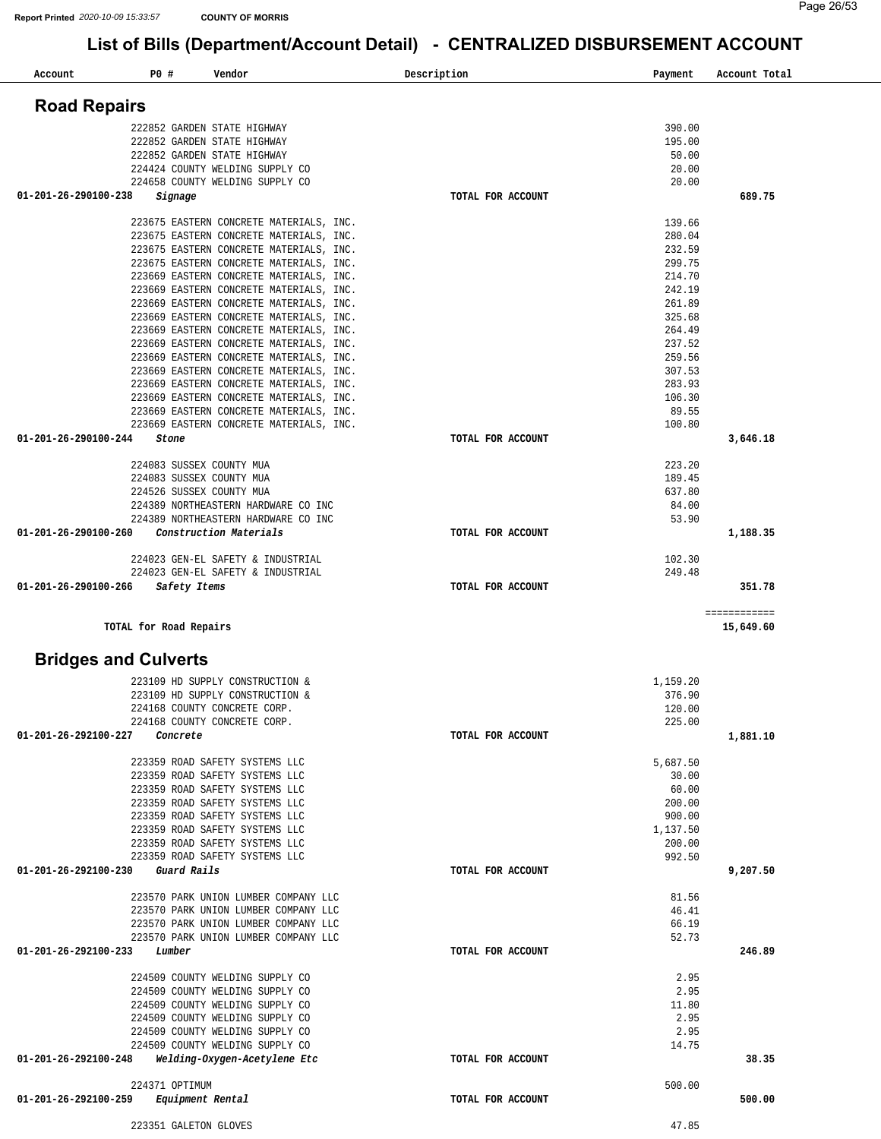| Account              | P0 #<br>Vendor                                                                     | Description       | Payment           | Account Total             |
|----------------------|------------------------------------------------------------------------------------|-------------------|-------------------|---------------------------|
| <b>Road Repairs</b>  |                                                                                    |                   |                   |                           |
|                      |                                                                                    |                   |                   |                           |
|                      | 222852 GARDEN STATE HIGHWAY                                                        |                   | 390.00            |                           |
|                      | 222852 GARDEN STATE HIGHWAY                                                        |                   | 195.00            |                           |
|                      | 222852 GARDEN STATE HIGHWAY                                                        |                   | 50.00             |                           |
|                      | 224424 COUNTY WELDING SUPPLY CO<br>224658 COUNTY WELDING SUPPLY CO                 |                   | 20.00<br>20.00    |                           |
| 01-201-26-290100-238 | Signage                                                                            | TOTAL FOR ACCOUNT |                   | 689.75                    |
|                      |                                                                                    |                   |                   |                           |
|                      | 223675 EASTERN CONCRETE MATERIALS, INC.                                            |                   | 139.66<br>280.04  |                           |
|                      | 223675 EASTERN CONCRETE MATERIALS, INC.<br>223675 EASTERN CONCRETE MATERIALS, INC. |                   | 232.59            |                           |
|                      | 223675 EASTERN CONCRETE MATERIALS, INC.                                            |                   | 299.75            |                           |
|                      | 223669 EASTERN CONCRETE MATERIALS, INC.                                            |                   | 214.70            |                           |
|                      | 223669 EASTERN CONCRETE MATERIALS, INC.                                            |                   | 242.19            |                           |
|                      | 223669 EASTERN CONCRETE MATERIALS, INC.                                            |                   | 261.89            |                           |
|                      | 223669 EASTERN CONCRETE MATERIALS, INC.                                            |                   | 325.68            |                           |
|                      | 223669 EASTERN CONCRETE MATERIALS, INC.                                            |                   | 264.49            |                           |
|                      | 223669 EASTERN CONCRETE MATERIALS, INC.                                            |                   | 237.52            |                           |
|                      | 223669 EASTERN CONCRETE MATERIALS, INC.                                            |                   | 259.56            |                           |
|                      | 223669 EASTERN CONCRETE MATERIALS, INC.                                            |                   | 307.53            |                           |
|                      | 223669 EASTERN CONCRETE MATERIALS, INC.                                            |                   | 283.93            |                           |
|                      | 223669 EASTERN CONCRETE MATERIALS, INC.                                            |                   | 106.30            |                           |
|                      | 223669 EASTERN CONCRETE MATERIALS, INC.                                            |                   | 89.55             |                           |
|                      | 223669 EASTERN CONCRETE MATERIALS, INC.                                            |                   | 100.80            |                           |
| 01-201-26-290100-244 | Stone                                                                              | TOTAL FOR ACCOUNT |                   | 3,646.18                  |
|                      | 224083 SUSSEX COUNTY MUA                                                           |                   | 223.20            |                           |
|                      | 224083 SUSSEX COUNTY MUA                                                           |                   | 189.45            |                           |
|                      | 224526 SUSSEX COUNTY MUA                                                           |                   | 637.80            |                           |
|                      | 224389 NORTHEASTERN HARDWARE CO INC                                                |                   | 84.00             |                           |
|                      | 224389 NORTHEASTERN HARDWARE CO INC                                                |                   | 53.90             |                           |
| 01-201-26-290100-260 | Construction Materials                                                             | TOTAL FOR ACCOUNT |                   | 1,188.35                  |
|                      | 224023 GEN-EL SAFETY & INDUSTRIAL                                                  |                   | 102.30            |                           |
|                      | 224023 GEN-EL SAFETY & INDUSTRIAL                                                  |                   | 249.48            |                           |
| 01-201-26-290100-266 | Safety Items                                                                       | TOTAL FOR ACCOUNT |                   | 351.78                    |
|                      | TOTAL for Road Repairs                                                             |                   |                   | ============<br>15,649.60 |
|                      | <b>Bridges and Culverts</b>                                                        |                   |                   |                           |
|                      |                                                                                    |                   |                   |                           |
|                      | 223109 HD SUPPLY CONSTRUCTION &                                                    |                   | 1,159.20          |                           |
|                      | 223109 HD SUPPLY CONSTRUCTION &<br>224168 COUNTY CONCRETE CORP.                    |                   | 376.90<br>120.00  |                           |
|                      | 224168 COUNTY CONCRETE CORP.                                                       |                   | 225.00            |                           |
| 01-201-26-292100-227 | Concrete                                                                           | TOTAL FOR ACCOUNT |                   | 1,881.10                  |
|                      |                                                                                    |                   |                   |                           |
|                      | 223359 ROAD SAFETY SYSTEMS LLC<br>223359 ROAD SAFETY SYSTEMS LLC                   |                   | 5,687.50<br>30.00 |                           |
|                      | 223359 ROAD SAFETY SYSTEMS LLC                                                     |                   | 60.00             |                           |
|                      | 223359 ROAD SAFETY SYSTEMS LLC                                                     |                   | 200.00            |                           |
|                      | 223359 ROAD SAFETY SYSTEMS LLC                                                     |                   | 900.00            |                           |
|                      | 223359 ROAD SAFETY SYSTEMS LLC                                                     |                   | 1,137.50          |                           |
|                      | 223359 ROAD SAFETY SYSTEMS LLC                                                     |                   | 200.00            |                           |
|                      | 223359 ROAD SAFETY SYSTEMS LLC                                                     |                   | 992.50            |                           |
| 01-201-26-292100-230 | Guard Rails                                                                        | TOTAL FOR ACCOUNT |                   | 9,207.50                  |
|                      | 223570 PARK UNION LUMBER COMPANY LLC                                               |                   | 81.56             |                           |
|                      | 223570 PARK UNION LUMBER COMPANY LLC                                               |                   | 46.41             |                           |
|                      | 223570 PARK UNION LUMBER COMPANY LLC                                               |                   | 66.19             |                           |
|                      | 223570 PARK UNION LUMBER COMPANY LLC                                               |                   | 52.73             |                           |
| 01-201-26-292100-233 | Lumber                                                                             | TOTAL FOR ACCOUNT |                   | 246.89                    |
|                      | 224509 COUNTY WELDING SUPPLY CO                                                    |                   | 2.95              |                           |
|                      | 224509 COUNTY WELDING SUPPLY CO                                                    |                   | 2.95              |                           |
|                      | 224509 COUNTY WELDING SUPPLY CO                                                    |                   | 11.80             |                           |
|                      | 224509 COUNTY WELDING SUPPLY CO                                                    |                   | 2.95              |                           |
|                      | 224509 COUNTY WELDING SUPPLY CO                                                    |                   | 2.95              |                           |
|                      | 224509 COUNTY WELDING SUPPLY CO                                                    |                   | 14.75             |                           |
| 01-201-26-292100-248 | Welding-Oxygen-Acetylene Etc                                                       | TOTAL FOR ACCOUNT |                   | 38.35                     |
|                      | 224371 OPTIMUM                                                                     |                   | 500.00            |                           |
| 01-201-26-292100-259 | Equipment Rental                                                                   | TOTAL FOR ACCOUNT |                   | 500.00                    |
|                      | 223351 GALETON GLOVES                                                              |                   | 47.85             |                           |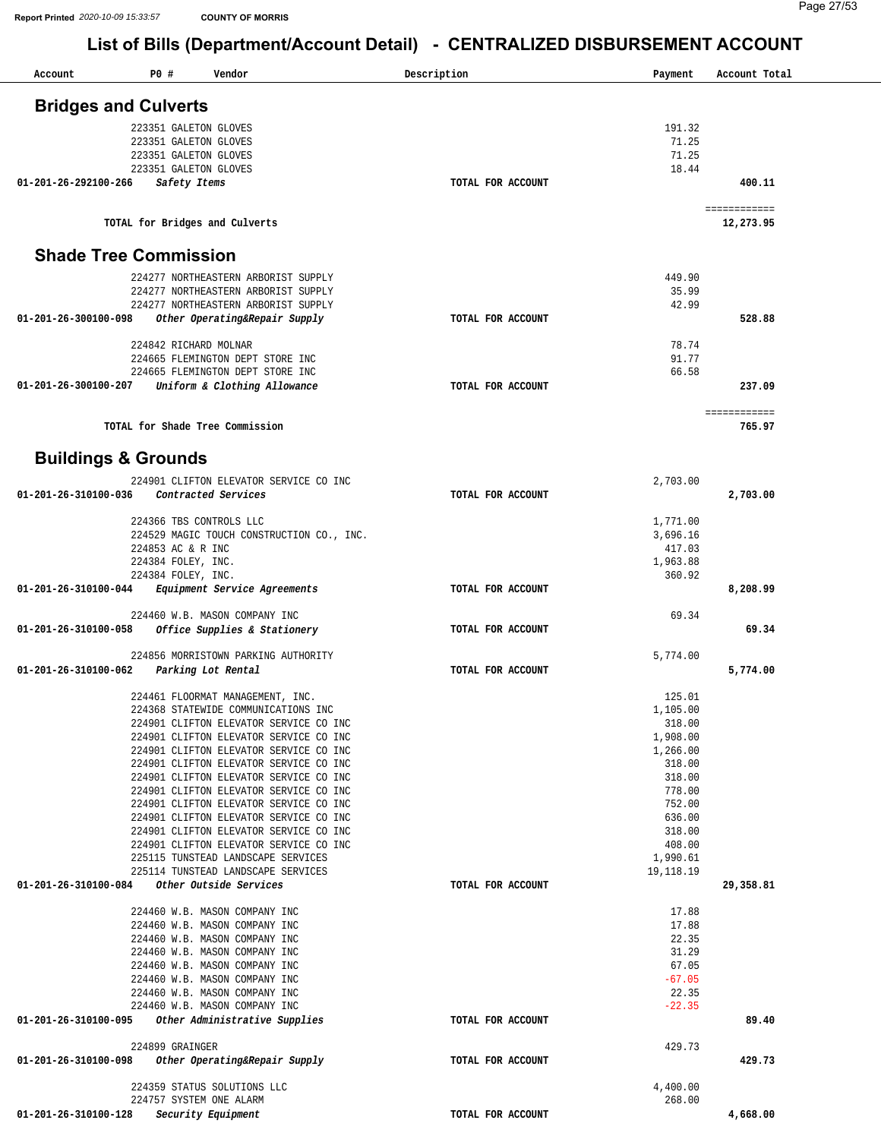| Account              | P0 #<br>Vendor                                                                   | Description       | Payment            | Account Total          |
|----------------------|----------------------------------------------------------------------------------|-------------------|--------------------|------------------------|
|                      |                                                                                  |                   |                    |                        |
|                      | <b>Bridges and Culverts</b>                                                      |                   |                    |                        |
|                      | 223351 GALETON GLOVES                                                            |                   | 191.32             |                        |
|                      | 223351 GALETON GLOVES                                                            |                   | 71.25              |                        |
|                      | 223351 GALETON GLOVES<br>223351 GALETON GLOVES                                   |                   | 71.25<br>18.44     |                        |
| 01-201-26-292100-266 | Safety Items                                                                     | TOTAL FOR ACCOUNT |                    | 400.11                 |
|                      |                                                                                  |                   |                    |                        |
|                      |                                                                                  |                   |                    | ============           |
|                      | TOTAL for Bridges and Culverts                                                   |                   |                    | 12,273.95              |
|                      |                                                                                  |                   |                    |                        |
|                      | <b>Shade Tree Commission</b>                                                     |                   |                    |                        |
|                      | 224277 NORTHEASTERN ARBORIST SUPPLY                                              |                   | 449.90             |                        |
|                      | 224277 NORTHEASTERN ARBORIST SUPPLY                                              |                   | 35.99              |                        |
|                      | 224277 NORTHEASTERN ARBORIST SUPPLY                                              |                   | 42.99              |                        |
| 01-201-26-300100-098 | Other Operating&Repair Supply                                                    | TOTAL FOR ACCOUNT |                    | 528.88                 |
|                      | 224842 RICHARD MOLNAR                                                            |                   | 78.74              |                        |
|                      | 224665 FLEMINGTON DEPT STORE INC                                                 |                   | 91.77              |                        |
|                      | 224665 FLEMINGTON DEPT STORE INC                                                 |                   | 66.58              |                        |
| 01-201-26-300100-207 | Uniform & Clothing Allowance                                                     | TOTAL FOR ACCOUNT |                    | 237.09                 |
|                      |                                                                                  |                   |                    |                        |
|                      | TOTAL for Shade Tree Commission                                                  |                   |                    | ============<br>765.97 |
|                      |                                                                                  |                   |                    |                        |
|                      |                                                                                  |                   |                    |                        |
|                      | <b>Buildings &amp; Grounds</b>                                                   |                   |                    |                        |
|                      | 224901 CLIFTON ELEVATOR SERVICE CO INC                                           |                   | 2,703.00           |                        |
| 01-201-26-310100-036 | Contracted Services                                                              | TOTAL FOR ACCOUNT |                    | 2,703.00               |
|                      | 224366 TBS CONTROLS LLC                                                          |                   | 1,771.00           |                        |
|                      | 224529 MAGIC TOUCH CONSTRUCTION CO., INC.                                        |                   | 3,696.16           |                        |
|                      | 224853 AC & R INC                                                                |                   | 417.03             |                        |
|                      | 224384 FOLEY, INC.                                                               |                   | 1,963.88           |                        |
|                      | 224384 FOLEY, INC.                                                               |                   | 360.92             |                        |
| 01-201-26-310100-044 | Equipment Service Agreements                                                     | TOTAL FOR ACCOUNT |                    | 8,208.99               |
|                      | 224460 W.B. MASON COMPANY INC                                                    |                   | 69.34              |                        |
| 01-201-26-310100-058 | Office Supplies & Stationery                                                     | TOTAL FOR ACCOUNT |                    | 69.34                  |
|                      |                                                                                  |                   |                    |                        |
| 01-201-26-310100-062 | 224856 MORRISTOWN PARKING AUTHORITY                                              | TOTAL FOR ACCOUNT | 5,774.00           | 5,774.00               |
|                      | Parking Lot Rental                                                               |                   |                    |                        |
|                      | 224461 FLOORMAT MANAGEMENT, INC.                                                 |                   | 125.01             |                        |
|                      | 224368 STATEWIDE COMMUNICATIONS INC                                              |                   | 1,105.00           |                        |
|                      | 224901 CLIFTON ELEVATOR SERVICE CO INC                                           |                   | 318.00             |                        |
|                      | 224901 CLIFTON ELEVATOR SERVICE CO INC<br>224901 CLIFTON ELEVATOR SERVICE CO INC |                   | 1,908.00           |                        |
|                      | 224901 CLIFTON ELEVATOR SERVICE CO INC                                           |                   | 1,266.00<br>318.00 |                        |
|                      | 224901 CLIFTON ELEVATOR SERVICE CO INC                                           |                   | 318.00             |                        |
|                      | 224901 CLIFTON ELEVATOR SERVICE CO INC                                           |                   | 778.00             |                        |
|                      | 224901 CLIFTON ELEVATOR SERVICE CO INC                                           |                   | 752.00             |                        |
|                      | 224901 CLIFTON ELEVATOR SERVICE CO INC                                           |                   | 636.00             |                        |
|                      | 224901 CLIFTON ELEVATOR SERVICE CO INC<br>224901 CLIFTON ELEVATOR SERVICE CO INC |                   | 318.00<br>408.00   |                        |
|                      | 225115 TUNSTEAD LANDSCAPE SERVICES                                               |                   | 1,990.61           |                        |
|                      | 225114 TUNSTEAD LANDSCAPE SERVICES                                               |                   | 19,118.19          |                        |
| 01-201-26-310100-084 | Other Outside Services                                                           | TOTAL FOR ACCOUNT |                    | 29,358.81              |
|                      |                                                                                  |                   |                    |                        |
|                      | 224460 W.B. MASON COMPANY INC<br>224460 W.B. MASON COMPANY INC                   |                   | 17.88<br>17.88     |                        |
|                      | 224460 W.B. MASON COMPANY INC                                                    |                   | 22.35              |                        |
|                      | 224460 W.B. MASON COMPANY INC                                                    |                   | 31.29              |                        |
|                      | 224460 W.B. MASON COMPANY INC                                                    |                   | 67.05              |                        |
|                      | 224460 W.B. MASON COMPANY INC                                                    |                   | $-67.05$           |                        |
|                      | 224460 W.B. MASON COMPANY INC<br>224460 W.B. MASON COMPANY INC                   |                   | 22.35<br>$-22.35$  |                        |
| 01-201-26-310100-095 | Other Administrative Supplies                                                    | TOTAL FOR ACCOUNT |                    | 89.40                  |
|                      |                                                                                  |                   |                    |                        |
|                      | 224899 GRAINGER                                                                  |                   | 429.73             |                        |
| 01-201-26-310100-098 | Other Operating&Repair Supply                                                    | TOTAL FOR ACCOUNT |                    | 429.73                 |
|                      |                                                                                  |                   |                    |                        |
|                      | 224359 STATUS SOLUTIONS LLC<br>224757 SYSTEM ONE ALARM                           |                   | 4,400.00<br>268.00 |                        |
| 01-201-26-310100-128 | Security Equipment                                                               | TOTAL FOR ACCOUNT |                    | 4,668.00               |
|                      |                                                                                  |                   |                    |                        |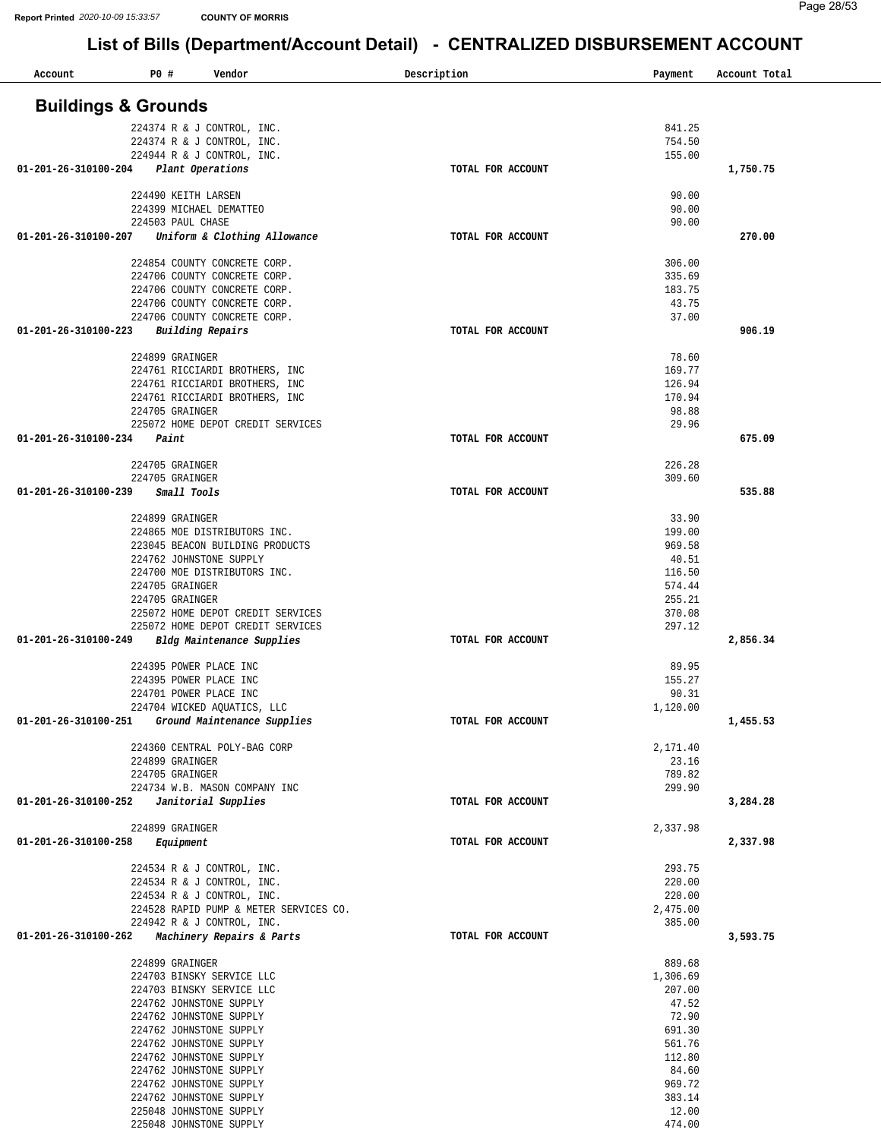| Account                        | P0 # | Vendor                                                       |                                        | Description       | Payment          | Account Total |
|--------------------------------|------|--------------------------------------------------------------|----------------------------------------|-------------------|------------------|---------------|
| <b>Buildings &amp; Grounds</b> |      |                                                              |                                        |                   |                  |               |
|                                |      | 224374 R & J CONTROL, INC.                                   |                                        |                   | 841.25           |               |
|                                |      | 224374 R & J CONTROL, INC.                                   |                                        |                   | 754.50           |               |
|                                |      | 224944 R & J CONTROL, INC.                                   |                                        |                   | 155.00           |               |
| 01-201-26-310100-204           |      | Plant Operations                                             |                                        | TOTAL FOR ACCOUNT |                  | 1,750.75      |
|                                |      |                                                              |                                        |                   |                  |               |
|                                |      | 224490 KEITH LARSEN<br>224399 MICHAEL DEMATTEO               |                                        |                   | 90.00<br>90.00   |               |
|                                |      | 224503 PAUL CHASE                                            |                                        |                   | 90.00            |               |
| 01-201-26-310100-207           |      |                                                              | Uniform & Clothing Allowance           | TOTAL FOR ACCOUNT |                  | 270.00        |
|                                |      |                                                              |                                        |                   |                  |               |
|                                |      | 224854 COUNTY CONCRETE CORP.                                 |                                        |                   | 306.00<br>335.69 |               |
|                                |      | 224706 COUNTY CONCRETE CORP.<br>224706 COUNTY CONCRETE CORP. |                                        |                   | 183.75           |               |
|                                |      | 224706 COUNTY CONCRETE CORP.                                 |                                        |                   | 43.75            |               |
|                                |      | 224706 COUNTY CONCRETE CORP.                                 |                                        |                   | 37.00            |               |
| 01-201-26-310100-223           |      | Building Repairs                                             |                                        | TOTAL FOR ACCOUNT |                  | 906.19        |
|                                |      |                                                              |                                        |                   |                  |               |
|                                |      | 224899 GRAINGER                                              | 224761 RICCIARDI BROTHERS, INC         |                   | 78.60<br>169.77  |               |
|                                |      |                                                              | 224761 RICCIARDI BROTHERS, INC         |                   | 126.94           |               |
|                                |      |                                                              | 224761 RICCIARDI BROTHERS, INC         |                   | 170.94           |               |
|                                |      | 224705 GRAINGER                                              |                                        |                   | 98.88            |               |
|                                |      |                                                              | 225072 HOME DEPOT CREDIT SERVICES      |                   | 29.96            |               |
| 01-201-26-310100-234           |      | Paint                                                        |                                        | TOTAL FOR ACCOUNT |                  | 675.09        |
|                                |      | 224705 GRAINGER                                              |                                        |                   | 226.28           |               |
|                                |      | 224705 GRAINGER                                              |                                        |                   | 309.60           |               |
| 01-201-26-310100-239           |      | Small Tools                                                  |                                        | TOTAL FOR ACCOUNT |                  | 535.88        |
|                                |      |                                                              |                                        |                   |                  |               |
|                                |      | 224899 GRAINGER<br>224865 MOE DISTRIBUTORS INC.              |                                        |                   | 33.90<br>199.00  |               |
|                                |      |                                                              | 223045 BEACON BUILDING PRODUCTS        |                   | 969.58           |               |
|                                |      | 224762 JOHNSTONE SUPPLY                                      |                                        |                   | 40.51            |               |
|                                |      | 224700 MOE DISTRIBUTORS INC.                                 |                                        |                   | 116.50           |               |
|                                |      | 224705 GRAINGER                                              |                                        |                   | 574.44           |               |
|                                |      | 224705 GRAINGER                                              | 225072 HOME DEPOT CREDIT SERVICES      |                   | 255.21<br>370.08 |               |
|                                |      |                                                              | 225072 HOME DEPOT CREDIT SERVICES      |                   | 297.12           |               |
| 01-201-26-310100-249           |      |                                                              | Bldg Maintenance Supplies              | TOTAL FOR ACCOUNT |                  | 2,856.34      |
|                                |      |                                                              |                                        |                   |                  |               |
|                                |      | 224395 POWER PLACE INC                                       |                                        |                   | 89.95            |               |
|                                |      | 224395 POWER PLACE INC<br>224701 POWER PLACE INC             |                                        |                   | 155.27<br>90.31  |               |
|                                |      | 224704 WICKED AQUATICS, LLC                                  |                                        |                   | 1,120.00         |               |
| 01-201-26-310100-251           |      |                                                              | Ground Maintenance Supplies            | TOTAL FOR ACCOUNT |                  | 1,455.53      |
|                                |      |                                                              |                                        |                   |                  |               |
|                                |      | 224360 CENTRAL POLY-BAG CORP                                 |                                        |                   | 2,171.40         |               |
|                                |      | 224899 GRAINGER<br>224705 GRAINGER                           |                                        |                   | 23.16<br>789.82  |               |
|                                |      |                                                              | 224734 W.B. MASON COMPANY INC          |                   | 299.90           |               |
| 01-201-26-310100-252           |      | Janitorial Supplies                                          |                                        | TOTAL FOR ACCOUNT |                  | 3,284.28      |
|                                |      |                                                              |                                        |                   |                  |               |
|                                |      | 224899 GRAINGER                                              |                                        |                   | 2,337.98         |               |
| 01-201-26-310100-258           |      | Equipment                                                    |                                        | TOTAL FOR ACCOUNT |                  | 2,337.98      |
|                                |      | 224534 R & J CONTROL, INC.                                   |                                        |                   | 293.75           |               |
|                                |      | 224534 R & J CONTROL, INC.                                   |                                        |                   | 220.00           |               |
|                                |      | 224534 R & J CONTROL, INC.                                   |                                        |                   | 220.00           |               |
|                                |      |                                                              | 224528 RAPID PUMP & METER SERVICES CO. |                   | 2,475.00         |               |
| 01-201-26-310100-262           |      | 224942 R & J CONTROL, INC.                                   | Machinery Repairs & Parts              | TOTAL FOR ACCOUNT | 385.00           | 3,593.75      |
|                                |      |                                                              |                                        |                   |                  |               |
|                                |      | 224899 GRAINGER                                              |                                        |                   | 889.68           |               |
|                                |      | 224703 BINSKY SERVICE LLC                                    |                                        |                   | 1,306.69         |               |
|                                |      | 224703 BINSKY SERVICE LLC                                    |                                        |                   | 207.00           |               |
|                                |      | 224762 JOHNSTONE SUPPLY<br>224762 JOHNSTONE SUPPLY           |                                        |                   | 47.52<br>72.90   |               |
|                                |      | 224762 JOHNSTONE SUPPLY                                      |                                        |                   | 691.30           |               |
|                                |      | 224762 JOHNSTONE SUPPLY                                      |                                        |                   | 561.76           |               |
|                                |      | 224762 JOHNSTONE SUPPLY                                      |                                        |                   | 112.80           |               |
|                                |      | 224762 JOHNSTONE SUPPLY                                      |                                        |                   | 84.60            |               |
|                                |      | 224762 JOHNSTONE SUPPLY                                      |                                        |                   | 969.72           |               |
|                                |      | 224762 JOHNSTONE SUPPLY<br>225048 JOHNSTONE SUPPLY           |                                        |                   | 383.14<br>12.00  |               |
|                                |      | 225048 JOHNSTONE SUPPLY                                      |                                        |                   | 474.00           |               |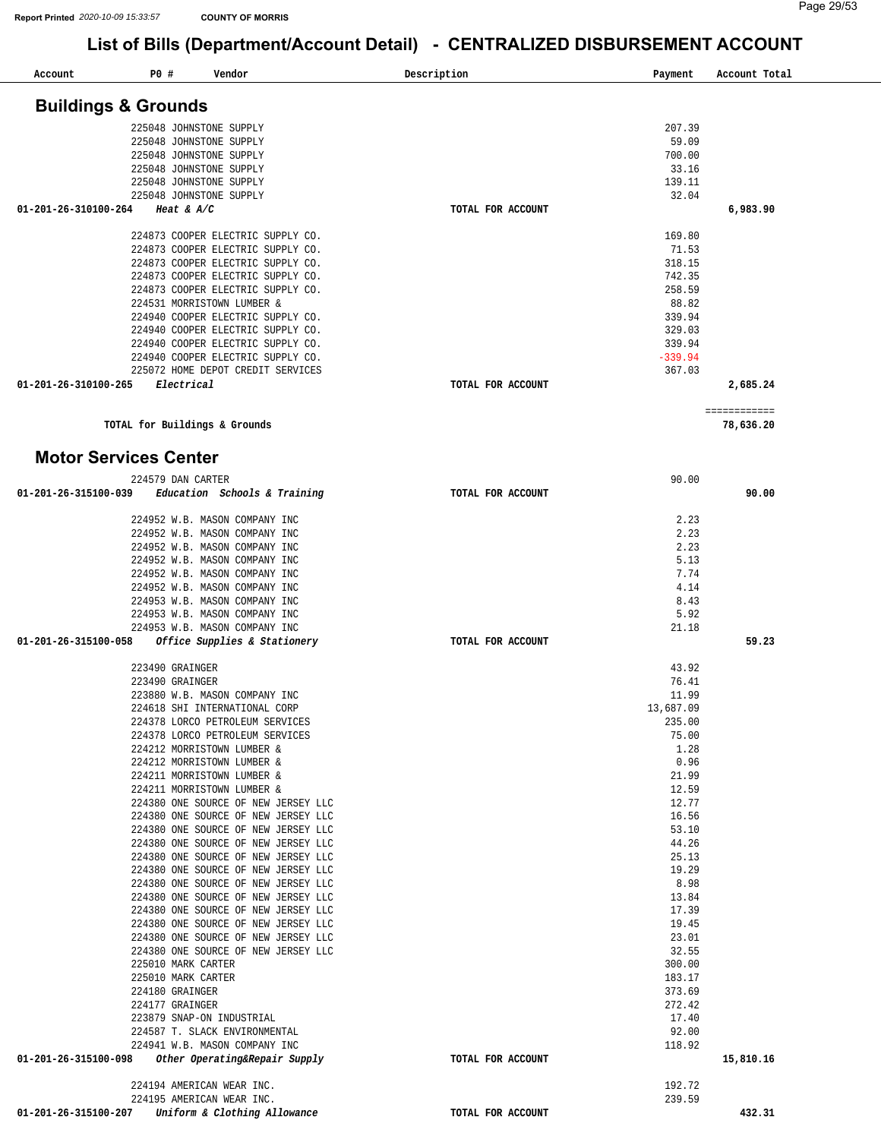| Account                        | P0 #                               | Vendor                                                                     | Description       | Payment             | Account Total |
|--------------------------------|------------------------------------|----------------------------------------------------------------------------|-------------------|---------------------|---------------|
| <b>Buildings &amp; Grounds</b> |                                    |                                                                            |                   |                     |               |
|                                |                                    |                                                                            |                   |                     |               |
|                                |                                    | 225048 JOHNSTONE SUPPLY<br>225048 JOHNSTONE SUPPLY                         |                   | 207.39<br>59.09     |               |
|                                |                                    | 225048 JOHNSTONE SUPPLY                                                    |                   | 700.00              |               |
|                                |                                    | 225048 JOHNSTONE SUPPLY                                                    |                   | 33.16               |               |
|                                |                                    | 225048 JOHNSTONE SUPPLY                                                    |                   | 139.11              |               |
|                                |                                    | 225048 JOHNSTONE SUPPLY                                                    |                   | 32.04               |               |
| 01-201-26-310100-264           |                                    | Heat & $A/C$                                                               | TOTAL FOR ACCOUNT |                     | 6,983.90      |
|                                |                                    |                                                                            |                   |                     |               |
|                                |                                    | 224873 COOPER ELECTRIC SUPPLY CO.                                          |                   | 169.80              |               |
|                                |                                    | 224873 COOPER ELECTRIC SUPPLY CO.                                          |                   | 71.53               |               |
|                                |                                    | 224873 COOPER ELECTRIC SUPPLY CO.                                          |                   | 318.15              |               |
|                                |                                    | 224873 COOPER ELECTRIC SUPPLY CO.                                          |                   | 742.35              |               |
|                                |                                    | 224873 COOPER ELECTRIC SUPPLY CO.<br>224531 MORRISTOWN LUMBER &            |                   | 258.59<br>88.82     |               |
|                                |                                    | 224940 COOPER ELECTRIC SUPPLY CO.                                          |                   | 339.94              |               |
|                                |                                    | 224940 COOPER ELECTRIC SUPPLY CO.                                          |                   | 329.03              |               |
|                                |                                    | 224940 COOPER ELECTRIC SUPPLY CO.                                          |                   | 339.94              |               |
|                                |                                    | 224940 COOPER ELECTRIC SUPPLY CO.                                          |                   | $-339.94$           |               |
|                                |                                    | 225072 HOME DEPOT CREDIT SERVICES                                          |                   | 367.03              |               |
| 01-201-26-310100-265           |                                    | Electrical                                                                 | TOTAL FOR ACCOUNT |                     | 2,685.24      |
|                                |                                    |                                                                            |                   |                     |               |
|                                |                                    |                                                                            |                   |                     | ============  |
|                                |                                    | TOTAL for Buildings & Grounds                                              |                   |                     | 78,636.20     |
| <b>Motor Services Center</b>   |                                    |                                                                            |                   |                     |               |
|                                |                                    | 224579 DAN CARTER                                                          |                   | 90.00               |               |
| 01-201-26-315100-039           |                                    | Education Schools & Training                                               | TOTAL FOR ACCOUNT |                     | 90.00         |
|                                |                                    | 224952 W.B. MASON COMPANY INC                                              |                   | 2.23                |               |
|                                |                                    | 224952 W.B. MASON COMPANY INC                                              |                   | 2.23                |               |
|                                |                                    | 224952 W.B. MASON COMPANY INC                                              |                   | 2.23                |               |
|                                |                                    | 224952 W.B. MASON COMPANY INC                                              |                   | 5.13                |               |
|                                |                                    | 224952 W.B. MASON COMPANY INC                                              |                   | 7.74                |               |
|                                |                                    | 224952 W.B. MASON COMPANY INC                                              |                   | 4.14                |               |
|                                |                                    | 224953 W.B. MASON COMPANY INC<br>224953 W.B. MASON COMPANY INC             |                   | 8.43<br>5.92        |               |
|                                |                                    | 224953 W.B. MASON COMPANY INC                                              |                   | 21.18               |               |
| 01-201-26-315100-058           |                                    | Office Supplies & Stationery                                               | TOTAL FOR ACCOUNT |                     | 59.23         |
|                                |                                    |                                                                            |                   |                     |               |
|                                | 223490 GRAINGER                    |                                                                            |                   | 43.92               |               |
|                                | 223490 GRAINGER                    |                                                                            |                   | 76.41               |               |
|                                |                                    | 223880 W.B. MASON COMPANY INC                                              |                   | 11.99               |               |
|                                |                                    | 224618 SHI INTERNATIONAL CORP<br>224378 LORCO PETROLEUM SERVICES           |                   | 13,687.09<br>235.00 |               |
|                                |                                    | 224378 LORCO PETROLEUM SERVICES                                            |                   | 75.00               |               |
|                                |                                    | 224212 MORRISTOWN LUMBER &                                                 |                   | 1.28                |               |
|                                |                                    | 224212 MORRISTOWN LUMBER &                                                 |                   | 0.96                |               |
|                                |                                    | 224211 MORRISTOWN LUMBER &                                                 |                   | 21.99               |               |
|                                |                                    | 224211 MORRISTOWN LUMBER &                                                 |                   | 12.59               |               |
|                                |                                    | 224380 ONE SOURCE OF NEW JERSEY LLC                                        |                   | 12.77               |               |
|                                |                                    | 224380 ONE SOURCE OF NEW JERSEY LLC                                        |                   | 16.56               |               |
|                                |                                    | 224380 ONE SOURCE OF NEW JERSEY LLC                                        |                   | 53.10               |               |
|                                |                                    | 224380 ONE SOURCE OF NEW JERSEY LLC<br>224380 ONE SOURCE OF NEW JERSEY LLC |                   | 44.26<br>25.13      |               |
|                                |                                    | 224380 ONE SOURCE OF NEW JERSEY LLC                                        |                   | 19.29               |               |
|                                |                                    | 224380 ONE SOURCE OF NEW JERSEY LLC                                        |                   | 8.98                |               |
|                                |                                    | 224380 ONE SOURCE OF NEW JERSEY LLC                                        |                   | 13.84               |               |
|                                |                                    | 224380 ONE SOURCE OF NEW JERSEY LLC                                        |                   | 17.39               |               |
|                                |                                    | 224380 ONE SOURCE OF NEW JERSEY LLC                                        |                   | 19.45               |               |
|                                |                                    | 224380 ONE SOURCE OF NEW JERSEY LLC                                        |                   | 23.01               |               |
|                                |                                    | 224380 ONE SOURCE OF NEW JERSEY LLC                                        |                   | 32.55               |               |
|                                |                                    | 225010 MARK CARTER                                                         |                   | 300.00              |               |
|                                |                                    | 225010 MARK CARTER                                                         |                   | 183.17              |               |
|                                | 224180 GRAINGER<br>224177 GRAINGER |                                                                            |                   | 373.69<br>272.42    |               |
|                                |                                    | 223879 SNAP-ON INDUSTRIAL                                                  |                   | 17.40               |               |
|                                |                                    | 224587 T. SLACK ENVIRONMENTAL                                              |                   | 92.00               |               |
|                                |                                    | 224941 W.B. MASON COMPANY INC                                              |                   | 118.92              |               |
| 01-201-26-315100-098           |                                    | Other Operating&Repair Supply                                              | TOTAL FOR ACCOUNT |                     | 15,810.16     |
|                                |                                    | 224194 AMERICAN WEAR INC.                                                  |                   | 192.72              |               |
|                                |                                    | 224195 AMERICAN WEAR INC.                                                  |                   | 239.59              |               |
| 01-201-26-315100-207           |                                    | Uniform & Clothing Allowance                                               | TOTAL FOR ACCOUNT |                     | 432.31        |
|                                |                                    |                                                                            |                   |                     |               |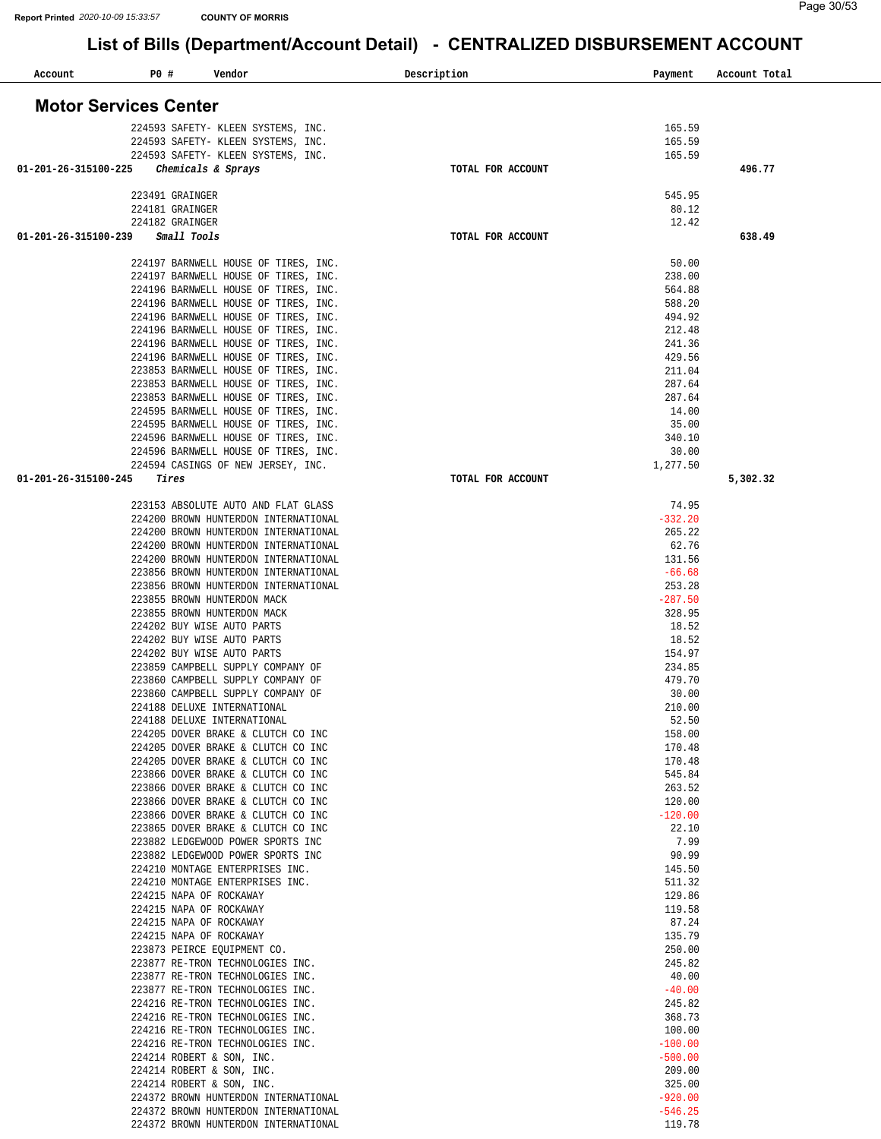| Account                      | P0 # |                 | Vendor                                                                       | Description       | Payment                | Account Total |
|------------------------------|------|-----------------|------------------------------------------------------------------------------|-------------------|------------------------|---------------|
| <b>Motor Services Center</b> |      |                 |                                                                              |                   |                        |               |
|                              |      |                 | 224593 SAFETY- KLEEN SYSTEMS, INC.                                           |                   | 165.59                 |               |
|                              |      |                 | 224593 SAFETY- KLEEN SYSTEMS, INC.                                           |                   | 165.59                 |               |
|                              |      |                 | 224593 SAFETY- KLEEN SYSTEMS, INC.                                           |                   | 165.59                 |               |
| 01-201-26-315100-225         |      |                 | Chemicals & Sprays                                                           | TOTAL FOR ACCOUNT |                        | 496.77        |
|                              |      | 223491 GRAINGER |                                                                              |                   | 545.95                 |               |
|                              |      | 224181 GRAINGER |                                                                              |                   | 80.12                  |               |
|                              |      | 224182 GRAINGER |                                                                              |                   | 12.42                  |               |
| 01-201-26-315100-239         |      | Small Tools     |                                                                              | TOTAL FOR ACCOUNT |                        | 638.49        |
|                              |      |                 | 224197 BARNWELL HOUSE OF TIRES, INC.                                         |                   | 50.00                  |               |
|                              |      |                 | 224197 BARNWELL HOUSE OF TIRES, INC.                                         |                   | 238.00                 |               |
|                              |      |                 | 224196 BARNWELL HOUSE OF TIRES, INC.                                         |                   | 564.88                 |               |
|                              |      |                 | 224196 BARNWELL HOUSE OF TIRES, INC.                                         |                   | 588.20                 |               |
|                              |      |                 | 224196 BARNWELL HOUSE OF TIRES, INC.<br>224196 BARNWELL HOUSE OF TIRES, INC. |                   | 494.92<br>212.48       |               |
|                              |      |                 | 224196 BARNWELL HOUSE OF TIRES, INC.                                         |                   | 241.36                 |               |
|                              |      |                 | 224196 BARNWELL HOUSE OF TIRES, INC.                                         |                   | 429.56                 |               |
|                              |      |                 | 223853 BARNWELL HOUSE OF TIRES, INC.                                         |                   | 211.04                 |               |
|                              |      |                 | 223853 BARNWELL HOUSE OF TIRES, INC.<br>223853 BARNWELL HOUSE OF TIRES, INC. |                   | 287.64<br>287.64       |               |
|                              |      |                 | 224595 BARNWELL HOUSE OF TIRES, INC.                                         |                   | 14.00                  |               |
|                              |      |                 | 224595 BARNWELL HOUSE OF TIRES, INC.                                         |                   | 35.00                  |               |
|                              |      |                 | 224596 BARNWELL HOUSE OF TIRES, INC.                                         |                   | 340.10                 |               |
|                              |      |                 | 224596 BARNWELL HOUSE OF TIRES, INC.                                         |                   | 30.00                  |               |
| 01-201-26-315100-245         |      | Tires           | 224594 CASINGS OF NEW JERSEY, INC.                                           | TOTAL FOR ACCOUNT | 1,277.50               | 5,302.32      |
|                              |      |                 | 223153 ABSOLUTE AUTO AND FLAT GLASS                                          |                   | 74.95                  |               |
|                              |      |                 | 224200 BROWN HUNTERDON INTERNATIONAL                                         |                   | $-332.20$              |               |
|                              |      |                 | 224200 BROWN HUNTERDON INTERNATIONAL                                         |                   | 265.22                 |               |
|                              |      |                 | 224200 BROWN HUNTERDON INTERNATIONAL                                         |                   | 62.76                  |               |
|                              |      |                 | 224200 BROWN HUNTERDON INTERNATIONAL                                         |                   | 131.56                 |               |
|                              |      |                 | 223856 BROWN HUNTERDON INTERNATIONAL<br>223856 BROWN HUNTERDON INTERNATIONAL |                   | $-66.68$<br>253.28     |               |
|                              |      |                 | 223855 BROWN HUNTERDON MACK                                                  |                   | $-287.50$              |               |
|                              |      |                 | 223855 BROWN HUNTERDON MACK                                                  |                   | 328.95                 |               |
|                              |      |                 | 224202 BUY WISE AUTO PARTS                                                   |                   | 18.52<br>18.52         |               |
|                              |      |                 | 224202 BUY WISE AUTO PARTS<br>224202 BUY WISE AUTO PARTS                     |                   | 154.97                 |               |
|                              |      |                 | 223859 CAMPBELL SUPPLY COMPANY OF                                            |                   | 234.85                 |               |
|                              |      |                 | 223860 CAMPBELL SUPPLY COMPANY OF                                            |                   | 479.70                 |               |
|                              |      |                 | 223860 CAMPBELL SUPPLY COMPANY OF                                            |                   | 30.00                  |               |
|                              |      |                 | 224188 DELUXE INTERNATIONAL<br>224188 DELUXE INTERNATIONAL                   |                   | 210.00<br>52.50        |               |
|                              |      |                 | 224205 DOVER BRAKE & CLUTCH CO INC                                           |                   | 158.00                 |               |
|                              |      |                 | 224205 DOVER BRAKE & CLUTCH CO INC                                           |                   | 170.48                 |               |
|                              |      |                 | 224205 DOVER BRAKE & CLUTCH CO INC                                           |                   | 170.48                 |               |
|                              |      |                 | 223866 DOVER BRAKE & CLUTCH CO INC<br>223866 DOVER BRAKE & CLUTCH CO INC     |                   | 545.84<br>263.52       |               |
|                              |      |                 | 223866 DOVER BRAKE & CLUTCH CO INC                                           |                   | 120.00                 |               |
|                              |      |                 | 223866 DOVER BRAKE & CLUTCH CO INC                                           |                   | $-120.00$              |               |
|                              |      |                 | 223865 DOVER BRAKE & CLUTCH CO INC                                           |                   | 22.10                  |               |
|                              |      |                 | 223882 LEDGEWOOD POWER SPORTS INC<br>223882 LEDGEWOOD POWER SPORTS INC       |                   | 7.99<br>90.99          |               |
|                              |      |                 | 224210 MONTAGE ENTERPRISES INC.                                              |                   | 145.50                 |               |
|                              |      |                 | 224210 MONTAGE ENTERPRISES INC.                                              |                   | 511.32                 |               |
|                              |      |                 | 224215 NAPA OF ROCKAWAY                                                      |                   | 129.86                 |               |
|                              |      |                 | 224215 NAPA OF ROCKAWAY<br>224215 NAPA OF ROCKAWAY                           |                   | 119.58<br>87.24        |               |
|                              |      |                 | 224215 NAPA OF ROCKAWAY                                                      |                   | 135.79                 |               |
|                              |      |                 | 223873 PEIRCE EQUIPMENT CO.                                                  |                   | 250.00                 |               |
|                              |      |                 | 223877 RE-TRON TECHNOLOGIES INC.                                             |                   | 245.82                 |               |
|                              |      |                 | 223877 RE-TRON TECHNOLOGIES INC.<br>223877 RE-TRON TECHNOLOGIES INC.         |                   | 40.00<br>$-40.00$      |               |
|                              |      |                 | 224216 RE-TRON TECHNOLOGIES INC.                                             |                   | 245.82                 |               |
|                              |      |                 | 224216 RE-TRON TECHNOLOGIES INC.                                             |                   | 368.73                 |               |
|                              |      |                 | 224216 RE-TRON TECHNOLOGIES INC.                                             |                   | 100.00                 |               |
|                              |      |                 | 224216 RE-TRON TECHNOLOGIES INC.<br>224214 ROBERT & SON, INC.                |                   | $-100.00$<br>$-500.00$ |               |
|                              |      |                 | 224214 ROBERT & SON, INC.                                                    |                   | 209.00                 |               |
|                              |      |                 | 224214 ROBERT & SON, INC.                                                    |                   | 325.00                 |               |
|                              |      |                 | 224372 BROWN HUNTERDON INTERNATIONAL                                         |                   | $-920.00$              |               |
|                              |      |                 | 224372 BROWN HUNTERDON INTERNATIONAL                                         |                   | $-546.25$              |               |
|                              |      |                 | 224372 BROWN HUNTERDON INTERNATIONAL                                         |                   | 119.78                 |               |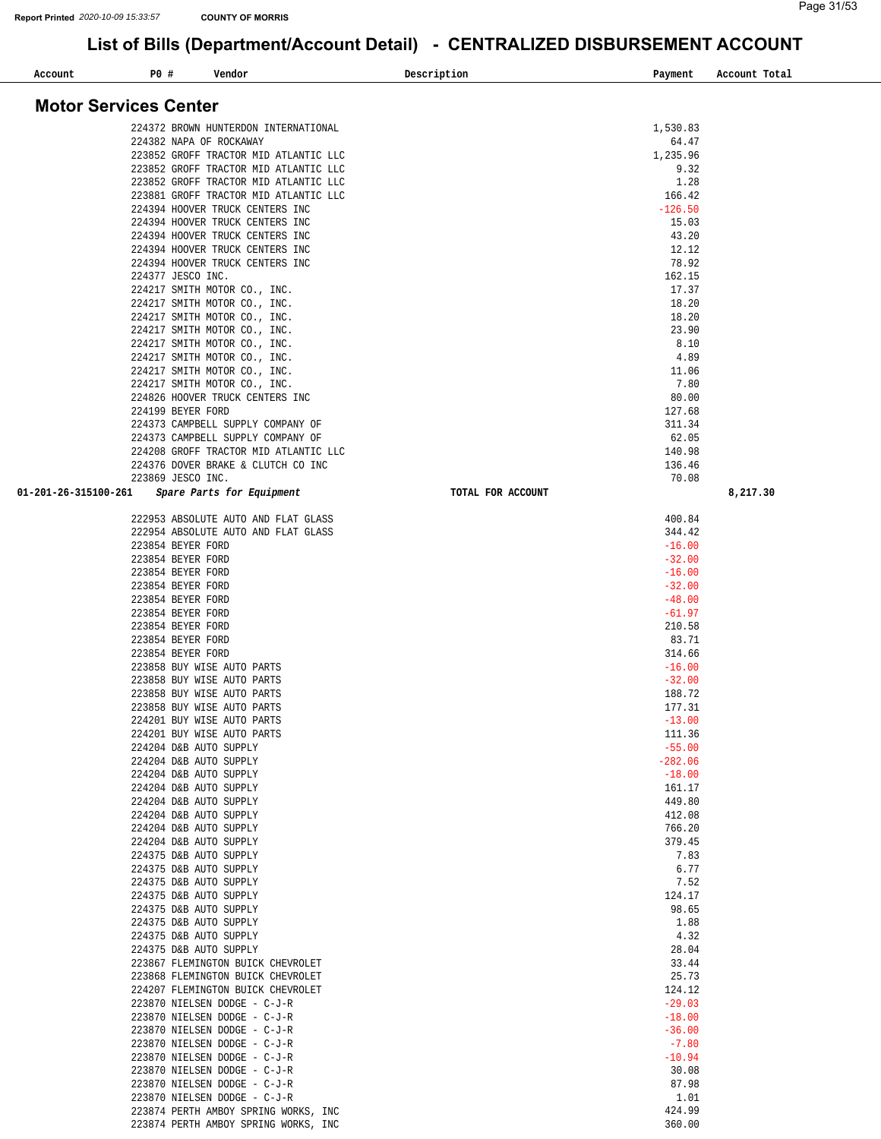| Account                      | <b>PO #</b>                            | Vendor                                                          | Description       | Payment              | Account Total |
|------------------------------|----------------------------------------|-----------------------------------------------------------------|-------------------|----------------------|---------------|
| <b>Motor Services Center</b> |                                        |                                                                 |                   |                      |               |
|                              |                                        |                                                                 |                   |                      |               |
|                              |                                        | 224372 BROWN HUNTERDON INTERNATIONAL<br>224382 NAPA OF ROCKAWAY |                   | 1,530.83<br>64.47    |               |
|                              |                                        | 223852 GROFF TRACTOR MID ATLANTIC LLC                           |                   | 1,235.96             |               |
|                              |                                        | 223852 GROFF TRACTOR MID ATLANTIC LLC                           |                   | 9.32                 |               |
|                              |                                        | 223852 GROFF TRACTOR MID ATLANTIC LLC                           |                   | 1.28                 |               |
|                              |                                        | 223881 GROFF TRACTOR MID ATLANTIC LLC                           |                   | 166.42               |               |
|                              |                                        | 224394 HOOVER TRUCK CENTERS INC                                 |                   | $-126.50$            |               |
|                              |                                        | 224394 HOOVER TRUCK CENTERS INC                                 |                   | 15.03                |               |
|                              |                                        | 224394 HOOVER TRUCK CENTERS INC                                 |                   | 43.20                |               |
|                              |                                        | 224394 HOOVER TRUCK CENTERS INC                                 |                   | 12.12                |               |
|                              | 224377 JESCO INC.                      | 224394 HOOVER TRUCK CENTERS INC                                 |                   | 78.92<br>162.15      |               |
|                              |                                        | 224217 SMITH MOTOR CO., INC.                                    |                   | 17.37                |               |
|                              |                                        | 224217 SMITH MOTOR CO., INC.                                    |                   | 18.20                |               |
|                              |                                        | 224217 SMITH MOTOR CO., INC.                                    |                   | 18.20                |               |
|                              |                                        | 224217 SMITH MOTOR CO., INC.                                    |                   | 23.90                |               |
|                              |                                        | 224217 SMITH MOTOR CO., INC.                                    |                   | 8.10                 |               |
|                              |                                        | 224217 SMITH MOTOR CO., INC.                                    |                   | 4.89                 |               |
|                              |                                        | 224217 SMITH MOTOR CO., INC.                                    |                   | 11.06                |               |
|                              |                                        | 224217 SMITH MOTOR CO., INC.<br>224826 HOOVER TRUCK CENTERS INC |                   | 7.80<br>80.00        |               |
|                              | 224199 BEYER FORD                      |                                                                 |                   | 127.68               |               |
|                              |                                        | 224373 CAMPBELL SUPPLY COMPANY OF                               |                   | 311.34               |               |
|                              |                                        | 224373 CAMPBELL SUPPLY COMPANY OF                               |                   | 62.05                |               |
|                              |                                        | 224208 GROFF TRACTOR MID ATLANTIC LLC                           |                   | 140.98               |               |
|                              |                                        | 224376 DOVER BRAKE & CLUTCH CO INC                              |                   | 136.46               |               |
|                              | 223869 JESCO INC.                      |                                                                 |                   | 70.08                |               |
| 01-201-26-315100-261         |                                        | Spare Parts for Equipment                                       | TOTAL FOR ACCOUNT |                      | 8,217.30      |
|                              |                                        | 222953 ABSOLUTE AUTO AND FLAT GLASS                             |                   | 400.84               |               |
|                              |                                        | 222954 ABSOLUTE AUTO AND FLAT GLASS                             |                   | 344.42               |               |
|                              | 223854 BEYER FORD                      |                                                                 |                   | $-16.00$             |               |
|                              | 223854 BEYER FORD                      |                                                                 |                   | $-32.00$             |               |
|                              | 223854 BEYER FORD                      |                                                                 |                   | $-16.00$<br>$-32.00$ |               |
|                              | 223854 BEYER FORD<br>223854 BEYER FORD |                                                                 |                   | $-48.00$             |               |
|                              | 223854 BEYER FORD                      |                                                                 |                   | $-61.97$             |               |
|                              | 223854 BEYER FORD                      |                                                                 |                   | 210.58               |               |
|                              | 223854 BEYER FORD                      |                                                                 |                   | 83.71                |               |
|                              | 223854 BEYER FORD                      |                                                                 |                   | 314.66               |               |
|                              |                                        | 223858 BUY WISE AUTO PARTS                                      |                   | $-16.00$             |               |
|                              |                                        | 223858 BUY WISE AUTO PARTS                                      |                   | $-32.00$             |               |
|                              |                                        | 223858 BUY WISE AUTO PARTS                                      |                   | 188.72               |               |
|                              |                                        | 223858 BUY WISE AUTO PARTS<br>224201 BUY WISE AUTO PARTS        |                   | 177.31<br>$-13.00$   |               |
|                              |                                        | 224201 BUY WISE AUTO PARTS                                      |                   | 111.36               |               |
|                              |                                        | 224204 D&B AUTO SUPPLY                                          |                   | $-55.00$             |               |
|                              |                                        | 224204 D&B AUTO SUPPLY                                          |                   | $-282.06$            |               |
|                              |                                        | 224204 D&B AUTO SUPPLY                                          |                   | $-18.00$             |               |
|                              |                                        | 224204 D&B AUTO SUPPLY                                          |                   | 161.17               |               |
|                              |                                        | 224204 D&B AUTO SUPPLY                                          |                   | 449.80               |               |
|                              |                                        | 224204 D&B AUTO SUPPLY<br>224204 D&B AUTO SUPPLY                |                   | 412.08<br>766.20     |               |
|                              |                                        | 224204 D&B AUTO SUPPLY                                          |                   | 379.45               |               |
|                              |                                        | 224375 D&B AUTO SUPPLY                                          |                   | 7.83                 |               |
|                              |                                        | 224375 D&B AUTO SUPPLY                                          |                   | 6.77                 |               |
|                              |                                        | 224375 D&B AUTO SUPPLY                                          |                   | 7.52                 |               |
|                              |                                        | 224375 D&B AUTO SUPPLY                                          |                   | 124.17               |               |
|                              |                                        | 224375 D&B AUTO SUPPLY                                          |                   | 98.65                |               |
|                              |                                        | 224375 D&B AUTO SUPPLY                                          |                   | 1.88                 |               |
|                              |                                        | 224375 D&B AUTO SUPPLY                                          |                   | 4.32                 |               |
|                              |                                        | 224375 D&B AUTO SUPPLY<br>223867 FLEMINGTON BUICK CHEVROLET     |                   | 28.04<br>33.44       |               |
|                              |                                        | 223868 FLEMINGTON BUICK CHEVROLET                               |                   | 25.73                |               |
|                              |                                        | 224207 FLEMINGTON BUICK CHEVROLET                               |                   | 124.12               |               |
|                              |                                        | 223870 NIELSEN DODGE - C-J-R                                    |                   | $-29.03$             |               |
|                              |                                        | 223870 NIELSEN DODGE - C-J-R                                    |                   | $-18.00$             |               |
|                              |                                        | 223870 NIELSEN DODGE - C-J-R                                    |                   | $-36.00$             |               |
|                              |                                        | 223870 NIELSEN DODGE - C-J-R                                    |                   | $-7.80$              |               |
|                              |                                        | 223870 NIELSEN DODGE - C-J-R                                    |                   | $-10.94$             |               |
|                              |                                        | 223870 NIELSEN DODGE - C-J-R                                    |                   | 30.08<br>87.98       |               |
|                              |                                        | 223870 NIELSEN DODGE - C-J-R<br>223870 NIELSEN DODGE - C-J-R    |                   | 1.01                 |               |
|                              |                                        | 223874 PERTH AMBOY SPRING WORKS, INC                            |                   | 424.99               |               |
|                              |                                        | 223874 PERTH AMBOY SPRING WORKS, INC                            |                   | 360.00               |               |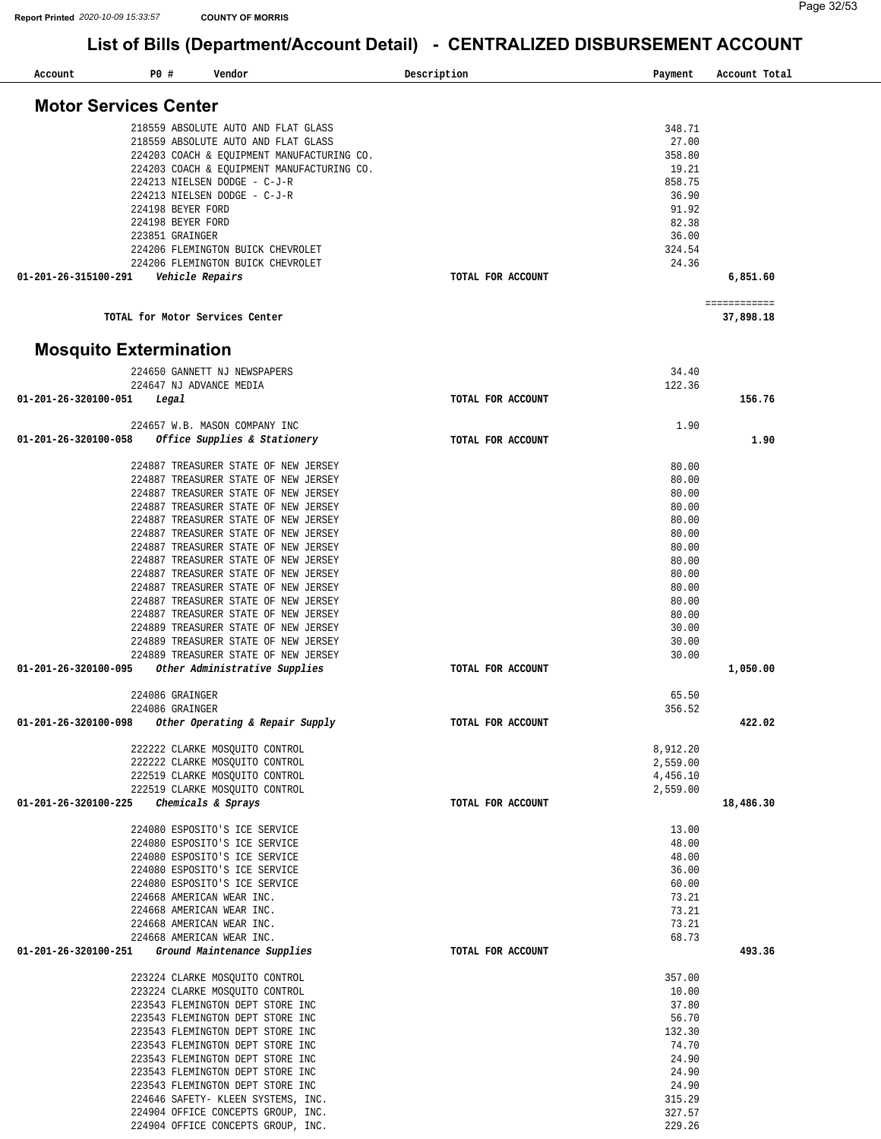| Account                       | P0 # | Vendor                                               | Description       | Payment  | Account Total             |
|-------------------------------|------|------------------------------------------------------|-------------------|----------|---------------------------|
| <b>Motor Services Center</b>  |      |                                                      |                   |          |                           |
|                               |      |                                                      |                   |          |                           |
|                               |      | 218559 ABSOLUTE AUTO AND FLAT GLASS                  |                   | 348.71   |                           |
|                               |      | 218559 ABSOLUTE AUTO AND FLAT GLASS                  |                   | 27.00    |                           |
|                               |      | 224203 COACH & EQUIPMENT MANUFACTURING CO.           |                   | 358.80   |                           |
|                               |      | 224203 COACH & EQUIPMENT MANUFACTURING CO.           |                   | 19.21    |                           |
|                               |      | 224213 NIELSEN DODGE - C-J-R                         |                   | 858.75   |                           |
|                               |      | 224213 NIELSEN DODGE - C-J-R                         |                   | 36.90    |                           |
|                               |      | 224198 BEYER FORD                                    |                   | 91.92    |                           |
|                               |      | 224198 BEYER FORD                                    |                   | 82.38    |                           |
|                               |      | 223851 GRAINGER<br>224206 FLEMINGTON BUICK CHEVROLET |                   | 36.00    |                           |
|                               |      |                                                      |                   | 324.54   |                           |
| 01-201-26-315100-291          |      | 224206 FLEMINGTON BUICK CHEVROLET                    | TOTAL FOR ACCOUNT | 24.36    | 6,851.60                  |
|                               |      | Vehicle Repairs                                      |                   |          |                           |
|                               |      | TOTAL for Motor Services Center                      |                   |          | ============<br>37,898.18 |
| <b>Mosquito Extermination</b> |      |                                                      |                   |          |                           |
|                               |      |                                                      |                   |          |                           |
|                               |      | 224650 GANNETT NJ NEWSPAPERS                         |                   | 34.40    |                           |
|                               |      | 224647 NJ ADVANCE MEDIA                              |                   | 122.36   | 156.76                    |
| 01-201-26-320100-051          |      | Legal                                                | TOTAL FOR ACCOUNT |          |                           |
|                               |      | 224657 W.B. MASON COMPANY INC                        |                   | 1.90     |                           |
|                               |      |                                                      |                   |          | 1.90                      |
| 01-201-26-320100-058          |      | Office Supplies & Stationery                         | TOTAL FOR ACCOUNT |          |                           |
|                               |      | 224887 TREASURER STATE OF NEW JERSEY                 |                   | 80.00    |                           |
|                               |      | 224887 TREASURER STATE OF NEW JERSEY                 |                   | 80.00    |                           |
|                               |      | 224887 TREASURER STATE OF NEW JERSEY                 |                   | 80.00    |                           |
|                               |      | 224887 TREASURER STATE OF NEW JERSEY                 |                   | 80.00    |                           |
|                               |      | 224887 TREASURER STATE OF NEW JERSEY                 |                   | 80.00    |                           |
|                               |      | 224887 TREASURER STATE OF NEW JERSEY                 |                   | 80.00    |                           |
|                               |      | 224887 TREASURER STATE OF NEW JERSEY                 |                   | 80.00    |                           |
|                               |      | 224887 TREASURER STATE OF NEW JERSEY                 |                   | 80.00    |                           |
|                               |      | 224887 TREASURER STATE OF NEW JERSEY                 |                   | 80.00    |                           |
|                               |      | 224887 TREASURER STATE OF NEW JERSEY                 |                   | 80.00    |                           |
|                               |      | 224887 TREASURER STATE OF NEW JERSEY                 |                   | 80.00    |                           |
|                               |      | 224887 TREASURER STATE OF NEW JERSEY                 |                   | 80.00    |                           |
|                               |      | 224889 TREASURER STATE OF NEW JERSEY                 |                   | 30.00    |                           |
|                               |      | 224889 TREASURER STATE OF NEW JERSEY                 |                   | 30.00    |                           |
|                               |      | 224889 TREASURER STATE OF NEW JERSEY                 |                   | 30.00    |                           |
| 01-201-26-320100-095          |      | Other Administrative Supplies                        | TOTAL FOR ACCOUNT |          | 1,050.00                  |
|                               |      |                                                      |                   |          |                           |
|                               |      | 224086 GRAINGER                                      |                   | 65.50    |                           |
|                               |      | 224086 GRAINGER                                      |                   | 356.52   |                           |
| 01-201-26-320100-098          |      | Other Operating & Repair Supply                      | TOTAL FOR ACCOUNT |          | 422.02                    |
|                               |      | 222222 CLARKE MOSQUITO CONTROL                       |                   | 8,912.20 |                           |
|                               |      | 222222 CLARKE MOSOUITO CONTROL                       |                   | 2,559.00 |                           |
|                               |      | 222519 CLARKE MOSOUITO CONTROL                       |                   | 4,456.10 |                           |
|                               |      | 222519 CLARKE MOSQUITO CONTROL                       |                   | 2,559.00 |                           |
| 01-201-26-320100-225          |      | Chemicals & Sprays                                   | TOTAL FOR ACCOUNT |          | 18,486.30                 |
|                               |      | 224080 ESPOSITO'S ICE SERVICE                        |                   | 13.00    |                           |
|                               |      | 224080 ESPOSITO'S ICE SERVICE                        |                   | 48.00    |                           |
|                               |      | 224080 ESPOSITO'S ICE SERVICE                        |                   | 48.00    |                           |
|                               |      | 224080 ESPOSITO'S ICE SERVICE                        |                   | 36.00    |                           |
|                               |      | 224080 ESPOSITO'S ICE SERVICE                        |                   | 60.00    |                           |
|                               |      | 224668 AMERICAN WEAR INC.                            |                   | 73.21    |                           |
|                               |      | 224668 AMERICAN WEAR INC.                            |                   | 73.21    |                           |
|                               |      | 224668 AMERICAN WEAR INC.                            |                   | 73.21    |                           |
|                               |      | 224668 AMERICAN WEAR INC.                            |                   | 68.73    |                           |
| 01-201-26-320100-251          |      | Ground Maintenance Supplies                          | TOTAL FOR ACCOUNT |          | 493.36                    |
|                               |      | 223224 CLARKE MOSQUITO CONTROL                       |                   | 357.00   |                           |
|                               |      | 223224 CLARKE MOSQUITO CONTROL                       |                   | 10.00    |                           |
|                               |      | 223543 FLEMINGTON DEPT STORE INC                     |                   | 37.80    |                           |
|                               |      | 223543 FLEMINGTON DEPT STORE INC                     |                   | 56.70    |                           |
|                               |      | 223543 FLEMINGTON DEPT STORE INC                     |                   | 132.30   |                           |
|                               |      | 223543 FLEMINGTON DEPT STORE INC                     |                   | 74.70    |                           |
|                               |      | 223543 FLEMINGTON DEPT STORE INC                     |                   | 24.90    |                           |
|                               |      | 223543 FLEMINGTON DEPT STORE INC                     |                   | 24.90    |                           |
|                               |      | 223543 FLEMINGTON DEPT STORE INC                     |                   | 24.90    |                           |
|                               |      | 224646 SAFETY- KLEEN SYSTEMS, INC.                   |                   | 315.29   |                           |
|                               |      | 224904 OFFICE CONCEPTS GROUP, INC.                   |                   | 327.57   |                           |
|                               |      | 224904 OFFICE CONCEPTS GROUP, INC.                   |                   | 229.26   |                           |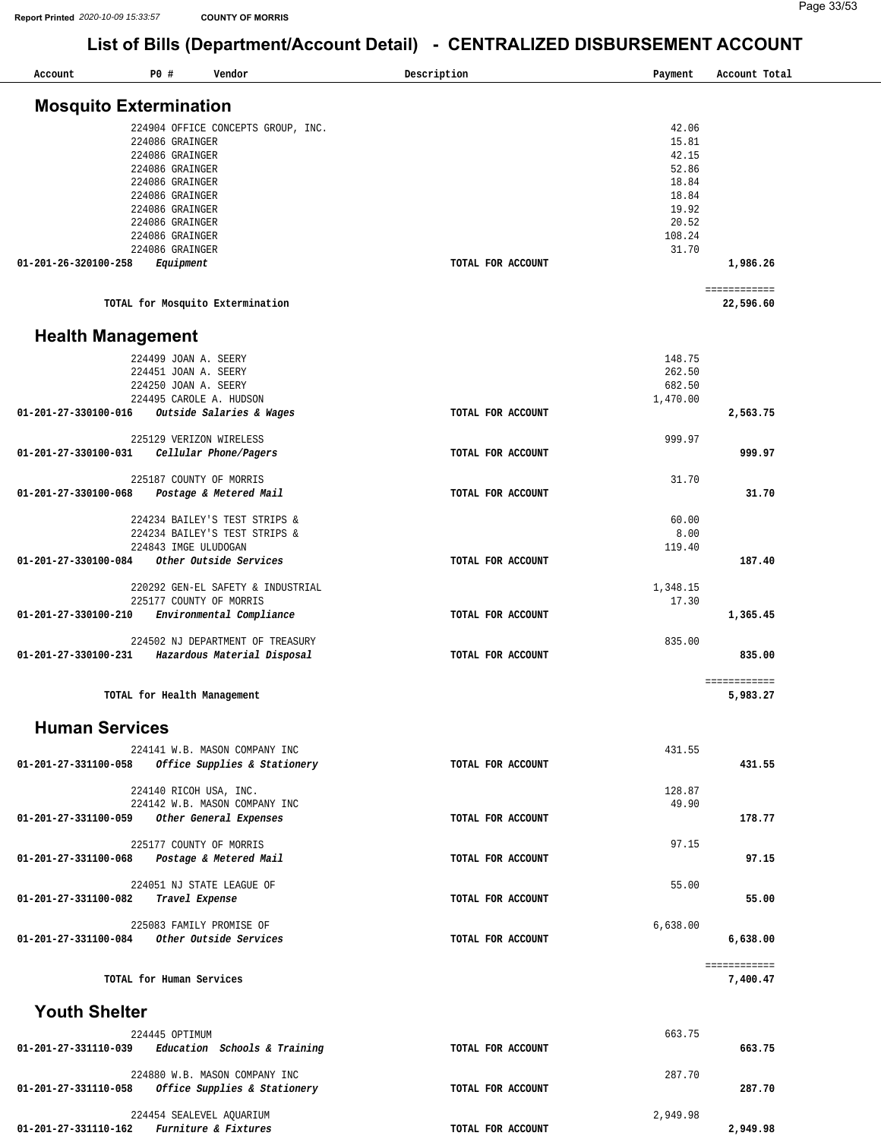| Account                                             | P0 # |                                    | Vendor                             | Description<br>Payment        | Account Total             |
|-----------------------------------------------------|------|------------------------------------|------------------------------------|-------------------------------|---------------------------|
| <b>Mosquito Extermination</b>                       |      |                                    |                                    |                               |                           |
|                                                     |      |                                    |                                    |                               |                           |
|                                                     |      |                                    | 224904 OFFICE CONCEPTS GROUP, INC. | 42.06                         |                           |
|                                                     |      | 224086 GRAINGER                    |                                    | 15.81                         |                           |
|                                                     |      | 224086 GRAINGER                    |                                    | 42.15                         |                           |
|                                                     |      | 224086 GRAINGER<br>224086 GRAINGER |                                    | 52.86<br>18.84                |                           |
|                                                     |      | 224086 GRAINGER                    |                                    | 18.84                         |                           |
|                                                     |      | 224086 GRAINGER                    |                                    | 19.92                         |                           |
|                                                     |      | 224086 GRAINGER                    |                                    | 20.52                         |                           |
|                                                     |      | 224086 GRAINGER                    |                                    | 108.24                        |                           |
|                                                     |      | 224086 GRAINGER                    |                                    | 31.70                         |                           |
| 01-201-26-320100-258                                |      | Equipment                          |                                    | TOTAL FOR ACCOUNT             | 1,986.26                  |
|                                                     |      |                                    |                                    |                               |                           |
|                                                     |      |                                    | TOTAL for Mosquito Extermination   |                               | ============<br>22,596.60 |
| <b>Health Management</b>                            |      |                                    |                                    |                               |                           |
|                                                     |      |                                    |                                    |                               |                           |
|                                                     |      | 224499 JOAN A. SEERY               |                                    | 148.75                        |                           |
|                                                     |      | 224451 JOAN A. SEERY               |                                    | 262.50                        |                           |
|                                                     |      | 224250 JOAN A. SEERY               |                                    | 682.50                        |                           |
|                                                     |      |                                    | 224495 CAROLE A. HUDSON            | 1,470.00                      |                           |
| 01-201-27-330100-016                                |      |                                    | Outside Salaries & Wages           | TOTAL FOR ACCOUNT             | 2,563.75                  |
|                                                     |      |                                    | 225129 VERIZON WIRELESS            | 999.97                        |                           |
| 01-201-27-330100-031                                |      |                                    | Cellular Phone/Pagers              | TOTAL FOR ACCOUNT             | 999.97                    |
|                                                     |      |                                    |                                    |                               |                           |
|                                                     |      |                                    | 225187 COUNTY OF MORRIS            | 31.70                         |                           |
| 01-201-27-330100-068                                |      |                                    | Postage & Metered Mail             | TOTAL FOR ACCOUNT             | 31.70                     |
|                                                     |      |                                    | 224234 BAILEY'S TEST STRIPS &      | 60.00                         |                           |
|                                                     |      |                                    | 224234 BAILEY'S TEST STRIPS &      | 8.00                          |                           |
|                                                     |      | 224843 IMGE ULUDOGAN               |                                    | 119.40                        |                           |
| 01-201-27-330100-084                                |      |                                    | Other Outside Services             | TOTAL FOR ACCOUNT             | 187.40                    |
|                                                     |      |                                    |                                    |                               |                           |
|                                                     |      |                                    | 220292 GEN-EL SAFETY & INDUSTRIAL  | 1,348.15                      |                           |
|                                                     |      |                                    | 225177 COUNTY OF MORRIS            | 17.30                         |                           |
| 01-201-27-330100-210                                |      |                                    | Environmental Compliance           | TOTAL FOR ACCOUNT             | 1,365.45                  |
|                                                     |      |                                    |                                    |                               |                           |
|                                                     |      |                                    | 224502 NJ DEPARTMENT OF TREASURY   | 835.00                        |                           |
| 01-201-27-330100-231                                |      |                                    | Hazardous Material Disposal        | TOTAL FOR ACCOUNT             | 835.00                    |
|                                                     |      |                                    |                                    |                               | ============              |
|                                                     |      |                                    | TOTAL for Health Management        |                               | 5,983.27                  |
| <b>Human Services</b>                               |      |                                    |                                    |                               |                           |
|                                                     |      |                                    |                                    |                               |                           |
|                                                     |      |                                    | 224141 W.B. MASON COMPANY INC      | 431.55                        |                           |
| 01-201-27-331100-058 Office Supplies & Stationery   |      |                                    |                                    | TOTAL FOR ACCOUNT             | 431.55                    |
|                                                     |      |                                    |                                    |                               |                           |
|                                                     |      |                                    | 224140 RICOH USA, INC.             | 128.87                        |                           |
|                                                     |      |                                    | 224142 W.B. MASON COMPANY INC      | 49.90                         |                           |
| 01-201-27-331100-059                                |      |                                    | Other General Expenses             | TOTAL FOR ACCOUNT             | 178.77                    |
|                                                     |      |                                    | 225177 COUNTY OF MORRIS            | 97.15                         |                           |
| 01-201-27-331100-068                                |      |                                    |                                    | TOTAL FOR ACCOUNT             | 97.15                     |
|                                                     |      |                                    | Postage & Metered Mail             |                               |                           |
|                                                     |      |                                    | 224051 NJ STATE LEAGUE OF          | 55.00                         |                           |
| 01-201-27-331100-082                                |      | Travel Expense                     |                                    | TOTAL FOR ACCOUNT             | 55.00                     |
|                                                     |      |                                    |                                    |                               |                           |
|                                                     |      |                                    | 225083 FAMILY PROMISE OF           | 6,638.00                      |                           |
| 01-201-27-331100-084                                |      |                                    | Other Outside Services             | TOTAL FOR ACCOUNT             | 6,638.00                  |
|                                                     |      |                                    |                                    |                               |                           |
|                                                     |      |                                    |                                    |                               | ============              |
| TOTAL for Human Services                            |      |                                    |                                    |                               | 7,400.47                  |
| <b>Youth Shelter</b>                                |      |                                    |                                    |                               |                           |
|                                                     |      |                                    |                                    |                               |                           |
|                                                     |      | 224445 OPTIMUM                     |                                    | 663.75                        |                           |
| $01-201-27-331110-039$ Education Schools & Training |      |                                    |                                    | TOTAL FOR ACCOUNT             | 663.75                    |
|                                                     |      |                                    |                                    |                               |                           |
|                                                     |      |                                    | 224880 W.B. MASON COMPANY INC      | 287.70                        |                           |
| 01-201-27-331110-058                                |      |                                    | Office Supplies & Stationery       | TOTAL FOR ACCOUNT             | 287.70                    |
|                                                     |      |                                    |                                    |                               |                           |
| 01-201-27-331110-162 Furniture & Fixtures           |      |                                    | 224454 SEALEVEL AQUARIUM           | 2,949.98<br>TOTAL FOR ACCOUNT | 2,949.98                  |
|                                                     |      |                                    |                                    |                               |                           |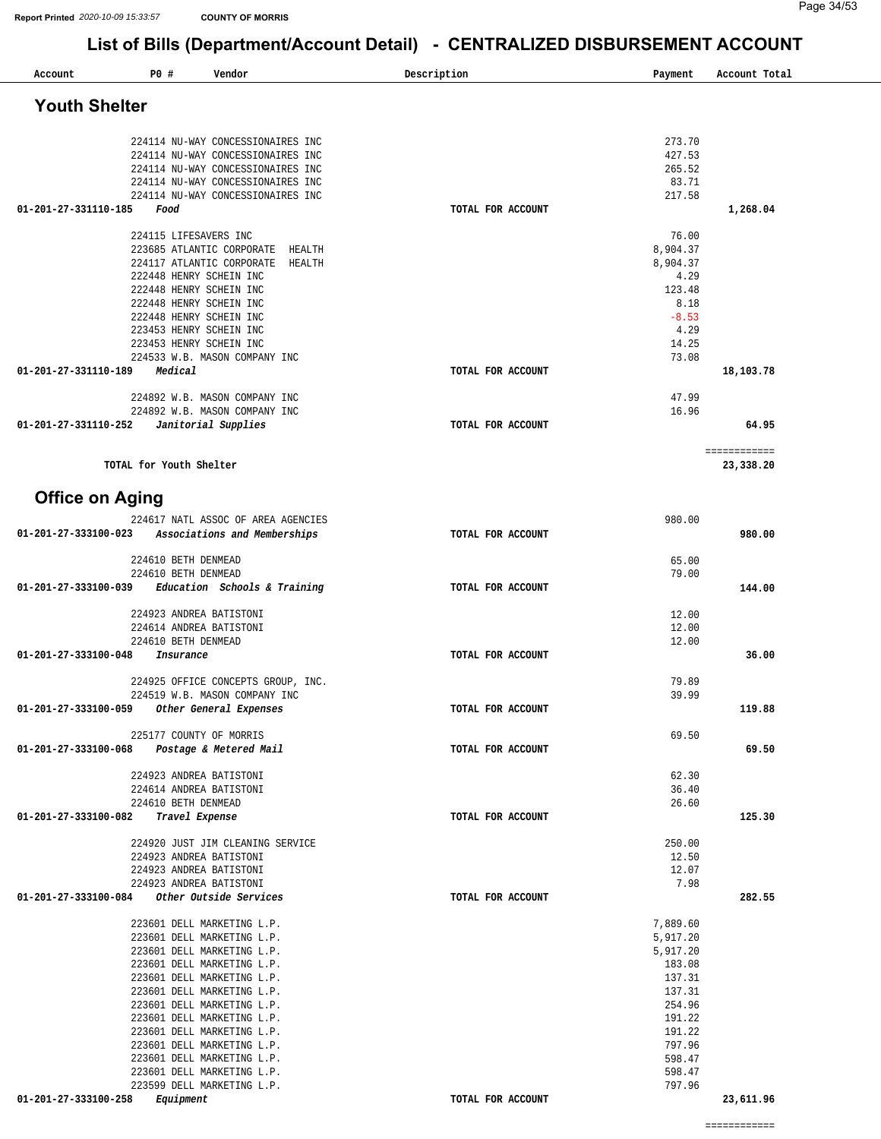| Account                | P0#<br>Vendor                                                           | Description       | Payment          | Account Total |
|------------------------|-------------------------------------------------------------------------|-------------------|------------------|---------------|
| <b>Youth Shelter</b>   |                                                                         |                   |                  |               |
|                        |                                                                         |                   |                  |               |
|                        | 224114 NU-WAY CONCESSIONAIRES INC                                       |                   | 273.70           |               |
|                        | 224114 NU-WAY CONCESSIONAIRES INC                                       |                   | 427.53           |               |
|                        | 224114 NU-WAY CONCESSIONAIRES INC                                       |                   | 265.52           |               |
|                        | 224114 NU-WAY CONCESSIONAIRES INC<br>224114 NU-WAY CONCESSIONAIRES INC  |                   | 83.71<br>217.58  |               |
| 01-201-27-331110-185   | Food                                                                    | TOTAL FOR ACCOUNT |                  | 1,268.04      |
|                        |                                                                         |                   |                  |               |
|                        | 224115 LIFESAVERS INC                                                   |                   | 76.00            |               |
|                        | 223685 ATLANTIC CORPORATE<br>HEALTH<br>224117 ATLANTIC CORPORATE HEALTH |                   | 8,904.37         |               |
|                        | 222448 HENRY SCHEIN INC                                                 |                   | 8,904.37<br>4.29 |               |
|                        | 222448 HENRY SCHEIN INC                                                 |                   | 123.48           |               |
|                        | 222448 HENRY SCHEIN INC                                                 |                   | 8.18             |               |
|                        | 222448 HENRY SCHEIN INC                                                 |                   | $-8.53$          |               |
|                        | 223453 HENRY SCHEIN INC<br>223453 HENRY SCHEIN INC                      |                   | 4.29<br>14.25    |               |
|                        | 224533 W.B. MASON COMPANY INC                                           |                   | 73.08            |               |
| 01-201-27-331110-189   | Medical                                                                 | TOTAL FOR ACCOUNT |                  | 18,103.78     |
|                        |                                                                         |                   |                  |               |
|                        | 224892 W.B. MASON COMPANY INC                                           |                   | 47.99            |               |
| 01-201-27-331110-252   | 224892 W.B. MASON COMPANY INC<br>Janitorial Supplies                    | TOTAL FOR ACCOUNT | 16.96            | 64.95         |
|                        |                                                                         |                   |                  |               |
|                        |                                                                         |                   |                  | ============  |
|                        | TOTAL for Youth Shelter                                                 |                   |                  | 23,338.20     |
|                        |                                                                         |                   |                  |               |
| <b>Office on Aging</b> |                                                                         |                   |                  |               |
|                        | 224617 NATL ASSOC OF AREA AGENCIES                                      |                   | 980.00           |               |
| 01-201-27-333100-023   | Associations and Memberships                                            | TOTAL FOR ACCOUNT |                  | 980.00        |
|                        | 224610 BETH DENMEAD                                                     |                   | 65.00            |               |
|                        | 224610 BETH DENMEAD                                                     |                   | 79.00            |               |
| 01-201-27-333100-039   | Education Schools & Training                                            | TOTAL FOR ACCOUNT |                  | 144.00        |
|                        |                                                                         |                   |                  |               |
|                        | 224923 ANDREA BATISTONI<br>224614 ANDREA BATISTONI                      |                   | 12.00<br>12.00   |               |
|                        | 224610 BETH DENMEAD                                                     |                   | 12.00            |               |
| 01-201-27-333100-048   | Insurance                                                               | TOTAL FOR ACCOUNT |                  | 36.00         |
|                        |                                                                         |                   |                  |               |
|                        | 224925 OFFICE CONCEPTS GROUP, INC.<br>224519 W.B. MASON COMPANY INC     |                   | 79.89<br>39.99   |               |
| 01-201-27-333100-059   | Other General Expenses                                                  | TOTAL FOR ACCOUNT |                  | 119.88        |
|                        |                                                                         |                   |                  |               |
|                        | 225177 COUNTY OF MORRIS                                                 |                   | 69.50            |               |
| 01-201-27-333100-068   | Postage & Metered Mail                                                  | TOTAL FOR ACCOUNT |                  | 69.50         |
|                        | 224923 ANDREA BATISTONI                                                 |                   | 62.30            |               |
|                        | 224614 ANDREA BATISTONI                                                 |                   | 36.40            |               |
|                        | 224610 BETH DENMEAD                                                     |                   | 26.60            |               |
| 01-201-27-333100-082   | Travel Expense                                                          | TOTAL FOR ACCOUNT |                  | 125.30        |
|                        | 224920 JUST JIM CLEANING SERVICE                                        |                   | 250.00           |               |
|                        | 224923 ANDREA BATISTONI                                                 |                   | 12.50            |               |
|                        | 224923 ANDREA BATISTONI                                                 |                   | 12.07            |               |
| 01-201-27-333100-084   | 224923 ANDREA BATISTONI<br>Other Outside Services                       | TOTAL FOR ACCOUNT | 7.98             | 282.55        |
|                        |                                                                         |                   |                  |               |
|                        | 223601 DELL MARKETING L.P.                                              |                   | 7,889.60         |               |
|                        | 223601 DELL MARKETING L.P.                                              |                   | 5,917.20         |               |
|                        | 223601 DELL MARKETING L.P.                                              |                   | 5,917.20         |               |
|                        | 223601 DELL MARKETING L.P.<br>223601 DELL MARKETING L.P.                |                   | 183.08<br>137.31 |               |
|                        | 223601 DELL MARKETING L.P.                                              |                   | 137.31           |               |
|                        | 223601 DELL MARKETING L.P.                                              |                   | 254.96           |               |
|                        | 223601 DELL MARKETING L.P.                                              |                   | 191.22           |               |
|                        | 223601 DELL MARKETING L.P.<br>223601 DELL MARKETING L.P.                |                   | 191.22<br>797.96 |               |
|                        | 223601 DELL MARKETING L.P.                                              |                   | 598.47           |               |
|                        | 223601 DELL MARKETING L.P.                                              |                   | 598.47           |               |
|                        | 223599 DELL MARKETING L.P.                                              |                   | 797.96           |               |
| 01-201-27-333100-258   | Equipment                                                               | TOTAL FOR ACCOUNT |                  | 23,611.96     |
|                        |                                                                         |                   |                  |               |

============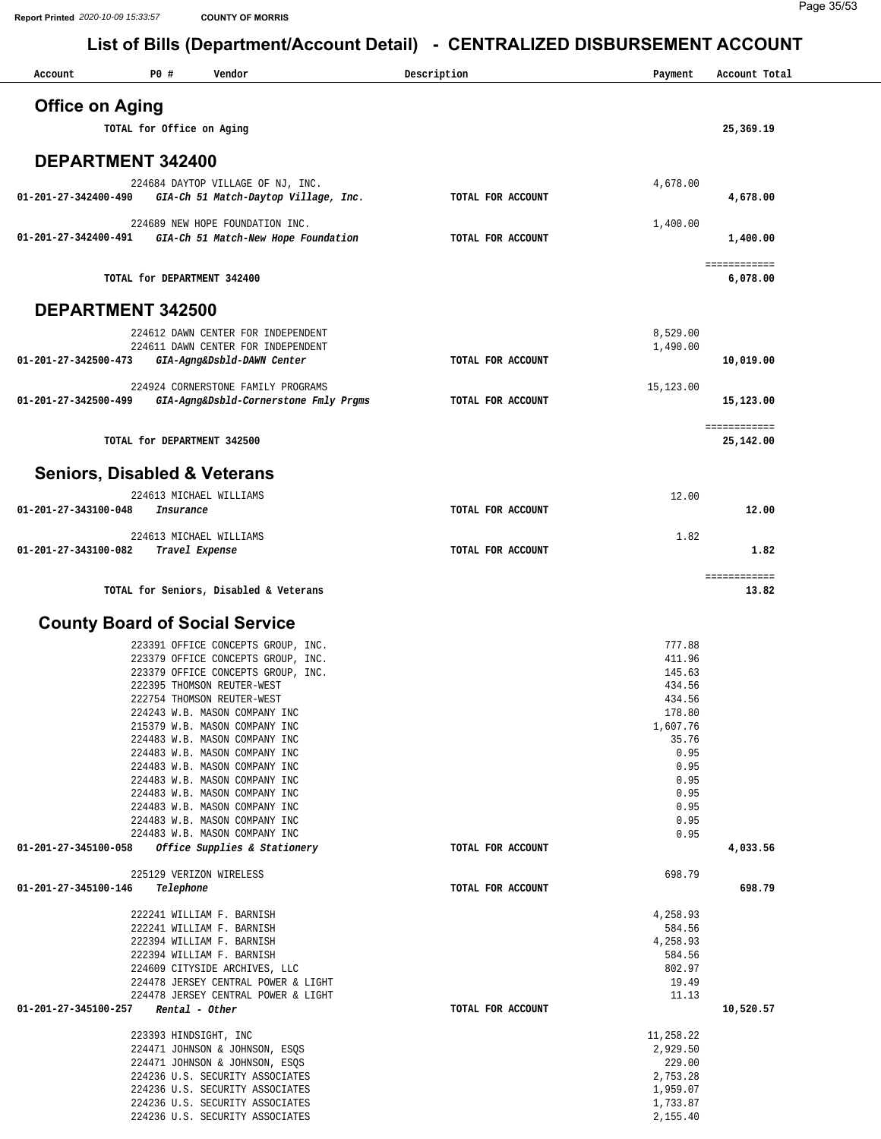| Account                | P0#<br>Vendor                                                               | Description       | Payment            | Account Total            |
|------------------------|-----------------------------------------------------------------------------|-------------------|--------------------|--------------------------|
| <b>Office on Aging</b> |                                                                             |                   |                    |                          |
|                        | TOTAL for Office on Aging                                                   |                   |                    | 25,369.19                |
|                        |                                                                             |                   |                    |                          |
|                        | <b>DEPARTMENT 342400</b>                                                    |                   |                    |                          |
| 01-201-27-342400-490   | 224684 DAYTOP VILLAGE OF NJ, INC.<br>GIA-Ch 51 Match-Daytop Village, Inc.   | TOTAL FOR ACCOUNT | 4,678.00           | 4,678.00                 |
|                        | 224689 NEW HOPE FOUNDATION INC.                                             |                   | 1,400.00           |                          |
| 01-201-27-342400-491   | GIA-Ch 51 Match-New Hope Foundation                                         | TOTAL FOR ACCOUNT |                    | 1,400.00                 |
|                        | TOTAL for DEPARTMENT 342400                                                 |                   |                    | ============<br>6,078.00 |
|                        | <b>DEPARTMENT 342500</b>                                                    |                   |                    |                          |
|                        | 224612 DAWN CENTER FOR INDEPENDENT                                          |                   | 8,529.00           |                          |
| 01-201-27-342500-473   | 224611 DAWN CENTER FOR INDEPENDENT<br>GIA-Agng&Dsbld-DAWN Center            | TOTAL FOR ACCOUNT | 1,490.00           | 10,019.00                |
|                        |                                                                             |                   |                    |                          |
| 01-201-27-342500-499   | 224924 CORNERSTONE FAMILY PROGRAMS<br>GIA-Agng&Dsbld-Cornerstone Fmly Prgms | TOTAL FOR ACCOUNT | 15,123.00          | 15,123.00                |
|                        |                                                                             |                   |                    | ============             |
|                        | TOTAL for DEPARTMENT 342500                                                 |                   |                    | 25,142.00                |
|                        | <b>Seniors, Disabled &amp; Veterans</b>                                     |                   |                    |                          |
|                        | 224613 MICHAEL WILLIAMS                                                     |                   | 12.00              |                          |
| 01-201-27-343100-048   | Insurance                                                                   | TOTAL FOR ACCOUNT |                    | 12.00                    |
|                        | 224613 MICHAEL WILLIAMS                                                     |                   | 1.82               |                          |
| 01-201-27-343100-082   | Travel Expense                                                              | TOTAL FOR ACCOUNT |                    | 1.82                     |
|                        | TOTAL for Seniors, Disabled & Veterans                                      |                   |                    | ============<br>13.82    |
|                        |                                                                             |                   |                    |                          |
|                        | <b>County Board of Social Service</b>                                       |                   |                    |                          |
|                        | 223391 OFFICE CONCEPTS GROUP, INC.<br>223379 OFFICE CONCEPTS GROUP, INC.    |                   | 777.88<br>411.96   |                          |
|                        | 223379 OFFICE CONCEPTS GROUP, INC.                                          |                   | 145.63             |                          |
|                        | 222395 THOMSON REUTER-WEST<br>222754 THOMSON REUTER-WEST                    |                   | 434.56<br>434.56   |                          |
|                        | 224243 W.B. MASON COMPANY INC                                               |                   | 178.80             |                          |
|                        | 215379 W.B. MASON COMPANY INC                                               |                   | 1,607.76           |                          |
|                        | 224483 W.B. MASON COMPANY INC<br>224483 W.B. MASON COMPANY INC              |                   | 35.76<br>0.95      |                          |
|                        | 224483 W.B. MASON COMPANY INC                                               |                   | 0.95               |                          |
|                        | 224483 W.B. MASON COMPANY INC                                               |                   | 0.95               |                          |
|                        | 224483 W.B. MASON COMPANY INC                                               |                   | 0.95               |                          |
|                        | 224483 W.B. MASON COMPANY INC<br>224483 W.B. MASON COMPANY INC              |                   | 0.95<br>0.95       |                          |
|                        | 224483 W.B. MASON COMPANY INC                                               |                   | 0.95               |                          |
| 01-201-27-345100-058   | Office Supplies & Stationery                                                | TOTAL FOR ACCOUNT |                    | 4,033.56                 |
|                        | 225129 VERIZON WIRELESS                                                     |                   | 698.79             |                          |
| 01-201-27-345100-146   | Telephone                                                                   | TOTAL FOR ACCOUNT |                    | 698.79                   |
|                        | 222241 WILLIAM F. BARNISH                                                   |                   | 4,258.93           |                          |
|                        | 222241 WILLIAM F. BARNISH                                                   |                   | 584.56             |                          |
|                        | 222394 WILLIAM F. BARNISH<br>222394 WILLIAM F. BARNISH                      |                   | 4,258.93<br>584.56 |                          |
|                        | 224609 CITYSIDE ARCHIVES, LLC                                               |                   | 802.97             |                          |
|                        | 224478 JERSEY CENTRAL POWER & LIGHT                                         |                   | 19.49              |                          |
|                        | 224478 JERSEY CENTRAL POWER & LIGHT                                         |                   | 11.13              |                          |
| 01-201-27-345100-257   | Rental - Other                                                              | TOTAL FOR ACCOUNT |                    | 10,520.57                |
|                        | 223393 HINDSIGHT, INC                                                       |                   | 11,258.22          |                          |
|                        | 224471 JOHNSON & JOHNSON, ESQS                                              |                   | 2,929.50           |                          |
|                        | 224471 JOHNSON & JOHNSON, ESQS<br>224236 U.S. SECURITY ASSOCIATES           |                   | 229.00<br>2,753.28 |                          |
|                        | 224236 U.S. SECURITY ASSOCIATES                                             |                   | 1,959.07           |                          |
|                        | 224236 U.S. SECURITY ASSOCIATES                                             |                   | 1,733.87           |                          |
|                        | 224236 U.S. SECURITY ASSOCIATES                                             |                   | 2,155.40           |                          |
|                        |                                                                             |                   |                    |                          |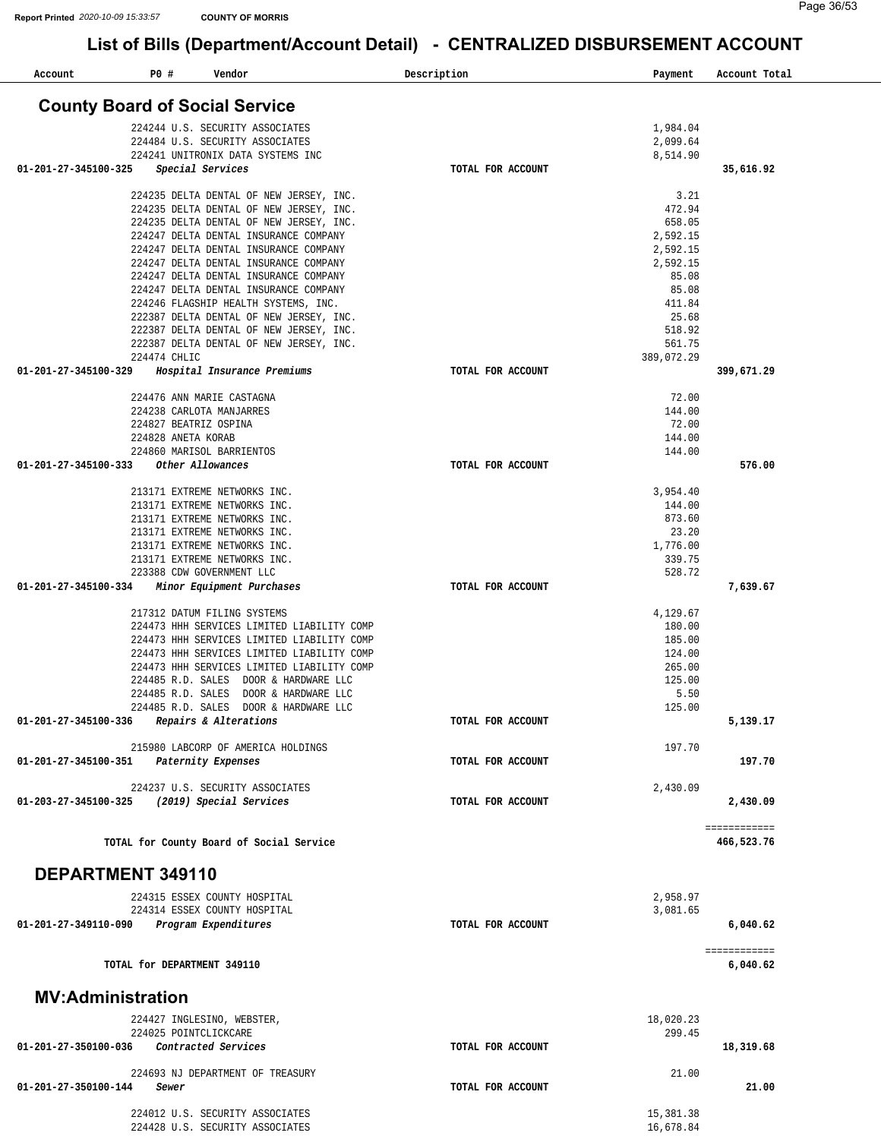| Account                  | P0 #         | Vendor                                                                           |                                                                                          | Description       | Payment              | Account Total |
|--------------------------|--------------|----------------------------------------------------------------------------------|------------------------------------------------------------------------------------------|-------------------|----------------------|---------------|
|                          |              | <b>County Board of Social Service</b>                                            |                                                                                          |                   |                      |               |
|                          |              | 224244 U.S. SECURITY ASSOCIATES                                                  |                                                                                          |                   | 1,984.04             |               |
|                          |              | 224484 U.S. SECURITY ASSOCIATES                                                  |                                                                                          |                   | 2,099.64             |               |
|                          |              | 224241 UNITRONIX DATA SYSTEMS INC<br>Special Services                            |                                                                                          | TOTAL FOR ACCOUNT | 8,514.90             |               |
| 01-201-27-345100-325     |              |                                                                                  |                                                                                          |                   |                      | 35,616.92     |
|                          |              | 224235 DELTA DENTAL OF NEW JERSEY, INC.                                          |                                                                                          |                   | 3.21                 |               |
|                          |              | 224235 DELTA DENTAL OF NEW JERSEY, INC.                                          |                                                                                          |                   | 472.94               |               |
|                          |              | 224235 DELTA DENTAL OF NEW JERSEY, INC.<br>224247 DELTA DENTAL INSURANCE COMPANY |                                                                                          |                   | 658.05<br>2,592.15   |               |
|                          |              | 224247 DELTA DENTAL INSURANCE COMPANY                                            |                                                                                          |                   | 2,592.15             |               |
|                          |              | 224247 DELTA DENTAL INSURANCE COMPANY                                            |                                                                                          |                   | 2,592.15             |               |
|                          |              | 224247 DELTA DENTAL INSURANCE COMPANY                                            |                                                                                          |                   | 85.08                |               |
|                          |              | 224247 DELTA DENTAL INSURANCE COMPANY<br>224246 FLAGSHIP HEALTH SYSTEMS, INC.    |                                                                                          |                   | 85.08<br>411.84      |               |
|                          |              | 222387 DELTA DENTAL OF NEW JERSEY, INC.                                          |                                                                                          |                   | 25.68                |               |
|                          |              | 222387 DELTA DENTAL OF NEW JERSEY, INC.                                          |                                                                                          |                   | 518.92               |               |
|                          |              | 222387 DELTA DENTAL OF NEW JERSEY, INC.                                          |                                                                                          |                   | 561.75               |               |
| 01-201-27-345100-329     | 224474 CHLIC | Hospital Insurance Premiums                                                      |                                                                                          | TOTAL FOR ACCOUNT | 389,072.29           | 399,671.29    |
|                          |              |                                                                                  |                                                                                          |                   |                      |               |
|                          |              | 224476 ANN MARIE CASTAGNA                                                        |                                                                                          |                   | 72.00                |               |
|                          |              | 224238 CARLOTA MANJARRES                                                         |                                                                                          |                   | 144.00               |               |
|                          |              | 224827 BEATRIZ OSPINA<br>224828 ANETA KORAB                                      |                                                                                          |                   | 72.00<br>144.00      |               |
|                          |              | 224860 MARISOL BARRIENTOS                                                        |                                                                                          |                   | 144.00               |               |
| 01-201-27-345100-333     |              | Other Allowances                                                                 |                                                                                          | TOTAL FOR ACCOUNT |                      | 576.00        |
|                          |              |                                                                                  |                                                                                          |                   |                      |               |
|                          |              | 213171 EXTREME NETWORKS INC.<br>213171 EXTREME NETWORKS INC.                     |                                                                                          |                   | 3,954.40<br>144.00   |               |
|                          |              | 213171 EXTREME NETWORKS INC.                                                     |                                                                                          |                   | 873.60               |               |
|                          |              | 213171 EXTREME NETWORKS INC.                                                     |                                                                                          |                   | 23.20                |               |
|                          |              | 213171 EXTREME NETWORKS INC.<br>213171 EXTREME NETWORKS INC.                     |                                                                                          |                   | 1,776.00<br>339.75   |               |
|                          |              | 223388 CDW GOVERNMENT LLC                                                        |                                                                                          |                   | 528.72               |               |
| 01-201-27-345100-334     |              | Minor Equipment Purchases                                                        |                                                                                          | TOTAL FOR ACCOUNT |                      | 7,639.67      |
|                          |              | 217312 DATUM FILING SYSTEMS                                                      |                                                                                          |                   | 4,129.67             |               |
|                          |              |                                                                                  | 224473 HHH SERVICES LIMITED LIABILITY COMP                                               |                   | 180.00               |               |
|                          |              |                                                                                  | 224473 HHH SERVICES LIMITED LIABILITY COMP<br>224473 HHH SERVICES LIMITED LIABILITY COMP |                   | 185.00<br>124.00     |               |
|                          |              |                                                                                  | 224473 HHH SERVICES LIMITED LIABILITY COMP                                               |                   | 265.00               |               |
|                          |              | 224485 R.D. SALES DOOR & HARDWARE LLC                                            |                                                                                          |                   | 125.00               |               |
|                          |              | 224485 R.D. SALES DOOR & HARDWARE LLC                                            |                                                                                          |                   | 5.50                 |               |
| 01-201-27-345100-336     |              | 224485 R.D. SALES DOOR & HARDWARE LLC<br>Repairs & Alterations                   |                                                                                          | TOTAL FOR ACCOUNT | 125.00               | 5,139.17      |
|                          |              |                                                                                  |                                                                                          |                   |                      |               |
|                          |              | 215980 LABCORP OF AMERICA HOLDINGS                                               |                                                                                          |                   | 197.70               |               |
| 01-201-27-345100-351     |              | Paternity Expenses                                                               |                                                                                          | TOTAL FOR ACCOUNT |                      | 197.70        |
|                          |              | 224237 U.S. SECURITY ASSOCIATES                                                  |                                                                                          |                   | 2,430.09             |               |
| 01-203-27-345100-325     |              | (2019) Special Services                                                          |                                                                                          | TOTAL FOR ACCOUNT |                      | 2,430.09      |
|                          |              |                                                                                  |                                                                                          |                   |                      | ============  |
|                          |              | TOTAL for County Board of Social Service                                         |                                                                                          |                   |                      | 466,523.76    |
| DEPARTMENT 349110        |              |                                                                                  |                                                                                          |                   |                      |               |
|                          |              |                                                                                  |                                                                                          |                   |                      |               |
|                          |              | 224315 ESSEX COUNTY HOSPITAL<br>224314 ESSEX COUNTY HOSPITAL                     |                                                                                          |                   | 2,958.97<br>3,081.65 |               |
| 01-201-27-349110-090     |              | Program Expenditures                                                             |                                                                                          | TOTAL FOR ACCOUNT |                      | 6,040.62      |
|                          |              |                                                                                  |                                                                                          |                   |                      | ============  |
|                          |              | TOTAL for DEPARTMENT 349110                                                      |                                                                                          |                   |                      | 6,040.62      |
| <b>MV:Administration</b> |              |                                                                                  |                                                                                          |                   |                      |               |
|                          |              | 224427 INGLESINO, WEBSTER,                                                       |                                                                                          |                   | 18,020.23            |               |
|                          |              | 224025 POINTCLICKCARE                                                            |                                                                                          |                   | 299.45               |               |
| 01-201-27-350100-036     |              | Contracted Services                                                              |                                                                                          | TOTAL FOR ACCOUNT |                      | 18,319.68     |
|                          |              | 224693 NJ DEPARTMENT OF TREASURY                                                 |                                                                                          |                   | 21.00                |               |
| 01-201-27-350100-144     | Sewer        |                                                                                  |                                                                                          | TOTAL FOR ACCOUNT |                      | 21.00         |
|                          |              | 224012 U.S. SECURITY ASSOCIATES                                                  |                                                                                          |                   | 15,381.38            |               |
|                          |              | 224428 U.S. SECURITY ASSOCIATES                                                  |                                                                                          |                   | 16,678.84            |               |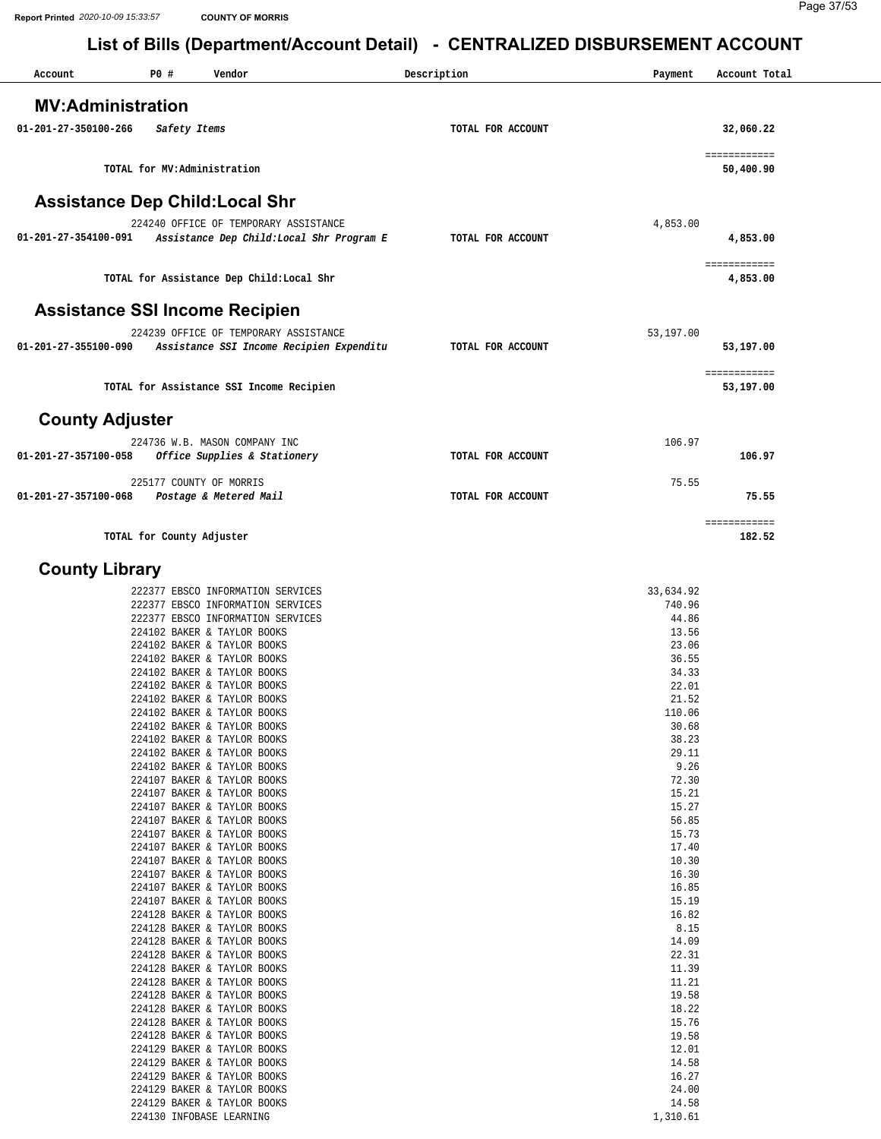| Account                                | P0 #         | Vendor                                    |                                           | Description       | Payment   | Account Total          |
|----------------------------------------|--------------|-------------------------------------------|-------------------------------------------|-------------------|-----------|------------------------|
| <b>MV:Administration</b>               |              |                                           |                                           |                   |           |                        |
|                                        |              |                                           |                                           |                   |           |                        |
| 01-201-27-350100-266                   | Safety Items |                                           |                                           | TOTAL FOR ACCOUNT |           | 32,060.22              |
|                                        |              |                                           |                                           |                   |           | ============           |
|                                        |              | TOTAL for MV:Administration               |                                           |                   |           | 50,400.90              |
| <b>Assistance Dep Child: Local Shr</b> |              |                                           |                                           |                   |           |                        |
|                                        |              | 224240 OFFICE OF TEMPORARY ASSISTANCE     |                                           |                   | 4,853.00  |                        |
| 01-201-27-354100-091                   |              |                                           | Assistance Dep Child: Local Shr Program E | TOTAL FOR ACCOUNT |           | 4,853.00               |
|                                        |              |                                           |                                           |                   |           | ============           |
|                                        |              | TOTAL for Assistance Dep Child: Local Shr |                                           |                   |           | 4,853.00               |
|                                        |              |                                           |                                           |                   |           |                        |
| <b>Assistance SSI Income Recipien</b>  |              |                                           |                                           |                   |           |                        |
|                                        |              | 224239 OFFICE OF TEMPORARY ASSISTANCE     |                                           |                   | 53,197.00 |                        |
| 01-201-27-355100-090                   |              |                                           | Assistance SSI Income Recipien Expenditu  | TOTAL FOR ACCOUNT |           | 53,197.00              |
|                                        |              |                                           |                                           |                   |           | ============           |
|                                        |              | TOTAL for Assistance SSI Income Recipien  |                                           |                   |           | 53,197.00              |
|                                        |              |                                           |                                           |                   |           |                        |
| <b>County Adjuster</b>                 |              |                                           |                                           |                   |           |                        |
|                                        |              | 224736 W.B. MASON COMPANY INC             |                                           |                   | 106.97    |                        |
| 01-201-27-357100-058                   |              | Office Supplies & Stationery              |                                           | TOTAL FOR ACCOUNT |           | 106.97                 |
|                                        |              | 225177 COUNTY OF MORRIS                   |                                           |                   | 75.55     |                        |
| 01-201-27-357100-068                   |              | Postage & Metered Mail                    |                                           | TOTAL FOR ACCOUNT |           | 75.55                  |
|                                        |              |                                           |                                           |                   |           |                        |
|                                        |              | TOTAL for County Adjuster                 |                                           |                   |           | ============<br>182.52 |
|                                        |              |                                           |                                           |                   |           |                        |

#### **County Library**

| 222377 EBSCO INFORMATION SERVICES | 33,634.92 |
|-----------------------------------|-----------|
| 222377 EBSCO INFORMATION SERVICES | 740.96    |
| 222377 EBSCO INFORMATION SERVICES | 44.86     |
| 224102 BAKER & TAYLOR BOOKS       | 13.56     |
| 224102 BAKER & TAYLOR BOOKS       | 23.06     |
| 224102 BAKER & TAYLOR BOOKS       | 36.55     |
| 224102 BAKER & TAYLOR BOOKS       | 34.33     |
| 224102 BAKER & TAYLOR BOOKS       | 22.01     |
| 224102 BAKER & TAYLOR BOOKS       | 21.52     |
| 224102 BAKER & TAYLOR BOOKS       | 110.06    |
| 224102 BAKER & TAYLOR BOOKS       | 30.68     |
| 224102 BAKER & TAYLOR BOOKS       | 38.23     |
| 224102 BAKER & TAYLOR BOOKS       | 29.11     |
| 224102 BAKER & TAYLOR BOOKS       | 9.26      |
| 224107 BAKER & TAYLOR BOOKS       | 72.30     |
| 224107 BAKER & TAYLOR BOOKS       | 15.21     |
| 224107 BAKER & TAYLOR BOOKS       | 15.27     |
| 224107 BAKER & TAYLOR BOOKS       | 56.85     |
| 224107 BAKER & TAYLOR BOOKS       | 15.73     |
| 224107 BAKER & TAYLOR BOOKS       | 17.40     |
| 224107 BAKER & TAYLOR BOOKS       | 10.30     |
| 224107 BAKER & TAYLOR BOOKS       | 16.30     |
| 224107 BAKER & TAYLOR BOOKS       | 16.85     |
| 224107 BAKER & TAYLOR BOOKS       | 15.19     |
| 224128 BAKER & TAYLOR BOOKS       | 16.82     |
| 224128 BAKER & TAYLOR BOOKS       | 8.15      |
| 224128 BAKER & TAYLOR BOOKS       | 14.09     |
| 224128 BAKER & TAYLOR BOOKS       | 22.31     |
| 224128 BAKER & TAYLOR BOOKS       | 11.39     |
| 224128 BAKER & TAYLOR BOOKS       | 11.21     |
| 224128 BAKER & TAYLOR BOOKS       | 19.58     |
| 224128 BAKER & TAYLOR BOOKS       | 18.22     |
| 224128 BAKER & TAYLOR BOOKS       | 15.76     |
| 224128 BAKER & TAYLOR BOOKS       | 19.58     |
| 224129 BAKER & TAYLOR BOOKS       | 12.01     |
| 224129 BAKER & TAYLOR BOOKS       | 14.58     |
| 224129 BAKER & TAYLOR BOOKS       | 16.27     |
| 224129 BAKER & TAYLOR BOOKS       | 24.00     |
| 224129 BAKER & TAYLOR BOOKS       | 14.58     |
| 224130 INFOBASE LEARNING          | 1,310.61  |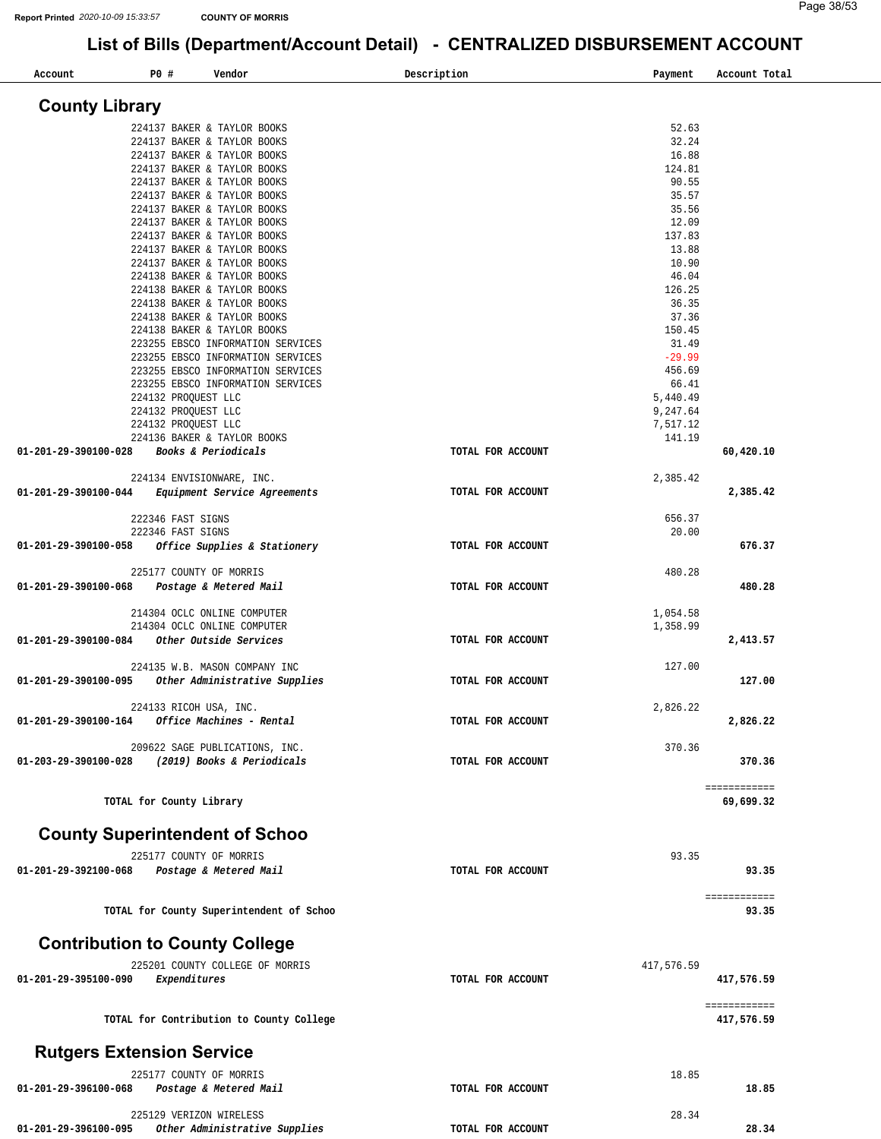| Account                               | <b>PO #</b>                            | Vendor                                                                 | Description       | Payment         | Account Total |
|---------------------------------------|----------------------------------------|------------------------------------------------------------------------|-------------------|-----------------|---------------|
| <b>County Library</b>                 |                                        |                                                                        |                   |                 |               |
|                                       |                                        | 224137 BAKER & TAYLOR BOOKS                                            |                   | 52.63           |               |
|                                       |                                        | 224137 BAKER & TAYLOR BOOKS                                            |                   | 32.24           |               |
|                                       |                                        | 224137 BAKER & TAYLOR BOOKS                                            |                   | 16.88           |               |
|                                       |                                        | 224137 BAKER & TAYLOR BOOKS                                            |                   | 124.81          |               |
|                                       |                                        | 224137 BAKER & TAYLOR BOOKS                                            |                   | 90.55           |               |
|                                       |                                        | 224137 BAKER & TAYLOR BOOKS                                            |                   | 35.57           |               |
|                                       |                                        | 224137 BAKER & TAYLOR BOOKS                                            |                   | 35.56           |               |
|                                       |                                        | 224137 BAKER & TAYLOR BOOKS                                            |                   | 12.09<br>137.83 |               |
|                                       |                                        | 224137 BAKER & TAYLOR BOOKS<br>224137 BAKER & TAYLOR BOOKS             |                   | 13.88           |               |
|                                       |                                        | 224137 BAKER & TAYLOR BOOKS                                            |                   | 10.90           |               |
|                                       |                                        | 224138 BAKER & TAYLOR BOOKS                                            |                   | 46.04           |               |
|                                       |                                        | 224138 BAKER & TAYLOR BOOKS                                            |                   | 126.25          |               |
|                                       |                                        | 224138 BAKER & TAYLOR BOOKS                                            |                   | 36.35           |               |
|                                       |                                        | 224138 BAKER & TAYLOR BOOKS                                            |                   | 37.36           |               |
|                                       |                                        | 224138 BAKER & TAYLOR BOOKS                                            |                   | 150.45          |               |
|                                       |                                        | 223255 EBSCO INFORMATION SERVICES                                      |                   | 31.49           |               |
|                                       |                                        | 223255 EBSCO INFORMATION SERVICES                                      |                   | $-29.99$        |               |
|                                       |                                        | 223255 EBSCO INFORMATION SERVICES<br>223255 EBSCO INFORMATION SERVICES |                   | 456.69<br>66.41 |               |
|                                       |                                        | 224132 PROQUEST LLC                                                    |                   | 5,440.49        |               |
|                                       |                                        | 224132 PROQUEST LLC                                                    |                   | 9,247.64        |               |
|                                       |                                        | 224132 PROOUEST LLC                                                    |                   | 7,517.12        |               |
|                                       |                                        | 224136 BAKER & TAYLOR BOOKS                                            |                   | 141.19          |               |
| 01-201-29-390100-028                  |                                        | Books & Periodicals                                                    | TOTAL FOR ACCOUNT |                 | 60,420.10     |
|                                       |                                        |                                                                        |                   |                 |               |
|                                       |                                        | 224134 ENVISIONWARE, INC.                                              |                   | 2,385.42        |               |
| 01-201-29-390100-044                  |                                        | Equipment Service Agreements                                           | TOTAL FOR ACCOUNT |                 | 2,385.42      |
|                                       |                                        |                                                                        |                   |                 |               |
|                                       | 222346 FAST SIGNS<br>222346 FAST SIGNS |                                                                        |                   | 656.37<br>20.00 |               |
| 01-201-29-390100-058                  |                                        | Office Supplies & Stationery                                           | TOTAL FOR ACCOUNT |                 | 676.37        |
|                                       |                                        |                                                                        |                   |                 |               |
|                                       |                                        | 225177 COUNTY OF MORRIS                                                |                   | 480.28          |               |
| 01-201-29-390100-068                  |                                        | Postage & Metered Mail                                                 | TOTAL FOR ACCOUNT |                 | 480.28        |
|                                       |                                        |                                                                        |                   |                 |               |
|                                       |                                        | 214304 OCLC ONLINE COMPUTER                                            |                   | 1,054.58        |               |
|                                       |                                        | 214304 OCLC ONLINE COMPUTER                                            |                   | 1,358.99        |               |
| 01-201-29-390100-084                  |                                        | Other Outside Services                                                 | TOTAL FOR ACCOUNT |                 | 2,413.57      |
|                                       |                                        |                                                                        |                   |                 |               |
| 01-201-29-390100-095                  |                                        | 224135 W.B. MASON COMPANY INC<br>Other Administrative Supplies         | TOTAL FOR ACCOUNT | 127.00          |               |
|                                       |                                        |                                                                        |                   |                 | 127.00        |
|                                       |                                        | 224133 RICOH USA, INC.                                                 |                   | 2,826.22        |               |
| 01-201-29-390100-164                  |                                        | Office Machines - Rental                                               | TOTAL FOR ACCOUNT |                 | 2,826.22      |
|                                       |                                        |                                                                        |                   |                 |               |
|                                       |                                        | 209622 SAGE PUBLICATIONS, INC.                                         |                   | 370.36          |               |
| 01-203-29-390100-028                  |                                        | (2019) Books & Periodicals                                             | TOTAL FOR ACCOUNT |                 | 370.36        |
|                                       |                                        |                                                                        |                   |                 |               |
|                                       |                                        |                                                                        |                   |                 | ============  |
|                                       |                                        | TOTAL for County Library                                               |                   |                 | 69,699.32     |
|                                       |                                        |                                                                        |                   |                 |               |
| <b>County Superintendent of Schoo</b> |                                        |                                                                        |                   |                 |               |
|                                       |                                        | 225177 COUNTY OF MORRIS                                                |                   | 93.35           |               |
| 01-201-29-392100-068                  |                                        | Postage & Metered Mail                                                 | TOTAL FOR ACCOUNT |                 | 93.35         |
|                                       |                                        |                                                                        |                   |                 |               |
|                                       |                                        |                                                                        |                   |                 | ============  |
|                                       |                                        | TOTAL for County Superintendent of Schoo                               |                   |                 | 93.35         |
|                                       |                                        |                                                                        |                   |                 |               |
| <b>Contribution to County College</b> |                                        |                                                                        |                   |                 |               |
|                                       |                                        | 225201 COUNTY COLLEGE OF MORRIS                                        |                   | 417,576.59      |               |
| 01-201-29-395100-090                  | Expenditures                           |                                                                        | TOTAL FOR ACCOUNT |                 | 417,576.59    |
|                                       |                                        |                                                                        |                   |                 |               |
|                                       |                                        |                                                                        |                   |                 | ============  |
|                                       |                                        | TOTAL for Contribution to County College                               |                   |                 | 417,576.59    |
|                                       |                                        |                                                                        |                   |                 |               |
| <b>Rutgers Extension Service</b>      |                                        |                                                                        |                   |                 |               |
|                                       |                                        |                                                                        |                   |                 |               |
|                                       |                                        | 225177 COUNTY OF MORRIS                                                |                   | 18.85           |               |
| 01-201-29-396100-068                  |                                        | Postage & Metered Mail                                                 | TOTAL FOR ACCOUNT |                 | 18.85         |
|                                       |                                        |                                                                        |                   | 28.34           |               |
| 01-201-29-396100-095                  |                                        | 225129 VERIZON WIRELESS<br>Other Administrative Supplies               | TOTAL FOR ACCOUNT |                 | 28.34         |
|                                       |                                        |                                                                        |                   |                 |               |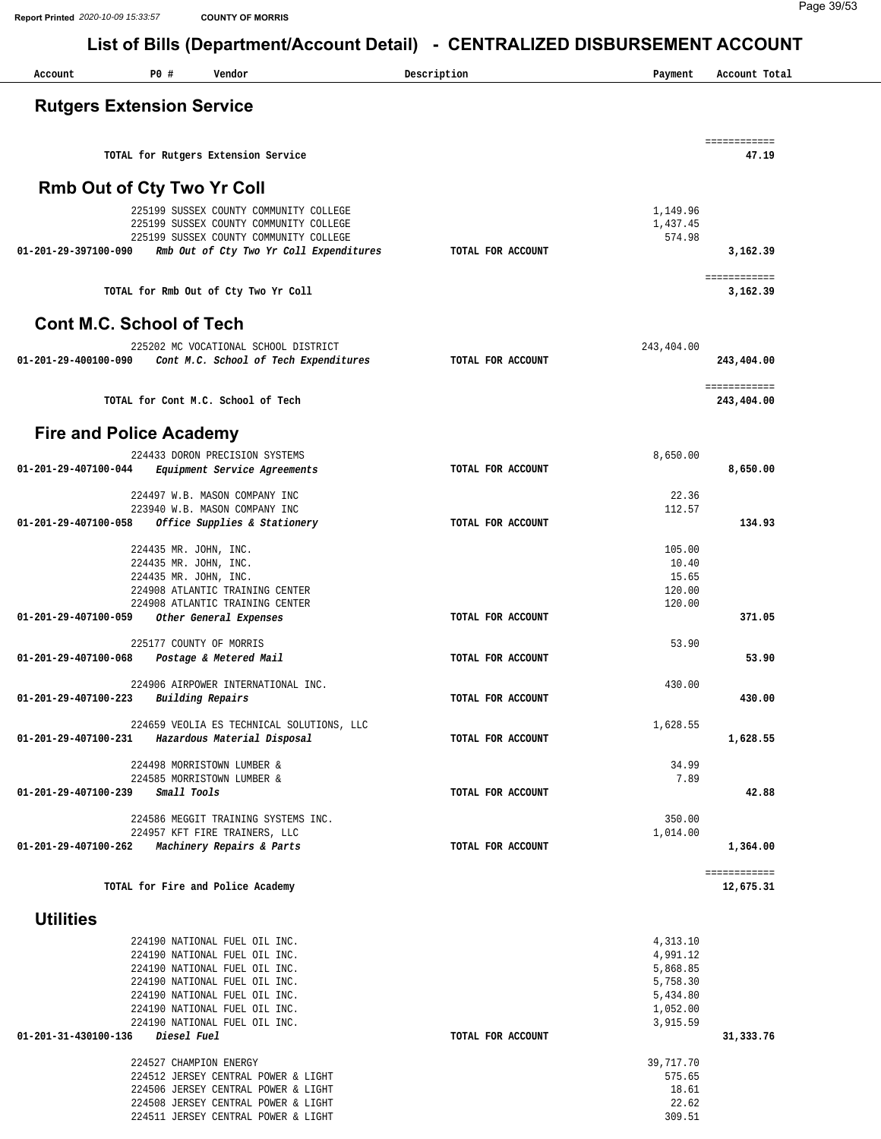| Account              | P0 #                                                                    | Vendor                                                                                                                                                                                                                                                                                                                                                   | Description       | Payment                                                                                                                   | Account Total              |
|----------------------|-------------------------------------------------------------------------|----------------------------------------------------------------------------------------------------------------------------------------------------------------------------------------------------------------------------------------------------------------------------------------------------------------------------------------------------------|-------------------|---------------------------------------------------------------------------------------------------------------------------|----------------------------|
|                      | <b>Rutgers Extension Service</b>                                        |                                                                                                                                                                                                                                                                                                                                                          |                   |                                                                                                                           |                            |
|                      |                                                                         | TOTAL for Rutgers Extension Service                                                                                                                                                                                                                                                                                                                      |                   |                                                                                                                           | ============<br>47.19      |
|                      | <b>Rmb Out of Cty Two Yr Coll</b>                                       |                                                                                                                                                                                                                                                                                                                                                          |                   |                                                                                                                           |                            |
| 01-201-29-397100-090 |                                                                         | 225199 SUSSEX COUNTY COMMUNITY COLLEGE<br>225199 SUSSEX COUNTY COMMUNITY COLLEGE<br>225199 SUSSEX COUNTY COMMUNITY COLLEGE<br>Rmb Out of Cty Two Yr Coll Expenditures                                                                                                                                                                                    | TOTAL FOR ACCOUNT | 1,149.96<br>1,437.45<br>574.98                                                                                            | 3,162.39                   |
|                      |                                                                         |                                                                                                                                                                                                                                                                                                                                                          |                   |                                                                                                                           | ============               |
|                      | <b>Cont M.C. School of Tech</b>                                         | TOTAL for Rmb Out of Cty Two Yr Coll                                                                                                                                                                                                                                                                                                                     |                   |                                                                                                                           | 3,162.39                   |
|                      |                                                                         |                                                                                                                                                                                                                                                                                                                                                          |                   |                                                                                                                           |                            |
| 01-201-29-400100-090 |                                                                         | 225202 MC VOCATIONAL SCHOOL DISTRICT<br>Cont M.C. School of Tech Expenditures                                                                                                                                                                                                                                                                            | TOTAL FOR ACCOUNT | 243,404.00                                                                                                                | 243,404.00                 |
|                      |                                                                         | TOTAL for Cont M.C. School of Tech                                                                                                                                                                                                                                                                                                                       |                   |                                                                                                                           | ============<br>243,404.00 |
|                      | <b>Fire and Police Academy</b>                                          |                                                                                                                                                                                                                                                                                                                                                          |                   |                                                                                                                           |                            |
| 01-201-29-407100-044 |                                                                         | 224433 DORON PRECISION SYSTEMS<br><i>Equipment Service Agreements</i>                                                                                                                                                                                                                                                                                    | TOTAL FOR ACCOUNT | 8,650.00                                                                                                                  | 8,650.00                   |
|                      |                                                                         | 224497 W.B. MASON COMPANY INC                                                                                                                                                                                                                                                                                                                            |                   | 22.36                                                                                                                     |                            |
| 01-201-29-407100-058 |                                                                         | 223940 W.B. MASON COMPANY INC<br>Office Supplies & Stationery                                                                                                                                                                                                                                                                                            | TOTAL FOR ACCOUNT | 112.57                                                                                                                    | 134.93                     |
|                      | 224435 MR. JOHN, INC.<br>224435 MR. JOHN, INC.<br>224435 MR. JOHN, INC. | 224908 ATLANTIC TRAINING CENTER<br>224908 ATLANTIC TRAINING CENTER                                                                                                                                                                                                                                                                                       |                   | 105.00<br>10.40<br>15.65<br>120.00<br>120.00                                                                              |                            |
| 01-201-29-407100-059 |                                                                         | Other General Expenses                                                                                                                                                                                                                                                                                                                                   | TOTAL FOR ACCOUNT |                                                                                                                           | 371.05                     |
| 01-201-29-407100-068 | 225177 COUNTY OF MORRIS                                                 | Postage & Metered Mail                                                                                                                                                                                                                                                                                                                                   | TOTAL FOR ACCOUNT | 53.90                                                                                                                     | 53.90                      |
| 01-201-29-407100-223 |                                                                         | 224906 AIRPOWER INTERNATIONAL INC.<br>Building Repairs                                                                                                                                                                                                                                                                                                   | TOTAL FOR ACCOUNT | 430.00                                                                                                                    | 430.00                     |
|                      |                                                                         | 224659 VEOLIA ES TECHNICAL SOLUTIONS, LLC<br>01-201-29-407100-231 Hazardous Material Disposal                                                                                                                                                                                                                                                            | TOTAL FOR ACCOUNT | 1,628.55                                                                                                                  | 1,628.55                   |
|                      |                                                                         | 224498 MORRISTOWN LUMBER &                                                                                                                                                                                                                                                                                                                               |                   | 34.99                                                                                                                     |                            |
| 01-201-29-407100-239 | Small Tools                                                             | 224585 MORRISTOWN LUMBER &                                                                                                                                                                                                                                                                                                                               | TOTAL FOR ACCOUNT | 7.89                                                                                                                      | 42.88                      |
| 01-201-29-407100-262 |                                                                         | 224586 MEGGIT TRAINING SYSTEMS INC.<br>224957 KFT FIRE TRAINERS, LLC<br>Machinery Repairs & Parts                                                                                                                                                                                                                                                        | TOTAL FOR ACCOUNT | 350.00<br>1,014.00                                                                                                        | 1,364.00                   |
|                      |                                                                         | TOTAL for Fire and Police Academy                                                                                                                                                                                                                                                                                                                        |                   |                                                                                                                           | ============<br>12,675.31  |
| <b>Utilities</b>     |                                                                         |                                                                                                                                                                                                                                                                                                                                                          |                   |                                                                                                                           |                            |
| 01-201-31-430100-136 | Diesel Fuel<br>224527 CHAMPION ENERGY                                   | 224190 NATIONAL FUEL OIL INC.<br>224190 NATIONAL FUEL OIL INC.<br>224190 NATIONAL FUEL OIL INC.<br>224190 NATIONAL FUEL OIL INC.<br>224190 NATIONAL FUEL OIL INC.<br>224190 NATIONAL FUEL OIL INC.<br>224190 NATIONAL FUEL OIL INC.<br>224512 JERSEY CENTRAL POWER & LIGHT<br>224506 JERSEY CENTRAL POWER & LIGHT<br>224508 JERSEY CENTRAL POWER & LIGHT | TOTAL FOR ACCOUNT | 4,313.10<br>4,991.12<br>5,868.85<br>5,758.30<br>5,434.80<br>1,052.00<br>3,915.59<br>39,717.70<br>575.65<br>18.61<br>22.62 | 31, 333.76                 |
|                      |                                                                         | 224511 JERSEY CENTRAL POWER & LIGHT                                                                                                                                                                                                                                                                                                                      |                   | 309.51                                                                                                                    |                            |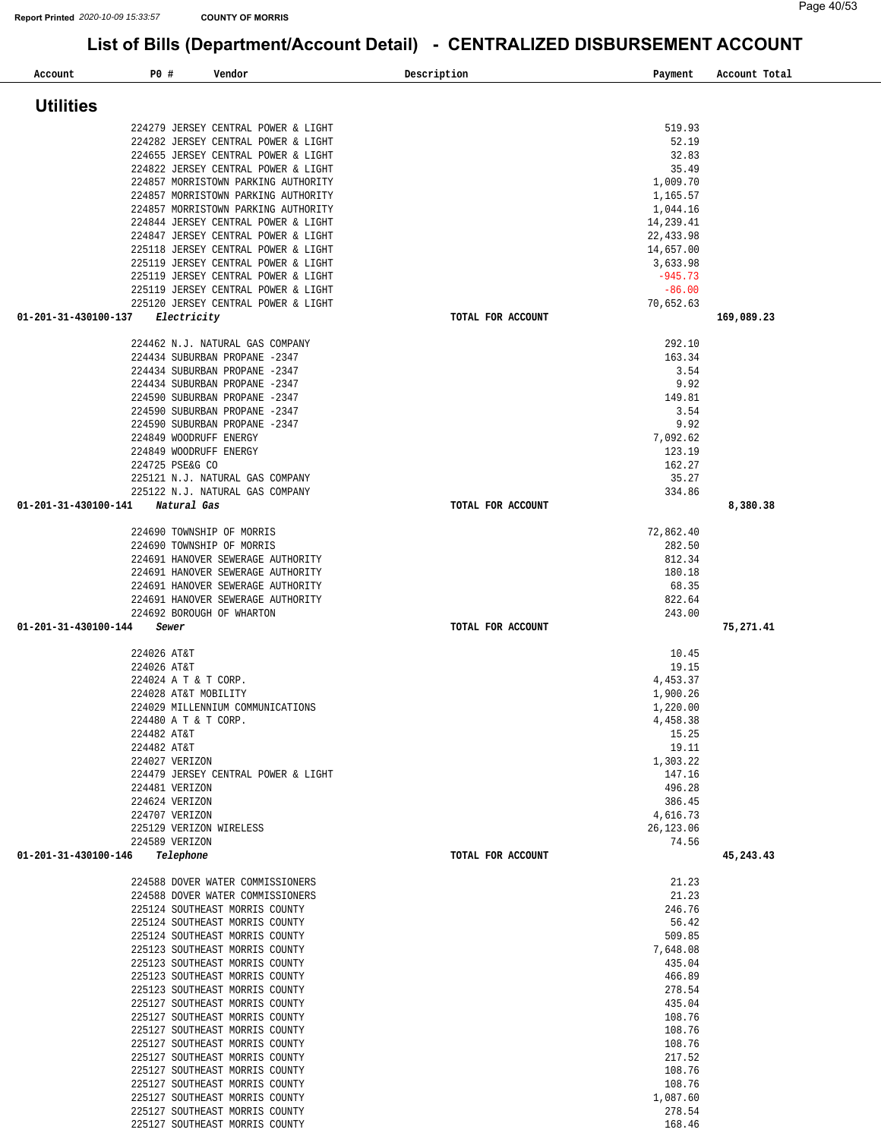| <b>Utilities</b>     |                                                                            |                         |            |
|----------------------|----------------------------------------------------------------------------|-------------------------|------------|
|                      | 224279 JERSEY CENTRAL POWER & LIGHT                                        | 519.93                  |            |
|                      | 224282 JERSEY CENTRAL POWER & LIGHT                                        | 52.19                   |            |
|                      | 224655 JERSEY CENTRAL POWER & LIGHT<br>224822 JERSEY CENTRAL POWER & LIGHT | 32.83<br>35.49          |            |
|                      | 224857 MORRISTOWN PARKING AUTHORITY                                        | 1,009.70                |            |
|                      | 224857 MORRISTOWN PARKING AUTHORITY                                        | 1,165.57                |            |
|                      | 224857 MORRISTOWN PARKING AUTHORITY                                        | 1,044.16                |            |
|                      | 224844 JERSEY CENTRAL POWER & LIGHT<br>224847 JERSEY CENTRAL POWER & LIGHT | 14,239.41<br>22, 433.98 |            |
|                      | 225118 JERSEY CENTRAL POWER & LIGHT                                        | 14,657.00               |            |
|                      | 225119 JERSEY CENTRAL POWER & LIGHT                                        | 3,633.98                |            |
|                      | 225119 JERSEY CENTRAL POWER & LIGHT<br>225119 JERSEY CENTRAL POWER & LIGHT | $-945.73$<br>$-86.00$   |            |
|                      | 225120 JERSEY CENTRAL POWER & LIGHT                                        | 70,652.63               |            |
| 01-201-31-430100-137 | Electricity                                                                | TOTAL FOR ACCOUNT       | 169,089.23 |
|                      | 224462 N.J. NATURAL GAS COMPANY                                            | 292.10                  |            |
|                      | 224434 SUBURBAN PROPANE -2347                                              | 163.34                  |            |
|                      | 224434 SUBURBAN PROPANE -2347                                              | 3.54                    |            |
|                      | 224434 SUBURBAN PROPANE -2347<br>224590 SUBURBAN PROPANE -2347             | 9.92                    |            |
|                      | 224590 SUBURBAN PROPANE -2347                                              | 149.81<br>3.54          |            |
|                      | 224590 SUBURBAN PROPANE -2347                                              | 9.92                    |            |
|                      | 224849 WOODRUFF ENERGY                                                     | 7,092.62                |            |
|                      | 224849 WOODRUFF ENERGY                                                     | 123.19                  |            |
|                      | 224725 PSE&G CO<br>225121 N.J. NATURAL GAS COMPANY                         | 162.27<br>35.27         |            |
|                      | 225122 N.J. NATURAL GAS COMPANY                                            | 334.86                  |            |
| 01-201-31-430100-141 | Natural Gas                                                                | TOTAL FOR ACCOUNT       | 8,380.38   |
|                      | 224690 TOWNSHIP OF MORRIS                                                  | 72,862.40               |            |
|                      | 224690 TOWNSHIP OF MORRIS                                                  | 282.50                  |            |
|                      | 224691 HANOVER SEWERAGE AUTHORITY                                          | 812.34                  |            |
|                      | 224691 HANOVER SEWERAGE AUTHORITY                                          | 180.18<br>68.35         |            |
|                      | 224691 HANOVER SEWERAGE AUTHORITY<br>224691 HANOVER SEWERAGE AUTHORITY     | 822.64                  |            |
|                      | 224692 BOROUGH OF WHARTON                                                  | 243.00                  |            |
| 01-201-31-430100-144 | Sewer                                                                      | TOTAL FOR ACCOUNT       | 75,271.41  |
|                      | 224026 AT&T                                                                | 10.45                   |            |
|                      | 224026 AT&T                                                                | 19.15                   |            |
|                      | 224024 A T & T CORP.                                                       | 4,453.37                |            |
|                      | 224028 AT&T MOBILITY<br>224029 MILLENNIUM COMMUNICATIONS                   | 1,900.26<br>1,220.00    |            |
|                      | 224480 A T & T CORP.                                                       | 4,458.38                |            |
|                      | 224482 AT&T                                                                | 15.25                   |            |
|                      | 224482 AT&T                                                                | 19.11                   |            |
|                      | 224027 VERIZON                                                             |                         |            |
|                      |                                                                            | 1,303.22                |            |
|                      | 224479 JERSEY CENTRAL POWER & LIGHT<br>224481 VERIZON                      | 147.16<br>496.28        |            |
|                      | 224624 VERIZON                                                             | 386.45                  |            |
|                      | 224707 VERIZON                                                             | 4,616.73                |            |
|                      | 225129 VERIZON WIRELESS<br>224589 VERIZON                                  | 26,123.06<br>74.56      |            |
| 01-201-31-430100-146 | Telephone                                                                  | TOTAL FOR ACCOUNT       | 45,243.43  |
|                      | 224588 DOVER WATER COMMISSIONERS                                           | 21.23                   |            |
|                      | 224588 DOVER WATER COMMISSIONERS                                           | 21.23                   |            |
|                      | 225124 SOUTHEAST MORRIS COUNTY                                             | 246.76                  |            |
|                      | 225124 SOUTHEAST MORRIS COUNTY                                             | 56.42                   |            |
|                      | 225124 SOUTHEAST MORRIS COUNTY<br>225123 SOUTHEAST MORRIS COUNTY           | 509.85<br>7,648.08      |            |
|                      | 225123 SOUTHEAST MORRIS COUNTY                                             | 435.04                  |            |
|                      | 225123 SOUTHEAST MORRIS COUNTY                                             | 466.89                  |            |
|                      | 225123 SOUTHEAST MORRIS COUNTY<br>225127 SOUTHEAST MORRIS COUNTY           | 278.54<br>435.04        |            |
|                      | 225127 SOUTHEAST MORRIS COUNTY                                             | 108.76                  |            |
|                      | 225127 SOUTHEAST MORRIS COUNTY                                             | 108.76                  |            |
|                      | 225127 SOUTHEAST MORRIS COUNTY                                             | 108.76                  |            |
|                      | 225127 SOUTHEAST MORRIS COUNTY<br>225127 SOUTHEAST MORRIS COUNTY           | 217.52<br>108.76        |            |
|                      | 225127 SOUTHEAST MORRIS COUNTY                                             | 108.76                  |            |
|                      | 225127 SOUTHEAST MORRIS COUNTY                                             | 1,087.60                |            |
|                      | 225127 SOUTHEAST MORRIS COUNTY                                             | 278.54                  |            |
|                      | 225127 SOUTHEAST MORRIS COUNTY                                             | 168.46                  |            |

**Account P0 # Vendor Description Payment Account Total**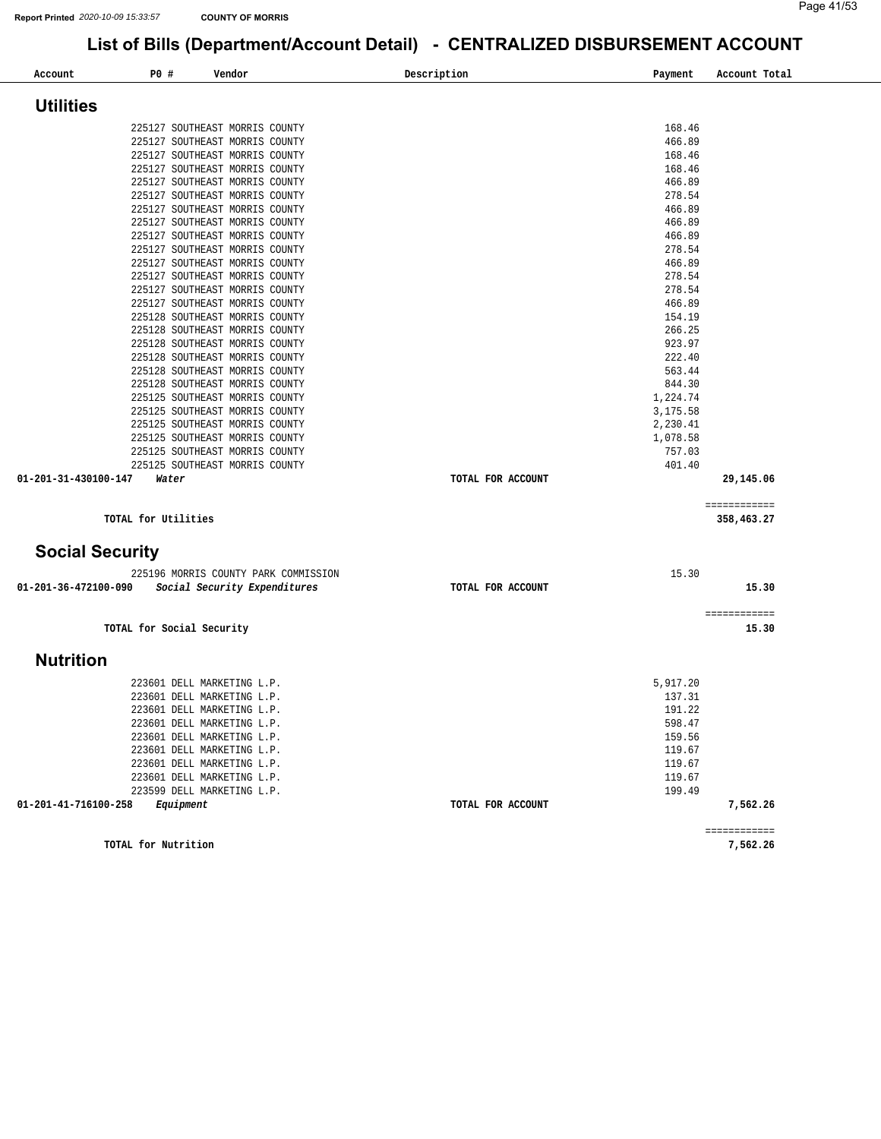| Account                | P0 #                      | Vendor                                                               | Description |                   | Payment          | Account Total              |
|------------------------|---------------------------|----------------------------------------------------------------------|-------------|-------------------|------------------|----------------------------|
| <b>Utilities</b>       |                           |                                                                      |             |                   |                  |                            |
|                        |                           |                                                                      |             |                   |                  |                            |
|                        |                           | 225127 SOUTHEAST MORRIS COUNTY<br>225127 SOUTHEAST MORRIS COUNTY     |             |                   | 168.46<br>466.89 |                            |
|                        |                           | 225127 SOUTHEAST MORRIS COUNTY                                       |             |                   | 168.46           |                            |
|                        |                           | 225127 SOUTHEAST MORRIS COUNTY                                       |             |                   | 168.46           |                            |
|                        |                           | 225127 SOUTHEAST MORRIS COUNTY                                       |             |                   | 466.89           |                            |
|                        |                           | 225127 SOUTHEAST MORRIS COUNTY                                       |             |                   | 278.54           |                            |
|                        |                           | 225127 SOUTHEAST MORRIS COUNTY                                       |             |                   | 466.89           |                            |
|                        |                           | 225127 SOUTHEAST MORRIS COUNTY                                       |             |                   | 466.89           |                            |
|                        |                           | 225127 SOUTHEAST MORRIS COUNTY                                       |             |                   | 466.89           |                            |
|                        |                           | 225127 SOUTHEAST MORRIS COUNTY                                       |             |                   | 278.54           |                            |
|                        |                           | 225127 SOUTHEAST MORRIS COUNTY                                       |             |                   | 466.89           |                            |
|                        |                           | 225127 SOUTHEAST MORRIS COUNTY                                       |             |                   | 278.54           |                            |
|                        |                           | 225127 SOUTHEAST MORRIS COUNTY                                       |             |                   | 278.54           |                            |
|                        |                           | 225127 SOUTHEAST MORRIS COUNTY                                       |             |                   | 466.89           |                            |
|                        |                           | 225128 SOUTHEAST MORRIS COUNTY                                       |             |                   | 154.19           |                            |
|                        |                           | 225128 SOUTHEAST MORRIS COUNTY                                       |             |                   | 266.25           |                            |
|                        |                           | 225128 SOUTHEAST MORRIS COUNTY                                       |             |                   | 923.97           |                            |
|                        |                           | 225128 SOUTHEAST MORRIS COUNTY                                       |             |                   | 222.40           |                            |
|                        |                           | 225128 SOUTHEAST MORRIS COUNTY                                       |             |                   | 563.44           |                            |
|                        |                           | 225128 SOUTHEAST MORRIS COUNTY                                       |             |                   | 844.30           |                            |
|                        |                           | 225125 SOUTHEAST MORRIS COUNTY                                       |             |                   | 1,224.74         |                            |
|                        |                           | 225125 SOUTHEAST MORRIS COUNTY                                       |             |                   | 3,175.58         |                            |
|                        |                           | 225125 SOUTHEAST MORRIS COUNTY                                       |             |                   | 2,230.41         |                            |
|                        |                           | 225125 SOUTHEAST MORRIS COUNTY                                       |             |                   | 1,078.58         |                            |
|                        |                           | 225125 SOUTHEAST MORRIS COUNTY                                       |             |                   | 757.03           |                            |
|                        |                           | 225125 SOUTHEAST MORRIS COUNTY                                       |             |                   | 401.40           |                            |
| 01-201-31-430100-147   | Water                     |                                                                      |             | TOTAL FOR ACCOUNT |                  | 29,145.06                  |
|                        | TOTAL for Utilities       |                                                                      |             |                   |                  | ============<br>358,463.27 |
| <b>Social Security</b> |                           |                                                                      |             |                   |                  |                            |
|                        |                           |                                                                      |             |                   |                  |                            |
| 01-201-36-472100-090   |                           | 225196 MORRIS COUNTY PARK COMMISSION<br>Social Security Expenditures |             | TOTAL FOR ACCOUNT | 15.30            | 15.30                      |
|                        |                           |                                                                      |             |                   |                  |                            |
|                        | TOTAL for Social Security |                                                                      |             |                   |                  | ============<br>15.30      |
|                        |                           |                                                                      |             |                   |                  |                            |
| <b>Nutrition</b>       |                           |                                                                      |             |                   |                  |                            |
|                        |                           | 223601 DELL MARKETING L.P.                                           |             |                   | 5,917.20         |                            |
|                        |                           | 223601 DELL MARKETING L.P.                                           |             |                   | 137.31           |                            |
|                        |                           | 223601 DELL MARKETING L.P.                                           |             |                   | 191.22           |                            |
|                        |                           | 223601 DELL MARKETING L.P.                                           |             |                   | 598.47           |                            |
|                        |                           | 223601 DELL MARKETING L.P.                                           |             |                   | 159.56           |                            |
|                        |                           | 223601 DELL MARKETING L.P.                                           |             |                   | 119.67           |                            |
|                        |                           | 223601 DELL MARKETING L.P.                                           |             |                   | 119.67           |                            |
|                        |                           | 223601 DELL MARKETING L.P.                                           |             |                   | 119.67           |                            |
|                        |                           | 223599 DELL MARKETING L.P.                                           |             |                   | 199.49           |                            |
| 01-201-41-716100-258   | Equipment                 |                                                                      |             | TOTAL FOR ACCOUNT |                  | 7,562.26                   |
|                        |                           |                                                                      |             |                   |                  | ============               |

**TOTAL for Nutrition [7,562.26](https://7,562.26)**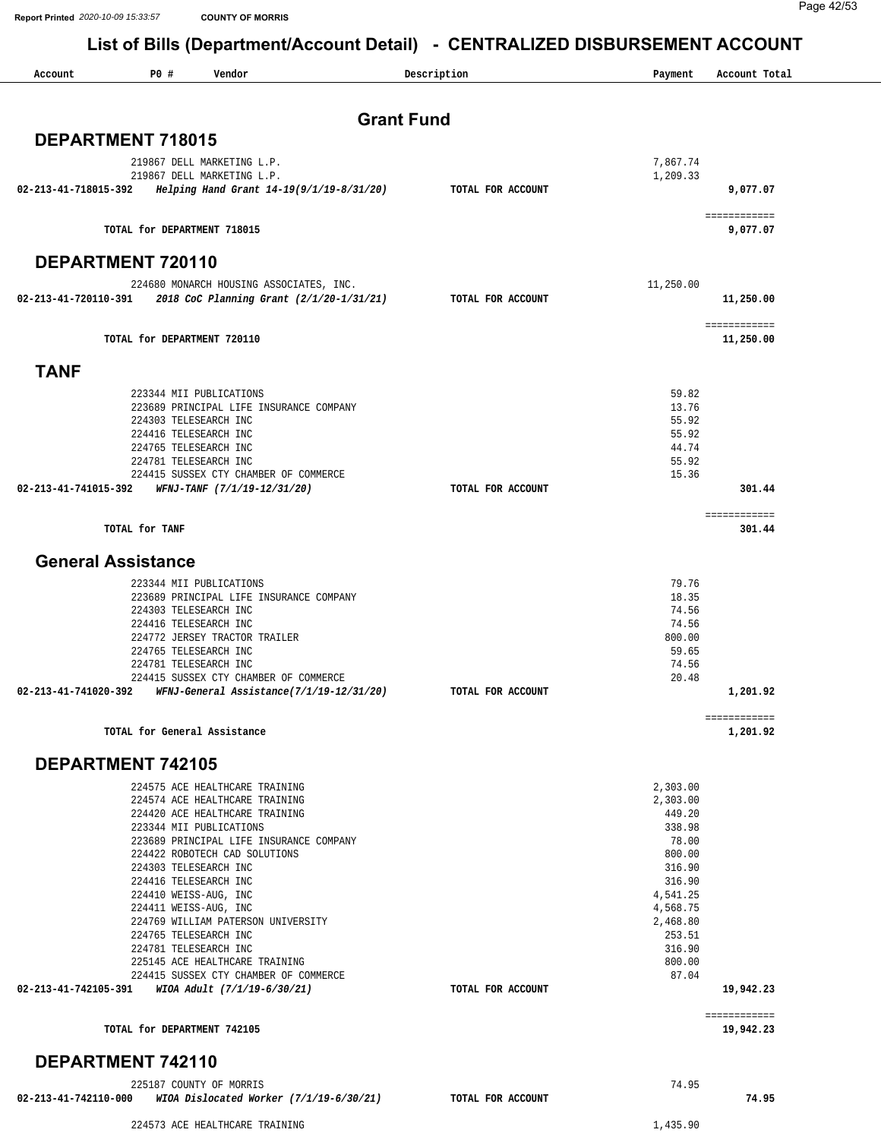**Report Printed** *2020-10-09 15:33:57* **COUNTY OF MORRIS**

Page 42/53

#### **List of Bills (Department/Account Detail) - CENTRALIZED DISBURSEMENT ACCOUNT**

| P0 #<br>Vendor<br>Account                                                                                 | Description       | Payment              | Account Total             |
|-----------------------------------------------------------------------------------------------------------|-------------------|----------------------|---------------------------|
| <b>Grant Fund</b>                                                                                         |                   |                      |                           |
| <b>DEPARTMENT 718015</b>                                                                                  |                   |                      |                           |
|                                                                                                           |                   |                      |                           |
| 219867 DELL MARKETING L.P.<br>219867 DELL MARKETING L.P.                                                  |                   | 7,867.74<br>1,209.33 |                           |
| Helping Hand Grant 14-19(9/1/19-8/31/20) TOTAL FOR ACCOUNT<br>02-213-41-718015-392                        |                   |                      | 9,077.07                  |
|                                                                                                           |                   |                      | ============              |
| TOTAL for DEPARTMENT 718015                                                                               |                   |                      | 9,077.07                  |
| DEPARTMENT 720110                                                                                         |                   |                      |                           |
| 224680 MONARCH HOUSING ASSOCIATES, INC.                                                                   |                   | 11,250.00            |                           |
| $02 - 213 - 41 - 720110 - 391$ 2018 CoC Planning Grant (2/1/20-1/31/21)                                   | TOTAL FOR ACCOUNT |                      | 11,250.00                 |
| TOTAL for DEPARTMENT 720110                                                                               |                   |                      | ============<br>11,250.00 |
| <b>TANF</b>                                                                                               |                   |                      |                           |
| 223344 MII PUBLICATIONS                                                                                   |                   | 59.82                |                           |
| 223689 PRINCIPAL LIFE INSURANCE COMPANY                                                                   |                   | 13.76                |                           |
| 224303 TELESEARCH INC                                                                                     |                   | 55.92                |                           |
| 224416 TELESEARCH INC<br>224765 TELESEARCH INC                                                            |                   | 55.92<br>44.74       |                           |
| 224781 TELESEARCH INC                                                                                     |                   | 55.92                |                           |
| 224415 SUSSEX CTY CHAMBER OF COMMERCE                                                                     |                   | 15.36                |                           |
| 02-213-41-741015-392<br>WFNJ-TANF (7/1/19-12/31/20)                                                       | TOTAL FOR ACCOUNT |                      | 301.44                    |
| TOTAL for TANF                                                                                            |                   |                      | ============<br>301.44    |
| <b>General Assistance</b>                                                                                 |                   |                      |                           |
| 223344 MII PUBLICATIONS                                                                                   |                   | 79.76                |                           |
| 223689 PRINCIPAL LIFE INSURANCE COMPANY                                                                   |                   | 18.35                |                           |
| 224303 TELESEARCH INC                                                                                     |                   | 74.56                |                           |
| 224416 TELESEARCH INC<br>224772 JERSEY TRACTOR TRAILER                                                    |                   | 74.56<br>800.00      |                           |
| 224765 TELESEARCH INC                                                                                     |                   | 59.65                |                           |
| 224781 TELESEARCH INC                                                                                     |                   | 74.56                |                           |
| 224415 SUSSEX CTY CHAMBER OF COMMERCE<br>02-213-41-741020-392<br>WFNJ-General Assistance(7/1/19-12/31/20) | TOTAL FOR ACCOUNT | 20.48                | 1,201.92                  |
|                                                                                                           |                   |                      |                           |
| TOTAL for General Assistance                                                                              |                   |                      | ============<br>1,201.92  |
| <b>DEPARTMENT 742105</b>                                                                                  |                   |                      |                           |
| 224575 ACE HEALTHCARE TRAINING                                                                            |                   | 2,303.00             |                           |
| 224574 ACE HEALTHCARE TRAINING                                                                            |                   | 2,303.00             |                           |
| 224420 ACE HEALTHCARE TRAINING<br>223344 MII PUBLICATIONS                                                 |                   | 449.20<br>338.98     |                           |
| 223689 PRINCIPAL LIFE INSURANCE COMPANY                                                                   |                   | 78.00                |                           |
| 224422 ROBOTECH CAD SOLUTIONS                                                                             |                   | 800.00               |                           |
| 224303 TELESEARCH INC                                                                                     |                   | 316.90               |                           |
| 224416 TELESEARCH INC<br>224410 WEISS-AUG, INC                                                            |                   | 316.90<br>4,541.25   |                           |
| 224411 WEISS-AUG, INC                                                                                     |                   | 4,568.75             |                           |
| 224769 WILLIAM PATERSON UNIVERSITY                                                                        |                   | 2,468.80             |                           |
| 224765 TELESEARCH INC                                                                                     |                   | 253.51               |                           |
| 224781 TELESEARCH INC<br>225145 ACE HEALTHCARE TRAINING                                                   |                   | 316.90<br>800.00     |                           |
| 224415 SUSSEX CTY CHAMBER OF COMMERCE                                                                     |                   | 87.04                |                           |
| WIOA Adult (7/1/19-6/30/21)<br>02-213-41-742105-391                                                       | TOTAL FOR ACCOUNT |                      | 19,942.23                 |
| TOTAL for DEPARTMENT 742105                                                                               |                   |                      | ============<br>19,942.23 |
|                                                                                                           |                   |                      |                           |

225187 COUNTY OF MORRIS 74.95  **02-213-41-742110-000** *WIOA Dislocated Worker (7/1/19-6/30/21)* **TOTAL FOR ACCOUNT 74.95** 224573 ACE HEALTHCARE TRAINING 1,435.90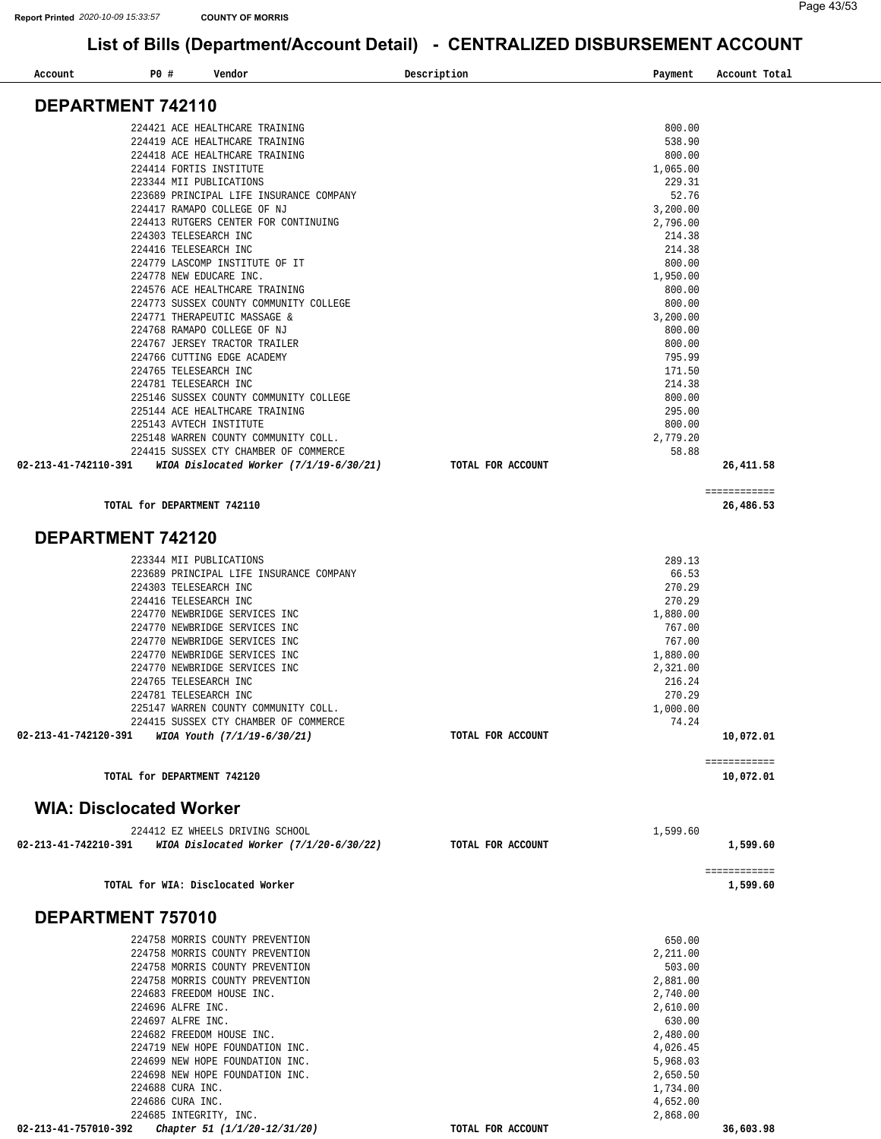| P0 #<br>Account                | Vendor                                                                        |                                           | Description       | Payment              | Account Total             |
|--------------------------------|-------------------------------------------------------------------------------|-------------------------------------------|-------------------|----------------------|---------------------------|
| DEPARTMENT 742110              |                                                                               |                                           |                   |                      |                           |
|                                |                                                                               |                                           |                   |                      |                           |
|                                | 224421 ACE HEALTHCARE TRAINING<br>224419 ACE HEALTHCARE TRAINING              |                                           |                   | 800.00<br>538.90     |                           |
|                                | 224418 ACE HEALTHCARE TRAINING                                                |                                           |                   | 800.00               |                           |
|                                | 224414 FORTIS INSTITUTE                                                       |                                           |                   | 1,065.00             |                           |
|                                | 223344 MII PUBLICATIONS                                                       |                                           |                   | 229.31               |                           |
|                                | 224417 RAMAPO COLLEGE OF NJ                                                   | 223689 PRINCIPAL LIFE INSURANCE COMPANY   |                   | 52.76                |                           |
|                                | 224413 RUTGERS CENTER FOR CONTINUING                                          |                                           |                   | 3,200.00<br>2,796.00 |                           |
|                                | 224303 TELESEARCH INC                                                         |                                           |                   | 214.38               |                           |
|                                | 224416 TELESEARCH INC                                                         |                                           |                   | 214.38               |                           |
|                                | 224779 LASCOMP INSTITUTE OF IT                                                |                                           |                   | 800.00               |                           |
|                                | 224778 NEW EDUCARE INC.<br>224576 ACE HEALTHCARE TRAINING                     |                                           |                   | 1,950.00<br>800.00   |                           |
|                                |                                                                               | 224773 SUSSEX COUNTY COMMUNITY COLLEGE    |                   | 800.00               |                           |
|                                | 224771 THERAPEUTIC MASSAGE &                                                  |                                           |                   | 3,200.00             |                           |
|                                | 224768 RAMAPO COLLEGE OF NJ                                                   |                                           |                   | 800.00               |                           |
|                                | 224767 JERSEY TRACTOR TRAILER                                                 |                                           |                   | 800.00               |                           |
|                                | 224766 CUTTING EDGE ACADEMY<br>224765 TELESEARCH INC                          |                                           |                   | 795.99<br>171.50     |                           |
|                                | 224781 TELESEARCH INC                                                         |                                           |                   | 214.38               |                           |
|                                |                                                                               | 225146 SUSSEX COUNTY COMMUNITY COLLEGE    |                   | 800.00               |                           |
|                                | 225144 ACE HEALTHCARE TRAINING                                                |                                           |                   | 295.00               |                           |
|                                | 225143 AVTECH INSTITUTE                                                       |                                           |                   | 800.00               |                           |
|                                | 225148 WARREN COUNTY COMMUNITY COLL.<br>224415 SUSSEX CTY CHAMBER OF COMMERCE |                                           |                   | 2,779.20<br>58.88    |                           |
| 02-213-41-742110-391           |                                                                               | WIOA Dislocated Worker (7/1/19-6/30/21)   | TOTAL FOR ACCOUNT |                      | 26,411.58                 |
|                                |                                                                               |                                           |                   |                      | ============              |
|                                | TOTAL for DEPARTMENT 742110                                                   |                                           |                   |                      | 26,486.53                 |
| DEPARTMENT 742120              |                                                                               |                                           |                   |                      |                           |
|                                | 223344 MII PUBLICATIONS                                                       |                                           |                   | 289.13               |                           |
|                                |                                                                               | 223689 PRINCIPAL LIFE INSURANCE COMPANY   |                   | 66.53                |                           |
|                                | 224303 TELESEARCH INC                                                         |                                           |                   | 270.29               |                           |
|                                | 224416 TELESEARCH INC                                                         |                                           |                   | 270.29               |                           |
|                                | 224770 NEWBRIDGE SERVICES INC<br>224770 NEWBRIDGE SERVICES INC                |                                           |                   | 1,880.00<br>767.00   |                           |
|                                | 224770 NEWBRIDGE SERVICES INC                                                 |                                           |                   | 767.00               |                           |
|                                | 224770 NEWBRIDGE SERVICES INC                                                 |                                           |                   | 1,880.00             |                           |
|                                | 224770 NEWBRIDGE SERVICES INC                                                 |                                           |                   | 2,321.00             |                           |
|                                | 224765 TELESEARCH INC                                                         |                                           |                   | 216.24               |                           |
|                                | 224781 TELESEARCH INC<br>225147 WARREN COUNTY COMMUNITY COLL.                 |                                           |                   | 270.29<br>1,000.00   |                           |
|                                | 224415 SUSSEX CTY CHAMBER OF COMMERCE                                         |                                           |                   | 74.24                |                           |
| 02-213-41-742120-391           | WIOA Youth (7/1/19-6/30/21)                                                   |                                           | TOTAL FOR ACCOUNT |                      | 10,072.01                 |
|                                | TOTAL for DEPARTMENT 742120                                                   |                                           |                   |                      | ============<br>10,072.01 |
| <b>WIA: Disclocated Worker</b> |                                                                               |                                           |                   |                      |                           |
|                                | 224412 EZ WHEELS DRIVING SCHOOL                                               |                                           |                   | 1,599.60             |                           |
| 02-213-41-742210-391           |                                                                               | WIOA Dislocated Worker $(7/1/20-6/30/22)$ | TOTAL FOR ACCOUNT |                      | 1,599.60                  |
|                                |                                                                               |                                           |                   |                      | ============              |
|                                | TOTAL for WIA: Disclocated Worker                                             |                                           |                   |                      | 1,599.60                  |
| DEPARTMENT 757010              |                                                                               |                                           |                   |                      |                           |
|                                | 224758 MORRIS COUNTY PREVENTION                                               |                                           |                   | 650.00               |                           |
|                                | 224758 MORRIS COUNTY PREVENTION                                               |                                           |                   | 2,211.00             |                           |
|                                | 224758 MORRIS COUNTY PREVENTION                                               |                                           |                   | 503.00               |                           |
|                                | 224758 MORRIS COUNTY PREVENTION<br>224683 FREEDOM HOUSE INC.                  |                                           |                   | 2,881.00<br>2,740.00 |                           |
|                                | 224696 ALFRE INC.                                                             |                                           |                   | 2,610.00             |                           |
|                                | 224697 ALFRE INC.                                                             |                                           |                   | 630.00               |                           |
|                                | 224682 FREEDOM HOUSE INC.                                                     |                                           |                   | 2,480.00             |                           |
|                                | 224719 NEW HOPE FOUNDATION INC.<br>224699 NEW HOPE FOUNDATION INC.            |                                           |                   | 4,026.45<br>5,968.03 |                           |
|                                | 224698 NEW HOPE FOUNDATION INC.                                               |                                           |                   | 2,650.50             |                           |
|                                | 224688 CURA INC.                                                              |                                           |                   | 1,734.00             |                           |
|                                | 224686 CURA INC.                                                              |                                           |                   | 4,652.00             |                           |
|                                | 224685 INTEGRITY, INC.                                                        |                                           |                   | 2,868.00             |                           |
| 02-213-41-757010-392           | Chapter 51 (1/1/20-12/31/20)                                                  |                                           | TOTAL FOR ACCOUNT |                      | 36,603.98                 |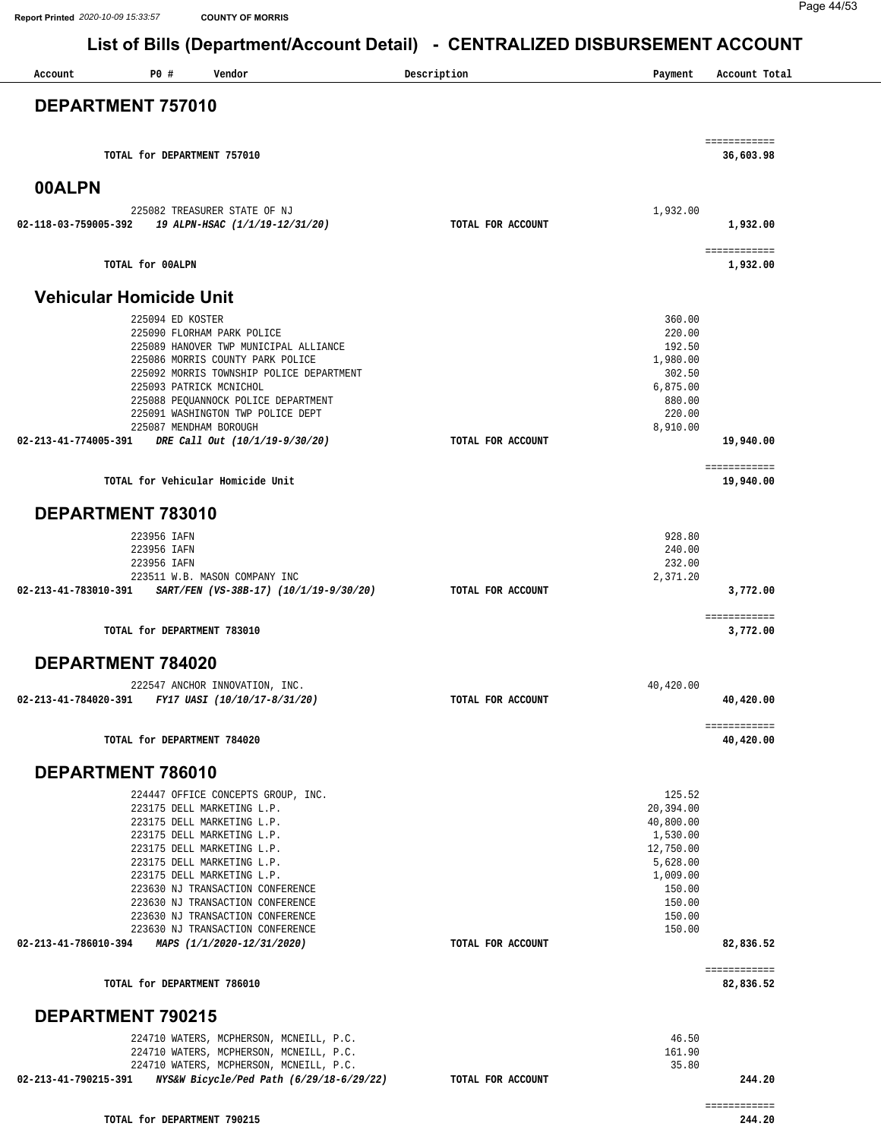| P0 #<br>Vendor<br>Account                                                                                                                                                                                                                                                                                                                                              | Description       | Payment                                                                                                                   | Account Total             |
|------------------------------------------------------------------------------------------------------------------------------------------------------------------------------------------------------------------------------------------------------------------------------------------------------------------------------------------------------------------------|-------------------|---------------------------------------------------------------------------------------------------------------------------|---------------------------|
| DEPARTMENT 757010                                                                                                                                                                                                                                                                                                                                                      |                   |                                                                                                                           |                           |
| TOTAL for DEPARTMENT 757010                                                                                                                                                                                                                                                                                                                                            |                   |                                                                                                                           | ============<br>36,603.98 |
| 00ALPN                                                                                                                                                                                                                                                                                                                                                                 |                   |                                                                                                                           |                           |
| 225082 TREASURER STATE OF NJ                                                                                                                                                                                                                                                                                                                                           |                   | 1,932.00                                                                                                                  |                           |
| 19 ALPN-HSAC (1/1/19-12/31/20)<br>02-118-03-759005-392                                                                                                                                                                                                                                                                                                                 | TOTAL FOR ACCOUNT |                                                                                                                           | 1,932.00                  |
| TOTAL for 00ALPN                                                                                                                                                                                                                                                                                                                                                       |                   |                                                                                                                           | ============<br>1,932.00  |
| <b>Vehicular Homicide Unit</b>                                                                                                                                                                                                                                                                                                                                         |                   |                                                                                                                           |                           |
| 225094 ED KOSTER<br>225090 FLORHAM PARK POLICE<br>225089 HANOVER TWP MUNICIPAL ALLIANCE<br>225086 MORRIS COUNTY PARK POLICE<br>225092 MORRIS TOWNSHIP POLICE DEPARTMENT<br>225093 PATRICK MCNICHOL<br>225088 PEQUANNOCK POLICE DEPARTMENT<br>225091 WASHINGTON TWP POLICE DEPT                                                                                         |                   | 360.00<br>220.00<br>192.50<br>1,980.00<br>302.50<br>6,875.00<br>880.00<br>220.00                                          |                           |
| 225087 MENDHAM BOROUGH<br>02-213-41-774005-391<br>DRE Call Out (10/1/19-9/30/20)                                                                                                                                                                                                                                                                                       | TOTAL FOR ACCOUNT | 8,910.00                                                                                                                  | 19,940.00                 |
| TOTAL for Vehicular Homicide Unit                                                                                                                                                                                                                                                                                                                                      |                   |                                                                                                                           | ============<br>19,940.00 |
| DEPARTMENT 783010                                                                                                                                                                                                                                                                                                                                                      |                   |                                                                                                                           |                           |
| 223956 IAFN<br>223956 IAFN<br>223956 IAFN<br>223511 W.B. MASON COMPANY INC<br>02-213-41-783010-391 SART/FEN (VS-38B-17) (10/1/19-9/30/20)                                                                                                                                                                                                                              | TOTAL FOR ACCOUNT | 928.80<br>240.00<br>232.00<br>2,371.20                                                                                    | 3,772.00                  |
| TOTAL for DEPARTMENT 783010                                                                                                                                                                                                                                                                                                                                            |                   |                                                                                                                           | ============<br>3,772.00  |
| DEPARTMENT 784020                                                                                                                                                                                                                                                                                                                                                      |                   |                                                                                                                           |                           |
| 222547 ANCHOR INNOVATION, INC.                                                                                                                                                                                                                                                                                                                                         |                   | 40,420.00                                                                                                                 |                           |
| 02-213-41-784020-391<br>FY17 UASI (10/10/17-8/31/20)                                                                                                                                                                                                                                                                                                                   | TOTAL FOR ACCOUNT |                                                                                                                           | 40,420.00                 |
| TOTAL for DEPARTMENT 784020                                                                                                                                                                                                                                                                                                                                            |                   |                                                                                                                           | ============<br>40,420.00 |
| DEPARTMENT 786010                                                                                                                                                                                                                                                                                                                                                      |                   |                                                                                                                           |                           |
| 224447 OFFICE CONCEPTS GROUP, INC.<br>223175 DELL MARKETING L.P.<br>223175 DELL MARKETING L.P.<br>223175 DELL MARKETING L.P.<br>223175 DELL MARKETING L.P.<br>223175 DELL MARKETING L.P.<br>223175 DELL MARKETING L.P.<br>223630 NJ TRANSACTION CONFERENCE<br>223630 NJ TRANSACTION CONFERENCE<br>223630 NJ TRANSACTION CONFERENCE<br>223630 NJ TRANSACTION CONFERENCE |                   | 125.52<br>20,394.00<br>40,800.00<br>1,530.00<br>12,750.00<br>5,628.00<br>1,009.00<br>150.00<br>150.00<br>150.00<br>150.00 |                           |
| 02-213-41-786010-394 MAPS (1/1/2020-12/31/2020)                                                                                                                                                                                                                                                                                                                        | TOTAL FOR ACCOUNT |                                                                                                                           | 82,836.52<br>============ |
| TOTAL for DEPARTMENT 786010                                                                                                                                                                                                                                                                                                                                            |                   |                                                                                                                           | 82,836.52                 |
| <b>DEPARTMENT 790215</b>                                                                                                                                                                                                                                                                                                                                               |                   |                                                                                                                           |                           |
| 224710 WATERS, MCPHERSON, MCNEILL, P.C.<br>224710 WATERS, MCPHERSON, MCNEILL, P.C.<br>224710 WATERS, MCPHERSON, MCNEILL, P.C.                                                                                                                                                                                                                                          |                   | 46.50<br>161.90<br>35.80                                                                                                  |                           |
| 02-213-41-790215-391<br>NYS&W Bicycle/Ped Path (6/29/18-6/29/22)                                                                                                                                                                                                                                                                                                       | TOTAL FOR ACCOUNT |                                                                                                                           | 244.20<br>============    |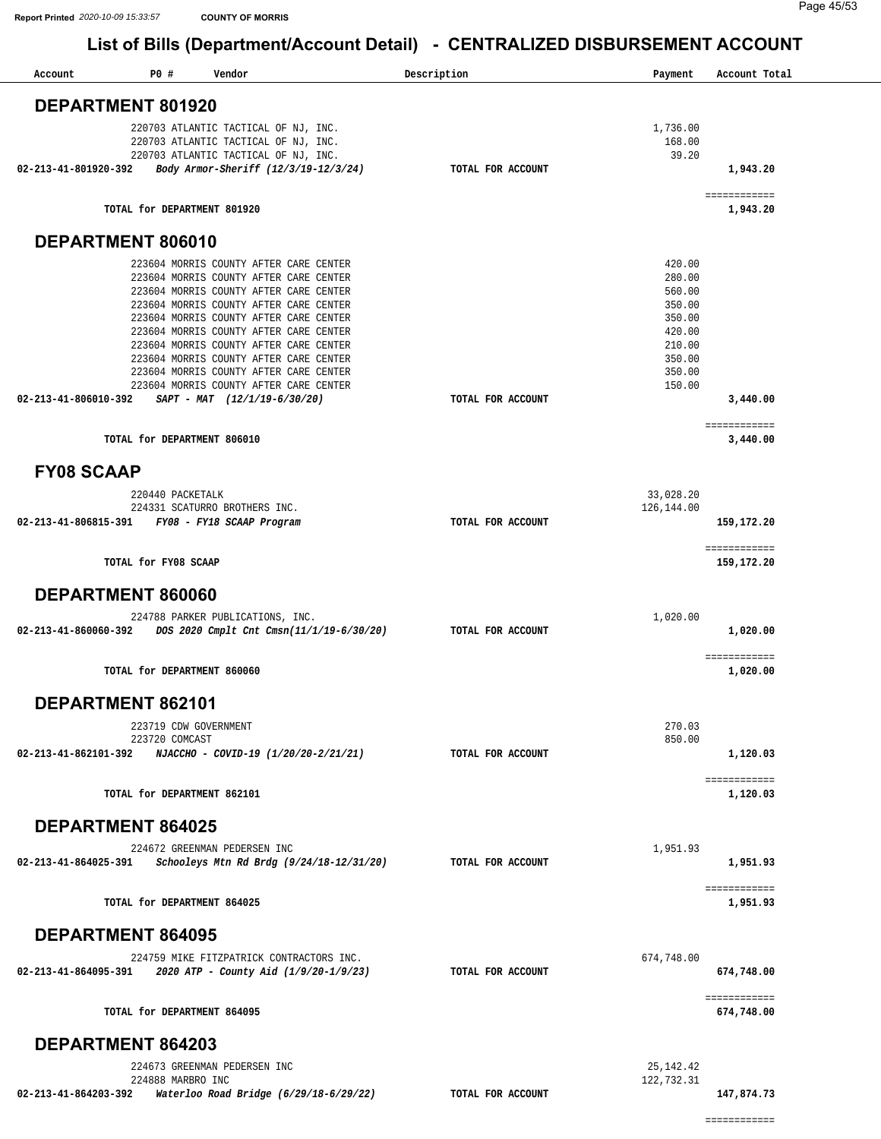| Account                                                     | <b>PO #</b>                 | Vendor                                                                                                               |                                          | Description       | Payment                     | Account Total              |
|-------------------------------------------------------------|-----------------------------|----------------------------------------------------------------------------------------------------------------------|------------------------------------------|-------------------|-----------------------------|----------------------------|
| DEPARTMENT 801920                                           |                             |                                                                                                                      |                                          |                   |                             |                            |
|                                                             |                             | 220703 ATLANTIC TACTICAL OF NJ, INC.<br>220703 ATLANTIC TACTICAL OF NJ, INC.<br>220703 ATLANTIC TACTICAL OF NJ, INC. |                                          |                   | 1,736.00<br>168.00<br>39.20 |                            |
| 02-213-41-801920-392                                        |                             | Body Armor-Sheriff (12/3/19-12/3/24)                                                                                 |                                          | TOTAL FOR ACCOUNT |                             | 1,943.20                   |
|                                                             | TOTAL for DEPARTMENT 801920 |                                                                                                                      |                                          |                   |                             | ============<br>1,943.20   |
| DEPARTMENT 806010                                           |                             |                                                                                                                      |                                          |                   |                             |                            |
|                                                             |                             | 223604 MORRIS COUNTY AFTER CARE CENTER                                                                               |                                          |                   | 420.00                      |                            |
|                                                             |                             | 223604 MORRIS COUNTY AFTER CARE CENTER<br>223604 MORRIS COUNTY AFTER CARE CENTER                                     |                                          |                   | 280.00<br>560.00            |                            |
|                                                             |                             | 223604 MORRIS COUNTY AFTER CARE CENTER                                                                               |                                          |                   | 350.00                      |                            |
|                                                             |                             | 223604 MORRIS COUNTY AFTER CARE CENTER<br>223604 MORRIS COUNTY AFTER CARE CENTER                                     |                                          |                   | 350.00<br>420.00            |                            |
|                                                             |                             | 223604 MORRIS COUNTY AFTER CARE CENTER                                                                               |                                          |                   | 210.00                      |                            |
|                                                             |                             | 223604 MORRIS COUNTY AFTER CARE CENTER                                                                               |                                          |                   | 350.00                      |                            |
|                                                             |                             | 223604 MORRIS COUNTY AFTER CARE CENTER<br>223604 MORRIS COUNTY AFTER CARE CENTER                                     |                                          |                   | 350.00<br>150.00            |                            |
| 02-213-41-806010-392                                        |                             | SAPT - MAT (12/1/19-6/30/20)                                                                                         |                                          | TOTAL FOR ACCOUNT |                             | 3,440.00                   |
|                                                             |                             |                                                                                                                      |                                          |                   |                             | ============               |
|                                                             | TOTAL for DEPARTMENT 806010 |                                                                                                                      |                                          |                   |                             | 3,440.00                   |
| <b>FY08 SCAAP</b>                                           |                             |                                                                                                                      |                                          |                   |                             |                            |
|                                                             | 220440 PACKETALK            |                                                                                                                      |                                          |                   | 33,028.20                   |                            |
| 02-213-41-806815-391                                        |                             | 224331 SCATURRO BROTHERS INC.<br>FY08 - FY18 SCAAP Program                                                           |                                          | TOTAL FOR ACCOUNT | 126,144.00                  | 159,172.20                 |
|                                                             |                             |                                                                                                                      |                                          |                   |                             | ============               |
|                                                             | TOTAL for FY08 SCAAP        |                                                                                                                      |                                          |                   |                             | 159,172.20                 |
| DEPARTMENT 860060                                           |                             |                                                                                                                      |                                          |                   |                             |                            |
|                                                             |                             | 224788 PARKER PUBLICATIONS, INC.                                                                                     |                                          |                   | 1,020.00                    |                            |
| 02-213-41-860060-392                                        |                             |                                                                                                                      | DOS 2020 Cmplt Cnt Cmsn(11/1/19-6/30/20) | TOTAL FOR ACCOUNT |                             | 1,020.00                   |
|                                                             | TOTAL for DEPARTMENT 860060 |                                                                                                                      |                                          |                   |                             | ============<br>1,020.00   |
| DEPARTMENT 862101                                           |                             |                                                                                                                      |                                          |                   |                             |                            |
|                                                             | 223719 CDW GOVERNMENT       |                                                                                                                      |                                          |                   | 270.03                      |                            |
| $02-213-41-862101-392$ NJACCHO - COVID-19 (1/20/20-2/21/21) | 223720 COMCAST              |                                                                                                                      |                                          | TOTAL FOR ACCOUNT | 850.00                      | 1,120.03                   |
|                                                             |                             |                                                                                                                      |                                          |                   |                             | ============               |
|                                                             | TOTAL for DEPARTMENT 862101 |                                                                                                                      |                                          |                   |                             | 1,120.03                   |
| <b>DEPARTMENT 864025</b>                                    |                             |                                                                                                                      |                                          |                   |                             |                            |
|                                                             |                             | 224672 GREENMAN PEDERSEN INC                                                                                         |                                          |                   | 1,951.93                    |                            |
| 02-213-41-864025-391                                        |                             |                                                                                                                      | Schooleys Mtn Rd Brdg (9/24/18-12/31/20) | TOTAL FOR ACCOUNT |                             | 1,951.93                   |
|                                                             | TOTAL for DEPARTMENT 864025 |                                                                                                                      |                                          |                   |                             | ============<br>1,951.93   |
| <b>DEPARTMENT 864095</b>                                    |                             |                                                                                                                      |                                          |                   |                             |                            |
|                                                             |                             | 224759 MIKE FITZPATRICK CONTRACTORS INC.                                                                             |                                          |                   | 674,748.00                  |                            |
|                                                             |                             |                                                                                                                      |                                          | TOTAL FOR ACCOUNT |                             | 674,748.00                 |
|                                                             | TOTAL for DEPARTMENT 864095 |                                                                                                                      |                                          |                   |                             | ============<br>674,748.00 |
| DEPARTMENT 864203                                           |                             |                                                                                                                      |                                          |                   |                             |                            |
|                                                             |                             | 224673 GREENMAN PEDERSEN INC                                                                                         |                                          |                   | 25, 142. 42                 |                            |
|                                                             | 224888 MARBRO INC           |                                                                                                                      |                                          |                   | 122,732.31                  |                            |
| 02-213-41-864203-392 Waterloo Road Bridge (6/29/18-6/29/22) |                             |                                                                                                                      |                                          | TOTAL FOR ACCOUNT |                             | 147,874.73                 |
|                                                             |                             |                                                                                                                      |                                          |                   |                             | ============               |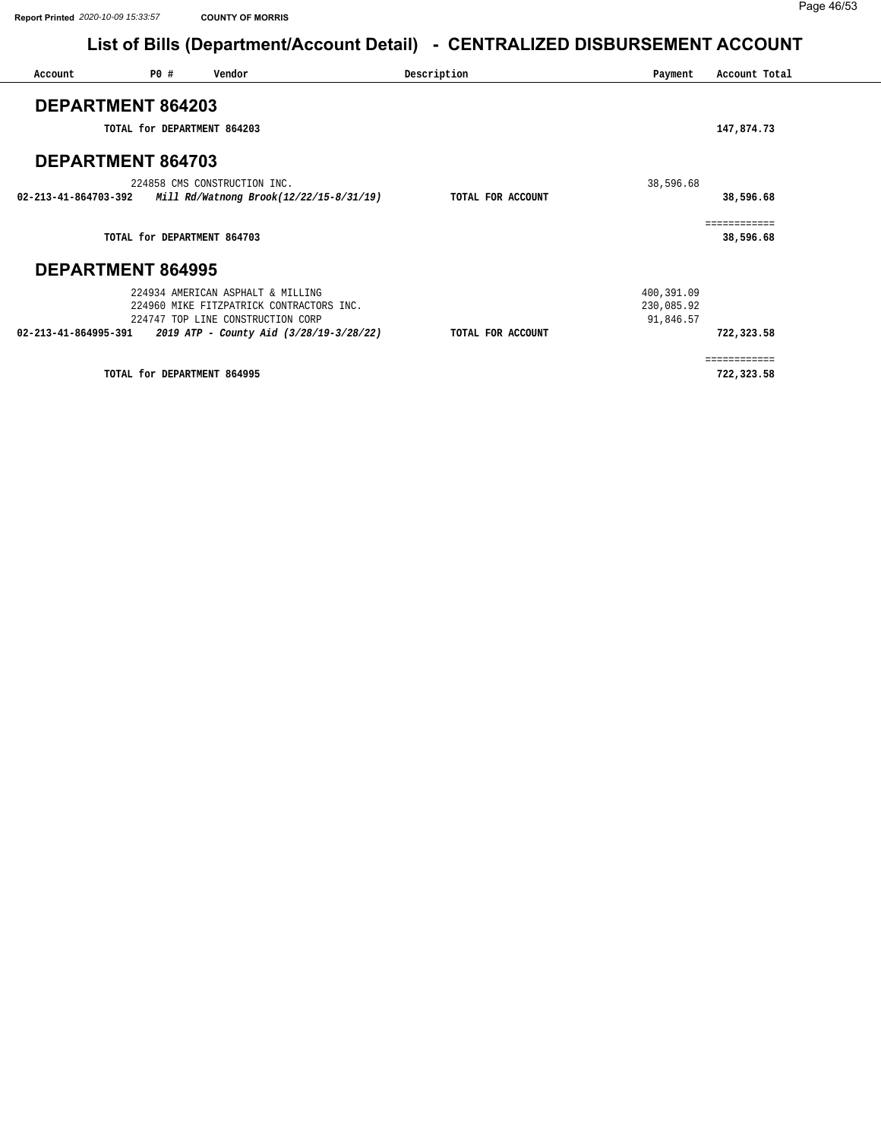| Account                  | P0 # | Vendor                                   | Description       | Payment    | Account Total |
|--------------------------|------|------------------------------------------|-------------------|------------|---------------|
| <b>DEPARTMENT 864203</b> |      |                                          |                   |            |               |
|                          |      | TOTAL for DEPARTMENT 864203              |                   |            | 147,874.73    |
| <b>DEPARTMENT 864703</b> |      |                                          |                   |            |               |
|                          |      | 224858 CMS CONSTRUCTION INC.             |                   | 38,596.68  |               |
| 02-213-41-864703-392     |      | Mill Rd/Watnong Brook(12/22/15-8/31/19)  | TOTAL FOR ACCOUNT |            | 38,596.68     |
|                          |      |                                          |                   |            | ============  |
|                          |      | TOTAL for DEPARTMENT 864703              |                   |            | 38,596.68     |
| <b>DEPARTMENT 864995</b> |      |                                          |                   |            |               |
|                          |      | 224934 AMERICAN ASPHALT & MILLING        |                   | 400,391.09 |               |
|                          |      | 224960 MIKE FITZPATRICK CONTRACTORS INC. |                   | 230,085.92 |               |
|                          |      | 224747 TOP LINE CONSTRUCTION CORP        |                   | 91,846.57  |               |
| 02-213-41-864995-391     |      | 2019 ATP - County Aid (3/28/19-3/28/22)  | TOTAL FOR ACCOUNT |            | 722,323.58    |
|                          |      |                                          |                   |            | ============  |
|                          |      | TOTAL for DEPARTMENT 864995              |                   |            | 722,323.58    |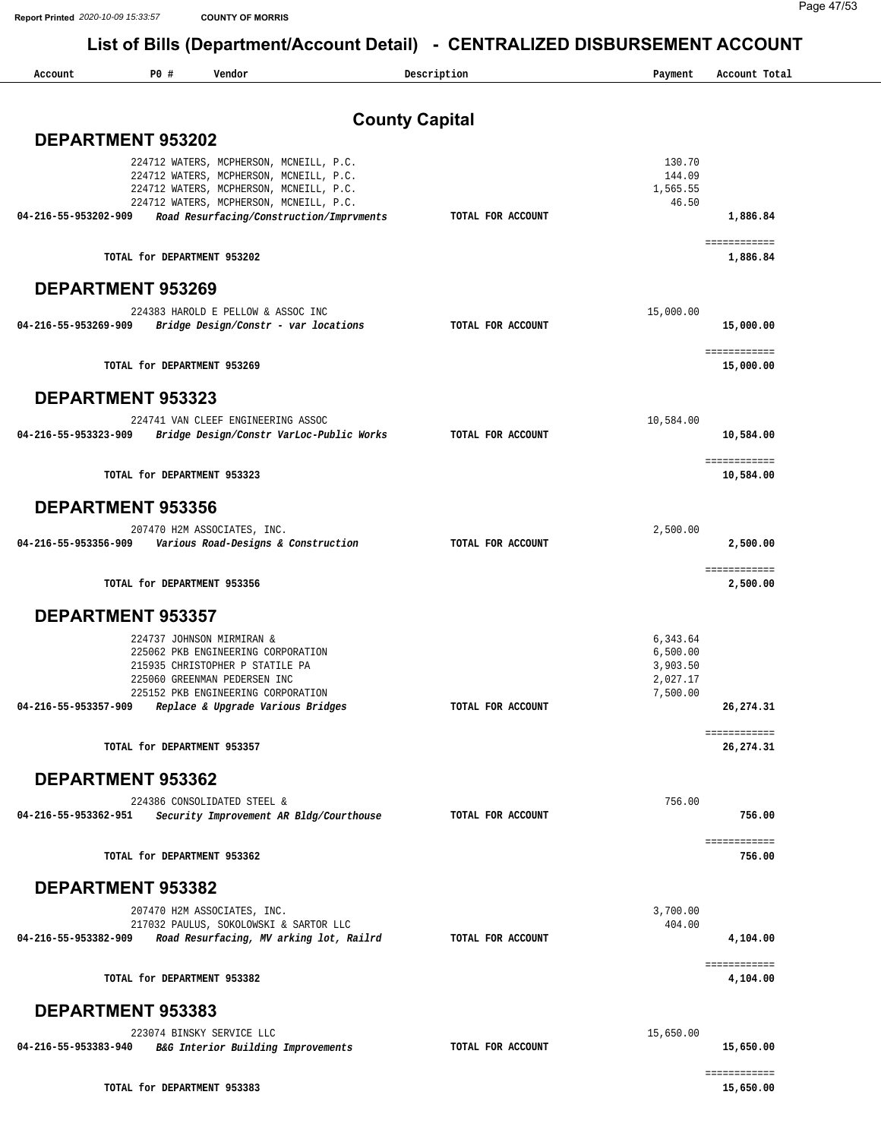| Account                  | P0 # | Vendor                                                                                                                                                                                                               |                       | Description       | Payment                                                  | Account Total               |
|--------------------------|------|----------------------------------------------------------------------------------------------------------------------------------------------------------------------------------------------------------------------|-----------------------|-------------------|----------------------------------------------------------|-----------------------------|
|                          |      |                                                                                                                                                                                                                      | <b>County Capital</b> |                   |                                                          |                             |
| DEPARTMENT 953202        |      |                                                                                                                                                                                                                      |                       |                   |                                                          |                             |
| 04-216-55-953202-909     |      | 224712 WATERS, MCPHERSON, MCNEILL, P.C.<br>224712 WATERS, MCPHERSON, MCNEILL, P.C.<br>224712 WATERS, MCPHERSON, MCNEILL, P.C.<br>224712 WATERS, MCPHERSON, MCNEILL, P.C.<br>Road Resurfacing/Construction/Imprvments |                       | TOTAL FOR ACCOUNT | 130.70<br>144.09<br>1,565.55<br>46.50                    | 1,886.84                    |
|                          |      | TOTAL for DEPARTMENT 953202                                                                                                                                                                                          |                       |                   |                                                          | ============<br>1,886.84    |
| <b>DEPARTMENT 953269</b> |      |                                                                                                                                                                                                                      |                       |                   |                                                          |                             |
|                          |      | 224383 HAROLD E PELLOW & ASSOC INC                                                                                                                                                                                   |                       |                   | 15,000.00                                                |                             |
| 04-216-55-953269-909     |      | Bridge Design/Constr - var locations                                                                                                                                                                                 |                       | TOTAL FOR ACCOUNT |                                                          | 15,000.00                   |
|                          |      | TOTAL for DEPARTMENT 953269                                                                                                                                                                                          |                       |                   |                                                          | ============<br>15,000.00   |
| <b>DEPARTMENT 953323</b> |      |                                                                                                                                                                                                                      |                       |                   |                                                          |                             |
| 04-216-55-953323-909     |      | 224741 VAN CLEEF ENGINEERING ASSOC<br>Bridge Design/Constr VarLoc-Public Works                                                                                                                                       |                       | TOTAL FOR ACCOUNT | 10,584.00                                                | 10,584.00                   |
|                          |      | TOTAL for DEPARTMENT 953323                                                                                                                                                                                          |                       |                   |                                                          | ============<br>10,584.00   |
| <b>DEPARTMENT 953356</b> |      |                                                                                                                                                                                                                      |                       |                   |                                                          |                             |
| 04-216-55-953356-909     |      | 207470 H2M ASSOCIATES, INC.<br>Various Road-Designs & Construction                                                                                                                                                   |                       | TOTAL FOR ACCOUNT | 2,500.00                                                 | 2,500.00                    |
|                          |      | TOTAL for DEPARTMENT 953356                                                                                                                                                                                          |                       |                   |                                                          | ============<br>2,500.00    |
| <b>DEPARTMENT 953357</b> |      |                                                                                                                                                                                                                      |                       |                   |                                                          |                             |
| 04-216-55-953357-909     |      | 224737 JOHNSON MIRMIRAN &<br>225062 PKB ENGINEERING CORPORATION<br>215935 CHRISTOPHER P STATILE PA<br>225060 GREENMAN PEDERSEN INC<br>225152 PKB ENGINEERING CORPORATION<br>Replace & Upgrade Various Bridges        |                       | TOTAL FOR ACCOUNT | 6,343.64<br>6,500.00<br>3,903.50<br>2,027.17<br>7,500.00 | 26, 274.31                  |
|                          |      | TOTAL for DEPARTMENT 953357                                                                                                                                                                                          |                       |                   |                                                          | ============<br>26, 274, 31 |
| DEPARTMENT 953362        |      |                                                                                                                                                                                                                      |                       |                   |                                                          |                             |
| 04-216-55-953362-951     |      | 224386 CONSOLIDATED STEEL &<br>Security Improvement AR Bldg/Courthouse                                                                                                                                               |                       | TOTAL FOR ACCOUNT | 756.00                                                   | 756.00                      |
|                          |      | TOTAL for DEPARTMENT 953362                                                                                                                                                                                          |                       |                   |                                                          | ============<br>756.00      |
| DEPARTMENT 953382        |      |                                                                                                                                                                                                                      |                       |                   |                                                          |                             |
|                          |      | 207470 H2M ASSOCIATES, INC.<br>217032 PAULUS, SOKOLOWSKI & SARTOR LLC                                                                                                                                                |                       |                   | 3,700.00<br>404.00                                       |                             |
| 04-216-55-953382-909     |      | Road Resurfacing, MV arking lot, Railrd                                                                                                                                                                              |                       | TOTAL FOR ACCOUNT |                                                          | 4,104.00                    |
|                          |      | TOTAL for DEPARTMENT 953382                                                                                                                                                                                          |                       |                   |                                                          | ============<br>4,104.00    |
| DEPARTMENT 953383        |      |                                                                                                                                                                                                                      |                       |                   |                                                          |                             |
| 04-216-55-953383-940     |      | 223074 BINSKY SERVICE LLC<br>B&G Interior Building Improvements                                                                                                                                                      |                       | TOTAL FOR ACCOUNT | 15,650.00                                                | 15,650.00                   |
|                          |      | TOTAL for DEPARTMENT 953383                                                                                                                                                                                          |                       |                   |                                                          | ============<br>15,650.00   |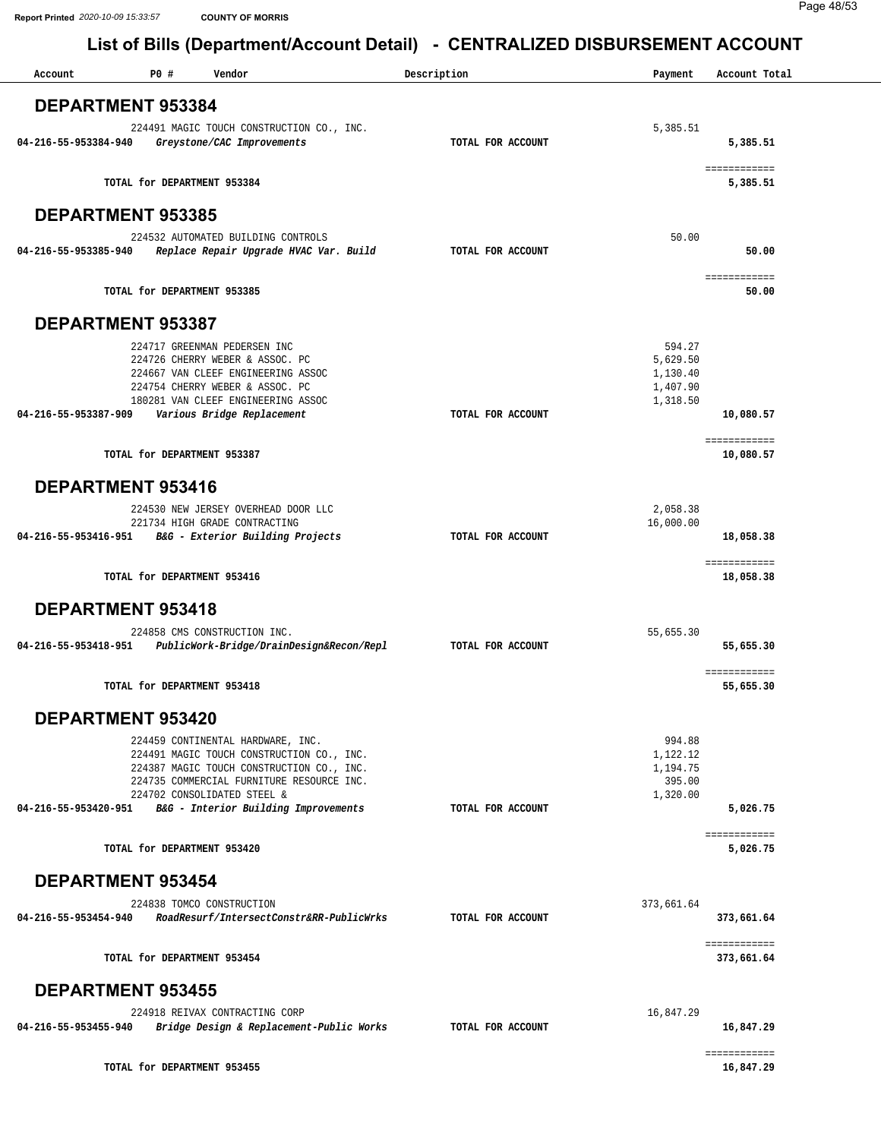| Account                  | P0#<br>Vendor                                                                          | Description       | Payment            | Account Total              |
|--------------------------|----------------------------------------------------------------------------------------|-------------------|--------------------|----------------------------|
| <b>DEPARTMENT 953384</b> |                                                                                        |                   |                    |                            |
|                          | 224491 MAGIC TOUCH CONSTRUCTION CO., INC.                                              |                   | 5,385.51           |                            |
| 04-216-55-953384-940     | Greystone/CAC Improvements                                                             | TOTAL FOR ACCOUNT |                    | 5,385.51                   |
|                          | TOTAL for DEPARTMENT 953384                                                            |                   |                    | ============<br>5,385.51   |
| <b>DEPARTMENT 953385</b> |                                                                                        |                   |                    |                            |
| 04-216-55-953385-940     | 224532 AUTOMATED BUILDING CONTROLS<br>Replace Repair Upgrade HVAC Var. Build           | TOTAL FOR ACCOUNT | 50.00              | 50.00                      |
|                          |                                                                                        |                   |                    | ============               |
|                          | TOTAL for DEPARTMENT 953385                                                            |                   |                    | 50.00                      |
| <b>DEPARTMENT 953387</b> |                                                                                        |                   |                    |                            |
|                          | 224717 GREENMAN PEDERSEN INC<br>224726 CHERRY WEBER & ASSOC. PC                        |                   | 594.27<br>5,629.50 |                            |
|                          | 224667 VAN CLEEF ENGINEERING ASSOC                                                     |                   | 1,130.40           |                            |
|                          | 224754 CHERRY WEBER & ASSOC. PC                                                        |                   | 1,407.90           |                            |
|                          | 180281 VAN CLEEF ENGINEERING ASSOC<br>04-216-55-953387-909 Various Bridge Replacement  | TOTAL FOR ACCOUNT | 1,318.50           | 10,080.57                  |
|                          |                                                                                        |                   |                    | ============               |
|                          | TOTAL for DEPARTMENT 953387                                                            |                   |                    | 10,080.57                  |
| <b>DEPARTMENT 953416</b> |                                                                                        |                   |                    |                            |
|                          | 224530 NEW JERSEY OVERHEAD DOOR LLC                                                    |                   | 2,058.38           |                            |
| 04-216-55-953416-951     | 221734 HIGH GRADE CONTRACTING<br>B&G - Exterior Building Projects                      | TOTAL FOR ACCOUNT | 16,000.00          | 18,058.38                  |
|                          |                                                                                        |                   |                    | ============               |
|                          | TOTAL for DEPARTMENT 953416                                                            |                   |                    | 18,058.38                  |
| <b>DEPARTMENT 953418</b> |                                                                                        |                   |                    |                            |
|                          | 224858 CMS CONSTRUCTION INC.                                                           |                   | 55,655.30          |                            |
| 04-216-55-953418-951     | PublicWork-Bridge/DrainDesign&Recon/Repl                                               | TOTAL FOR ACCOUNT |                    | 55,655.30                  |
|                          | TOTAL for DEPARTMENT 953418                                                            |                   |                    | ============<br>55,655.30  |
| <b>DEPARTMENT 953420</b> |                                                                                        |                   |                    |                            |
|                          | 224459 CONTINENTAL HARDWARE, INC.                                                      |                   | 994.88             |                            |
|                          | 224491 MAGIC TOUCH CONSTRUCTION CO., INC.                                              |                   | 1,122.12           |                            |
|                          | 224387 MAGIC TOUCH CONSTRUCTION CO., INC.<br>224735 COMMERCIAL FURNITURE RESOURCE INC. |                   | 1,194.75<br>395.00 |                            |
|                          | 224702 CONSOLIDATED STEEL &                                                            |                   | 1,320.00           |                            |
|                          | 04-216-55-953420-951 B&G - Interior Building Improvements                              | TOTAL FOR ACCOUNT |                    | 5,026.75                   |
|                          | TOTAL for DEPARTMENT 953420                                                            |                   |                    | ============<br>5,026.75   |
| <b>DEPARTMENT 953454</b> |                                                                                        |                   |                    |                            |
|                          | 224838 TOMCO CONSTRUCTION                                                              |                   | 373,661.64         |                            |
| 04-216-55-953454-940     | RoadResurf/IntersectConstr&RR-PublicWrks                                               | TOTAL FOR ACCOUNT |                    | 373,661.64                 |
|                          | TOTAL for DEPARTMENT 953454                                                            |                   |                    | ============<br>373,661.64 |
| <b>DEPARTMENT 953455</b> |                                                                                        |                   |                    |                            |
|                          | 224918 REIVAX CONTRACTING CORP                                                         |                   | 16,847.29          |                            |
|                          |                                                                                        |                   |                    |                            |
| 04-216-55-953455-940     | Bridge Design & Replacement-Public Works                                               | TOTAL FOR ACCOUNT |                    | 16,847.29                  |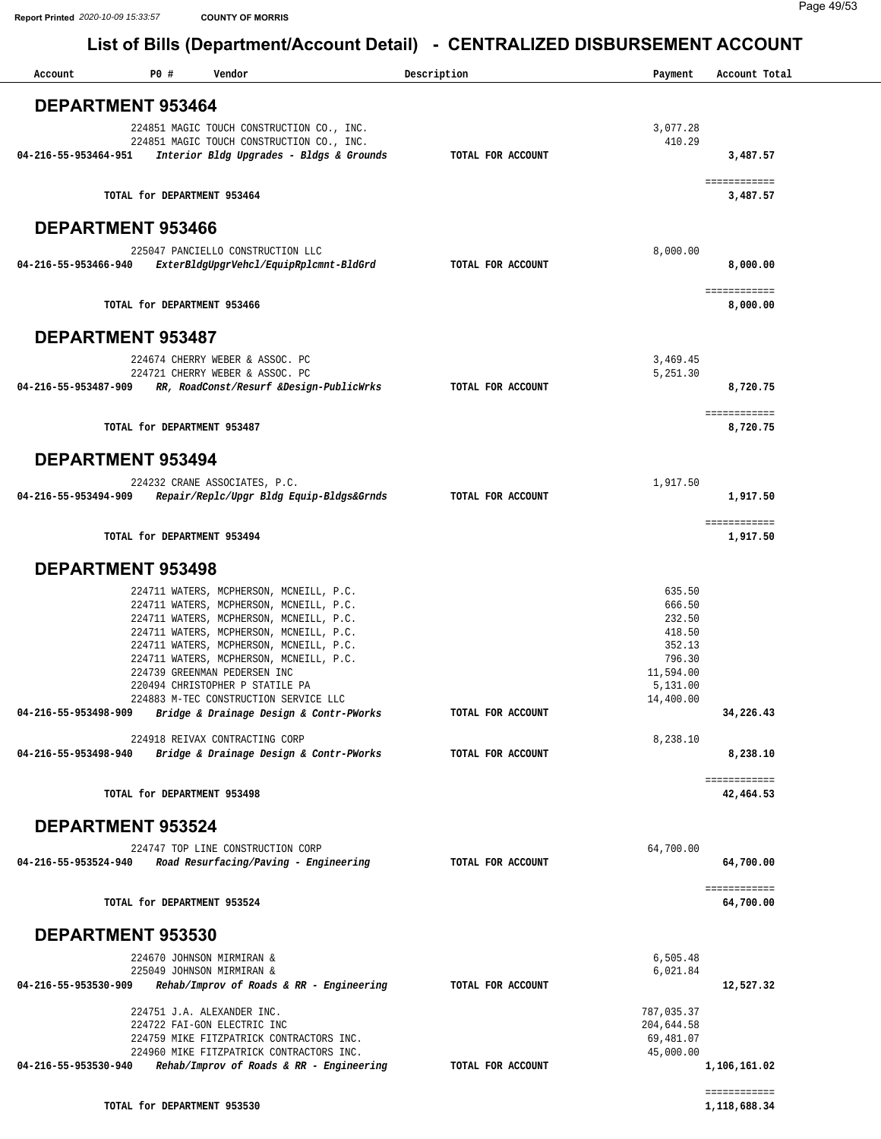| Account              | P0 #<br>Vendor                                                                       | Description       | Payment                | Account Total                |
|----------------------|--------------------------------------------------------------------------------------|-------------------|------------------------|------------------------------|
|                      | <b>DEPARTMENT 953464</b>                                                             |                   |                        |                              |
|                      | 224851 MAGIC TOUCH CONSTRUCTION CO., INC.                                            |                   | 3,077.28               |                              |
|                      | 224851 MAGIC TOUCH CONSTRUCTION CO., INC.                                            |                   | 410.29                 |                              |
| 04-216-55-953464-951 | Interior Bldg Upgrades - Bldgs & Grounds                                             | TOTAL FOR ACCOUNT |                        | 3,487.57                     |
|                      |                                                                                      |                   |                        | ============                 |
|                      | TOTAL for DEPARTMENT 953464                                                          |                   |                        | 3,487.57                     |
|                      |                                                                                      |                   |                        |                              |
|                      | <b>DEPARTMENT 953466</b>                                                             |                   |                        |                              |
|                      | 225047 PANCIELLO CONSTRUCTION LLC                                                    |                   | 8,000.00               |                              |
|                      | 04-216-55-953466-940 ExterBldgUpgrVehcl/EquipRplcmnt-BldGrd                          | TOTAL FOR ACCOUNT |                        | 8,000.00                     |
|                      |                                                                                      |                   |                        | ============                 |
|                      | TOTAL for DEPARTMENT 953466                                                          |                   |                        | 8,000.00                     |
|                      | <b>DEPARTMENT 953487</b>                                                             |                   |                        |                              |
|                      |                                                                                      |                   |                        |                              |
|                      | 224674 CHERRY WEBER & ASSOC. PC<br>224721 CHERRY WEBER & ASSOC. PC                   |                   | 3,469.45<br>5,251.30   |                              |
| 04-216-55-953487-909 | RR, RoadConst/Resurf &Design-PublicWrks                                              | TOTAL FOR ACCOUNT |                        | 8,720.75                     |
|                      |                                                                                      |                   |                        |                              |
|                      | TOTAL for DEPARTMENT 953487                                                          |                   |                        | ============<br>8,720.75     |
|                      |                                                                                      |                   |                        |                              |
|                      | <b>DEPARTMENT 953494</b>                                                             |                   |                        |                              |
|                      | 224232 CRANE ASSOCIATES, P.C.                                                        |                   | 1,917.50               |                              |
| 04-216-55-953494-909 | Repair/Replc/Upgr Bldg Equip-Bldgs&Grnds                                             | TOTAL FOR ACCOUNT |                        | 1,917.50                     |
|                      |                                                                                      |                   |                        | ============                 |
|                      | TOTAL for DEPARTMENT 953494                                                          |                   |                        | 1,917.50                     |
|                      |                                                                                      |                   |                        |                              |
|                      | DEPARTMENT 953498                                                                    |                   |                        |                              |
|                      | 224711 WATERS, MCPHERSON, MCNEILL, P.C.                                              |                   | 635.50                 |                              |
|                      | 224711 WATERS, MCPHERSON, MCNEILL, P.C.<br>224711 WATERS, MCPHERSON, MCNEILL, P.C.   |                   | 666.50<br>232.50       |                              |
|                      | 224711 WATERS, MCPHERSON, MCNEILL, P.C.                                              |                   | 418.50                 |                              |
|                      | 224711 WATERS, MCPHERSON, MCNEILL, P.C.                                              |                   | 352.13                 |                              |
|                      | 224711 WATERS, MCPHERSON, MCNEILL, P.C.                                              |                   | 796.30                 |                              |
|                      | 224739 GREENMAN PEDERSEN INC<br>220494 CHRISTOPHER P STATILE PA                      |                   | 11,594.00              |                              |
|                      | 224883 M-TEC CONSTRUCTION SERVICE LLC                                                |                   | 5,131.00<br>14,400.00  |                              |
| 04-216-55-953498-909 | Bridge & Drainage Design & Contr-PWorks                                              | TOTAL FOR ACCOUNT |                        | 34,226.43                    |
|                      |                                                                                      |                   |                        |                              |
| 04-216-55-953498-940 | 224918 REIVAX CONTRACTING CORP<br>Bridge & Drainage Design & Contr-PWorks            | TOTAL FOR ACCOUNT | 8,238.10               | 8,238.10                     |
|                      |                                                                                      |                   |                        |                              |
|                      | TOTAL for DEPARTMENT 953498                                                          |                   |                        | ============<br>42,464.53    |
|                      |                                                                                      |                   |                        |                              |
|                      | <b>DEPARTMENT 953524</b>                                                             |                   |                        |                              |
|                      | 224747 TOP LINE CONSTRUCTION CORP                                                    |                   | 64,700.00              |                              |
| 04-216-55-953524-940 | Road Resurfacing/Paving - Engineering                                                | TOTAL FOR ACCOUNT |                        | 64,700.00                    |
|                      |                                                                                      |                   |                        | ============                 |
|                      | TOTAL for DEPARTMENT 953524                                                          |                   |                        | 64,700.00                    |
|                      |                                                                                      |                   |                        |                              |
|                      | DEPARTMENT 953530                                                                    |                   |                        |                              |
|                      | 224670 JOHNSON MIRMIRAN &                                                            |                   | 6,505.48               |                              |
|                      | 225049 JOHNSON MIRMIRAN &                                                            |                   | 6,021.84               |                              |
| 04-216-55-953530-909 | Rehab/Improv of Roads & RR - Engineering                                             | TOTAL FOR ACCOUNT |                        | 12,527.32                    |
|                      | 224751 J.A. ALEXANDER INC.                                                           |                   | 787,035.37             |                              |
|                      | 224722 FAI-GON ELECTRIC INC                                                          |                   | 204,644.58             |                              |
|                      | 224759 MIKE FITZPATRICK CONTRACTORS INC.<br>224960 MIKE FITZPATRICK CONTRACTORS INC. |                   | 69,481.07<br>45,000.00 |                              |
| 04-216-55-953530-940 | Rehab/Improv of Roads & RR - Engineering                                             | TOTAL FOR ACCOUNT |                        | 1,106,161.02                 |
|                      |                                                                                      |                   |                        |                              |
|                      | TOTAL for DEPARTMENT 953530                                                          |                   |                        | ============<br>1,118,688.34 |
|                      |                                                                                      |                   |                        |                              |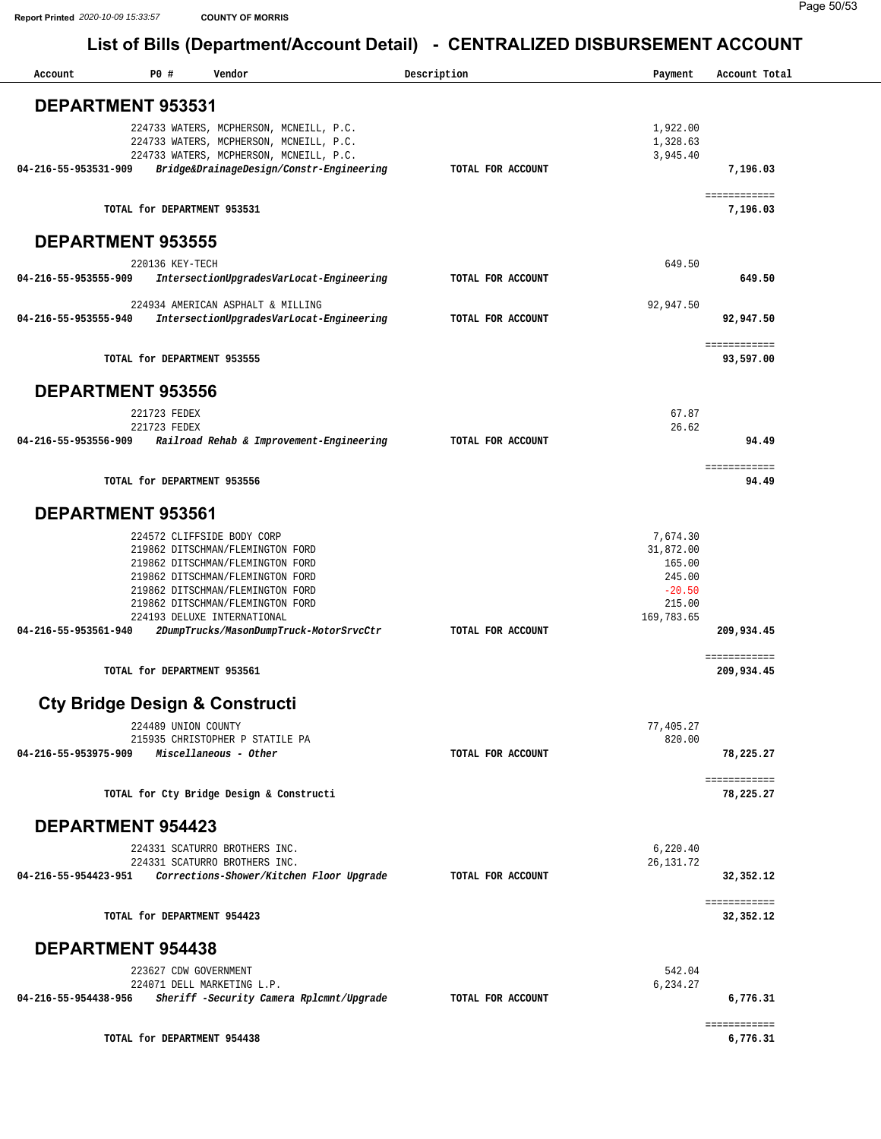| DEPARTMENT 953531<br>224733 WATERS, MCPHERSON, MCNEILL, P.C.<br>1,922.00<br>1,328.63<br>224733 WATERS, MCPHERSON, MCNEILL, P.C.<br>224733 WATERS, MCPHERSON, MCNEILL, P.C.<br>3,945.40<br>04-216-55-953531-909<br>Bridge&DrainageDesign/Constr-Engineering<br>TOTAL FOR ACCOUNT<br>7,196.03<br>============<br>TOTAL for DEPARTMENT 953531<br>7,196.03<br><b>DEPARTMENT 953555</b><br>649.50<br>220136 KEY-TECH<br>IntersectionUpgradesVarLocat-Engineering<br>649.50<br>04-216-55-953555-909<br>TOTAL FOR ACCOUNT<br>224934 AMERICAN ASPHALT & MILLING<br>92,947.50<br>04-216-55-953555-940<br>IntersectionUpgradesVarLocat-Engineering<br>TOTAL FOR ACCOUNT<br>92,947.50<br>============<br>TOTAL for DEPARTMENT 953555<br>93,597.00<br><b>DEPARTMENT 953556</b><br>67.87<br>221723 FEDEX<br>26.62<br>221723 FEDEX<br>04-216-55-953556-909<br>Railroad Rehab & Improvement-Engineering<br>TOTAL FOR ACCOUNT<br>94.49<br>============<br>TOTAL for DEPARTMENT 953556<br>94.49<br><b>DEPARTMENT 953561</b><br>7,674.30<br>224572 CLIFFSIDE BODY CORP<br>31,872.00<br>219862 DITSCHMAN/FLEMINGTON FORD<br>219862 DITSCHMAN/FLEMINGTON FORD<br>165.00<br>219862 DITSCHMAN/FLEMINGTON FORD<br>245.00<br>$-20.50$<br>219862 DITSCHMAN/FLEMINGTON FORD<br>215.00<br>219862 DITSCHMAN/FLEMINGTON FORD<br>169,783.65<br>224193 DELUXE INTERNATIONAL<br>04-216-55-953561-940<br>2DumpTrucks/MasonDumpTruck-MotorSrvcCtr<br>209,934.45<br>TOTAL FOR ACCOUNT<br>============<br>TOTAL for DEPARTMENT 953561<br>209,934.45<br><b>Cty Bridge Design &amp; Constructi</b><br>224489 UNION COUNTY<br>77,405.27<br>820.00<br>215935 CHRISTOPHER P STATILE PA<br>04-216-55-953975-909<br>Miscellaneous - Other<br>TOTAL FOR ACCOUNT<br>78,225.27<br>============<br>TOTAL for Cty Bridge Design & Constructi<br>78,225.27<br><b>DEPARTMENT 954423</b><br>6,220.40<br>224331 SCATURRO BROTHERS INC.<br>224331 SCATURRO BROTHERS INC.<br>26, 131.72<br>Corrections-Shower/Kitchen Floor Upgrade<br>04-216-55-954423-951<br>TOTAL FOR ACCOUNT<br>32,352.12<br>============<br>TOTAL for DEPARTMENT 954423<br>32, 352.12<br><b>DEPARTMENT 954438</b><br>223627 CDW GOVERNMENT<br>542.04<br>6,234.27<br>224071 DELL MARKETING L.P.<br>04-216-55-954438-956<br>Sheriff -Security Camera Rplcmnt/Upgrade<br>TOTAL FOR ACCOUNT<br>6,776.31<br>============<br>TOTAL for DEPARTMENT 954438<br>6,776.31 | Account | P0 # | Vendor | Description | Payment | Account Total |
|-------------------------------------------------------------------------------------------------------------------------------------------------------------------------------------------------------------------------------------------------------------------------------------------------------------------------------------------------------------------------------------------------------------------------------------------------------------------------------------------------------------------------------------------------------------------------------------------------------------------------------------------------------------------------------------------------------------------------------------------------------------------------------------------------------------------------------------------------------------------------------------------------------------------------------------------------------------------------------------------------------------------------------------------------------------------------------------------------------------------------------------------------------------------------------------------------------------------------------------------------------------------------------------------------------------------------------------------------------------------------------------------------------------------------------------------------------------------------------------------------------------------------------------------------------------------------------------------------------------------------------------------------------------------------------------------------------------------------------------------------------------------------------------------------------------------------------------------------------------------------------------------------------------------------------------------------------------------------------------------------------------------------------------------------------------------------------------------------------------------------------------------------------------------------------------------------------------------------------------------------------------------------------------------------------------------------------------------------------------------------------|---------|------|--------|-------------|---------|---------------|
|                                                                                                                                                                                                                                                                                                                                                                                                                                                                                                                                                                                                                                                                                                                                                                                                                                                                                                                                                                                                                                                                                                                                                                                                                                                                                                                                                                                                                                                                                                                                                                                                                                                                                                                                                                                                                                                                                                                                                                                                                                                                                                                                                                                                                                                                                                                                                                               |         |      |        |             |         |               |
|                                                                                                                                                                                                                                                                                                                                                                                                                                                                                                                                                                                                                                                                                                                                                                                                                                                                                                                                                                                                                                                                                                                                                                                                                                                                                                                                                                                                                                                                                                                                                                                                                                                                                                                                                                                                                                                                                                                                                                                                                                                                                                                                                                                                                                                                                                                                                                               |         |      |        |             |         |               |
|                                                                                                                                                                                                                                                                                                                                                                                                                                                                                                                                                                                                                                                                                                                                                                                                                                                                                                                                                                                                                                                                                                                                                                                                                                                                                                                                                                                                                                                                                                                                                                                                                                                                                                                                                                                                                                                                                                                                                                                                                                                                                                                                                                                                                                                                                                                                                                               |         |      |        |             |         |               |
|                                                                                                                                                                                                                                                                                                                                                                                                                                                                                                                                                                                                                                                                                                                                                                                                                                                                                                                                                                                                                                                                                                                                                                                                                                                                                                                                                                                                                                                                                                                                                                                                                                                                                                                                                                                                                                                                                                                                                                                                                                                                                                                                                                                                                                                                                                                                                                               |         |      |        |             |         |               |
|                                                                                                                                                                                                                                                                                                                                                                                                                                                                                                                                                                                                                                                                                                                                                                                                                                                                                                                                                                                                                                                                                                                                                                                                                                                                                                                                                                                                                                                                                                                                                                                                                                                                                                                                                                                                                                                                                                                                                                                                                                                                                                                                                                                                                                                                                                                                                                               |         |      |        |             |         |               |
|                                                                                                                                                                                                                                                                                                                                                                                                                                                                                                                                                                                                                                                                                                                                                                                                                                                                                                                                                                                                                                                                                                                                                                                                                                                                                                                                                                                                                                                                                                                                                                                                                                                                                                                                                                                                                                                                                                                                                                                                                                                                                                                                                                                                                                                                                                                                                                               |         |      |        |             |         |               |
|                                                                                                                                                                                                                                                                                                                                                                                                                                                                                                                                                                                                                                                                                                                                                                                                                                                                                                                                                                                                                                                                                                                                                                                                                                                                                                                                                                                                                                                                                                                                                                                                                                                                                                                                                                                                                                                                                                                                                                                                                                                                                                                                                                                                                                                                                                                                                                               |         |      |        |             |         |               |
|                                                                                                                                                                                                                                                                                                                                                                                                                                                                                                                                                                                                                                                                                                                                                                                                                                                                                                                                                                                                                                                                                                                                                                                                                                                                                                                                                                                                                                                                                                                                                                                                                                                                                                                                                                                                                                                                                                                                                                                                                                                                                                                                                                                                                                                                                                                                                                               |         |      |        |             |         |               |
|                                                                                                                                                                                                                                                                                                                                                                                                                                                                                                                                                                                                                                                                                                                                                                                                                                                                                                                                                                                                                                                                                                                                                                                                                                                                                                                                                                                                                                                                                                                                                                                                                                                                                                                                                                                                                                                                                                                                                                                                                                                                                                                                                                                                                                                                                                                                                                               |         |      |        |             |         |               |
|                                                                                                                                                                                                                                                                                                                                                                                                                                                                                                                                                                                                                                                                                                                                                                                                                                                                                                                                                                                                                                                                                                                                                                                                                                                                                                                                                                                                                                                                                                                                                                                                                                                                                                                                                                                                                                                                                                                                                                                                                                                                                                                                                                                                                                                                                                                                                                               |         |      |        |             |         |               |
|                                                                                                                                                                                                                                                                                                                                                                                                                                                                                                                                                                                                                                                                                                                                                                                                                                                                                                                                                                                                                                                                                                                                                                                                                                                                                                                                                                                                                                                                                                                                                                                                                                                                                                                                                                                                                                                                                                                                                                                                                                                                                                                                                                                                                                                                                                                                                                               |         |      |        |             |         |               |
|                                                                                                                                                                                                                                                                                                                                                                                                                                                                                                                                                                                                                                                                                                                                                                                                                                                                                                                                                                                                                                                                                                                                                                                                                                                                                                                                                                                                                                                                                                                                                                                                                                                                                                                                                                                                                                                                                                                                                                                                                                                                                                                                                                                                                                                                                                                                                                               |         |      |        |             |         |               |
|                                                                                                                                                                                                                                                                                                                                                                                                                                                                                                                                                                                                                                                                                                                                                                                                                                                                                                                                                                                                                                                                                                                                                                                                                                                                                                                                                                                                                                                                                                                                                                                                                                                                                                                                                                                                                                                                                                                                                                                                                                                                                                                                                                                                                                                                                                                                                                               |         |      |        |             |         |               |
|                                                                                                                                                                                                                                                                                                                                                                                                                                                                                                                                                                                                                                                                                                                                                                                                                                                                                                                                                                                                                                                                                                                                                                                                                                                                                                                                                                                                                                                                                                                                                                                                                                                                                                                                                                                                                                                                                                                                                                                                                                                                                                                                                                                                                                                                                                                                                                               |         |      |        |             |         |               |
|                                                                                                                                                                                                                                                                                                                                                                                                                                                                                                                                                                                                                                                                                                                                                                                                                                                                                                                                                                                                                                                                                                                                                                                                                                                                                                                                                                                                                                                                                                                                                                                                                                                                                                                                                                                                                                                                                                                                                                                                                                                                                                                                                                                                                                                                                                                                                                               |         |      |        |             |         |               |
|                                                                                                                                                                                                                                                                                                                                                                                                                                                                                                                                                                                                                                                                                                                                                                                                                                                                                                                                                                                                                                                                                                                                                                                                                                                                                                                                                                                                                                                                                                                                                                                                                                                                                                                                                                                                                                                                                                                                                                                                                                                                                                                                                                                                                                                                                                                                                                               |         |      |        |             |         |               |
|                                                                                                                                                                                                                                                                                                                                                                                                                                                                                                                                                                                                                                                                                                                                                                                                                                                                                                                                                                                                                                                                                                                                                                                                                                                                                                                                                                                                                                                                                                                                                                                                                                                                                                                                                                                                                                                                                                                                                                                                                                                                                                                                                                                                                                                                                                                                                                               |         |      |        |             |         |               |
|                                                                                                                                                                                                                                                                                                                                                                                                                                                                                                                                                                                                                                                                                                                                                                                                                                                                                                                                                                                                                                                                                                                                                                                                                                                                                                                                                                                                                                                                                                                                                                                                                                                                                                                                                                                                                                                                                                                                                                                                                                                                                                                                                                                                                                                                                                                                                                               |         |      |        |             |         |               |
|                                                                                                                                                                                                                                                                                                                                                                                                                                                                                                                                                                                                                                                                                                                                                                                                                                                                                                                                                                                                                                                                                                                                                                                                                                                                                                                                                                                                                                                                                                                                                                                                                                                                                                                                                                                                                                                                                                                                                                                                                                                                                                                                                                                                                                                                                                                                                                               |         |      |        |             |         |               |
|                                                                                                                                                                                                                                                                                                                                                                                                                                                                                                                                                                                                                                                                                                                                                                                                                                                                                                                                                                                                                                                                                                                                                                                                                                                                                                                                                                                                                                                                                                                                                                                                                                                                                                                                                                                                                                                                                                                                                                                                                                                                                                                                                                                                                                                                                                                                                                               |         |      |        |             |         |               |
|                                                                                                                                                                                                                                                                                                                                                                                                                                                                                                                                                                                                                                                                                                                                                                                                                                                                                                                                                                                                                                                                                                                                                                                                                                                                                                                                                                                                                                                                                                                                                                                                                                                                                                                                                                                                                                                                                                                                                                                                                                                                                                                                                                                                                                                                                                                                                                               |         |      |        |             |         |               |
|                                                                                                                                                                                                                                                                                                                                                                                                                                                                                                                                                                                                                                                                                                                                                                                                                                                                                                                                                                                                                                                                                                                                                                                                                                                                                                                                                                                                                                                                                                                                                                                                                                                                                                                                                                                                                                                                                                                                                                                                                                                                                                                                                                                                                                                                                                                                                                               |         |      |        |             |         |               |
|                                                                                                                                                                                                                                                                                                                                                                                                                                                                                                                                                                                                                                                                                                                                                                                                                                                                                                                                                                                                                                                                                                                                                                                                                                                                                                                                                                                                                                                                                                                                                                                                                                                                                                                                                                                                                                                                                                                                                                                                                                                                                                                                                                                                                                                                                                                                                                               |         |      |        |             |         |               |
|                                                                                                                                                                                                                                                                                                                                                                                                                                                                                                                                                                                                                                                                                                                                                                                                                                                                                                                                                                                                                                                                                                                                                                                                                                                                                                                                                                                                                                                                                                                                                                                                                                                                                                                                                                                                                                                                                                                                                                                                                                                                                                                                                                                                                                                                                                                                                                               |         |      |        |             |         |               |
|                                                                                                                                                                                                                                                                                                                                                                                                                                                                                                                                                                                                                                                                                                                                                                                                                                                                                                                                                                                                                                                                                                                                                                                                                                                                                                                                                                                                                                                                                                                                                                                                                                                                                                                                                                                                                                                                                                                                                                                                                                                                                                                                                                                                                                                                                                                                                                               |         |      |        |             |         |               |
|                                                                                                                                                                                                                                                                                                                                                                                                                                                                                                                                                                                                                                                                                                                                                                                                                                                                                                                                                                                                                                                                                                                                                                                                                                                                                                                                                                                                                                                                                                                                                                                                                                                                                                                                                                                                                                                                                                                                                                                                                                                                                                                                                                                                                                                                                                                                                                               |         |      |        |             |         |               |
|                                                                                                                                                                                                                                                                                                                                                                                                                                                                                                                                                                                                                                                                                                                                                                                                                                                                                                                                                                                                                                                                                                                                                                                                                                                                                                                                                                                                                                                                                                                                                                                                                                                                                                                                                                                                                                                                                                                                                                                                                                                                                                                                                                                                                                                                                                                                                                               |         |      |        |             |         |               |
|                                                                                                                                                                                                                                                                                                                                                                                                                                                                                                                                                                                                                                                                                                                                                                                                                                                                                                                                                                                                                                                                                                                                                                                                                                                                                                                                                                                                                                                                                                                                                                                                                                                                                                                                                                                                                                                                                                                                                                                                                                                                                                                                                                                                                                                                                                                                                                               |         |      |        |             |         |               |
|                                                                                                                                                                                                                                                                                                                                                                                                                                                                                                                                                                                                                                                                                                                                                                                                                                                                                                                                                                                                                                                                                                                                                                                                                                                                                                                                                                                                                                                                                                                                                                                                                                                                                                                                                                                                                                                                                                                                                                                                                                                                                                                                                                                                                                                                                                                                                                               |         |      |        |             |         |               |
|                                                                                                                                                                                                                                                                                                                                                                                                                                                                                                                                                                                                                                                                                                                                                                                                                                                                                                                                                                                                                                                                                                                                                                                                                                                                                                                                                                                                                                                                                                                                                                                                                                                                                                                                                                                                                                                                                                                                                                                                                                                                                                                                                                                                                                                                                                                                                                               |         |      |        |             |         |               |
|                                                                                                                                                                                                                                                                                                                                                                                                                                                                                                                                                                                                                                                                                                                                                                                                                                                                                                                                                                                                                                                                                                                                                                                                                                                                                                                                                                                                                                                                                                                                                                                                                                                                                                                                                                                                                                                                                                                                                                                                                                                                                                                                                                                                                                                                                                                                                                               |         |      |        |             |         |               |
|                                                                                                                                                                                                                                                                                                                                                                                                                                                                                                                                                                                                                                                                                                                                                                                                                                                                                                                                                                                                                                                                                                                                                                                                                                                                                                                                                                                                                                                                                                                                                                                                                                                                                                                                                                                                                                                                                                                                                                                                                                                                                                                                                                                                                                                                                                                                                                               |         |      |        |             |         |               |
|                                                                                                                                                                                                                                                                                                                                                                                                                                                                                                                                                                                                                                                                                                                                                                                                                                                                                                                                                                                                                                                                                                                                                                                                                                                                                                                                                                                                                                                                                                                                                                                                                                                                                                                                                                                                                                                                                                                                                                                                                                                                                                                                                                                                                                                                                                                                                                               |         |      |        |             |         |               |
|                                                                                                                                                                                                                                                                                                                                                                                                                                                                                                                                                                                                                                                                                                                                                                                                                                                                                                                                                                                                                                                                                                                                                                                                                                                                                                                                                                                                                                                                                                                                                                                                                                                                                                                                                                                                                                                                                                                                                                                                                                                                                                                                                                                                                                                                                                                                                                               |         |      |        |             |         |               |
|                                                                                                                                                                                                                                                                                                                                                                                                                                                                                                                                                                                                                                                                                                                                                                                                                                                                                                                                                                                                                                                                                                                                                                                                                                                                                                                                                                                                                                                                                                                                                                                                                                                                                                                                                                                                                                                                                                                                                                                                                                                                                                                                                                                                                                                                                                                                                                               |         |      |        |             |         |               |
|                                                                                                                                                                                                                                                                                                                                                                                                                                                                                                                                                                                                                                                                                                                                                                                                                                                                                                                                                                                                                                                                                                                                                                                                                                                                                                                                                                                                                                                                                                                                                                                                                                                                                                                                                                                                                                                                                                                                                                                                                                                                                                                                                                                                                                                                                                                                                                               |         |      |        |             |         |               |
|                                                                                                                                                                                                                                                                                                                                                                                                                                                                                                                                                                                                                                                                                                                                                                                                                                                                                                                                                                                                                                                                                                                                                                                                                                                                                                                                                                                                                                                                                                                                                                                                                                                                                                                                                                                                                                                                                                                                                                                                                                                                                                                                                                                                                                                                                                                                                                               |         |      |        |             |         |               |
|                                                                                                                                                                                                                                                                                                                                                                                                                                                                                                                                                                                                                                                                                                                                                                                                                                                                                                                                                                                                                                                                                                                                                                                                                                                                                                                                                                                                                                                                                                                                                                                                                                                                                                                                                                                                                                                                                                                                                                                                                                                                                                                                                                                                                                                                                                                                                                               |         |      |        |             |         |               |
|                                                                                                                                                                                                                                                                                                                                                                                                                                                                                                                                                                                                                                                                                                                                                                                                                                                                                                                                                                                                                                                                                                                                                                                                                                                                                                                                                                                                                                                                                                                                                                                                                                                                                                                                                                                                                                                                                                                                                                                                                                                                                                                                                                                                                                                                                                                                                                               |         |      |        |             |         |               |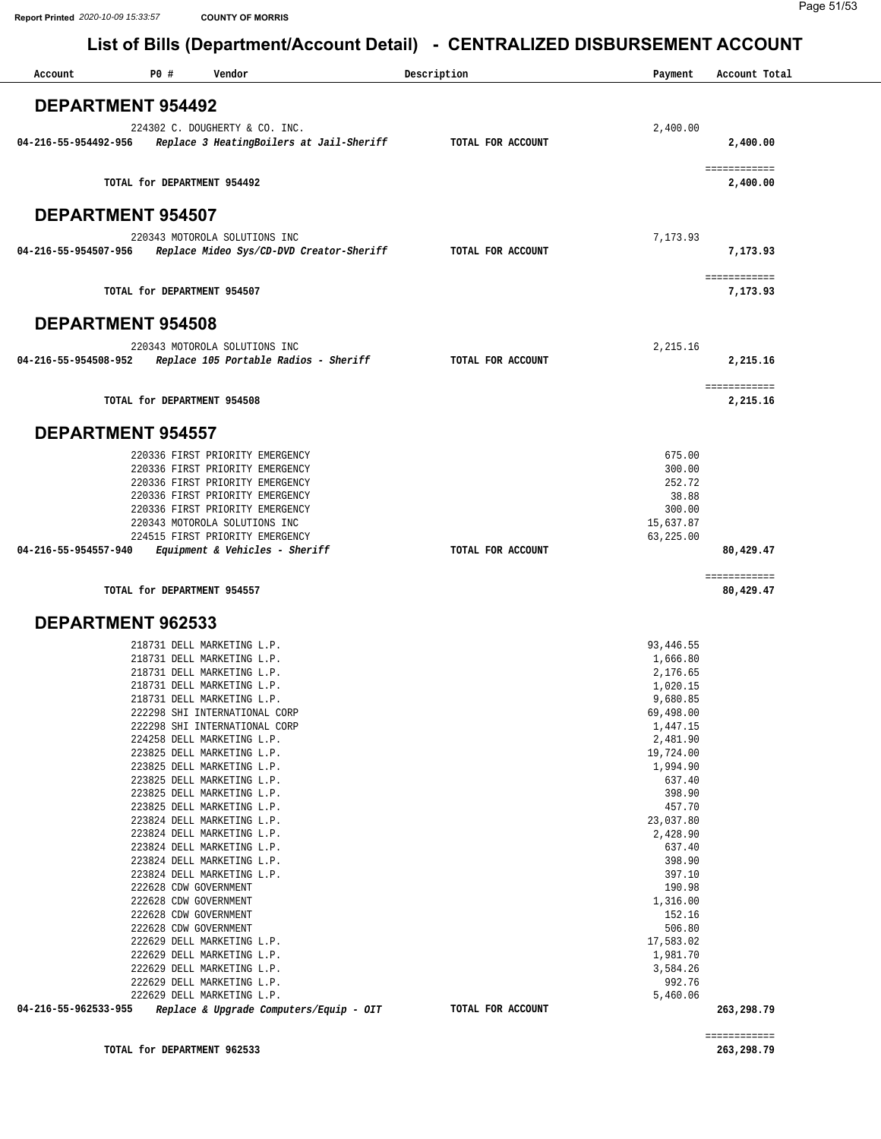| Account                  | P0#                         | Vendor                                                   | Description |                   | Payment            | Account Total |
|--------------------------|-----------------------------|----------------------------------------------------------|-------------|-------------------|--------------------|---------------|
| <b>DEPARTMENT 954492</b> |                             |                                                          |             |                   |                    |               |
|                          |                             | 224302 C. DOUGHERTY & CO. INC.                           |             |                   | 2,400.00           |               |
| 04-216-55-954492-956     |                             | Replace 3 HeatingBoilers at Jail-Sheriff                 |             | TOTAL FOR ACCOUNT |                    | 2,400.00      |
|                          |                             |                                                          |             |                   |                    |               |
|                          |                             |                                                          |             |                   |                    | ============  |
|                          | TOTAL for DEPARTMENT 954492 |                                                          |             |                   |                    | 2,400.00      |
|                          |                             |                                                          |             |                   |                    |               |
| <b>DEPARTMENT 954507</b> |                             |                                                          |             |                   |                    |               |
|                          |                             |                                                          |             |                   |                    |               |
|                          |                             | 220343 MOTOROLA SOLUTIONS INC                            |             |                   | 7,173.93           |               |
| 04-216-55-954507-956     |                             | Replace Mideo Sys/CD-DVD Creator-Sheriff                 |             | TOTAL FOR ACCOUNT |                    | 7,173.93      |
|                          |                             |                                                          |             |                   |                    | ============  |
|                          | TOTAL for DEPARTMENT 954507 |                                                          |             |                   |                    | 7,173.93      |
|                          |                             |                                                          |             |                   |                    |               |
| <b>DEPARTMENT 954508</b> |                             |                                                          |             |                   |                    |               |
|                          |                             |                                                          |             |                   |                    |               |
|                          |                             | 220343 MOTOROLA SOLUTIONS INC                            |             |                   | 2,215.16           |               |
| 04-216-55-954508-952     |                             | Replace 105 Portable Radios - Sheriff                    |             | TOTAL FOR ACCOUNT |                    | 2,215.16      |
|                          |                             |                                                          |             |                   |                    | ============  |
|                          | TOTAL for DEPARTMENT 954508 |                                                          |             |                   |                    | 2,215.16      |
|                          |                             |                                                          |             |                   |                    |               |
| <b>DEPARTMENT 954557</b> |                             |                                                          |             |                   |                    |               |
|                          |                             |                                                          |             |                   |                    |               |
|                          |                             | 220336 FIRST PRIORITY EMERGENCY                          |             |                   | 675.00             |               |
|                          |                             | 220336 FIRST PRIORITY EMERGENCY                          |             |                   | 300.00             |               |
|                          |                             | 220336 FIRST PRIORITY EMERGENCY                          |             |                   | 252.72             |               |
|                          |                             | 220336 FIRST PRIORITY EMERGENCY                          |             |                   | 38.88              |               |
|                          |                             | 220336 FIRST PRIORITY EMERGENCY                          |             |                   | 300.00             |               |
|                          |                             | 220343 MOTOROLA SOLUTIONS INC                            |             |                   | 15,637.87          |               |
|                          |                             | 224515 FIRST PRIORITY EMERGENCY                          |             |                   | 63,225.00          |               |
| 04-216-55-954557-940     |                             | Equipment & Vehicles - Sheriff                           |             | TOTAL FOR ACCOUNT |                    | 80,429.47     |
|                          |                             |                                                          |             |                   |                    | ============  |
|                          | TOTAL for DEPARTMENT 954557 |                                                          |             |                   |                    | 80,429.47     |
|                          |                             |                                                          |             |                   |                    |               |
| DEPARTMENT 962533        |                             |                                                          |             |                   |                    |               |
|                          |                             | 218731 DELL MARKETING L.P.                               |             |                   | 93,446.55          |               |
|                          |                             | 218731 DELL MARKETING L.P.                               |             |                   | 1,666.80           |               |
|                          |                             | 218731 DELL MARKETING L.P.                               |             |                   | 2,176.65           |               |
|                          |                             | 218731 DELL MARKETING L.P.                               |             |                   | 1,020.15           |               |
|                          |                             | 218731 DELL MARKETING L.P                                |             |                   | 9,680.85           |               |
|                          |                             | 222298 SHI INTERNATIONAL CORP                            |             |                   | 69,498.00          |               |
|                          |                             | 222298 SHI INTERNATIONAL CORP                            |             |                   | 1,447.15           |               |
|                          |                             | 224258 DELL MARKETING L.P.                               |             |                   | 2,481.90           |               |
|                          |                             | 223825 DELL MARKETING L.P.                               |             |                   | 19,724.00          |               |
|                          |                             | 223825 DELL MARKETING L.P.<br>223825 DELL MARKETING L.P. |             |                   | 1,994.90<br>637.40 |               |
|                          |                             | 223825 DELL MARKETING L.P.                               |             |                   | 398.90             |               |
|                          |                             | 223825 DELL MARKETING L.P.                               |             |                   | 457.70             |               |
|                          |                             | 223824 DELL MARKETING L.P.                               |             |                   | 23,037.80          |               |
|                          |                             | 223824 DELL MARKETING L.P.                               |             |                   | 2,428.90           |               |
|                          |                             | 223824 DELL MARKETING L.P.                               |             |                   | 637.40             |               |
|                          |                             | 223824 DELL MARKETING L.P.                               |             |                   | 398.90             |               |
|                          |                             | 223824 DELL MARKETING L.P.                               |             |                   | 397.10             |               |
|                          |                             | 222628 CDW GOVERNMENT                                    |             |                   | 190.98             |               |
|                          |                             | 222628 CDW GOVERNMENT                                    |             |                   | 1,316.00<br>152.16 |               |
|                          |                             | 222628 CDW GOVERNMENT<br>222628 CDW GOVERNMENT           |             |                   | 506.80             |               |
|                          |                             | 222629 DELL MARKETING L.P.                               |             |                   | 17,583.02          |               |
|                          |                             | 222629 DELL MARKETING L.P.                               |             |                   | 1,981.70           |               |
|                          |                             | 222629 DELL MARKETING L.P.                               |             |                   | 3,584.26           |               |
|                          |                             | 222629 DELL MARKETING L.P.                               |             |                   | 992.76             |               |
|                          |                             | 222629 DELL MARKETING L.P.                               |             |                   | 5,460.06           |               |
| 04-216-55-962533-955     |                             | Replace & Upgrade Computers/Equip - OIT                  |             | TOTAL FOR ACCOUNT |                    | 263,298.79    |
|                          |                             |                                                          |             |                   |                    |               |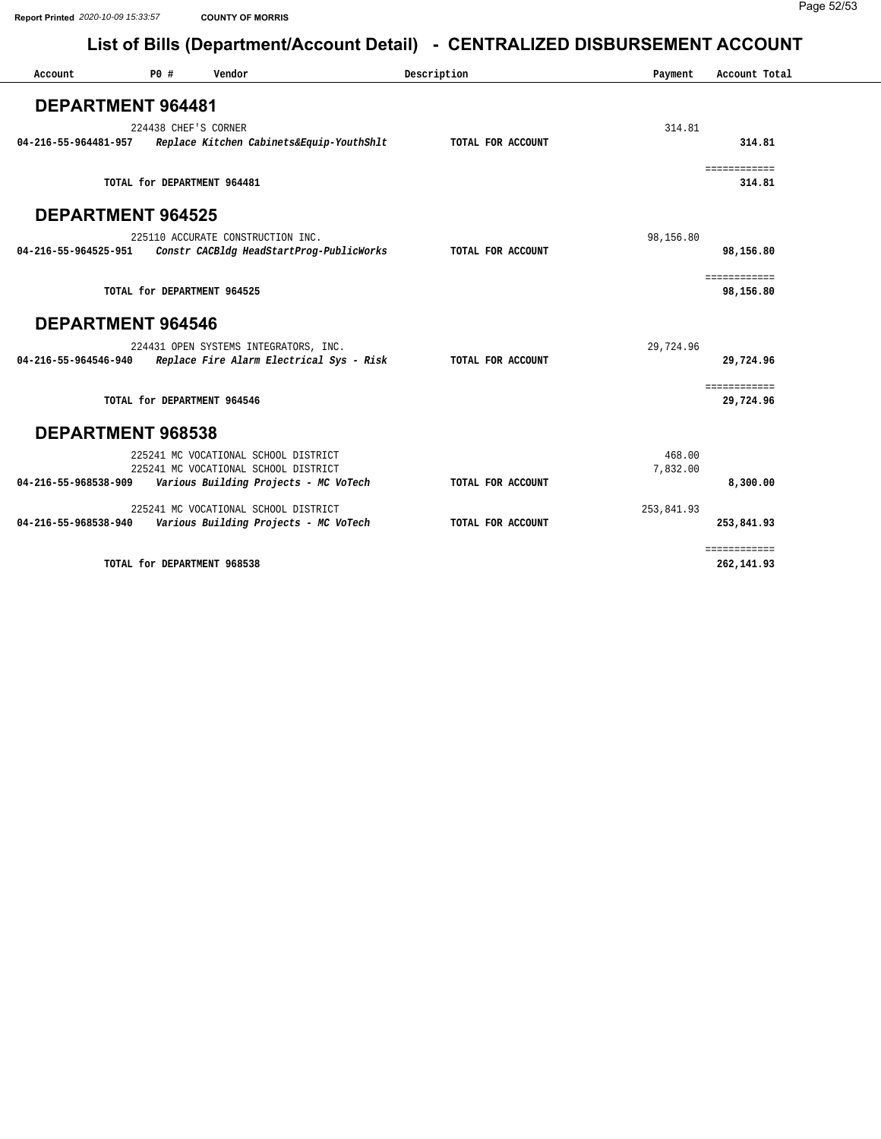| Account                  | P0 # | Vendor                                   | Description       | Payment    | Account Total              |
|--------------------------|------|------------------------------------------|-------------------|------------|----------------------------|
| DEPARTMENT 964481        |      |                                          |                   |            |                            |
|                          |      |                                          |                   |            |                            |
|                          |      | 224438 CHEF'S CORNER                     |                   | 314.81     | 314.81                     |
| 04-216-55-964481-957     |      | Replace Kitchen Cabinets&Equip-YouthShlt | TOTAL FOR ACCOUNT |            |                            |
|                          |      | TOTAL for DEPARTMENT 964481              |                   |            | ============<br>314.81     |
| <b>DEPARTMENT 964525</b> |      |                                          |                   |            |                            |
|                          |      | 225110 ACCURATE CONSTRUCTION INC.        |                   | 98,156.80  |                            |
| 04-216-55-964525-951     |      | Constr CACBldg HeadStartProg-PublicWorks | TOTAL FOR ACCOUNT |            | 98,156.80                  |
|                          |      |                                          |                   |            | ============               |
|                          |      | TOTAL for DEPARTMENT 964525              |                   |            | 98,156.80                  |
| <b>DEPARTMENT 964546</b> |      |                                          |                   |            |                            |
|                          |      | 224431 OPEN SYSTEMS INTEGRATORS, INC.    |                   | 29,724.96  |                            |
| 04-216-55-964546-940     |      | Replace Fire Alarm Electrical Sys - Risk | TOTAL FOR ACCOUNT |            | 29,724.96                  |
|                          |      | TOTAL for DEPARTMENT 964546              |                   |            | ============<br>29,724.96  |
|                          |      |                                          |                   |            |                            |
| DEPARTMENT 968538        |      |                                          |                   |            |                            |
|                          |      | 225241 MC VOCATIONAL SCHOOL DISTRICT     |                   | 468.00     |                            |
|                          |      | 225241 MC VOCATIONAL SCHOOL DISTRICT     |                   | 7,832.00   |                            |
| 04-216-55-968538-909     |      | Various Building Projects - MC VoTech    | TOTAL FOR ACCOUNT |            | 8,300.00                   |
|                          |      | 225241 MC VOCATIONAL SCHOOL DISTRICT     |                   | 253,841.93 |                            |
| 04-216-55-968538-940     |      | Various Building Projects - MC VoTech    | TOTAL FOR ACCOUNT |            | 253,841.93                 |
|                          |      | TOTAL for DEPARTMENT 968538              |                   |            | ============<br>262,141.93 |